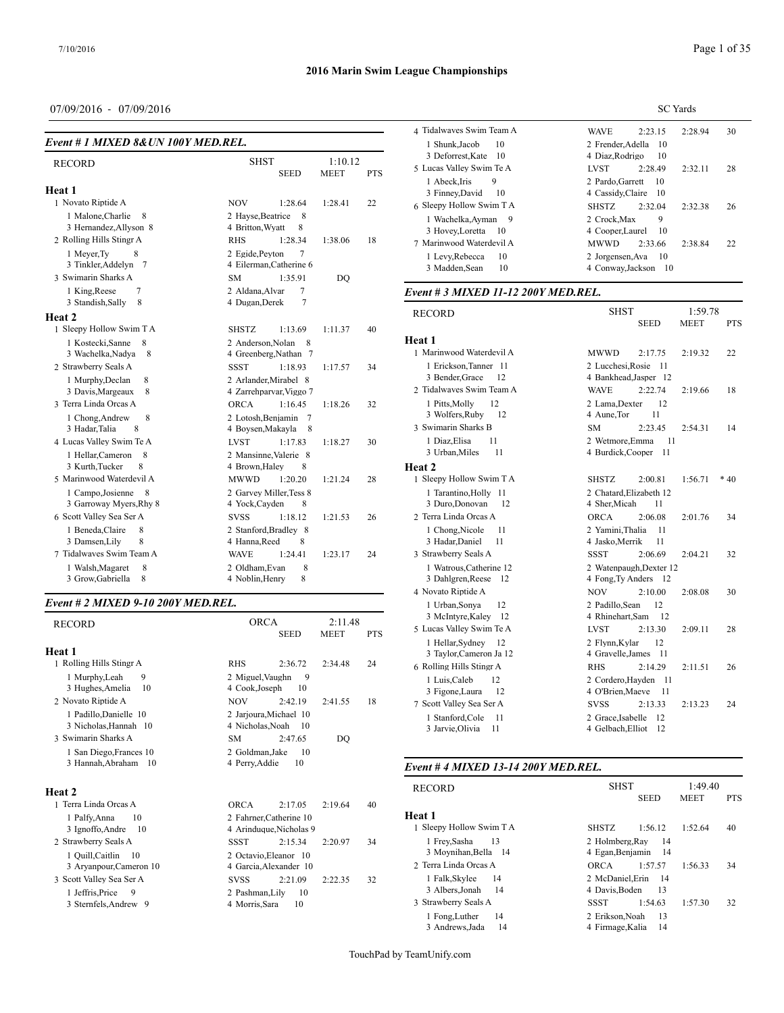## 07/09/2016 - 07/09/2016

| Event # 1 MIXED 8& UN 100Y MED.REL.               |                                                      |            | 1 Shunk, Jacob                                        |
|---------------------------------------------------|------------------------------------------------------|------------|-------------------------------------------------------|
| <b>RECORD</b>                                     | 1:10.12<br><b>SHST</b><br><b>SEED</b><br><b>MEET</b> | <b>PTS</b> | 3 Deforrest, Ka<br>5 Lucas Valley Sv<br>1 Abeck, Iris |
| Heat 1                                            |                                                      |            | 3 Finney, Davi                                        |
| 1 Novato Riptide A                                | <b>NOV</b><br>1:28.64<br>1:28.41                     | 22         | 6 Sleepy Hollow                                       |
| 1 Malone, Charlie<br>8<br>3 Hernandez, Allyson 8  | 2 Hayse, Beatrice<br>8<br>4 Britton, Wyatt<br>8      |            | 1 Wachelka, A<br>3 Hovey, Loret                       |
| 2 Rolling Hills Stingr A                          | <b>RHS</b><br>1:28.34<br>1:38.06                     | 18         | 7 Marinwood Wa                                        |
| 1 Meyer, Ty<br>8<br>3 Tinkler, Addelyn 7          | 2 Egide, Peyton<br>7<br>4 Eilerman, Catherine 6      |            | 1 Levy, Rebec<br>3 Madden, Sea                        |
| 3 Swimarin Sharks A                               | 1:35.91<br><b>SM</b><br>DO                           |            |                                                       |
| 1 King, Reese<br>7<br>8<br>3 Standish, Sally      | 2 Aldana.Alvar<br>7<br>4 Dugan, Derek<br>7           |            | Event # 3 MIXI                                        |
| Heat <sub>2</sub>                                 |                                                      |            | <b>RECORD</b>                                         |
| 1 Sleepy Hollow Swim T A                          | <b>SHSTZ</b><br>1:13.69<br>1:11.37                   | 40         |                                                       |
| 8<br>1 Kostecki, Sanne<br>3 Wachelka, Nadya<br>8  | 2 Anderson.Nolan<br>8<br>4 Greenberg, Nathan 7       |            | Heat 1<br>1 Marinwood Wa                              |
| 2 Strawberry Seals A                              | <b>SSST</b><br>1:18.93<br>1:17.57                    | 34         | 1 Erickson, Ta                                        |
| 1 Murphy, Declan<br>8<br>8<br>3 Davis, Margeaux   | 2 Arlander, Mirabel 8<br>4 Zarrehparvar, Viggo 7     |            | 3 Bender, Grac<br>2 Tidalwaves Sw                     |
| 3 Terra Linda Orcas A                             | <b>ORCA</b><br>1:16.45<br>1:18.26                    | 32         | 1 Pitts, Molly                                        |
| 1 Chong, Andrew<br>8<br>3 Hadar, Talia<br>8       | 2 Lotosh, Benjamin<br>-7<br>4 Boysen, Makayla<br>8   |            | 3 Wolfers, Rub<br>3 Swimarin Sharl                    |
| 4 Lucas Valley Swim Te A                          | <b>LVST</b><br>1:17.83<br>1:18.27                    | 30         | 1 Diaz, Elisa                                         |
| 1 Hellar, Cameron<br>8<br>8                       | 2 Mansinne, Valerie 8<br>4 Brown, Haley              |            | 3 Urban, Miles                                        |
| 3 Kurth, Tucker<br>5 Marinwood Waterdevil A       | 8<br><b>MWWD</b><br>1:20.20<br>1:21.24               | 28         | Heat 2<br>1 Sleepy Hollow                             |
|                                                   |                                                      |            |                                                       |
| 1 Campo, Josienne<br>8<br>3 Garroway Myers, Rhy 8 | 2 Garvey Miller, Tess 8<br>4 Yock, Cayden<br>8       |            | 1 Tarantino, H<br>3 Duro, Donov                       |
| 6 Scott Valley Sea Ser A                          | <b>SVSS</b><br>1:18.12<br>1:21.53                    | 26         | 2 Terra Linda Oro                                     |
| 1 Beneda, Claire<br>8<br>8<br>3 Damsen, Lily      | 2 Stanford, Bradley 8<br>4 Hanna, Reed<br>8          |            | 1 Chong, Nico<br>3 Hadar, Danie                       |
| 7 Tidalwayes Swim Team A                          | 1:24.41<br><b>WAVE</b><br>1:23.17                    | 24         | 3 Strawberry Sea                                      |
| 8<br>1 Walsh, Magaret<br>8<br>3 Grow, Gabriella   | 8<br>2 Oldham, Evan<br>8<br>4 Noblin, Henry          |            | 1 Watrous, Cat<br>3 Dahlgren, Re                      |

#### *Event # 2 MIXED 9-10 200Y MED.REL.*

| <b>RECORD</b>                                     | <b>ORCA</b><br>2:11.48<br><b>SEED</b><br><b>MEET</b>       | <b>PTS</b> | 3 McIntyre, Ka<br>5 Lucas Valley Sy |
|---------------------------------------------------|------------------------------------------------------------|------------|-------------------------------------|
| Heat 1                                            |                                                            |            | 1 Hellar, Sydn<br>3 Taylor, Came    |
| 1 Rolling Hills Stingr A                          | <b>RHS</b><br>2:36.72<br>2:34.48                           | 24         | 6 Rolling Hills St                  |
| 1 Murphy, Leah<br>9<br>3 Hughes, Amelia<br>10     | 2 Miguel, Vaughn<br>9<br>4 Cook, Joseph<br>10              |            | 1 Luis, Caleb<br>3 Figone, Laur     |
| 2 Novato Riptide A                                | <b>NOV</b><br>2:42.19<br>2:41.55                           | 18         | 7 Scott Valley Se                   |
| 1 Padillo, Danielle 10<br>3 Nicholas, Hannah 10   | 2 Jarjoura, Michael 10<br>4 Nicholas, Noah<br>-10          |            | 1 Stanford, Co<br>3 Jarvie, Olivia  |
| 3 Swimarin Sharks A                               | <b>SM</b><br>2:47.65<br>DO                                 |            |                                     |
| 1 San Diego, Frances 10                           | 2 Goldman, Jake<br>10                                      |            |                                     |
| 3 Hannah, Abraham 10                              | 4 Perry.Addie<br>10                                        |            | Event # 4 MIXI                      |
| Heat 2                                            |                                                            |            | <b>RECORD</b>                       |
| 1 Terra Linda Orcas A                             | <b>ORCA</b><br>2:19.64<br>2:17.05                          | 40         |                                     |
| 1 Palfy, Anna<br>10<br>3 Ignoffo, Andre<br>- 10   | 2 Fahrner, Catherine 10<br>4 Arinduque, Nicholas 9         |            | Heat 1<br>1 Sleepy Hollow           |
| 2 Strawberry Seals A                              | <b>SSST</b><br>2:15.34<br>2:20.97                          | 34         | 1 Frey, Sasha                       |
| 1 Quill, Caitlin<br>10                            | 2 Octavio.Eleanor 10                                       |            | 3 Moynihan, B                       |
| 3 Aryanpour, Cameron 10                           | 4 Garcia, Alexander 10                                     |            | 2 Terra Linda Oro                   |
| 3 Scott Valley Sea Ser A<br>1 Jeffris, Price<br>9 | 2:21.09<br><b>SVSS</b><br>2:22.35<br>10<br>2 Pashman, Lily | 32         | 1 Falk, Skylee<br>3 Albers, Jonal   |
| 3 Sternfels, Andrew 9                             | 4 Morris, Sara<br>10                                       |            | 3 Strawberry Sea                    |
|                                                   |                                                            |            | 1 Fong Luther                       |

|                                                | <b>SC</b> Yards                                    |  |  |  |  |  |
|------------------------------------------------|----------------------------------------------------|--|--|--|--|--|
| 4 Tidalwayes Swim Team A                       | 2:28.94<br><b>WAVE</b><br>2:23.15<br>30            |  |  |  |  |  |
| 1 Shunk.Jacob<br>10<br>3 Deforrest, Kate 10    | 2 Frender Adella<br>-10<br>4 Diaz, Rodrigo<br>10   |  |  |  |  |  |
| 5 Lucas Valley Swim Te A                       | 2:28.49<br>2:32.11<br>28<br>LVST                   |  |  |  |  |  |
| 9<br>1 Abeck.Iris<br>3 Finney, David<br>-10    | 2 Pardo.Garrett<br>10<br>4 Cassidy, Claire 10      |  |  |  |  |  |
| 6 Sleepy Hollow Swim T A                       | <b>SHSTZ</b><br>2:32.04<br>2:32.38<br>26           |  |  |  |  |  |
| 1 Wachelka.Avman<br>- 9<br>3 Hovey, Loretta 10 | 9<br>2 Crock.Max<br>4 Cooper, Laurel<br>10         |  |  |  |  |  |
| 7 Marinwood Waterdevil A                       | MWWD<br>2:33.66<br>22<br>2:38.84                   |  |  |  |  |  |
| 1 Levy, Rebecca<br>10<br>3 Madden, Sean<br>10  | 2 Jorgensen, Ava<br>-10<br>4 Conway, Jackson<br>10 |  |  |  |  |  |

## *Event # 3 MIXED 11-12 200Y MED.REL.*

| <b>RECORD</b>                                    | <b>SHST</b>                         |                | 1:59.78     |            |
|--------------------------------------------------|-------------------------------------|----------------|-------------|------------|
|                                                  |                                     | SEED           | <b>MEET</b> | <b>PTS</b> |
| Heat 1                                           |                                     |                |             |            |
| 1 Marinwood Waterdevil A                         | <b>MWWD</b>                         | 2:17.75        | 2:19.32     | 22         |
| 1 Erickson, Tanner 11                            | 2 Lucchesi, Rosie 11                |                |             |            |
| 3 Bender, Grace<br>12                            | 4 Bankhead, Jasper 12               |                |             |            |
| 2 Tidalwaves Swim Team A                         | <b>WAVE</b>                         | 2:22.74        | 2:19.66     | 18         |
| 1 Pitts, Molly<br>12                             | 2 Lama, Dexter                      | 12             |             |            |
| 3 Wolfers, Ruby<br>12                            | 4 Aune, Tor                         | 11             |             |            |
| 3 Swimarin Sharks B                              | <b>SM</b>                           | 2:23.45        | 2:54.31     | 14         |
| 1 Diaz, Elisa<br>11                              | 2 Wetmore, Emma                     | 11             |             |            |
| 3 Urban, Miles<br>11                             | 4 Burdick, Cooper                   | 11             |             |            |
| Heat 2                                           |                                     |                |             |            |
| 1 Sleepy Hollow Swim T A                         | <b>SHSTZ</b>                        | 2:00.81        | 1:56.71     | $*40$      |
| 1 Tarantino, Holly 11                            | 2 Chatard, Elizabeth 12             |                |             |            |
| 3 Duro, Donovan<br>12                            | 4 Sher, Micah                       | 11             |             |            |
| 2 Terra Linda Orcas A                            | <b>ORCA</b>                         | 2:06.08        | 2:01.76     | 34         |
| 1 Chong, Nicole<br>11                            | 2 Yamini.Thalia                     | 11             |             |            |
| 3 Hadar, Daniel<br>11                            | 4 Jasko, Merrik                     | 11             |             |            |
| 3 Strawberry Seals A                             | <b>SSST</b>                         | 2:06.69        | 2:04.21     | 32         |
| 1 Watrous, Catherine 12                          | 2 Watenpaugh, Dexter 12             |                |             |            |
| 3 Dahlgren, Reese<br>- 12                        | 4 Fong, Ty Anders 12                |                |             |            |
| 4 Novato Riptide A                               | <b>NOV</b>                          | 2:10.00        | 2:08.08     | 30         |
| 1 Urban, Sonya<br>12                             | 2 Padillo, Sean                     | 12             |             |            |
| 3 McIntyre, Kaley 12<br>5 Lucas Valley Swim Te A | 4 Rhinehart, Sam<br><b>LVST</b>     | -12<br>2:13.30 | 2:09.11     | 28         |
| 12                                               |                                     | 12             |             |            |
| 1 Hellar, Sydney<br>3 Taylor, Cameron Ja 12      | 2 Flynn, Kylar<br>4 Gravelle, James | - 11           |             |            |
| 6 Rolling Hills Stingr A                         | <b>RHS</b>                          | 2:14.29        | 2:11.51     | 26         |
| 1 Luis, Caleb<br>12                              | 2 Cordero, Hayden                   | - 11           |             |            |
| 3 Figone, Laura<br>12                            | 4 O'Brien, Maeve                    | 11             |             |            |
| 7 Scott Valley Sea Ser A                         | <b>SVSS</b>                         | 2:13.33        | 2:13.23     | 24         |
| 1 Stanford, Cole<br>11                           | 2 Grace, Isabelle                   | 12             |             |            |
| 11<br>3 Jarvie, Olivia                           | 4 Gelbach, Elliot                   | 12             |             |            |
|                                                  |                                     |                |             |            |

## *Event # 4 MIXED 13-14 200Y MED.REL.*

| <b>RECORD</b>                                   | <b>SHST</b>                          |             | 1:49.40     |            |
|-------------------------------------------------|--------------------------------------|-------------|-------------|------------|
|                                                 |                                      | <b>SEED</b> | <b>MEET</b> | <b>PTS</b> |
| Heat 1                                          |                                      |             |             |            |
| 1 Sleepy Hollow Swim T A                        | <b>SHSTZ</b>                         | 1:56.12     | 1:52.64     | 40         |
| - 13<br>1 Frey, Sasha<br>3 Moynihan, Bella 14   | 2 Holmberg, Ray<br>4 Egan.Benjamin   | -14<br>- 14 |             |            |
| 2 Terra Linda Orcas A                           | ORCA                                 | 1:57.57     | 1:56.33     | 34         |
| 14<br>1 Falk, Skylee<br>3 Albers, Jonah<br>- 14 | 2 McDaniel.Erin 14<br>4 Davis, Boden | -13         |             |            |
| 3 Strawberry Seals A                            | SSST                                 | 1:54.63     | 1:57.30     | 32         |
| 14<br>1 Fong, Luther<br>14<br>3 Andrews, Jada   | 2 Erikson.Noah<br>4 Firmage, Kalia   | -13<br>-14  |             |            |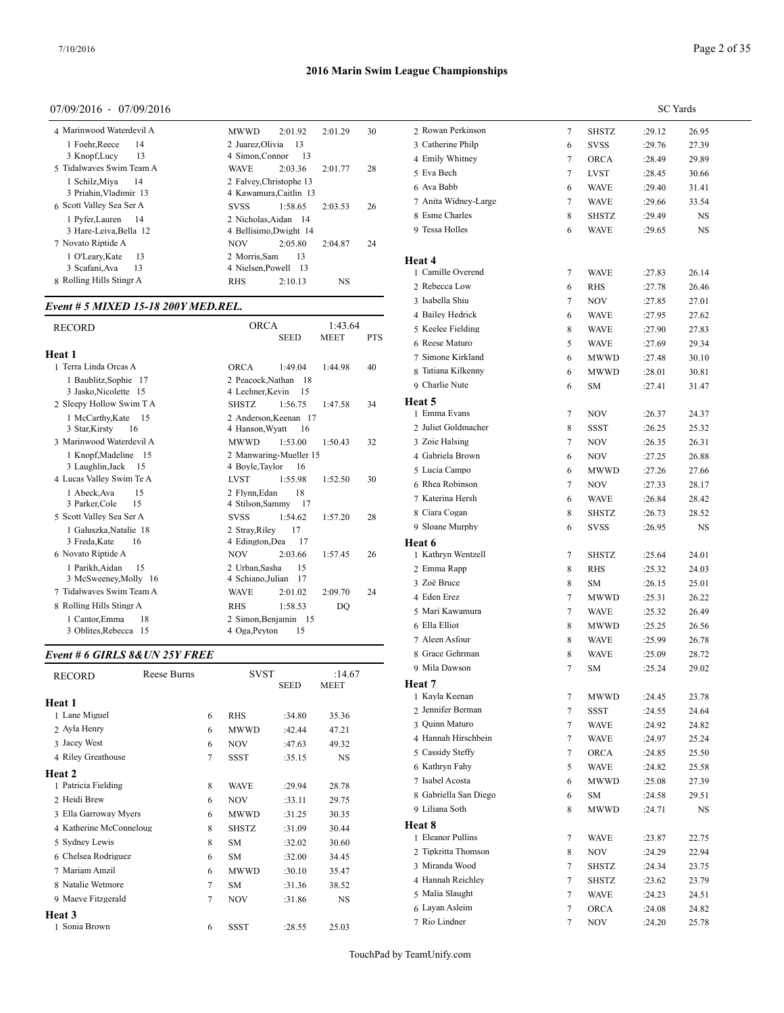## 07/09/2016 - 07/09/2016

| 4 Marinwood Waterdevil A | 2:01.92<br>30<br><b>MWWD</b><br>2:01.29 | 2 Rowan Per   |
|--------------------------|-----------------------------------------|---------------|
| 1 Foehr, Reece<br>14     | 2 Juarez Olivia<br>-13                  | 3 Catherine I |
| 3 Knopf, Lucy<br>13      | 4 Simon, Connor<br>- 13                 | 4 Emily Whi   |
| 5 Tidalwayes Swim Team A | <b>WAVE</b><br>2:03.36<br>2:01.77<br>28 | 5 Eva Bech    |
| 1 Schilz, Miya<br>- 14   | 2 Falvey, Christophe 13                 | 6 Ava Babb    |
| 3 Priahin, Vladimir 13   | 4 Kawamura, Caitlin 13                  |               |
| 6 Scott Valley Sea Ser A | 26<br>1:58.65<br><b>SVSS</b><br>2:03.53 | 7 Anita Widr  |
| 1 Pyfer.Lauren<br>- 14   | 2 Nicholas.Aidan 14                     | 8 Esme Char   |
| 3 Hare-Leiva, Bella 12   | 4 Bellisimo, Dwight 14                  | 9 Tessa Holle |
| 7 Novato Riptide A       | <b>NOV</b><br>2:05.80<br>2:04.87<br>24  |               |
| -13<br>1 O'Leary, Kate   | 2 Morris.Sam<br>13                      | Heat 4        |
| 3 Scafani, Ava<br>13     | 4 Nielsen, Powell 13                    | 1 Camille Ov  |
| 8 Rolling Hills Stingr A | <b>RHS</b><br><b>NS</b><br>2:10.13      |               |
|                          |                                         | 2 Rebecca La  |

## *Event # 5 MIXED 15-18 200Y MED.REL.*

| <b>RECORD</b>            | <b>ORCA</b><br>1:43.64<br><b>MEET</b><br><b>SEED</b> | <b>PTS</b> | 5 Keelee Fielding<br>6 Reese Maturo |
|--------------------------|------------------------------------------------------|------------|-------------------------------------|
| Heat 1                   |                                                      |            | 7 Simone Kirklar                    |
| 1 Terra Linda Orcas A    | <b>ORCA</b><br>1:49.04<br>1:44.98                    | 40         | 8 Tatiana Kilkenr                   |
| 1 Baublitz, Sophie 17    | 2 Peacock, Nathan<br>-18                             |            | 9 Charlie Nute                      |
| 3 Jasko, Nicolette 15    | 4 Lechner Kevin<br>15                                |            |                                     |
| 2 Sleepy Hollow Swim T A | <b>SHSTZ</b><br>1:47.58<br>1:56.75                   | 34         | Heat 5                              |
| 1 McCarthy, Kate<br>-15  | 2 Anderson.Keenan 17                                 |            | 1 Emma Evans                        |
| 3 Star, Kirsty<br>- 16   | 4 Hanson, Wyatt<br>16                                |            | 2 Juliet Goldmac                    |
| 3 Marinwood Waterdevil A | <b>MWWD</b><br>1:53.00<br>1:50.43                    | 32         | 3 Zoie Halsing                      |
| 1 Knopf, Madeline 15     | 2 Manwaring-Mueller 15                               |            | 4 Gabriela Brown                    |
| 3 Laughlin, Jack<br>-15  | 4 Boyle, Taylor<br>16                                |            | 5 Lucia Campo                       |
| 4 Lucas Valley Swim Te A | <b>LVST</b><br>1:55.98<br>1:52.50                    | 30         | 6 Rhea Robinson                     |
| 15<br>1 Abeck, Ava       | 2 Flynn.Edan<br>18                                   |            | 7 Katerina Hersh                    |
| 3 Parker, Cole<br>15     | 4 Stilson, Sammy 17                                  |            |                                     |
| 5 Scott Valley Sea Ser A | <b>SVSS</b><br>1:54.62<br>1:57.20                    | 28         | 8 Ciara Cogan                       |
| 1 Galuszka, Natalie 18   | 17<br>2 Stray, Riley                                 |            | 9 Sloane Murphy                     |
| 3 Freda, Kate<br>16      | 4 Edington, Dea<br>17                                |            | Heat 6                              |
| 6 Novato Riptide A       | 2:03.66<br><b>NOV</b><br>1:57.45                     | 26         | 1 Kathryn Wentz                     |
| 1 Parikh, Aidan<br>15    | 2 Urban, Sasha<br>15                                 |            | 2 Emma Rapp                         |
| 3 McSweeney, Molly 16    | 4 Schiano, Julian<br>-17                             |            | 3 Zoë Bruce                         |
| 7 Tidalwayes Swim Team A | <b>WAVE</b><br>2:01.02<br>2:09.70                    | 24         | 4 Eden Erez                         |
| 8 Rolling Hills Stingr A | 1:58.53<br><b>RHS</b><br>DO                          |            | 5 Mari Kawamur                      |
| 1 Cantor, Emma<br>18     | 2 Simon, Benjamin 15                                 |            |                                     |
| 3 Oblites, Rebecca 15    | 4 Oga, Peyton<br>15                                  |            | 6 Ella Elliot<br>.                  |
|                          |                                                      |            |                                     |

## *Event # 6 GIRLS 8&UN 25Y FREE*

| <b>RECORD</b>           | Reese Burns |   | <b>SVST</b>  |             | :14.67      | 9 Mila Daw           |
|-------------------------|-------------|---|--------------|-------------|-------------|----------------------|
|                         |             |   |              | <b>SEED</b> | <b>MEET</b> | Heat 7<br>1 Kayla Ke |
| Heat 1                  |             |   |              |             |             | 2 Jennifer E         |
| 1 Lane Miguel           |             | 6 | <b>RHS</b>   | :34.80      | 35.36       |                      |
| 2 Ayla Henry            |             | 6 | <b>MWWD</b>  | :42.44      | 47.21       | 3 Quinn Ma           |
| 3 Jacey West            |             | 6 | <b>NOV</b>   | :47.63      | 49.32       | 4 Hannah F           |
| 4 Riley Greathouse      |             | 7 | <b>SSST</b>  | :35.15      | <b>NS</b>   | 5 Cassidy S          |
|                         |             |   |              |             |             | 6 Kathryn I          |
| Heat 2                  |             |   |              |             |             | 7 Isabel Ac          |
| 1 Patricia Fielding     |             | 8 | <b>WAVE</b>  | :29.94      | 28.78       | 8 Gabriella          |
| 2 Heidi Brew            |             | 6 | <b>NOV</b>   | :33.11      | 29.75       | 9 Liliana So         |
| 3 Ella Garroway Myers   |             | 6 | <b>MWWD</b>  | :31.25      | 30.35       |                      |
| 4 Katherine McConneloug |             | 8 | <b>SHSTZ</b> | :31.09      | 30.44       | Heat 8               |
| 5 Sydney Lewis          |             | 8 | <b>SM</b>    | :32.02      | 30.60       | 1 Eleanor P          |
| 6 Chelsea Rodriguez     |             | 6 | <b>SM</b>    | :32.00      | 34.45       | 2 Tipkritta          |
| 7 Mariam Amzil          |             | 6 | <b>MWWD</b>  | :30.10      | 35.47       | 3 Miranda            |
|                         |             |   |              |             |             | 4 Hannah R           |
| 8 Natalie Wetmore       |             | 7 | <b>SM</b>    | :31.36      | 38.52       | 5 Malia Sla          |
| 9 Maeve Fitzgerald      |             | 7 | <b>NOV</b>   | :31.86      | NS          |                      |
| <b>Heat 3</b>           |             |   |              |             |             | 6 Layan As           |
| 1 Sonia Brown           |             | 6 | <b>SSST</b>  | :28.55      | 25.03       | 7 Rio Lindr          |
|                         |             |   |              |             |             |                      |

|                             |   |              | <b>SC</b> Yards |       |  |
|-----------------------------|---|--------------|-----------------|-------|--|
| 2 Rowan Perkinson           | 7 | SHSTZ        | :29.12          | 26.95 |  |
| 3 Catherine Philp           | 6 | <b>SVSS</b>  | :29.76          | 27.39 |  |
| 4 Emily Whitney             | 7 | <b>ORCA</b>  | :28.49          | 29.89 |  |
| 5 Eva Bech                  | 7 | <b>LVST</b>  | :28.45          | 30.66 |  |
| 6 Ava Babb                  | 6 | <b>WAVE</b>  | :29.40          | 31.41 |  |
| 7 Anita Widney-Large        | 7 | <b>WAVE</b>  | :29.66          | 33.54 |  |
| 8 Esme Charles              | 8 | <b>SHSTZ</b> | :29.49          | NS    |  |
| 9 Tessa Holles              | 6 | <b>WAVE</b>  | :29.65          | NS    |  |
|                             |   |              |                 |       |  |
| Heat 4<br>1 Camille Overend | 7 | <b>WAVE</b>  | :27.83          | 26.14 |  |
| 2 Rebecca Low               | 6 | <b>RHS</b>   | :27.78          | 26.46 |  |
| 3 Isabella Shiu             | 7 | NOV          | :27.85          | 27.01 |  |
| 4 Bailey Hedrick            | 6 | <b>WAVE</b>  | :27.95          | 27.62 |  |
| 5 Keelee Fielding           | 8 | <b>WAVE</b>  | :27.90          | 27.83 |  |
| 6 Reese Maturo              | 5 | <b>WAVE</b>  | :27.69          | 29.34 |  |
| 7 Simone Kirkland           | 6 | <b>MWWD</b>  | :27.48          | 30.10 |  |
| 8 Tatiana Kilkenny          | 6 | <b>MWWD</b>  | :28.01          | 30.81 |  |
| 9 Charlie Nute              | 6 | <b>SM</b>    | :27.41          | 31.47 |  |
| Heat 5                      |   |              |                 |       |  |
| 1 Emma Evans                | 7 | NOV          | :26.37          | 24.37 |  |
| 2 Juliet Goldmacher         | 8 | SSST         | :26.25          | 25.32 |  |
| 3 Zoie Halsing              | 7 | NOV          | :26.35          | 26.31 |  |
| 4 Gabriela Brown            | 6 | NOV          | :27.25          | 26.88 |  |
| 5 Lucia Campo               | 6 | <b>MWWD</b>  | :27.26          | 27.66 |  |
| 6 Rhea Robinson             | 7 | NOV          | :27.33          | 28.17 |  |
| 7 Katerina Hersh            | 6 | <b>WAVE</b>  | :26.84          | 28.42 |  |
| 8 Ciara Cogan               | 8 | SHSTZ        | :26.73          | 28.52 |  |
| 9 Sloane Murphy             | 6 | <b>SVSS</b>  | :26.95          | NS    |  |
| Heat 6                      |   |              |                 |       |  |
| 1 Kathryn Wentzell          | 7 | <b>SHSTZ</b> | :25.64          | 24.01 |  |
| 2 Emma Rapp                 | 8 | <b>RHS</b>   | :25.32          | 24.03 |  |
| 3 Zoë Bruce                 | 8 | <b>SM</b>    | :26.15          | 25.01 |  |
| 4 Eden Erez                 | 7 | <b>MWWD</b>  | :25.31          | 26.22 |  |
| 5 Mari Kawamura             | 7 | <b>WAVE</b>  | :25.32          | 26.49 |  |
| 6 Ella Elliot               | 8 | MWWD         | :25.25          | 26.56 |  |
| 7 Aleen Asfour              | 8 | <b>WAVE</b>  | :25.99          | 26.78 |  |
| 8 Grace Gehrman             | 8 | <b>WAVE</b>  | :25.09          | 28.72 |  |
| 9 Mila Dawson               | 7 | SM           | :25.24          | 29.02 |  |
| Heat 7                      |   |              |                 |       |  |
| 1 Kayla Keenan              | 7 | MWWD         | :24.45          | 23.78 |  |
| 2 Jennifer Berman           | 7 | SSST         | :24.55          | 24.64 |  |
| 3 Quinn Maturo              | 7 | <b>WAVE</b>  | :24.92          | 24.82 |  |
| 4 Hannah Hirschbein         | 7 | <b>WAVE</b>  | :24.97          | 25.24 |  |
| 5 Cassidy Steffy            | 7 | <b>ORCA</b>  | :24.85          | 25.50 |  |
| 6 Kathryn Fahy              | 5 | WAVE         | :24.82          | 25.58 |  |
| 7 Isabel Acosta             | 6 | MWWD         | :25.08          | 27.39 |  |
| 8 Gabriella San Diego       | 6 | <b>SM</b>    | :24.58          | 29.51 |  |
| 9 Liliana Soth              | 8 | MWWD         | :24.71          | NS    |  |
| Heat 8                      |   |              |                 |       |  |
| 1 Eleanor Pullins           | 7 | WAVE         | :23.87          | 22.75 |  |
| 2 Tipkritta Thomson         | 8 | <b>NOV</b>   | :24.29          | 22.94 |  |
| 3 Miranda Wood              | 7 | SHSTZ        | :24.34          | 23.75 |  |
| 4 Hannah Reichley           | 7 | SHSTZ        | :23.62          | 23.79 |  |
| 5 Malia Slaught             | 7 | <b>WAVE</b>  | :24.23          | 24.51 |  |
| 6 Layan Asleim              | 7 | <b>ORCA</b>  | :24.08          | 24.82 |  |
| 7 Rio Lindner               | 7 | <b>NOV</b>   | :24.20          | 25.78 |  |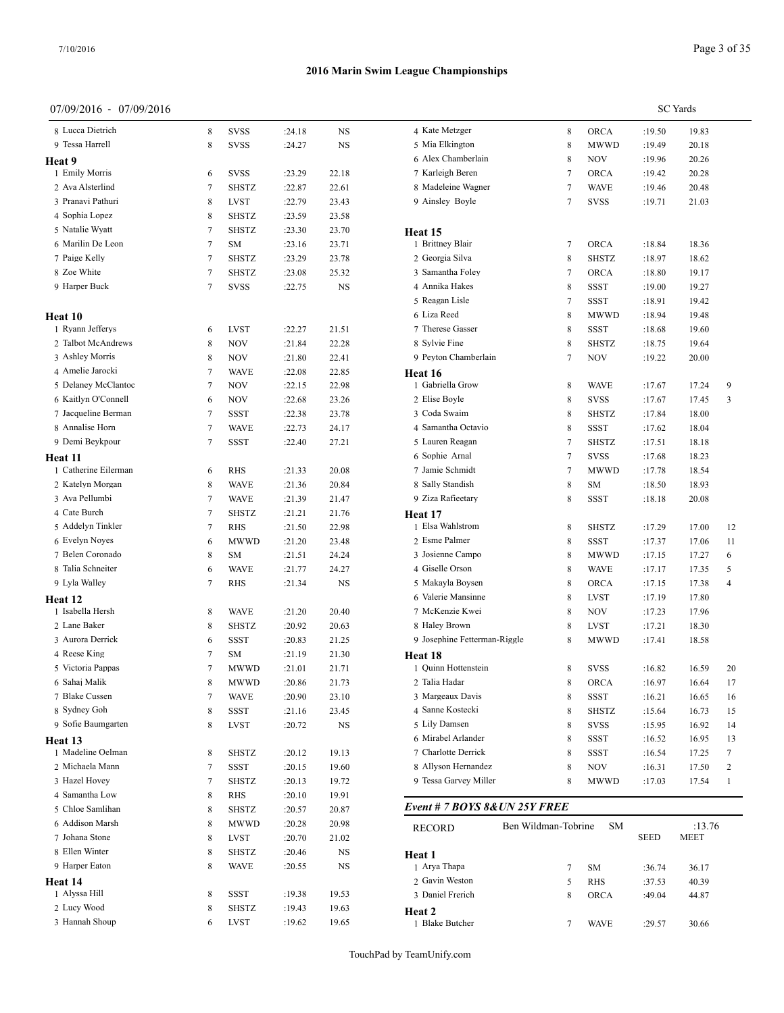#### 07/09/2016 - 07/09/2016

| 8 Lucca Dietrich     | 8 | <b>SVSS</b>  | :24.18 | NS    | 4 Kate M            |
|----------------------|---|--------------|--------|-------|---------------------|
| 9 Tessa Harrell      | 8 | <b>SVSS</b>  | :24.27 | NS    | 5 Mia E             |
| Heat 9               |   |              |        |       | 6 Alex C            |
| 1 Emily Morris       | 6 | <b>SVSS</b>  | :23.29 | 22.18 | 7 Karlei            |
| 2 Ava Alsterlind     | 7 | <b>SHSTZ</b> | :22.87 | 22.61 | 8 Madel             |
| 3 Pranavi Pathuri    | 8 | <b>LVST</b>  | :22.79 | 23.43 | 9 Ainsle            |
| 4 Sophia Lopez       | 8 | <b>SHSTZ</b> | :23.59 | 23.58 |                     |
| 5 Natalie Wyatt      | 7 | <b>SHSTZ</b> | :23.30 | 23.70 | Heat 15             |
| 6 Marilin De Leon    | 7 | SM           | :23.16 | 23.71 | 1 Brittne           |
| 7 Paige Kelly        | 7 | <b>SHSTZ</b> | :23.29 | 23.78 | 2 Georg             |
| 8 Zoe White          | 7 | SHSTZ        | :23.08 | 25.32 | 3 Samar             |
| 9 Harper Buck        | 7 | <b>SVSS</b>  | :22.75 | NS    | 4 Annik             |
| Heat 10              |   |              |        |       | 5 Reaga<br>6 Liza R |
| 1 Ryann Jefferys     | 6 | <b>LVST</b>  | :22.27 | 21.51 | 7 Theres            |
| 2 Talbot McAndrews   | 8 | NOV          | :21.84 | 22.28 | 8 Sylvie            |
| 3 Ashley Morris      | 8 | NOV          | :21.80 | 22.41 | 9 Peytor            |
| 4 Amelie Jarocki     | 7 | WAVE         | :22.08 | 22.85 | Heat 16             |
| 5 Delaney McClantoc  | 7 | NOV          | :22.15 | 22.98 | 1 Gabrie            |
| 6 Kaitlyn O'Connell  | 6 | NOV          | :22.68 | 23.26 | 2 Elise I           |
| 7 Jacqueline Berman  | 7 | SSST         | :22.38 | 23.78 | 3 Coda 9            |
| 8 Annalise Horn      | 7 | <b>WAVE</b>  | :22.73 | 24.17 | 4 Samar             |
| 9 Demi Beykpour      | 7 | SSST         | :22.40 | 27.21 | 5 Laurer            |
| Heat 11              |   |              |        |       | 6 Sophie            |
| 1 Catherine Eilerman | 6 | <b>RHS</b>   | :21.33 | 20.08 | 7 Jamie             |
| 2 Katelyn Morgan     | 8 | <b>WAVE</b>  | :21.36 | 20.84 | 8 Sally S           |
| 3 Ava Pellumbi       | 7 | <b>WAVE</b>  | :21.39 | 21.47 | 9 Ziza R            |
| 4 Cate Burch         | 7 | <b>SHSTZ</b> | :21.21 | 21.76 | Heat 17             |
| 5 Addelyn Tinkler    | 7 | <b>RHS</b>   | :21.50 | 22.98 | 1 Elsa W            |
| 6 Evelyn Noyes       | 6 | <b>MWWD</b>  | :21.20 | 23.48 | 2 Esme              |
| 7 Belen Coronado     | 8 | SM           | :21.51 | 24.24 | 3 Josien            |
| 8 Talia Schneiter    | 6 | <b>WAVE</b>  | :21.77 | 24.27 | 4 Giselle           |
| 9 Lyla Walley        | 7 | RHS          | :21.34 | NS    | 5 Makay             |
| Heat 12              |   |              |        |       | 6 Valerie           |
| 1 Isabella Hersh     | 8 | <b>WAVE</b>  | :21.20 | 20.40 | 7 McKe              |
| 2 Lane Baker         | 8 | SHSTZ        | :20.92 | 20.63 | 8 Haley             |
| 3 Aurora Derrick     | 6 | SSST         | :20.83 | 21.25 | 9 Joseph            |
| 4 Reese King         | 7 | SΜ           | :21.19 | 21.30 | Heat 18             |
| 5 Victoria Pappas    | 7 | MWWD         | :21.01 | 21.71 | 1 Quinn             |
| 6 Sahaj Malik        | 8 | MWWD         | :20.86 | 21.73 | 2 Talia I           |
| 7 Blake Cussen       | 7 | WAVE         | :20.90 | 23.10 | 3 Marge             |
| 8 Sydney Goh         | 8 | SSST         | :21.16 | 23.45 | 4 Sanne             |
| 9 Sofie Baumgarten   | 8 | LVST         | :20.72 | NS    | 5 Lily D            |
| Heat 13              |   |              |        |       | 6 Mirab             |
| 1 Madeline Oelman    | 8 | SHSTZ        | :20.12 | 19.13 | 7 Charlo            |
| 2 Michaela Mann      | 7 | SSST         | :20.15 | 19.60 | 8 Allysc            |
| 3 Hazel Hovey        | 7 | SHSTZ        | :20.13 | 19.72 | 9 Tessa             |
| 4 Samantha Low       | 8 | RHS          | :20.10 | 19.91 |                     |
| 5 Chloe Samlihan     | 8 | SHSTZ        | :20.57 | 20.87 | Event #             |
| 6 Addison Marsh      | 8 | MWWD         | :20.28 | 20.98 | <b>RECOR</b>        |
| 7 Johana Stone       | 8 | LVST         | :20.70 | 21.02 |                     |
| 8 Ellen Winter       | 8 | SHSTZ        | :20.46 | NS    | Heat 1              |
| 9 Harper Eaton       | 8 | WAVE         | :20.55 | NS    | 1 Arya 7            |
| Heat 14              |   |              |        |       | 2 Gavin             |
| 1 Alyssa Hill        | 8 | SSST         | :19.38 | 19.53 | 3 Daniel            |
| 2 Lucy Wood          | 8 | SHSTZ        | :19.43 | 19.63 | Heat 2              |
| 3 Hannah Shoup       | 6 | LVST         | :19.62 | 19.65 | 1 Blake             |

|                                         |                     |              |                  | <b>SC</b> Yards |              |
|-----------------------------------------|---------------------|--------------|------------------|-----------------|--------------|
| 4 Kate Metzger                          | 8                   | ORCA         | :19.50           | 19.83           |              |
| 5 Mia Elkington                         | 8                   | MWWD         | :19.49           | 20.18           |              |
| 6 Alex Chamberlain                      | 8                   | NOV          | :19.96           | 20.26           |              |
| 7 Karleigh Beren                        | 7                   | <b>ORCA</b>  | :19.42           | 20.28           |              |
| 8 Madeleine Wagner                      | 7                   | WAVE         | :19.46           | 20.48           |              |
| 9 Ainsley Boyle                         | 7                   | SVSS         | :19.71           | 21.03           |              |
| Heat 15                                 |                     |              |                  |                 |              |
| 1 Brittney Blair                        | 7                   | <b>ORCA</b>  | :18.84           | 18.36           |              |
| 2 Georgia Silva                         | 8                   | SHSTZ        | :18.97           | 18.62           |              |
| 3 Samantha Foley                        | 7                   | ORCA         | :18.80           | 19.17           |              |
| 4 Annika Hakes                          | 8                   | SSST         | :19.00           | 19.27           |              |
| 5 Reagan Lisle                          | 7                   | SSST         | :18.91           | 19.42           |              |
| 6 Liza Reed                             | 8                   | MWWD         | :18.94           | 19.48           |              |
| 7 Therese Gasser                        | 8                   | SSST         | :18.68           | 19.60           |              |
| 8 Sylvie Fine                           | 8                   | SHSTZ        | :18.75           | 19.64           |              |
| 9 Peyton Chamberlain                    | 7                   | NOV          | :19.22           | 20.00           |              |
| Heat 16                                 |                     |              |                  |                 |              |
| 1 Gabriella Grow                        | 8                   | WAVE         | :17.67           | 17.24           | 9            |
| 2 Elise Boyle                           | 8                   | <b>SVSS</b>  | :17.67           | 17.45           | 3            |
| 3 Coda Swaim                            | 8                   | SHSTZ        | :17.84           | 18.00           |              |
| 4 Samantha Octavio                      | 8                   | <b>SSST</b>  | :17.62           | 18.04           |              |
| 5 Lauren Reagan                         | 7                   | SHSTZ        | :17.51           | 18.18           |              |
| 6 Sophie Arnal                          | 7                   | <b>SVSS</b>  | :17.68           | 18.23           |              |
| 7 Jamie Schmidt                         | 7                   | MWWD         | :17.78           | 18.54           |              |
| 8 Sally Standish                        | 8                   | SM           | :18.50           | 18.93           |              |
| 9 Ziza Rafieetary                       | 8                   | SSST         | :18.18           | 20.08           |              |
| Heat 17                                 |                     |              |                  |                 |              |
| 1 Elsa Wahlstrom                        | 8                   | SHSTZ        | :17.29           | 17.00           | 12           |
| 2 Esme Palmer                           | 8                   | SSST         | :17.37           | 17.06           | 11           |
| 3 Josienne Campo                        | 8                   | MWWD         | :17.15           | 17.27           | 6            |
| 4 Giselle Orson                         | 8                   | WAVE         | :17.17           | 17.35           | 5            |
| 5 Makayla Boysen                        | 8                   | ORCA         | :17.15           | 17.38           | 4            |
| 6 Valerie Mansinne                      | 8                   | LVST         | :17.19           | 17.80           |              |
| 7 McKenzie Kwei                         | 8                   | NOV          | :17.23           | 17.96           |              |
| 8 Haley Brown                           | 8                   | LVST         | :17.21           | 18.30           |              |
| 9 Josephine Fetterman-Riggle<br>Heat 18 | 8                   | MWWD         | :17.41           | 18.58           |              |
| 1 Quinn Hottenstein                     | 8                   | <b>SVSS</b>  | :16.82           | 16.59           | 20           |
| 2 Talia Hadar                           | 8                   | ORCA         | :16.97           | 16.64           | 17           |
| 3 Margeaux Davis                        | 8                   | SSST         | :16.21           | 16.65           | 16           |
| 4 Sanne Kostecki                        | 8                   | <b>SHSTZ</b> | :15.64           | 16.73           | 15           |
| 5 Lily Damsen                           | 8                   | <b>SVSS</b>  | :15.95           | 16.92           | 14           |
| 6 Mirabel Arlander                      | 8                   | SSST         | :16.52           | 16.95           | 13           |
| 7 Charlotte Derrick                     | 8                   | SSST         | :16.54           | 17.25           | 7            |
| 8 Allyson Hernandez                     | 8                   | NOV          | :16.31           | 17.50           | 2            |
| 9 Tessa Garvey Miller                   | 8                   | MWWD         | :17.03           | 17.54           | $\mathbf{1}$ |
| Event # 7 BOYS 8& UN 25Y FREE           |                     |              |                  |                 |              |
| RECORD                                  | Ben Wildman-Tobrine | SM           |                  | :13.76          |              |
|                                         |                     |              | SEED             | MEET            |              |
| Heat 1<br>1 Arya Thapa                  | 7                   | SΜ           | :36.74           | 36.17           |              |
| 2 Gavin Weston                          | 5                   | RHS          |                  |                 |              |
| 3 Daniel Frerich                        | 8                   | ORCA         | :37.53<br>:49.04 | 40.39<br>44.87  |              |
|                                         |                     |              |                  |                 |              |
| Heat 2<br>1 Blake Butcher               | 7                   | <b>WAVE</b>  | :29.57           | 30.66           |              |
|                                         |                     |              |                  |                 |              |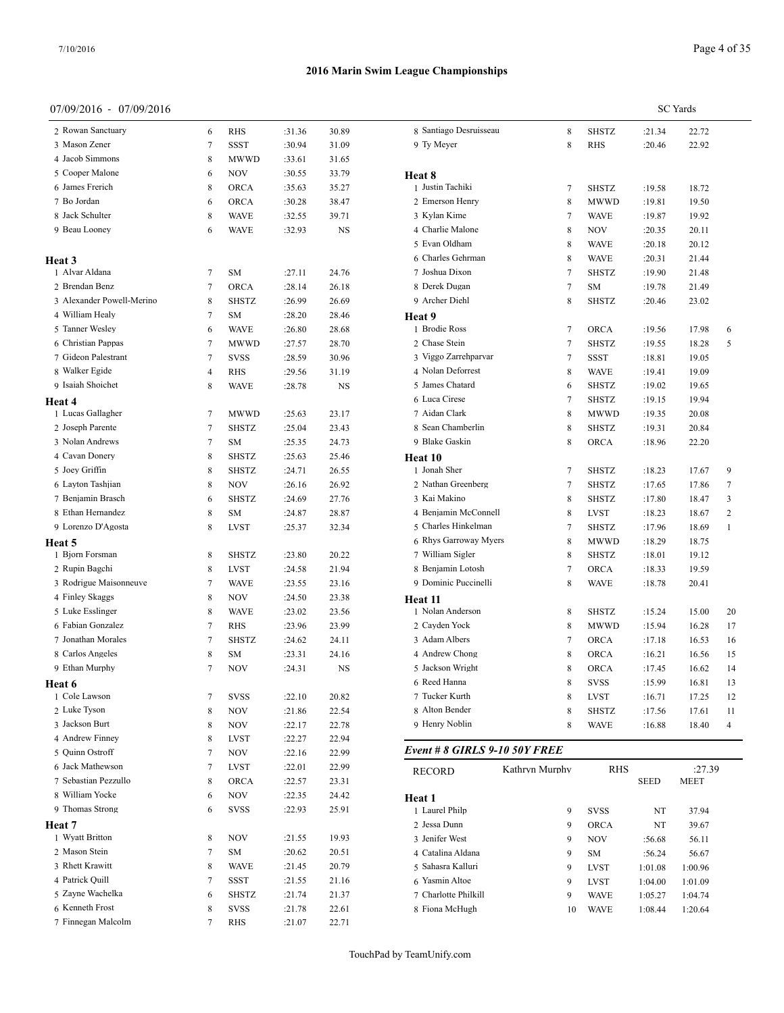## 07/09/2016 - 07/09/2016

|                            |                |              |        | <b>SC</b> Yards |                |
|----------------------------|----------------|--------------|--------|-----------------|----------------|
| 8 Santiago Desruisseau     | 8              | <b>SHSTZ</b> | :21.34 | 22.72           |                |
| 9 Ty Meyer                 | 8              | <b>RHS</b>   | :20.46 | 22.92           |                |
|                            |                |              |        |                 |                |
| Heat 8<br>1 Justin Tachiki | $\tau$         | <b>SHSTZ</b> | :19.58 | 18.72           |                |
| 2 Emerson Henry            | 8              | <b>MWWD</b>  | :19.81 | 19.50           |                |
| 3 Kylan Kime               | 7              | WAVE         | :19.87 | 19.92           |                |
| 4 Charlie Malone           | 8              |              |        |                 |                |
| 5 Evan Oldham              | 8              | <b>NOV</b>   | :20.35 | 20.11<br>20.12  |                |
| 6 Charles Gehrman          | 8              | <b>WAVE</b>  | :20.18 |                 |                |
| 7 Joshua Dixon             | $\overline{7}$ | <b>WAVE</b>  | :20.31 | 21.44           |                |
|                            |                | <b>SHSTZ</b> | :19.90 | 21.48           |                |
| 8 Derek Dugan              | $\tau$         | <b>SM</b>    | :19.78 | 21.49           |                |
| 9 Archer Diehl             | 8              | <b>SHSTZ</b> | :20.46 | 23.02           |                |
| Heat 9<br>1 Brodie Ross    |                |              |        |                 |                |
|                            | $\tau$         | <b>ORCA</b>  | :19.56 | 17.98           | 6              |
| 2 Chase Stein              | 7              | <b>SHSTZ</b> | :19.55 | 18.28           | 5              |
| 3 Viggo Zarrehparvar       | $\tau$         | <b>SSST</b>  | :18.81 | 19.05           |                |
| 4 Nolan Deforrest          | 8              | <b>WAVE</b>  | :19.41 | 19.09           |                |
| 5 James Chatard            | 6              | <b>SHSTZ</b> | :19.02 | 19.65           |                |
| 6 Luca Cirese              | $\overline{7}$ | SHSTZ        | :19.15 | 19.94           |                |
| 7 Aidan Clark              | 8              | <b>MWWD</b>  | :19.35 | 20.08           |                |
| 8 Sean Chamberlin          | 8              | <b>SHSTZ</b> | :19.31 | 20.84           |                |
| 9 Blake Gaskin             | 8              | <b>ORCA</b>  | :18.96 | 22.20           |                |
| Heat 10                    |                |              |        |                 |                |
| 1 Jonah Sher               | $\tau$         | <b>SHSTZ</b> | :18.23 | 17.67           | 9              |
| 2 Nathan Greenberg         | $\tau$         | <b>SHSTZ</b> | :17.65 | 17.86           | 7              |
| 3 Kai Makino               | 8              | <b>SHSTZ</b> | :17.80 | 18.47           | 3              |
| 4 Benjamin McConnell       | 8              | <b>LVST</b>  | :18.23 | 18.67           | $\overline{2}$ |
| 5 Charles Hinkelman        | $\tau$         | <b>SHSTZ</b> | :17.96 | 18.69           | $\mathbf{1}$   |
| 6 Rhys Garroway Myers      | 8              | MWWD         | :18.29 | 18.75           |                |
| 7 William Sigler           | 8              | <b>SHSTZ</b> | :18.01 | 19.12           |                |
| 8 Benjamin Lotosh          | $\overline{7}$ | <b>ORCA</b>  | :18.33 | 19.59           |                |
| 9 Dominic Puccinelli       | 8              | WAVE         | :18.78 | 20.41           |                |
| Heat 11                    |                |              |        |                 |                |
| 1 Nolan Anderson           | 8              | <b>SHSTZ</b> | :15.24 | 15.00           | 20             |
| 2 Cayden Yock              | 8              | <b>MWWD</b>  | :15.94 | 16.28           | 17             |
| 3 Adam Albers              | $\tau$         | ORCA         | :17.18 | 16.53           | 16             |
| 4 Andrew Chong             | 8              | <b>ORCA</b>  | :16.21 | 16.56           | 15             |
| 5 Jackson Wright           | 8              | <b>ORCA</b>  | :17.45 | 16.62           | 14             |
| 6 Reed Hanna               | 8              | <b>SVSS</b>  | :15.99 | 16.81           | 13             |
| 7 Tucker Kurth             | 8              | LVST         | :16.71 | 17.25           | 12             |
| 8 Alton Bender             | 8              | <b>SHSTZ</b> | :17.56 | 17.61           | 11             |
| 9 Henry Noblin             | 8              | <b>WAVE</b>  | :16.88 | 18.40           | 4              |
|                            |                |              |        |                 |                |

## *Event # 8 GIRLS 9-10 50Y FREE*

| <b>RECORD</b>        | Kathryn Murphy | <b>RHS</b>  |             | :27.39      |
|----------------------|----------------|-------------|-------------|-------------|
|                      |                |             | <b>SEED</b> | <b>MEET</b> |
| Heat 1               |                |             |             |             |
| 1 Laurel Philp       | 9              | <b>SVSS</b> | NT          | 37.94       |
| 2 Jessa Dunn         | 9              | <b>ORCA</b> | NT          | 39.67       |
| 3 Jenifer West       | 9              | <b>NOV</b>  | :56.68      | 56.11       |
| 4 Catalina Aldana    | 9              | <b>SM</b>   | :56.24      | 56.67       |
| 5 Sahasra Kalluri    | 9              | <b>LVST</b> | 1:01.08     | 1:00.96     |
| Yasmin Altoe<br>6    | 9              | <b>LVST</b> | 1:04.00     | 1:01.09     |
| 7 Charlotte Philkill | 9              | <b>WAVE</b> | 1:05.27     | 1:04.74     |
| 8 Fiona McHugh       | 10             | <b>WAVE</b> | 1:08.44     | 1:20.64     |
|                      |                |             |             |             |

|  |  |  | TouchPad by TeamUnify.com |
|--|--|--|---------------------------|
|--|--|--|---------------------------|

| 2 Rowan Sanctuary         | 6 | RHS          | :31.36 | 30.89 | 8 Santia     |
|---------------------------|---|--------------|--------|-------|--------------|
| 3 Mason Zener             | 7 | SSST         | :30.94 | 31.09 | 9 Ty Me      |
| 4 Jacob Simmons           | 8 | MWWD         | :33.61 | 31.65 |              |
| 5 Cooper Malone           | 6 | <b>NOV</b>   | :30.55 | 33.79 | Heat 8       |
| 6 James Frerich           | 8 | ORCA         | :35.63 | 35.27 | 1 Justin     |
| 7 Bo Jordan               | 6 | <b>ORCA</b>  | :30.28 | 38.47 | 2 Emers      |
| 8 Jack Schulter           | 8 | <b>WAVE</b>  | :32.55 | 39.71 | 3 Kylan      |
| 9 Beau Looney             | 6 | <b>WAVE</b>  | :32.93 | NS    | 4 Charli     |
|                           |   |              |        |       | 5 Evan (     |
| <b>Heat 3</b>             |   |              |        |       | 6 Charle     |
| 1 Alvar Aldana            | 7 | SM           | :27.11 | 24.76 | 7 Joshua     |
| 2 Brendan Benz            | 7 | <b>ORCA</b>  | :28.14 | 26.18 | 8 Derek      |
| 3 Alexander Powell-Merino | 8 | <b>SHSTZ</b> | :26.99 | 26.69 | 9 Archei     |
| 4 William Healy           | 7 | <b>SM</b>    | :28.20 | 28.46 | Heat 9       |
| 5 Tanner Wesley           | 6 | <b>WAVE</b>  | :26.80 | 28.68 | 1 Brodie     |
| 6 Christian Pappas        | 7 | MWWD         | :27.57 | 28.70 | 2 Chase      |
| 7 Gideon Palestrant       | 7 | <b>SVSS</b>  | :28.59 | 30.96 | 3 Viggo      |
| 8 Walker Egide            | 4 | RHS          | :29.56 | 31.19 | 4 Nolan      |
| 9 Isaiah Shoichet         | 8 | <b>WAVE</b>  | :28.78 | NS    | 5 James      |
| Heat 4                    |   |              |        |       | 6 Luca 0     |
| 1 Lucas Gallagher         | 7 | MWWD         | :25.63 | 23.17 | 7 Aidan      |
| 2 Joseph Parente          | 7 | SHSTZ        | :25.04 | 23.43 | 8 Sean C     |
| 3 Nolan Andrews           | 7 | SM           | :25.35 | 24.73 | 9 Blake      |
| 4 Cavan Donery            | 8 | <b>SHSTZ</b> | :25.63 | 25.46 | Heat 10      |
| 5 Joey Griffin            | 8 | SHSTZ        | :24.71 | 26.55 | 1 Jonah      |
| 6 Layton Tashjian         | 8 | NOV          | :26.16 | 26.92 | 2 Nathai     |
| 7 Benjamin Brasch         | 6 | SHSTZ        | :24.69 | 27.76 | 3 Kai M      |
| 8 Ethan Hernandez         | 8 | <b>SM</b>    | :24.87 | 28.87 | 4 Benjar     |
| 9 Lorenzo D'Agosta        | 8 | LVST         | :25.37 | 32.34 | 5 Charle     |
| Heat 5                    |   |              |        |       | 6 Rhys       |
| 1 Bjorn Forsman           | 8 | SHSTZ        | :23.80 | 20.22 | 7 Willia     |
| 2 Rupin Bagchi            | 8 | LVST         | :24.58 | 21.94 | 8 Benjar     |
| 3 Rodrigue Maisonneuve    | 7 | <b>WAVE</b>  | :23.55 | 23.16 | 9 Domir      |
| 4 Finley Skaggs           | 8 | NOV          | :24.50 | 23.38 | Heat 11      |
| 5 Luke Esslinger          | 8 | <b>WAVE</b>  | :23.02 | 23.56 | 1 Nolan      |
| 6 Fabian Gonzalez         | 7 | RHS          | :23.96 | 23.99 | 2 Cayde      |
| 7 Jonathan Morales        | 7 | <b>SHSTZ</b> | :24.62 | 24.11 | 3 Adam       |
| 8 Carlos Angeles          | 8 | SM           | :23.31 | 24.16 | 4 Andre      |
| 9 Ethan Murphy            | 7 | NOV          | :24.31 | NS    | 5 Jackso     |
| Heat 6                    |   |              |        |       | 6 Reed I     |
| 1 Cole Lawson             | 7 | <b>SVSS</b>  | :22.10 | 20.82 | 7 Tucke      |
| 2 Luke Tyson              | 8 | NOV          | :21.86 | 22.54 | 8 Alton      |
| 3 Jackson Burt            | 8 | NOV          | :22.17 | 22.78 | 9 Henry      |
| 4 Andrew Finney           | 8 | LVST         | :22.27 | 22.94 | Event #      |
| 5 Quinn Ostroff           | 7 | NOV          | :22.16 | 22.99 |              |
| 6 Jack Mathewson          | 7 | LVST         | :22.01 | 22.99 | <b>RECOR</b> |
| 7 Sebastian Pezzullo      | 8 | <b>ORCA</b>  | :22.57 | 23.31 |              |
| 8 William Yocke           | 6 | NOV          | :22.35 | 24.42 | Heat 1       |
| 9 Thomas Strong           | 6 | <b>SVSS</b>  | :22.93 | 25.91 | 1 Laurel     |
| Heat 7                    |   |              |        |       | 2 Jessa I    |
| 1 Wyatt Britton           | 8 | NOV          | :21.55 | 19.93 | 3 Jenifer    |
| 2 Mason Stein             | 7 | SΜ           | :20.62 | 20.51 | 4 Catalin    |
| 3 Rhett Krawitt           | 8 | WAVE         | :21.45 | 20.79 | 5 Sahası     |
| 4 Patrick Quill           | 7 | SSST         | :21.55 | 21.16 | 6 Yasmi      |
| 5 Zayne Wachelka          | 6 | SHSTZ        | :21.74 | 21.37 | 7 Charlo     |
| 6 Kenneth Frost           | 8 | SVSS         | :21.78 | 22.61 | 8 Fiona      |
| 7 Finnegan Malcolm        | 7 | RHS          | :21.07 | 22.71 |              |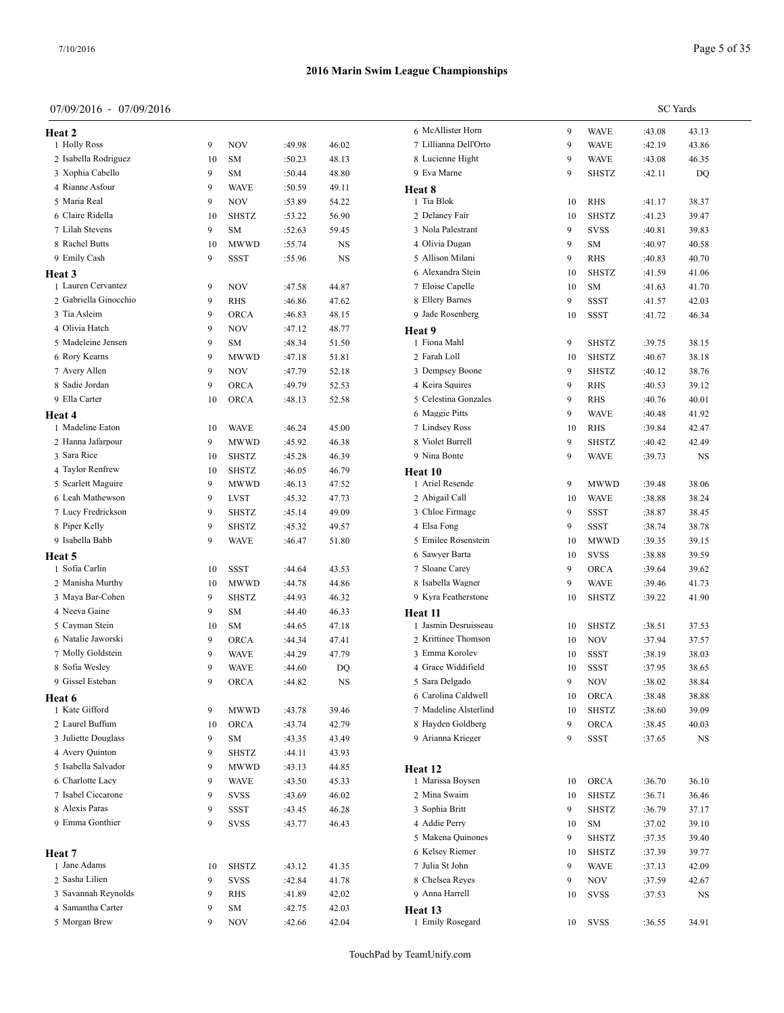**Heat 3**

**Heat 4**

**Heat 5**

**Heat 6**

**Heat 7**

#### **2016 Marin Swim League Championships**

#### 07/09/2016 - 07/09/2016

1 Holly Ross 9 NOV 2 Isabella Rodriguez 10 SM 3 Xophia Cabello 9 SM 4 Rianne Asfour 9 WAVE 5 Maria Real 9 NOV 6 Claire Ridella 10 SHSTZ 7 Lilah Stevens 9 SM 8 Rachel Butts 10 MWWD 9 Emily Cash 9 SSST

1 Lauren Cervantez 9 NOV 2 Gabriella Ginocchio 9 RHS 3 Tia Asleim 9 ORCA 4 Olivia Hatch 9 NOV 5 Madeleine Jensen 9 SM 6 Rory Kearns 9 MWWD 7 Avery Allen 9 NOV 8 Sadie Jordan 9 ORCA :49.79 52.53 9 Ella Carter 10 ORCA

1 Madeline Eaton 10 WAVE 2 Hanna Jafarpour 9 MWWD 3 Sara Rice 10 SHSTZ 4 Taylor Renfrew 10 SHSTZ 5 Scarlett Maguire 9 MWWD 6 Leah Mathewson 9 LVST 7 Lucy Fredrickson 9 SHSTZ 8 Piper Kelly 9 SHSTZ 9 Isabella Babb 9 WAVE :46.47 51.80

1 Sofia Carlin 10 SSST 2 Manisha Murthy 10 MWWD 3 Maya Bar-Cohen 9 SHSTZ 4 Neeva Gaine 9 SM 5 Cayman Stein 10 SM 6 Natalie Jaworski 9 ORCA 7 Molly Goldstein 9 WAVE 8 Sofia Wesley 9 WAVE 9 Gissel Esteban 9 ORCA :44.82 NS

1 Kate Gifford 9 MWWD 2 Laurel Buffum 10 ORCA 3 Juliette Douglass 9 SM 4 Avery Quinton 9 SHSTZ 5 Isabella Salvador 9 MWWD :43.13 44.85 6 Charlotte Lacy 5 9 WAVE 7 Isabel Ciccarone 9 SVSS 8 Alexis Paras 9 SSST :43.45 46.28 9 Emma Gonthier 9 SVSS

1 Jane Adams 10 SHSTZ 2 Sasha Lilien 9 SVSS 3 Savannah Reynolds 9 RHS 4 Samantha Carter 9 SM 5 Morgan Brew 9 NOV

|        |             |                       |    |              |        | <b>SC</b> Yards |
|--------|-------------|-----------------------|----|--------------|--------|-----------------|
|        |             | 6 McAllister Horn     | 9  | <b>WAVE</b>  | :43.08 | 43.13           |
| :49.98 | 46.02       | 7 Lillianna Dell'Orto | 9  | <b>WAVE</b>  | :42.19 | 43.86           |
| :50.23 | 48.13       | 8 Lucienne Hight      | 9  | <b>WAVE</b>  | :43.08 | 46.35           |
| :50.44 | 48.80       | 9 Eva Marne           | 9  | <b>SHSTZ</b> | :42.11 | DQ              |
| :50.59 | 49.11       | Heat 8                |    |              |        |                 |
| :53.89 | 54.22       | 1 Tia Blok            | 10 | <b>RHS</b>   | :41.17 | 38.37           |
| :53.22 | 56.90       | 2 Delaney Fair        | 10 | <b>SHSTZ</b> | :41.23 | 39.47           |
| :52.63 | 59.45       | 3 Nola Palestrant     | 9  | <b>SVSS</b>  | :40.81 | 39.83           |
| :55.74 | <b>NS</b>   | 4 Olivia Dugan        | 9  | SM           | :40.97 | 40.58           |
| :55.96 | <b>NS</b>   | 5 Allison Milani      | 9  | <b>RHS</b>   | :40.83 | 40.70           |
|        |             | 6 Alexandra Stein     | 10 | <b>SHSTZ</b> | :41.59 | 41.06           |
| :47.58 | 44.87       | 7 Eloise Capelle      | 10 | SM           | :41.63 | 41.70           |
| :46.86 | 47.62       | 8 Ellery Barnes       | 9  | <b>SSST</b>  | :41.57 | 42.03           |
| :46.83 | 48.15       | 9 Jade Rosenberg      | 10 | <b>SSST</b>  | :41.72 | 46.34           |
| :47.12 | 48.77       | Heat 9                |    |              |        |                 |
| :48.34 | 51.50       | 1 Fiona Mahl          | 9  | <b>SHSTZ</b> | :39.75 | 38.15           |
| :47.18 | 51.81       | 2 Farah Loll          | 10 | <b>SHSTZ</b> | :40.67 | 38.18           |
| :47.79 | 52.18       | 3 Dempsey Boone       | 9  | <b>SHSTZ</b> | :40.12 | 38.76           |
| :49.79 | 52.53       | 4 Keira Squires       | 9  | RHS          | :40.53 | 39.12           |
| :48.13 | 52.58       | 5 Celestina Gonzales  | 9  | <b>RHS</b>   | :40.76 | 40.01           |
|        |             | 6 Maggie Pitts        | 9  | <b>WAVE</b>  | :40.48 | 41.92           |
| :46.24 | 45.00       | 7 Lindsey Ross        | 10 | <b>RHS</b>   | :39.84 | 42.47           |
| :45.92 | 46.38       | 8 Violet Burrell      | 9  | <b>SHSTZ</b> | :40.42 | 42.49           |
| :45.28 | 46.39       | 9 Nina Bonte          | 9  | <b>WAVE</b>  | :39.73 | NS              |
| :46.05 | 46.79       | <b>Heat 10</b>        |    |              |        |                 |
| :46.13 | 47.52       | 1 Ariel Resende       | 9  | <b>MWWD</b>  | :39.48 | 38.06           |
| :45.32 | 47.73       | 2 Abigail Call        | 10 | <b>WAVE</b>  | :38.88 | 38.24           |
| :45.14 | 49.09       | 3 Chloe Firmage       | 9  | SSST         | :38.87 | 38.45           |
| :45.32 | 49.57       | 4 Elsa Fong           | 9  | <b>SSST</b>  | :38.74 | 38.78           |
| :46.47 | 51.80       | 5 Emilee Rosenstein   | 10 | <b>MWWD</b>  |        |                 |
|        |             | 6 Sawyer Barta        | 10 |              | :39.35 | 39.15           |
|        |             | 7 Sloane Carey        | 9  | <b>SVSS</b>  | :38.88 | 39.59           |
| :44.64 | 43.53       |                       |    | <b>ORCA</b>  | :39.64 | 39.62           |
| :44.78 | 44.86       | 8 Isabella Wagner     | 9  | <b>WAVE</b>  | :39.46 | 41.73           |
| :44.93 | 46.32       | 9 Kyra Featherstone   | 10 | <b>SHSTZ</b> | :39.22 | 41.90           |
| :44.40 | 46.33       | Heat 11               |    |              |        |                 |
| :44.65 | 47.18       | 1 Jasmin Desruisseau  | 10 | <b>SHSTZ</b> | :38.51 | 37.53           |
| :44.34 | 47.41       | 2 Krittinee Thomson   | 10 | <b>NOV</b>   | :37.94 | 37.57           |
| :44.29 | 47.79       | 3 Emma Korolev        | 10 | <b>SSST</b>  | :38.19 | 38.03           |
| :44.60 | DO          | 4 Grace Widdifield    | 10 | <b>SSST</b>  | :37.95 | 38.65           |
| :44.82 | $_{\rm NS}$ | 5 Sara Delgado        | 9  | <b>NOV</b>   | :38.02 | 38.84           |
|        |             | 6 Carolina Caldwell   | 10 | ORCA         | :38.48 | 38.88           |
| :43.78 | 39.46       | 7 Madeline Alsterlind | 10 | <b>SHSTZ</b> | :38.60 | 39.09           |
| :43.74 | 42.79       | 8 Hayden Goldberg     | 9  | ORCA         | :38.45 | 40.03           |
| :43.35 | 43.49       | 9 Arianna Krieger     | 9  | SSST         | :37.65 | NS              |
| :44.11 | 43.93       |                       |    |              |        |                 |
| :43.13 | 44.85       | Heat 12               |    |              |        |                 |
| :43.50 | 45.33       | 1 Marissa Boysen      | 10 | <b>ORCA</b>  | :36.70 | 36.10           |
| :43.69 | 46.02       | 2 Mina Swaim          | 10 | SHSTZ        | :36.71 | 36.46           |
| :43.45 | 46.28       | 3 Sophia Britt        | 9  | SHSTZ        | :36.79 | 37.17           |
| :43.77 | 46.43       | 4 Addie Perry         | 10 | SM           | :37.02 | 39.10           |
|        |             | 5 Makena Quinones     | 9  | <b>SHSTZ</b> | :37.35 | 39.40           |
|        |             | 6 Kelsey Riemer       | 10 | SHSTZ        | :37.39 | 39.77           |
| :43.12 | 41.35       | 7 Julia St John       | 9  | <b>WAVE</b>  | :37.13 | 42.09           |
| :42.84 | 41.78       | 8 Chelsea Reyes       | 9  | $_{\rm NOV}$ | :37.59 | 42.67           |
| :41.89 | 42.02       | 9 Anna Harrell        | 10 | <b>SVSS</b>  | :37.53 | NS              |
| :42.75 | 42.03       | Heat 13               |    |              |        |                 |
| :42.66 | 42.04       | 1 Emily Rosegard      | 10 | <b>SVSS</b>  | :36.55 | 34.91           |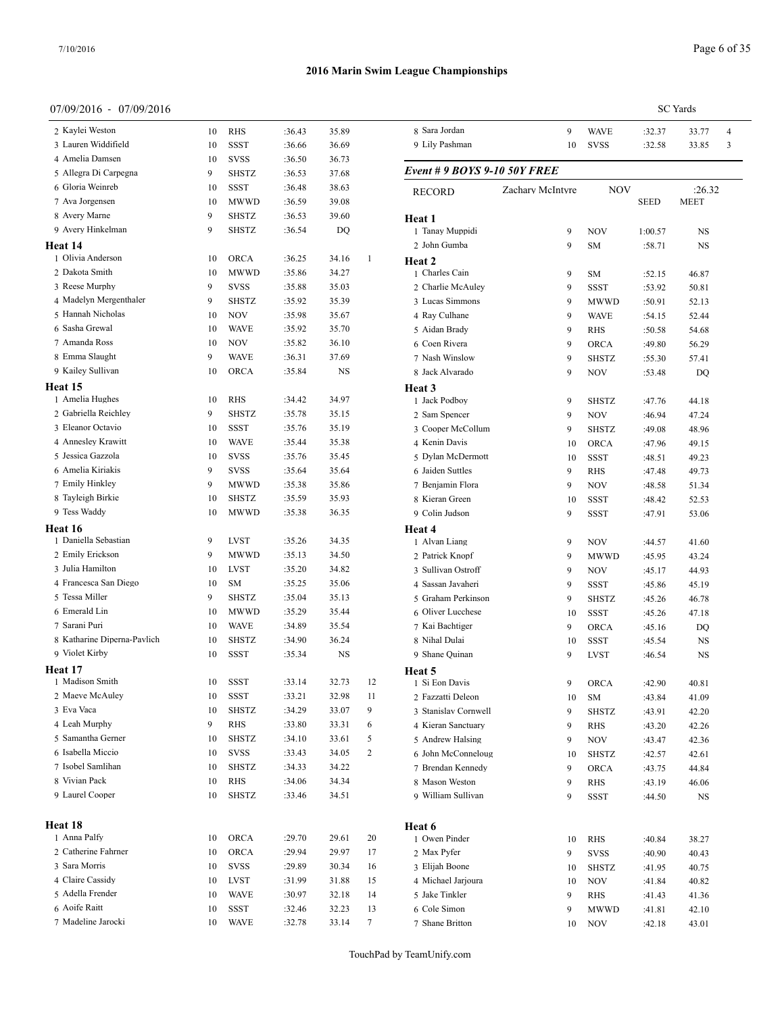**Heat 15**

**Heat 16**

**Heat 17**

**Heat 18**

#### **2016 Marin Swim League Championships**

| 7/09/2016 - 07/09/2016                 |    |                            |        |       |                |                                     |                  |              |                  | <b>SC</b> Yards |   |
|----------------------------------------|----|----------------------------|--------|-------|----------------|-------------------------------------|------------------|--------------|------------------|-----------------|---|
| 2 Kaylei Weston                        | 10 | <b>RHS</b>                 | :36.43 | 35.89 |                | 8 Sara Jordan                       | 9                | <b>WAVE</b>  | :32.37           | 33.77           | 4 |
| 3 Lauren Widdifield                    | 10 | SSST                       | :36.66 | 36.69 |                | 9 Lily Pashman                      | 10               | <b>SVSS</b>  | :32.58           | 33.85           | 3 |
| 4 Amelia Damsen                        | 10 | <b>SVSS</b>                | :36.50 | 36.73 |                |                                     |                  |              |                  |                 |   |
| 5 Allegra Di Carpegna                  | 9  | <b>SHSTZ</b>               | :36.53 | 37.68 |                | <b>Event # 9 BOYS 9-10 50Y FREE</b> |                  |              |                  |                 |   |
| 6 Gloria Weinreb                       | 10 | <b>SSST</b>                | :36.48 | 38.63 |                | <b>RECORD</b>                       | Zachary McIntyre | <b>NOV</b>   |                  | :26.32          |   |
| 7 Ava Jorgensen                        | 10 | <b>MWWD</b>                | :36.59 | 39.08 |                |                                     |                  |              | SEED             | <b>MEET</b>     |   |
| 8 Avery Marne                          | 9  | SHSTZ                      | :36.53 | 39.60 |                | Heat 1                              |                  |              |                  |                 |   |
| 9 Avery Hinkelman                      | 9  | <b>SHSTZ</b>               | :36.54 | DQ    |                | 1 Tanay Muppidi                     | 9                | <b>NOV</b>   | 1:00.57          | <b>NS</b>       |   |
| eat 14                                 |    |                            |        |       |                | 2 John Gumba                        | 9                | SM           | :58.71           | NS              |   |
| 1 Olivia Anderson                      | 10 | ORCA                       | :36.25 | 34.16 | $\mathbf{1}$   | Heat 2                              |                  |              |                  |                 |   |
| 2 Dakota Smith                         | 10 | <b>MWWD</b>                | :35.86 | 34.27 |                | 1 Charles Cain                      | 9                | SM           | :52.15           | 46.87           |   |
| 3 Reese Murphy                         | 9  | <b>SVSS</b>                | :35.88 | 35.03 |                | 2 Charlie McAuley                   | 9                | <b>SSST</b>  | :53.92           | 50.81           |   |
| 4 Madelyn Mergenthaler                 | 9  | <b>SHSTZ</b>               | :35.92 | 35.39 |                | 3 Lucas Simmons                     | 9                | <b>MWWD</b>  | :50.91           | 52.13           |   |
| 5 Hannah Nicholas                      | 10 | <b>NOV</b>                 | :35.98 | 35.67 |                | 4 Ray Culhane                       | 9                | <b>WAVE</b>  | :54.15           | 52.44           |   |
| 6 Sasha Grewal                         | 10 | <b>WAVE</b>                | :35.92 | 35.70 |                | 5 Aidan Brady                       | 9                | <b>RHS</b>   | :50.58           | 54.68           |   |
| 7 Amanda Ross                          | 10 | <b>NOV</b>                 | :35.82 | 36.10 |                | 6 Coen Rivera                       | 9                | <b>ORCA</b>  | :49.80           | 56.29           |   |
| 8 Emma Slaught                         | 9  | <b>WAVE</b>                | :36.31 | 37.69 |                | 7 Nash Winslow                      | 9                | <b>SHSTZ</b> | :55.30           | 57.41           |   |
| 9 Kailey Sullivan                      | 10 | <b>ORCA</b>                | :35.84 | NS    |                | 8 Jack Alvarado                     | 9                | <b>NOV</b>   | :53.48           | DQ              |   |
| eat 15                                 |    |                            |        |       |                |                                     |                  |              |                  |                 |   |
| 1 Amelia Hughes                        | 10 | <b>RHS</b>                 | :34.42 | 34.97 |                | Heat 3<br>1 Jack Podboy             | 9                | <b>SHSTZ</b> | :47.76           | 44.18           |   |
| 2 Gabriella Reichley                   | 9  | <b>SHSTZ</b>               | :35.78 | 35.15 |                | 2 Sam Spencer                       | 9                | <b>NOV</b>   | :46.94           | 47.24           |   |
| 3 Eleanor Octavio                      | 10 | <b>SSST</b>                | :35.76 | 35.19 |                | 3 Cooper McCollum                   | 9                | <b>SHSTZ</b> | :49.08           | 48.96           |   |
| 4 Annesley Krawitt                     | 10 | <b>WAVE</b>                | :35.44 | 35.38 |                | 4 Kenin Davis                       | 10               | <b>ORCA</b>  | :47.96           | 49.15           |   |
| 5 Jessica Gazzola                      | 10 | <b>SVSS</b>                | :35.76 | 35.45 |                | 5 Dylan McDermott                   | 10               | <b>SSST</b>  | :48.51           | 49.23           |   |
| 6 Amelia Kiriakis                      | 9  | <b>SVSS</b>                | :35.64 | 35.64 |                | 6 Jaiden Suttles                    | 9                | <b>RHS</b>   | :47.48           | 49.73           |   |
| 7 Emily Hinkley                        | 9  | <b>MWWD</b>                | :35.38 | 35.86 |                | 7 Benjamin Flora                    | 9                | <b>NOV</b>   | :48.58           | 51.34           |   |
| 8 Tayleigh Birkie                      | 10 | <b>SHSTZ</b>               | :35.59 | 35.93 |                | 8 Kieran Green                      |                  |              |                  |                 |   |
| 9 Tess Waddy                           | 10 | <b>MWWD</b>                | :35.38 | 36.35 |                | 9 Colin Judson                      | 10<br>9          | SSST<br>SSST | :48.42<br>:47.91 | 52.53<br>53.06  |   |
|                                        |    |                            |        |       |                |                                     |                  |              |                  |                 |   |
| eat 16<br>1 Daniella Sebastian         | 9  | <b>LVST</b>                | :35.26 | 34.35 |                | Heat 4<br>1 Alvan Liang             | 9                | <b>NOV</b>   | :44.57           | 41.60           |   |
| 2 Emily Erickson                       | 9  | <b>MWWD</b>                | :35.13 | 34.50 |                | 2 Patrick Knopf                     | 9                | <b>MWWD</b>  | :45.95           | 43.24           |   |
| 3 Julia Hamilton                       | 10 | <b>LVST</b>                | :35.20 | 34.82 |                | 3 Sullivan Ostroff                  | 9                | <b>NOV</b>   | :45.17           | 44.93           |   |
| 4 Francesca San Diego                  | 10 | SM                         | :35.25 | 35.06 |                | 4 Sassan Javaheri                   | 9                | <b>SSST</b>  | :45.86           | 45.19           |   |
| 5 Tessa Miller                         | 9  | <b>SHSTZ</b>               | :35.04 | 35.13 |                | 5 Graham Perkinson                  | 9                | <b>SHSTZ</b> |                  |                 |   |
| 6 Emerald Lin                          | 10 | <b>MWWD</b>                | :35.29 | 35.44 |                | 6 Oliver Lucchese                   |                  | <b>SSST</b>  | :45.26<br>:45.26 | 46.78           |   |
| 7 Sarani Puri                          | 10 | <b>WAVE</b>                | :34.89 | 35.54 |                |                                     | 10               |              |                  | 47.18           |   |
| 8 Katharine Diperna-Pavlich            | 10 | <b>SHSTZ</b>               | :34.90 | 36.24 |                | 7 Kai Bachtiger                     | 9                | <b>ORCA</b>  | :45.16           | DQ              |   |
| 9 Violet Kirby                         | 10 | SSST                       | :35.34 | NS    |                | 8 Nihal Dulai                       | 10               | SSST         | :45.54           | NS              |   |
|                                        |    |                            |        |       |                | 9 Shane Quinan                      | 9                | <b>LVST</b>  | :46.54           | <b>NS</b>       |   |
| eat 17<br>1 Madison Smith              | 10 | SSST                       | :33.14 | 32.73 |                | Heat 5                              |                  |              |                  |                 |   |
| 2 Maeve McAuley                        | 10 | <b>SSST</b>                | :33.21 | 32.98 | 12<br>11       | 1 Si Eon Davis<br>2 Fazzatti Deleon | 9                | <b>ORCA</b>  | :42.90           | 40.81           |   |
| 3 Eva Vaca                             |    |                            |        |       |                |                                     | 10               | SM           | :43.84           | 41.09           |   |
| 4 Leah Murphy                          | 10 | <b>SHSTZ</b><br><b>RHS</b> | :34.29 | 33.07 | 9              | 3 Stanislav Cornwell                | 9                | <b>SHSTZ</b> | :43.91           | 42.20           |   |
| 5 Samantha Gerner                      | 9  |                            | :33.80 | 33.31 | 6              | 4 Kieran Sanctuary                  | 9                | <b>RHS</b>   | :43.20           | 42.26           |   |
|                                        | 10 | <b>SHSTZ</b>               | :34.10 | 33.61 | 5              | 5 Andrew Halsing                    | 9                | <b>NOV</b>   | :43.47           | 42.36           |   |
| 6 Isabella Miccio<br>7 Isobel Samlihan | 10 | <b>SVSS</b>                | :33.43 | 34.05 | $\overline{2}$ | 6 John McConneloug                  | 10               | <b>SHSTZ</b> | :42.57           | 42.61           |   |
|                                        | 10 | <b>SHSTZ</b>               | :34.33 | 34.22 |                | 7 Brendan Kennedy                   | 9                | <b>ORCA</b>  | :43.75           | 44.84           |   |
| 8 Vivian Pack                          | 10 | <b>RHS</b>                 | :34.06 | 34.34 |                | 8 Mason Weston                      | 9                | RHS          | :43.19           | 46.06           |   |
| 9 Laurel Cooper                        | 10 | <b>SHSTZ</b>               | :33.46 | 34.51 |                | 9 William Sullivan                  | 9                | SSST         | :44.50           | <b>NS</b>       |   |
|                                        |    |                            |        |       |                |                                     |                  |              |                  |                 |   |
| eat 18                                 |    |                            |        |       |                | Heat 6                              |                  |              |                  |                 |   |
| 1 Anna Palfy                           | 10 | <b>ORCA</b>                | :29.70 | 29.61 | 20             | 1 Owen Pinder                       | 10               | <b>RHS</b>   | :40.84           | 38.27           |   |
| 2 Catherine Fahrner                    | 10 | <b>ORCA</b>                | :29.94 | 29.97 | 17             | 2 Max Pyfer                         | 9                | <b>SVSS</b>  | :40.90           | 40.43           |   |
| 3 Sara Morris                          | 10 | <b>SVSS</b>                | :29.89 | 30.34 | 16             | 3 Elijah Boone                      | 10               | <b>SHSTZ</b> | :41.95           | 40.75           |   |
| 4 Claire Cassidy                       | 10 | LVST                       | :31.99 | 31.88 | 15             | 4 Michael Jarjoura                  | 10               | <b>NOV</b>   | :41.84           | 40.82           |   |
| 5 Adella Frender                       | 10 | <b>WAVE</b>                | :30.97 | 32.18 | 14             | 5 Jake Tinkler                      | 9                | <b>RHS</b>   | :41.43           | 41.36           |   |
| 6 Aoife Raitt                          | 10 | <b>SSST</b>                | :32.46 | 32.23 | 13             | 6 Cole Simon                        | 9                | <b>MWWD</b>  | :41.81           | 42.10           |   |
| 7 Madeline Jarocki                     | 10 | <b>WAVE</b>                | :32.78 | 33.14 | 7              | 7 Shane Britton                     | 10               | <b>NOV</b>   | :42.18           | 43.01           |   |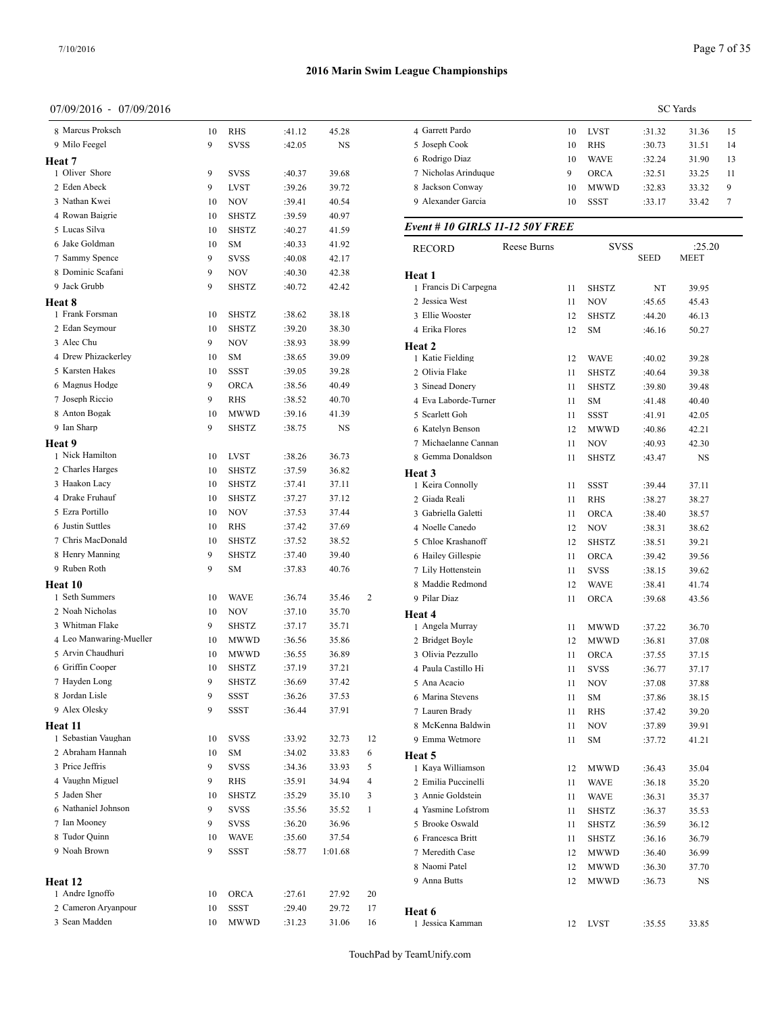**Heat 8**

**Heat 9**

**Heat 10**

**Heat 11**

**Heat 12**

#### **2016 Marin Swim League Championships**

 Marcus Proksch 10 RHS :41.12 45.28 9 Milo Feegel 9 SVSS :42.05 NS

1 Oliver Shore 9 SVSS :40.37 39.68 Eden Abeck 9 LVST :39.26 39.72 Nathan Kwei 10 NOV :39.41 40.54 Rowan Baigrie 10 SHSTZ :39.59 40.97 Lucas Silva 10 SHSTZ :40.27 41.59 Jake Goldman 10 SM :40.33 41.92 Sammy Spence 9 SVSS :40.08 42.17 Dominic Scafani 9 NOV :40.30 42.38 Jack Grubb 9 SHSTZ :40.72 42.42

|                      | <b>SC</b> Yards |             |        |       |    |  |  |  |
|----------------------|-----------------|-------------|--------|-------|----|--|--|--|
| 4 Garrett Pardo      | 10              | <b>LVST</b> | :31.32 | 31.36 | 15 |  |  |  |
| 5 Joseph Cook        | 10              | <b>RHS</b>  | :30.73 | 31.51 | 14 |  |  |  |
| 6 Rodrigo Diaz       | 10              | <b>WAVE</b> | :32.24 | 31.90 | 13 |  |  |  |
| 7 Nicholas Arinduque | 9               | <b>ORCA</b> | :32.51 | 33.25 | 11 |  |  |  |
| 8 Jackson Conway     | 10              | <b>MWWD</b> | :32.83 | 33.32 | 9  |  |  |  |
| 9 Alexander Garcia   | 10              | SSST        | :33.17 | 33.42 | 7  |  |  |  |
|                      |                 |             |        |       |    |  |  |  |

#### *Event # 10 GIRLS 11-12 50Y FREE*

| 6 Jake Goldman          | 10 | SM           | :40.33 | 41.92   |    | <b>RECORD</b>         | Reese Burns |    | <b>SVSS</b>  |             | :25.20      |  |
|-------------------------|----|--------------|--------|---------|----|-----------------------|-------------|----|--------------|-------------|-------------|--|
| 7 Sammy Spence          | 9  | <b>SVSS</b>  | :40.08 | 42.17   |    |                       |             |    |              | <b>SEED</b> | <b>MEET</b> |  |
| 8 Dominic Scafani       | 9  | <b>NOV</b>   | :40.30 | 42.38   |    | Heat 1                |             |    |              |             |             |  |
| 9 Jack Grubb            | 9  | <b>SHSTZ</b> | :40.72 | 42.42   |    | 1 Francis Di Carpegna |             | 11 | <b>SHSTZ</b> | NT          | 39.95       |  |
| eat 8                   |    |              |        |         |    | 2 Jessica West        |             | 11 | <b>NOV</b>   | :45.65      | 45.43       |  |
| 1 Frank Forsman         | 10 | <b>SHSTZ</b> | :38.62 | 38.18   |    | 3 Ellie Wooster       |             | 12 | SHSTZ        | :44.20      | 46.13       |  |
| 2 Edan Seymour          | 10 | <b>SHSTZ</b> | :39.20 | 38.30   |    | 4 Erika Flores        |             | 12 | <b>SM</b>    | :46.16      | 50.27       |  |
| 3 Alec Chu              | 9  | <b>NOV</b>   | :38.93 | 38.99   |    | <b>Heat 2</b>         |             |    |              |             |             |  |
| 4 Drew Phizackerley     | 10 | SΜ           | :38.65 | 39.09   |    | 1 Katie Fielding      |             | 12 | <b>WAVE</b>  | :40.02      | 39.28       |  |
| 5 Karsten Hakes         | 10 | SSST         | :39.05 | 39.28   |    | 2 Olivia Flake        |             | 11 | <b>SHSTZ</b> | :40.64      | 39.38       |  |
| 6 Magnus Hodge          | 9  | ORCA         | :38.56 | 40.49   |    | 3 Sinead Donery       |             | 11 | <b>SHSTZ</b> | :39.80      | 39.48       |  |
| 7 Joseph Riccio         | 9  | <b>RHS</b>   | :38.52 | 40.70   |    | 4 Eva Laborde-Turner  |             | 11 | SM           | :41.48      | 40.40       |  |
| 8 Anton Bogak           | 10 | <b>MWWD</b>  | :39.16 | 41.39   |    | 5 Scarlett Goh        |             | 11 | SSST         | :41.91      | 42.05       |  |
| 9 Ian Sharp             | 9  | <b>SHSTZ</b> | :38.75 | NS      |    | 6 Katelyn Benson      |             | 12 | <b>MWWD</b>  | :40.86      | 42.21       |  |
| eat 9                   |    |              |        |         |    | 7 Michaelanne Cannan  |             | 11 | <b>NOV</b>   | :40.93      | 42.30       |  |
| 1 Nick Hamilton         | 10 | <b>LVST</b>  | :38.26 | 36.73   |    | 8 Gemma Donaldson     |             | 11 | <b>SHSTZ</b> | :43.47      | NS          |  |
| 2 Charles Harges        | 10 | <b>SHSTZ</b> | :37.59 | 36.82   |    | <b>Heat 3</b>         |             |    |              |             |             |  |
| 3 Haakon Lacy           | 10 | <b>SHSTZ</b> | :37.41 | 37.11   |    | 1 Keira Connolly      |             | 11 | SSST         | :39.44      | 37.11       |  |
| 4 Drake Fruhauf         | 10 | SHSTZ        | :37.27 | 37.12   |    | 2 Giada Reali         |             | 11 | <b>RHS</b>   | :38.27      | 38.27       |  |
| 5 Ezra Portillo         | 10 | <b>NOV</b>   | :37.53 | 37.44   |    | 3 Gabriella Galetti   |             | 11 | <b>ORCA</b>  | :38.40      | 38.57       |  |
| 6 Justin Suttles        | 10 | <b>RHS</b>   | :37.42 | 37.69   |    | 4 Noelle Canedo       |             | 12 | <b>NOV</b>   | :38.31      | 38.62       |  |
| 7 Chris MacDonald       | 10 | SHSTZ        | :37.52 | 38.52   |    | 5 Chloe Krashanoff    |             | 12 | SHSTZ        | :38.51      | 39.21       |  |
| 8 Henry Manning         | 9  | <b>SHSTZ</b> | :37.40 | 39.40   |    | 6 Hailey Gillespie    |             | 11 | <b>ORCA</b>  | :39.42      | 39.56       |  |
| 9 Ruben Roth            | 9  | SM           | :37.83 | 40.76   |    | 7 Lily Hottenstein    |             | 11 | <b>SVSS</b>  | :38.15      | 39.62       |  |
| eat 10                  |    |              |        |         |    | 8 Maddie Redmond      |             | 12 | <b>WAVE</b>  | :38.41      | 41.74       |  |
| 1 Seth Summers          | 10 | <b>WAVE</b>  | :36.74 | 35.46   | 2  | 9 Pilar Diaz          |             | 11 | <b>ORCA</b>  | :39.68      | 43.56       |  |
| 2 Noah Nicholas         | 10 | <b>NOV</b>   | :37.10 | 35.70   |    | <b>Heat 4</b>         |             |    |              |             |             |  |
| 3 Whitman Flake         | 9  | <b>SHSTZ</b> | :37.17 | 35.71   |    | 1 Angela Murray       |             | 11 | <b>MWWD</b>  | :37.22      | 36.70       |  |
| 4 Leo Manwaring-Mueller | 10 | <b>MWWD</b>  | :36.56 | 35.86   |    | 2 Bridget Boyle       |             | 12 | <b>MWWD</b>  | :36.81      | 37.08       |  |
| 5 Arvin Chaudhuri       | 10 | <b>MWWD</b>  | :36.55 | 36.89   |    | 3 Olivia Pezzullo     |             | 11 | <b>ORCA</b>  | :37.55      | 37.15       |  |
| 6 Griffin Cooper        | 10 | SHSTZ        | :37.19 | 37.21   |    | 4 Paula Castillo Hi   |             | 11 | <b>SVSS</b>  | :36.77      | 37.17       |  |
| 7 Hayden Long           | 9  | <b>SHSTZ</b> | :36.69 | 37.42   |    | 5 Ana Acacio          |             | 11 | <b>NOV</b>   | :37.08      | 37.88       |  |
| 8 Jordan Lisle          | 9  | SSST         | :36.26 | 37.53   |    | 6 Marina Stevens      |             | 11 | SM           | :37.86      | 38.15       |  |
| 9 Alex Olesky           | 9  | <b>SSST</b>  | :36.44 | 37.91   |    | 7 Lauren Brady        |             | 11 | <b>RHS</b>   | :37.42      | 39.20       |  |
| eat 11                  |    |              |        |         |    | 8 McKenna Baldwin     |             | 11 | <b>NOV</b>   | :37.89      | 39.91       |  |
| 1 Sebastian Vaughan     | 10 | <b>SVSS</b>  | :33.92 | 32.73   | 12 | 9 Emma Wetmore        |             | 11 | SM           | :37.72      | 41.21       |  |
| 2 Abraham Hannah        | 10 | SM           | :34.02 | 33.83   | 6  | <b>Heat 5</b>         |             |    |              |             |             |  |
| 3 Price Jeffris         | 9  | <b>SVSS</b>  | :34.36 | 33.93   | 5  | 1 Kaya Williamson     |             | 12 | MWWD         | :36.43      | 35.04       |  |
| 4 Vaughn Miguel         | 9  | RHS          | :35.91 | 34.94   | 4  | 2 Emilia Puccinelli   |             | 11 | <b>WAVE</b>  | :36.18      | 35.20       |  |
| 5 Jaden Sher            | 10 | <b>SHSTZ</b> | :35.29 | 35.10   | 3  | 3 Annie Goldstein     |             | 11 | <b>WAVE</b>  | :36.31      | 35.37       |  |
| 6 Nathaniel Johnson     | 9  | <b>SVSS</b>  | :35.56 | 35.52   |    | 4 Yasmine Lofstrom    |             | 11 | <b>SHSTZ</b> | :36.37      | 35.53       |  |
| 7 Ian Mooney            | 9  | <b>SVSS</b>  | :36.20 | 36.96   |    | 5 Brooke Oswald       |             | 11 | SHSTZ        | :36.59      | 36.12       |  |
| 8 Tudor Quinn           | 10 | <b>WAVE</b>  | :35.60 | 37.54   |    | 6 Francesca Britt     |             | 11 | <b>SHSTZ</b> | :36.16      | 36.79       |  |
| 9 Noah Brown            | 9  | <b>SSST</b>  | :58.77 | 1:01.68 |    | 7 Meredith Case       |             | 12 | <b>MWWD</b>  | :36.40      | 36.99       |  |
|                         |    |              |        |         |    | 8 Naomi Patel         |             | 12 | <b>MWWD</b>  | :36.30      | 37.70       |  |
| eat 12                  |    |              |        |         |    | 9 Anna Butts          |             | 12 | <b>MWWD</b>  | :36.73      | NS          |  |
| 1 Andre Ignoffo         | 10 | <b>ORCA</b>  | :27.61 | 27.92   | 20 |                       |             |    |              |             |             |  |
| 2 Cameron Aryanpour     | 10 | SSST         | :29.40 | 29.72   | 17 | Heat 6                |             |    |              |             |             |  |
| 3 Sean Madden           | 10 | <b>MWWD</b>  | :31.23 | 31.06   | 16 | 1 Jessica Kamman      |             |    | 12 LVST      | :35.55      | 33.85       |  |
|                         |    |              |        |         |    |                       |             |    |              |             |             |  |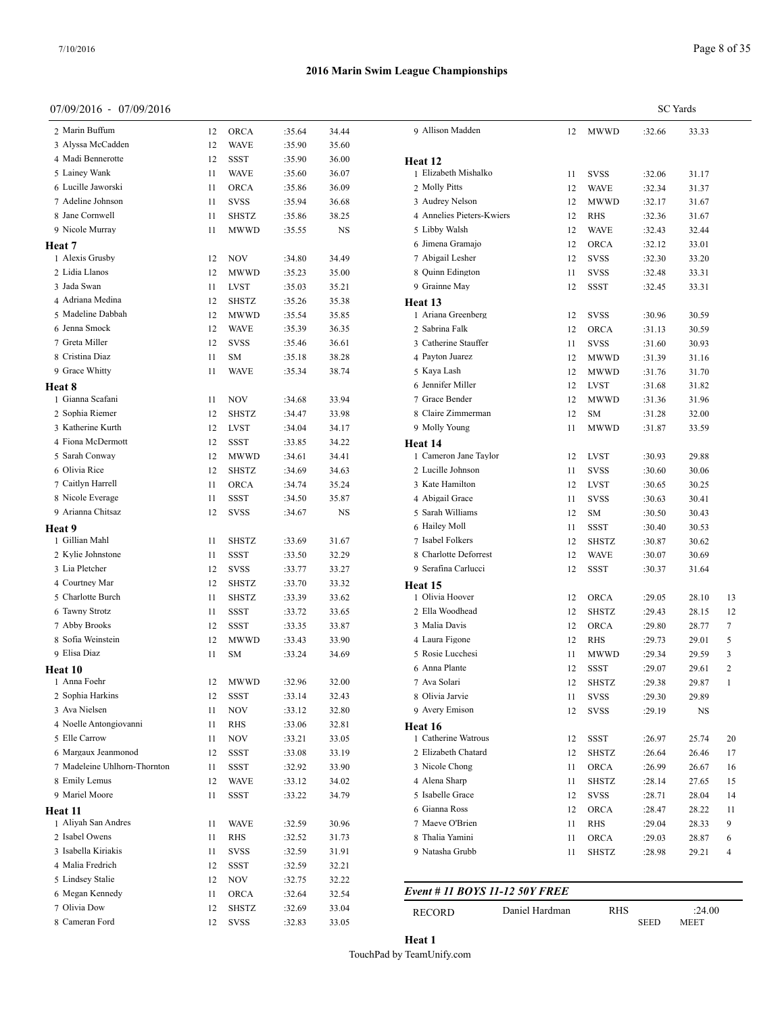**Heat 8**

**Heat 9**

**Heat 10**

**Heat 11**

#### **2016 Marin Swim League Championships**

#### 07/09/2016 - 07/09/2016

8 Cameran Ford 12 SVSS :32.83 33.05

7 Olivia Dow 12 SHSTZ :32.69 33.04 RECORD

| 7/09/2016 - 07/09/2016       |    |              |        |       |                                |    |              |        | <b>SC</b> Yards |    |
|------------------------------|----|--------------|--------|-------|--------------------------------|----|--------------|--------|-----------------|----|
| 2 Marin Buffum               | 12 | ORCA         | :35.64 | 34.44 | 9 Allison Madden               |    | 12 MWWD      | :32.66 | 33.33           |    |
| 3 Alyssa McCadden            | 12 | <b>WAVE</b>  | :35.90 | 35.60 |                                |    |              |        |                 |    |
| 4 Madi Bennerotte            | 12 | <b>SSST</b>  | :35.90 | 36.00 | Heat 12                        |    |              |        |                 |    |
| 5 Lainey Wank                | 11 | <b>WAVE</b>  | :35.60 | 36.07 | 1 Elizabeth Mishalko           | 11 | <b>SVSS</b>  | :32.06 | 31.17           |    |
| 6 Lucille Jaworski           | 11 | <b>ORCA</b>  | :35.86 | 36.09 | 2 Molly Pitts                  | 12 | <b>WAVE</b>  | :32.34 | 31.37           |    |
| 7 Adeline Johnson            | 11 | <b>SVSS</b>  | :35.94 | 36.68 | 3 Audrey Nelson                | 12 | <b>MWWD</b>  | :32.17 | 31.67           |    |
| 8 Jane Cornwell              | 11 | <b>SHSTZ</b> | :35.86 | 38.25 | 4 Annelies Pieters-Kwiers      | 12 | RHS          | :32.36 | 31.67           |    |
| 9 Nicole Murray              | 11 | <b>MWWD</b>  | :35.55 | NS    | 5 Libby Walsh                  | 12 | <b>WAVE</b>  | :32.43 | 32.44           |    |
| eat 7                        |    |              |        |       | 6 Jimena Gramaio               | 12 | <b>ORCA</b>  | :32.12 | 33.01           |    |
| 1 Alexis Grusby              | 12 | <b>NOV</b>   | :34.80 | 34.49 | 7 Abigail Lesher               | 12 | <b>SVSS</b>  | :32.30 | 33.20           |    |
| 2 Lidia Llanos               | 12 | <b>MWWD</b>  | :35.23 | 35.00 | 8 Quinn Edington               | 11 | <b>SVSS</b>  | :32.48 | 33.31           |    |
| 3 Jada Swan                  | 11 | LVST         | :35.03 | 35.21 | 9 Grainne May                  | 12 | <b>SSST</b>  | :32.45 | 33.31           |    |
| 4 Adriana Medina             | 12 | <b>SHSTZ</b> | :35.26 | 35.38 |                                |    |              |        |                 |    |
| 5 Madeline Dabbah            | 12 | MWWD         | :35.54 | 35.85 | Heat 13<br>1 Ariana Greenberg  |    |              |        |                 |    |
| 6 Jenna Smock                |    |              |        |       | 2 Sabrina Falk                 | 12 | SVSS         | :30.96 | 30.59           |    |
|                              | 12 | <b>WAVE</b>  | :35.39 | 36.35 |                                | 12 | <b>ORCA</b>  | :31.13 | 30.59           |    |
| 7 Greta Miller               | 12 | <b>SVSS</b>  | :35.46 | 36.61 | 3 Catherine Stauffer           | 11 | <b>SVSS</b>  | :31.60 | 30.93           |    |
| 8 Cristina Diaz              | 11 | <b>SM</b>    | :35.18 | 38.28 | 4 Payton Juarez                | 12 | <b>MWWD</b>  | :31.39 | 31.16           |    |
| 9 Grace Whitty               | 11 | <b>WAVE</b>  | :35.34 | 38.74 | 5 Kaya Lash                    | 12 | <b>MWWD</b>  | :31.76 | 31.70           |    |
| eat 8                        |    |              |        |       | 6 Jennifer Miller              | 12 | <b>LVST</b>  | :31.68 | 31.82           |    |
| 1 Gianna Scafani             | 11 | <b>NOV</b>   | :34.68 | 33.94 | 7 Grace Bender                 | 12 | MWWD         | :31.36 | 31.96           |    |
| 2 Sophia Riemer              | 12 | SHSTZ        | :34.47 | 33.98 | 8 Claire Zimmerman             | 12 | <b>SM</b>    | :31.28 | 32.00           |    |
| 3 Katherine Kurth            | 12 | <b>LVST</b>  | :34.04 | 34.17 | 9 Molly Young                  | 11 | <b>MWWD</b>  | :31.87 | 33.59           |    |
| 4 Fiona McDermott            | 12 | SSST         | :33.85 | 34.22 | Heat 14                        |    |              |        |                 |    |
| 5 Sarah Conway               | 12 | <b>MWWD</b>  | :34.61 | 34.41 | 1 Cameron Jane Taylor          | 12 | <b>LVST</b>  | :30.93 | 29.88           |    |
| 6 Olivia Rice                | 12 | <b>SHSTZ</b> | :34.69 | 34.63 | 2 Lucille Johnson              | 11 | <b>SVSS</b>  | :30.60 | 30.06           |    |
| 7 Caitlyn Harrell            | 11 | <b>ORCA</b>  | :34.74 | 35.24 | 3 Kate Hamilton                | 12 | <b>LVST</b>  | :30.65 | 30.25           |    |
| 8 Nicole Everage             | 11 | <b>SSST</b>  | :34.50 | 35.87 | 4 Abigail Grace                | 11 | <b>SVSS</b>  | :30.63 | 30.41           |    |
| 9 Arianna Chitsaz            | 12 | SVSS         | :34.67 | NS    | 5 Sarah Williams               | 12 | <b>SM</b>    | :30.50 | 30.43           |    |
| eat 9                        |    |              |        |       | 6 Hailey Moll                  | 11 | SSST         | :30.40 | 30.53           |    |
| 1 Gillian Mahl               | 11 | <b>SHSTZ</b> | :33.69 | 31.67 | 7 Isabel Folkers               | 12 | <b>SHSTZ</b> | :30.87 | 30.62           |    |
| 2 Kylie Johnstone            | 11 | <b>SSST</b>  | :33.50 | 32.29 | 8 Charlotte Deforrest          | 12 | <b>WAVE</b>  | :30.07 | 30.69           |    |
| 3 Lia Pletcher               | 12 | <b>SVSS</b>  | :33.77 | 33.27 | 9 Serafina Carlucci            | 12 | <b>SSST</b>  | :30.37 | 31.64           |    |
| 4 Courtney Mar               | 12 | <b>SHSTZ</b> | :33.70 | 33.32 | Heat 15                        |    |              |        |                 |    |
| 5 Charlotte Burch            | 11 | <b>SHSTZ</b> | :33.39 | 33.62 | 1 Olivia Hoover                | 12 | ORCA         | :29.05 | 28.10           | 13 |
| 6 Tawny Strotz               | 11 | <b>SSST</b>  | :33.72 | 33.65 | 2 Ella Woodhead                | 12 | <b>SHSTZ</b> | :29.43 | 28.15           | 12 |
| 7 Abby Brooks                | 12 | SSST         | :33.35 | 33.87 | 3 Malia Davis                  | 12 | <b>ORCA</b>  | :29.80 | 28.77           | 7  |
| 8 Sofia Weinstein            | 12 | <b>MWWD</b>  | :33.43 | 33.90 | 4 Laura Figone                 | 12 | <b>RHS</b>   | :29.73 | 29.01           | 5  |
| 9 Elisa Diaz                 | 11 | <b>SM</b>    | :33.24 | 34.69 | 5 Rosie Lucchesi               | 11 | <b>MWWD</b>  | :29.34 | 29.59           | 3  |
| eat 10                       |    |              |        |       | 6 Anna Plante                  | 12 | SSST         | :29.07 | 29.61           | 2  |
| 1 Anna Foehr                 | 12 | <b>MWWD</b>  | :32.96 | 32.00 | 7 Ava Solari                   | 12 | SHSTZ        | :29.38 | 29.87           |    |
| 2 Sophia Harkins             | 12 | <b>SSST</b>  | :33.14 | 32.43 | 8 Olivia Jarvie                | 11 | <b>SVSS</b>  | :29.30 | 29.89           |    |
| 3 Ava Nielsen                | 11 | <b>NOV</b>   | :33.12 | 32.80 | 9 Avery Emison                 | 12 | <b>SVSS</b>  | :29.19 | NS              |    |
| 4 Noelle Antongiovanni       | 11 | <b>RHS</b>   | :33.06 | 32.81 |                                |    |              |        |                 |    |
| 5 Elle Carrow                | 11 | <b>NOV</b>   | :33.21 | 33.05 | Heat 16<br>1 Catherine Watrous | 12 | SSST         | :26.97 | 25.74           | 20 |
| 6 Margaux Jeanmonod          | 12 | SSST         |        | 33.19 | 2 Elizabeth Chatard            |    |              |        |                 |    |
| 7 Madeleine Uhlhorn-Thornton |    |              | :33.08 |       |                                | 12 | <b>SHSTZ</b> | :26.64 | 26.46           | 17 |
|                              | 11 | <b>SSST</b>  | :32.92 | 33.90 | 3 Nicole Chong                 | 11 | <b>ORCA</b>  | :26.99 | 26.67           | 16 |
| 8 Emily Lemus                | 12 | <b>WAVE</b>  | :33.12 | 34.02 | 4 Alena Sharp                  | 11 | <b>SHSTZ</b> | :28.14 | 27.65           | 15 |
| 9 Mariel Moore               | 11 | <b>SSST</b>  | :33.22 | 34.79 | 5 Isabelle Grace               | 12 | <b>SVSS</b>  | :28.71 | 28.04           | 14 |
| eat 11                       |    |              |        |       | 6 Gianna Ross                  | 12 | <b>ORCA</b>  | :28.47 | 28.22           | 11 |
| 1 Aliyah San Andres          | 11 | <b>WAVE</b>  | :32.59 | 30.96 | 7 Maeve O'Brien                | 11 | RHS          | :29.04 | 28.33           | 9  |
| 2 Isabel Owens               | 11 | <b>RHS</b>   | :32.52 | 31.73 | 8 Thalia Yamini                | 11 | <b>ORCA</b>  | :29.03 | 28.87           | 6  |
| 3 Isabella Kiriakis          | 11 | <b>SVSS</b>  | :32.59 | 31.91 | 9 Natasha Grubb                | 11 | <b>SHSTZ</b> | :28.98 | 29.21           | 4  |
| 4 Malia Fredrich             | 12 | SSST         | :32.59 | 32.21 |                                |    |              |        |                 |    |
| 5 Lindsey Stalie             | 12 | <b>NOV</b>   | :32.75 | 32.22 |                                |    |              |        |                 |    |
| 6 Megan Kennedy              | 11 | <b>ORCA</b>  | :32.64 | 32.54 | Event # 11 BOYS 11-12 50Y FREE |    |              |        |                 |    |

Daniel Hardman RHS :24.00<br>SEED MEET

**MEET** 

#### **Heat 1** TouchPad by TeamUnify.com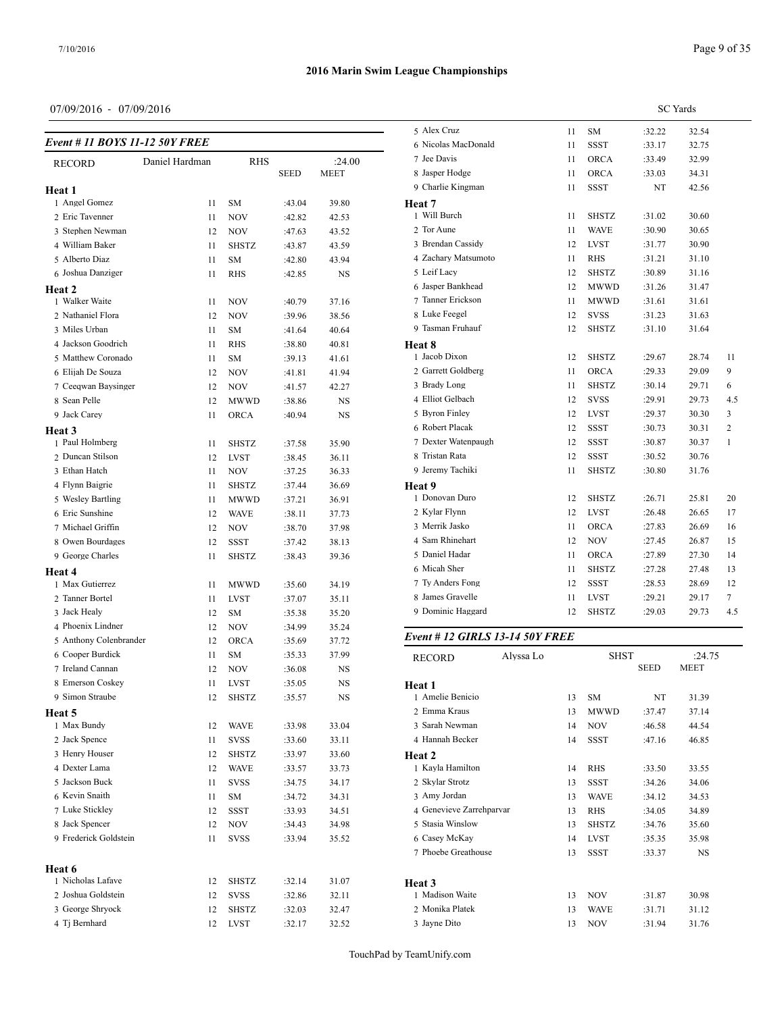**Heat 2**

**Heat 3**

**Heat 4**

**Heat 5**

**Heat 6**

#### **2016 Marin Swim League Championships**

**MEET** 

## 07/09/2016 - 07/09/2016

*Event # 11 BOYS 11-12 50Y FREE*

RECORD Daniel Hardman RHS :24.00<br>SEED MEET

 Angel Gomez 11 SM :43.04 39.80 Eric Tavenner 11 NOV :42.82 42.53 3 Stephen Newman 12 NOV :47.63 43.52 William Baker 11 SHSTZ :43.87 43.59 Alberto Diaz 11 SM :42.80 43.94 Joshua Danziger 11 RHS :42.85 NS

1 Walker Waite 11 NOV :40.79 37.16 2 Nathaniel Flora 12 NOV :39.96 38.56 Miles Urban 11 SM :41.64 40.64 Jackson Goodrich 11 RHS :38.80 40.81 Matthew Coronado 11 SM :39.13 41.61 Elijah De Souza 12 NOV :41.81 41.94 Ceeqwan Baysinger 12 NOV :41.57 42.27 8 Sean Pelle 12 MWWD :38.86 NS Jack Carey 11 ORCA :40.94 NS

1 Paul Holmberg 11 SHSTZ :37.58 35.90 2 Duncan Stilson 12 LVST :38.45 36.11 Ethan Hatch 11 NOV :37.25 36.33 4 Flynn Baigrie 11 SHSTZ :37.44 36.69 Wesley Bartling 11 MWWD :37.21 36.91 Eric Sunshine 12 WAVE :38.11 37.73 7 Michael Griffin 12 NOV :38.70 37.98 8 Owen Bourdages 12 SSST :37.42 38.13 9 George Charles 11 SHSTZ :38.43 39.36

 Max Gutierrez 11 MWWD :35.60 34.19 2 Tanner Bortel 11 LVST :37.07 35.11 Jack Healy 12 SM :35.38 35.20 4 Phoenix Lindner 12 NOV :34.99 35.24 Anthony Colenbrander 12 ORCA :35.69 37.72 Cooper Burdick 11 SM :35.33 37.99 Ireland Cannan 12 NOV :36.08 NS 8 Emerson Coskey 11 LVST :35.05 NS Simon Straube 12 SHSTZ :35.57 NS

1 Max Bundy 12 WAVE :33.98 33.04 2 Jack Spence 11 SVSS :33.60 33.11 3 Henry Houser 12 SHSTZ :33.97 33.60 Dexter Lama 12 WAVE :33.57 33.73 Jackson Buck 11 SVSS :34.75 34.17 Kevin Snaith 11 SM :34.72 34.31 7 Luke Stickley 12 SSST :33.93 34.51 8 Jack Spencer 12 NOV :34.43 34.98 9 Frederick Goldstein 11 SVSS :33.94 35.52

 Nicholas Lafave 12 SHSTZ :32.14 31.07 Joshua Goldstein 12 SVSS :32.86 32.11 George Shryock 12 SHSTZ :32.03 32.47 Tj Bernhard 12 LVST :32.17 32.52

|                                                             | <b>SC</b> Yards |  |  |  |  |  |
|-------------------------------------------------------------|-----------------|--|--|--|--|--|
| 5 Alex Cruz<br>:32.22<br>32.54<br>11<br>SM                  |                 |  |  |  |  |  |
| 6 Nicolas MacDonald<br><b>SSST</b><br>11<br>:33.17<br>32.75 |                 |  |  |  |  |  |
| 7 Jee Davis<br><b>ORCA</b><br>11<br>:33.49<br>32.99         |                 |  |  |  |  |  |
| 8 Jasper Hodge<br>11<br><b>ORCA</b><br>:33.03<br>34.31      |                 |  |  |  |  |  |
| 9 Charlie Kingman<br>11<br><b>SSST</b><br>NT<br>42.56       |                 |  |  |  |  |  |
| Heat 7                                                      |                 |  |  |  |  |  |
| 1 Will Burch<br>11<br><b>SHSTZ</b><br>:31.02<br>30.60       |                 |  |  |  |  |  |
| 2 Tor Aune<br>11<br>WAVE<br>:30.90<br>30.65                 |                 |  |  |  |  |  |
| 3 Brendan Cassidy<br>12<br><b>LVST</b><br>30.90<br>:31.77   |                 |  |  |  |  |  |
| 4 Zachary Matsumoto<br>11<br><b>RHS</b><br>:31.21<br>31.10  |                 |  |  |  |  |  |
| 5 Leif Lacy<br>:30.89<br>12<br><b>SHSTZ</b><br>31.16        |                 |  |  |  |  |  |
| 6 Jasper Bankhead<br>12<br><b>MWWD</b><br>31.47<br>:31.26   |                 |  |  |  |  |  |
| 7 Tanner Erickson<br>11<br>MWWD<br>:31.61<br>31.61          |                 |  |  |  |  |  |
| 8 Luke Feegel<br>12<br><b>SVSS</b><br>:31.23<br>31.63       |                 |  |  |  |  |  |
| 9 Tasman Fruhauf<br>12<br><b>SHSTZ</b><br>:31.10<br>31.64   |                 |  |  |  |  |  |
| Heat 8                                                      |                 |  |  |  |  |  |
| 1 Jacob Dixon<br><b>SHSTZ</b><br>:29.67<br>12<br>28.74      | 11              |  |  |  |  |  |
| 2 Garrett Goldberg<br>11<br><b>ORCA</b><br>29.09<br>:29.33  | 9               |  |  |  |  |  |
| 3 Brady Long<br>11<br><b>SHSTZ</b><br>:30.14<br>29.71       | 6               |  |  |  |  |  |
| 4 Elliot Gelbach<br><b>SVSS</b><br>12<br>:29.91<br>29.73    | 4.5             |  |  |  |  |  |
| 5 Byron Finley<br>12<br>LVST<br>:29.37<br>30.30             | 3               |  |  |  |  |  |
| 6 Robert Placak<br>12<br><b>SSST</b><br>:30.73<br>30.31     | 2               |  |  |  |  |  |
| 7 Dexter Watenpaugh<br>12<br><b>SSST</b><br>:30.87<br>30.37 | $\mathbf{1}$    |  |  |  |  |  |
| 8 Tristan Rata<br>12<br>SSST<br>:30.52<br>30.76             |                 |  |  |  |  |  |
| 9 Jeremy Tachiki<br>11<br><b>SHSTZ</b><br>:30.80<br>31.76   |                 |  |  |  |  |  |
| Heat 9                                                      |                 |  |  |  |  |  |
| 1 Donovan Duro<br>12<br><b>SHSTZ</b><br>:26.71<br>25.81     | 20              |  |  |  |  |  |
| 2 Kylar Flynn<br>12<br><b>LVST</b><br>:26.48<br>26.65       | 17              |  |  |  |  |  |
| 3 Merrik Jasko<br>11<br><b>ORCA</b><br>:27.83<br>26.69      | 16              |  |  |  |  |  |
| 4 Sam Rhinehart<br>12<br><b>NOV</b><br>26.87<br>:27.45      | 15              |  |  |  |  |  |
| 5 Daniel Hadar<br><b>ORCA</b><br>11<br>:27.89<br>27.30      | 14              |  |  |  |  |  |
| 6 Micah Sher<br>11<br><b>SHSTZ</b><br>:27.28<br>27.48       | 13              |  |  |  |  |  |
| 7 Ty Anders Fong<br>12<br><b>SSST</b><br>:28.53<br>28.69    | 12              |  |  |  |  |  |
| 8 James Gravelle<br>11<br>LVST<br>:29.21<br>29.17           | 7               |  |  |  |  |  |
| 9 Dominic Haggard<br>12<br>SHSTZ<br>:29.03<br>29.73         | 4.5             |  |  |  |  |  |
| Event # 12 GIRLS 13-14 50Y FREE                             |                 |  |  |  |  |  |
| Alvssa Lo<br><b>SHST</b><br>:24.75<br><b>RECORD</b>         |                 |  |  |  |  |  |
| <b>SEED</b><br><b>MEET</b><br>$II \sim 4$ 1                 |                 |  |  |  |  |  |

|        | RECORD                   | Alyssa Lo |    | эпэт         |             | :24.IJ      |  |
|--------|--------------------------|-----------|----|--------------|-------------|-------------|--|
|        |                          |           |    |              | <b>SEED</b> | <b>MEET</b> |  |
| Heat 1 |                          |           |    |              |             |             |  |
|        | 1 Amelie Benicio         |           | 13 | <b>SM</b>    | NT          | 31.39       |  |
|        | 2 Emma Kraus             |           | 13 | MWWD         | :37.47      | 37.14       |  |
|        | 3 Sarah Newman           |           | 14 | <b>NOV</b>   | :46.58      | 44.54       |  |
|        | 4 Hannah Becker          |           | 14 | <b>SSST</b>  | :47.16      | 46.85       |  |
| Heat 2 |                          |           |    |              |             |             |  |
|        | 1 Kayla Hamilton         |           | 14 | <b>RHS</b>   | :33.50      | 33.55       |  |
|        | 2 Skylar Strotz          |           | 13 | <b>SSST</b>  | :34.26      | 34.06       |  |
|        | 3 Amy Jordan             |           | 13 | <b>WAVE</b>  | :34.12      | 34.53       |  |
|        | 4 Genevieve Zarrehparvar |           | 13 | <b>RHS</b>   | :34.05      | 34.89       |  |
|        | 5 Stasia Winslow         |           | 13 | <b>SHSTZ</b> | :34.76      | 35.60       |  |
|        | 6 Casey McKay            |           | 14 | <b>LVST</b>  | :35.35      | 35.98       |  |
|        | 7 Phoebe Greathouse      |           | 13 | <b>SSST</b>  | :33.37      | NS          |  |
|        |                          |           |    |              |             |             |  |
| Heat 3 |                          |           |    |              |             |             |  |
|        | 1 Madison Waite          |           | 13 | <b>NOV</b>   | :31.87      | 30.98       |  |
|        | 2 Monika Platek          |           | 13 | <b>WAVE</b>  | :31.71      | 31.12       |  |
|        | 3 Jayne Dito             |           | 13 | <b>NOV</b>   | :31.94      | 31.76       |  |
|        |                          |           |    |              |             |             |  |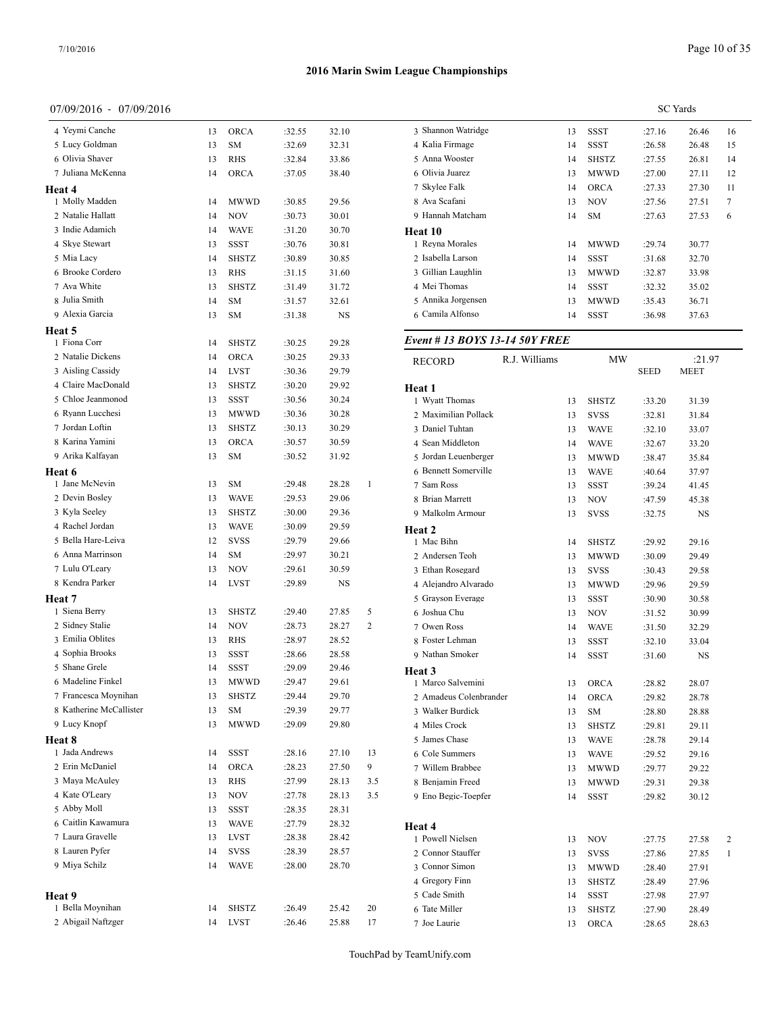#### 07/09/2016 - 07/09/2016

| 0 <i>1 1 0 2 1 2</i> 0 1       |          |              |        |             |              |                              |
|--------------------------------|----------|--------------|--------|-------------|--------------|------------------------------|
| 4 Yeymi Canche                 | 13       | ORCA         | :32.55 | 32.10       |              | 3 Shannon W                  |
| 5 Lucy Goldman                 | 13       | SM           | :32.69 | 32.31       |              | 4 Kalia Firma                |
| 6 Olivia Shaver                | 13       | RHS          | :32.84 | 33.86       |              | 5 Anna Woos                  |
| 7 Juliana McKenna              | 14       | ORCA         | :37.05 | 38.40       |              | 6 Olivia Juare               |
| Heat 4                         |          |              |        |             |              | 7 Skylee Falk                |
| 1 Molly Madden                 | 14       | MWWD         | :30.85 | 29.56       |              | 8 Ava Scafan                 |
| 2 Natalie Hallatt              | 14       | <b>NOV</b>   | :30.73 | 30.01       |              | 9 Hannah Ma                  |
| 3 Indie Adamich                | 14       | <b>WAVE</b>  | :31.20 | 30.70       |              | Heat 10                      |
| 4 Skye Stewart                 | 13       | <b>SSST</b>  | :30.76 | 30.81       |              | 1 Reyna Mora                 |
| 5 Mia Lacy<br>6 Brooke Cordero | 14       | <b>SHSTZ</b> | :30.89 | 30.85       |              | 2 Isabella Lai               |
|                                | 13       | RHS          | :31.15 | 31.60       |              | 3 Gillian Lau<br>4 Mei Thoma |
| 7 Ava White<br>8 Julia Smith   | 13       | <b>SHSTZ</b> | :31.49 | 31.72       |              | 5 Annika Jorg                |
| 9 Alexia Garcia                | 14<br>13 | SM<br>SM     | :31.57 | 32.61<br>NS |              | 6 Camila Alfo                |
|                                |          |              | :31.38 |             |              |                              |
| Heat 5<br>1 Fiona Corr         | 14       | SHSTZ        | :30.25 | 29.28       |              | Event # 13 <b>B</b>          |
| 2 Natalie Dickens              | 14       | ORCA         | :30.25 | 29.33       |              |                              |
| 3 Aisling Cassidy              | 14       | <b>LVST</b>  | :30.36 | 29.79       |              | RECORD                       |
| 4 Claire MacDonald             | 13       | <b>SHSTZ</b> | :30.20 | 29.92       |              |                              |
| 5 Chloe Jeanmonod              | 13       | <b>SSST</b>  | :30.56 | 30.24       |              | Heat 1<br>1 Wyatt Thon       |
| 6 Ryann Lucchesi               | 13       | MWWD         | :30.36 | 30.28       |              | 2 Maximilian                 |
| 7 Jordan Loftin                | 13       | <b>SHSTZ</b> | :30.13 | 30.29       |              | 3 Daniel Tuht                |
| 8 Karina Yamini                | 13       | ORCA         | :30.57 | 30.59       |              | 4 Sean Middl                 |
| 9 Arika Kalfayan               | 13       | SM           | :30.52 | 31.92       |              | 5 Jordan Leu                 |
| Heat 6                         |          |              |        |             |              | 6 Bennett Sor                |
| 1 Jane McNevin                 | 13       | SM           | :29.48 | 28.28       | $\mathbf{1}$ | 7 Sam Ross                   |
| 2 Devin Bosley                 | 13       | <b>WAVE</b>  | :29.53 | 29.06       |              | 8 Brian Marro                |
| 3 Kyla Seeley                  | 13       | SHSTZ        | :30.00 | 29.36       |              | 9 Malkolm A                  |
| 4 Rachel Jordan                | 13       | <b>WAVE</b>  | :30.09 | 29.59       |              | Heat 2                       |
| 5 Bella Hare-Leiva             | 12       | <b>SVSS</b>  | :29.79 | 29.66       |              | 1 Mac Bihn                   |
| 6 Anna Marrinson               | 14       | SΜ           | :29.97 | 30.21       |              | 2 Andersen T                 |
| 7 Lulu O'Leary                 | 13       | NOV          | :29.61 | 30.59       |              | 3 Ethan Rose                 |
| 8 Kendra Parker                | 14       | <b>LVST</b>  | :29.89 | NS          |              | 4 Alejandro A                |
| Heat 7                         |          |              |        |             |              | 5 Grayson Ev                 |
| 1 Siena Berry                  | 13       | <b>SHSTZ</b> | :29.40 | 27.85       | 5            | 6 Joshua Chu                 |
| 2 Sidney Stalie                | 14       | NOV          | :28.73 | 28.27       | 2            | 7 Owen Ross                  |
| 3 Emilia Oblites               | 13       | RHS          | :28.97 | 28.52       |              | 8 Foster Lehr                |
| 4 Sophia Brooks                | 13       | SSST         | :28.66 | 28.58       |              | 9 Nathan Smo                 |
| 5 Shane Grele                  | 14       | SSST         | :29.09 | 29.46       |              | Heat 3                       |
| 6 Madeline Finkel              | 13       | MWWD         | :29.47 | 29.61       |              | 1 Marco Salv                 |
| 7 Francesca Moynihan           | 13       | SHSTZ        | :29.44 | 29.70       |              | 2 Amadeus C                  |
| 8 Katherine McCallister        | 13       | SM           | :29.39 | 29.77       |              | 3 Walker Bur                 |
| 9 Lucy Knopf                   | 13       | MWWD         | :29.09 | 29.80       |              | 4 Miles Crocl                |
| Heat 8                         |          |              |        |             |              | 5 James Chas                 |
| 1 Jada Andrews                 | 14       | SSST         | :28.16 | 27.10       | 13           | 6 Cole Summ                  |
| 2 Erin McDaniel                | 14       | <b>ORCA</b>  | :28.23 | 27.50       | 9            | 7 Willem Bra                 |
| 3 Maya McAuley                 | 13       | RHS          | :27.99 | 28.13       | 3.5          | 8 Benjamin F                 |
| 4 Kate O'Leary                 | 13       | NOV          | :27.78 | 28.13       | 3.5          | 9 Eno Begic-                 |
| 5 Abby Moll                    | 13       | SSST         | :28.35 | 28.31       |              |                              |
| 6 Caitlin Kawamura             | 13       | WAVE         | :27.79 | 28.32       |              | Heat 4                       |
| 7 Laura Gravelle               | 13       | LVST         | :28.38 | 28.42       |              | 1 Powell Niel                |
| 8 Lauren Pyfer                 | 14       | SVSS         | :28.39 | 28.57       |              | 2 Connor Sta                 |
| 9 Miya Schilz                  | 14       | WAVE         | :28.00 | 28.70       |              | 3 Connor Sin                 |
|                                |          |              |        |             |              | 4 Gregory Fir                |
| Heat 9                         |          |              |        |             |              | 5 Cade Smith                 |
| 1 Bella Moynihan               | 14       | SHSTZ        | :26.49 | 25.42       | 20           | 6 Tate Miller                |
| 2 Abigail Naftzger             | 14       | LVST         | :26.46 | 25.88       | 17           | 7 Joe Laurie                 |

|                                    | <b>SC</b> Yards |              |        |                |              |  |  |  |  |
|------------------------------------|-----------------|--------------|--------|----------------|--------------|--|--|--|--|
| 3 Shannon Watridge                 | 13              | SSST         | :27.16 | 26.46          | 16           |  |  |  |  |
| 4 Kalia Firmage                    | 14              | SSST         | :26.58 | 26.48          | 15           |  |  |  |  |
| 5 Anna Wooster                     | 14              | SHSTZ        | :27.55 | 26.81          | 14           |  |  |  |  |
| 6 Olivia Juarez                    | 13              | MWWD         | :27.00 | 27.11          | 12           |  |  |  |  |
| 7 Skylee Falk                      | 14              | <b>ORCA</b>  | :27.33 | 27.30          | 11           |  |  |  |  |
| 8 Ava Scafani                      | 13              | <b>NOV</b>   | :27.56 | 27.51          | 7            |  |  |  |  |
| 9 Hannah Matcham                   | 14              | SM           | :27.63 | 27.53          | 6            |  |  |  |  |
| Heat 10                            |                 |              |        |                |              |  |  |  |  |
| 1 Reyna Morales                    | 14              | MWWD         | :29.74 | 30.77          |              |  |  |  |  |
| 2 Isabella Larson                  | 14              | <b>SSST</b>  | :31.68 | 32.70          |              |  |  |  |  |
| 3 Gillian Laughlin                 | 13              | <b>MWWD</b>  | :32.87 | 33.98          |              |  |  |  |  |
| 4 Mei Thomas                       | 14              | SSST         | :32.32 | 35.02          |              |  |  |  |  |
| 5 Annika Jorgensen                 | 13              | MWWD         | :35.43 | 36.71          |              |  |  |  |  |
| 6 Camila Alfonso                   | 14              | SSST         | :36.98 | 37.63          |              |  |  |  |  |
| Event # 13 BOYS 13-14 50Y FREE     |                 |              |        |                |              |  |  |  |  |
| R.J. Williams<br><b>RECORD</b>     |                 | MW           | SEED   | :21.97<br>MEET |              |  |  |  |  |
| Heat 1                             |                 |              |        |                |              |  |  |  |  |
| 1 Wyatt Thomas                     | 13              | <b>SHSTZ</b> | :33.20 | 31.39          |              |  |  |  |  |
| 2 Maximilian Pollack               | 13              | <b>SVSS</b>  | :32.81 | 31.84          |              |  |  |  |  |
| 3 Daniel Tuhtan                    | 13              | WAVE         | :32.10 | 33.07          |              |  |  |  |  |
| 4 Sean Middleton                   | 14              | <b>WAVE</b>  | :32.67 | 33.20          |              |  |  |  |  |
| 5 Jordan Leuenberger               | 13              | <b>MWWD</b>  | :38.47 | 35.84          |              |  |  |  |  |
| 6 Bennett Somerville               | 13              | WAVE         | :40.64 | 37.97          |              |  |  |  |  |
| 7 Sam Ross                         | 13              | SSST         | :39.24 | 41.45          |              |  |  |  |  |
| 8 Brian Marrett                    | 13              | NOV          | :47.59 | 45.38          |              |  |  |  |  |
| 9 Malkolm Armour                   | 13              | <b>SVSS</b>  | :32.75 | NS             |              |  |  |  |  |
| Heat 2                             |                 |              |        |                |              |  |  |  |  |
| 1 Mac Bihn                         | 14              | SHSTZ        | :29.92 | 29.16          |              |  |  |  |  |
| 2 Andersen Teoh                    | 13              | <b>MWWD</b>  | :30.09 | 29.49          |              |  |  |  |  |
| 3 Ethan Rosegard                   | 13              | <b>SVSS</b>  | :30.43 | 29.58          |              |  |  |  |  |
| 4 Alejandro Alvarado               | 13              | MWWD         | :29.96 | 29.59          |              |  |  |  |  |
| 5 Grayson Everage                  | 13              | SSST         | :30.90 | 30.58          |              |  |  |  |  |
| 6 Joshua Chu<br>7 Owen Ross        | 13              | NOV          | :31.52 | 30.99          |              |  |  |  |  |
|                                    | 14              | WAVE         | :31.50 | 32.29          |              |  |  |  |  |
| 8 Foster Lehman<br>9 Nathan Smoker | 13              | <b>SSST</b>  | :32.10 | 33.04          |              |  |  |  |  |
|                                    | 14              | <b>SSST</b>  | :31.60 | NS             |              |  |  |  |  |
| <b>Heat 3</b><br>1 Marco Salvemini | 13              | ORCA         | :28.82 | 28.07          |              |  |  |  |  |
| 2 Amadeus Colenbrander             | 14              | ORCA         | :29.82 | 28.78          |              |  |  |  |  |
| 3 Walker Burdick                   | 13              | SM           | :28.80 | 28.88          |              |  |  |  |  |
| 4 Miles Crock                      | 13              | SHSTZ        | :29.81 | 29.11          |              |  |  |  |  |
| 5 James Chase                      | 13              | WAVE         | :28.78 | 29.14          |              |  |  |  |  |
| 6 Cole Summers                     | 13              | WAVE         | :29.52 | 29.16          |              |  |  |  |  |
| 7 Willem Brabbee                   | 13              | MWWD         | :29.77 | 29.22          |              |  |  |  |  |
| 8 Benjamin Freed                   | 13              | MWWD         | :29.31 | 29.38          |              |  |  |  |  |
| 9 Eno Begic-Toepfer                | 14              | SSST         | :29.82 | 30.12          |              |  |  |  |  |
|                                    |                 |              |        |                |              |  |  |  |  |
| Heat 4                             |                 |              |        |                |              |  |  |  |  |
| 1 Powell Nielsen                   | 13              | NOV          | :27.75 | 27.58          | 2            |  |  |  |  |
| 2 Connor Stauffer                  | 13              | SVSS         | :27.86 | 27.85          | $\mathbf{1}$ |  |  |  |  |
| 3 Connor Simon                     | 13              | MWWD         | :28.40 | 27.91          |              |  |  |  |  |
| 4 Gregory Finn                     | 13              | SHSTZ        | :28.49 | 27.96          |              |  |  |  |  |
| 5 Cade Smith                       | 14              | SSST         | :27.98 | 27.97          |              |  |  |  |  |
| 6 Tate Miller                      | 13              | SHSTZ        | :27.90 | 28.49          |              |  |  |  |  |
| 7 Joe Laurie                       | 13              | ORCA         | :28.65 | 28.63          |              |  |  |  |  |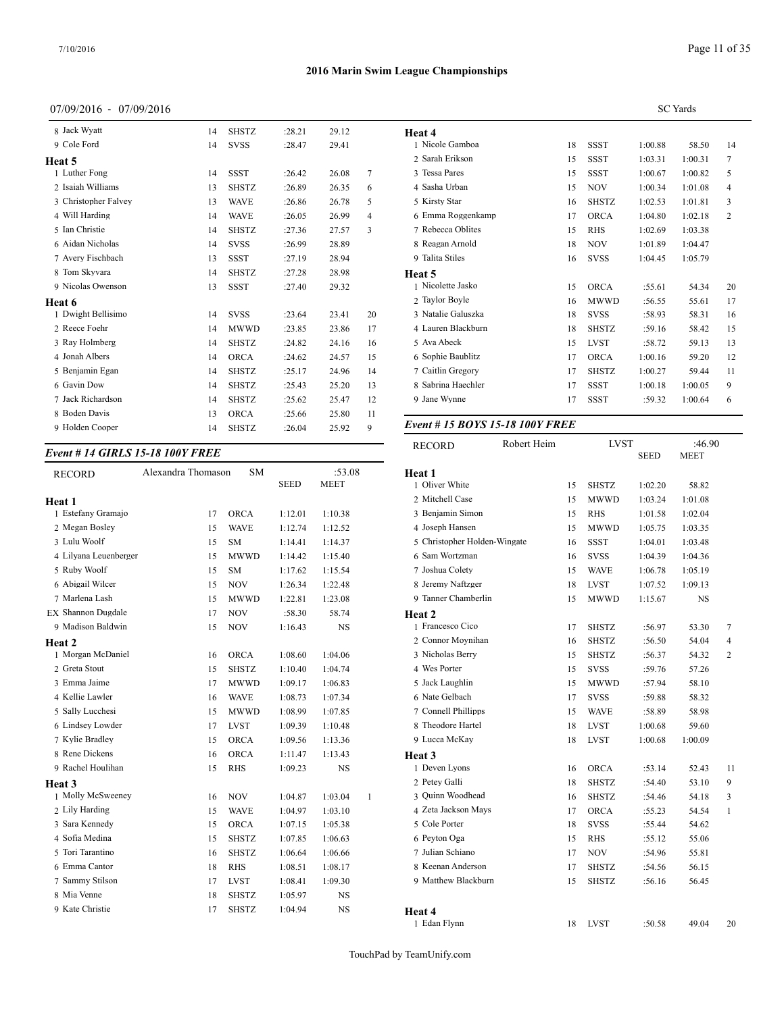## 07/09/2016 - 07/09/2016

| 8 Jack Wyatt         | 14 | <b>SHSTZ</b> | :28.21 | 29.12 |                | Heat 4                         |    |              |         |         |
|----------------------|----|--------------|--------|-------|----------------|--------------------------------|----|--------------|---------|---------|
| 9 Cole Ford          | 14 | <b>SVSS</b>  | :28.47 | 29.41 |                | 1 Nicole Gamboa                | 18 | <b>SSST</b>  | 1:00.88 | 58.50   |
| Heat 5               |    |              |        |       |                | 2 Sarah Erikson                | 15 | <b>SSST</b>  | 1:03.31 | 1:00.31 |
| 1 Luther Fong        | 14 | <b>SSST</b>  | :26.42 | 26.08 | $\tau$         | 3 Tessa Pares                  | 15 | <b>SSST</b>  | 1:00.67 | 1:00.82 |
| 2 Isaiah Williams    | 13 | <b>SHSTZ</b> | :26.89 | 26.35 | 6              | 4 Sasha Urban                  | 15 | <b>NOV</b>   | 1:00.34 | 1:01.08 |
| 3 Christopher Falvey | 13 | <b>WAVE</b>  | :26.86 | 26.78 | 5              | 5 Kirsty Star                  | 16 | <b>SHSTZ</b> | 1:02.53 | 1:01.81 |
| 4 Will Harding       | 14 | <b>WAVE</b>  | :26.05 | 26.99 | $\overline{4}$ | 6 Emma Roggenkamp              | 17 | <b>ORCA</b>  | 1:04.80 | 1:02.18 |
| 5 Ian Christie       | 14 | <b>SHSTZ</b> | :27.36 | 27.57 | 3              | 7 Rebecca Oblites              | 15 | <b>RHS</b>   | 1:02.69 | 1:03.38 |
| 6 Aidan Nicholas     | 14 | <b>SVSS</b>  | :26.99 | 28.89 |                | 8 Reagan Arnold                | 18 | <b>NOV</b>   | 1:01.89 | 1:04.47 |
| 7 Avery Fischbach    | 13 | <b>SSST</b>  | :27.19 | 28.94 |                | 9 Talita Stiles                | 16 | <b>SVSS</b>  | 1:04.45 | 1:05.79 |
| 8 Tom Skyvara        | 14 | <b>SHSTZ</b> | :27.28 | 28.98 |                | Heat 5                         |    |              |         |         |
| 9 Nicolas Owenson    | 13 | <b>SSST</b>  | :27.40 | 29.32 |                | 1 Nicolette Jasko              | 15 | <b>ORCA</b>  | :55.61  | 54.34   |
| Heat 6               |    |              |        |       |                | 2 Taylor Boyle                 | 16 | <b>MWWD</b>  | :56.55  | 55.61   |
| 1 Dwight Bellisimo   | 14 | <b>SVSS</b>  | :23.64 | 23.41 | 20             | 3 Natalie Galuszka             | 18 | <b>SVSS</b>  | :58.93  | 58.31   |
| 2 Reece Foehr        | 14 | <b>MWWD</b>  | :23.85 | 23.86 | 17             | 4 Lauren Blackburn             | 18 | <b>SHSTZ</b> | :59.16  | 58.42   |
| 3 Ray Holmberg       | 14 | <b>SHSTZ</b> | :24.82 | 24.16 | 16             | 5 Ava Abeck                    | 15 | <b>LVST</b>  | :58.72  | 59.13   |
| 4 Jonah Albers       | 14 | <b>ORCA</b>  | :24.62 | 24.57 | 15             | 6 Sophie Baublitz              | 17 | <b>ORCA</b>  | 1:00.16 | 59.20   |
| 5 Benjamin Egan      | 14 | <b>SHSTZ</b> | :25.17 | 24.96 | 14             | 7 Caitlin Gregory              | 17 | <b>SHSTZ</b> | 1:00.27 | 59.44   |
| 6 Gavin Dow          | 14 | <b>SHSTZ</b> | :25.43 | 25.20 | 13             | 8 Sabrina Haechler             | 17 | <b>SSST</b>  | 1:00.18 | 1:00.05 |
| 7 Jack Richardson    | 14 | <b>SHSTZ</b> | :25.62 | 25.47 | 12             | 9 Jane Wynne                   | 17 | <b>SSST</b>  | :59.32  | 1:00.64 |
| 8 Boden Davis        | 13 | <b>ORCA</b>  | :25.66 | 25.80 | 11             |                                |    |              |         |         |
| 9 Holden Cooper      | 14 | <b>SHSTZ</b> | :26.04 | 25.92 | 9              | Event #15 BOYS 15-18 100Y FREE |    |              |         |         |
|                      |    |              |        |       |                |                                |    |              |         |         |

#### *Event # 14 GIRLS 15-18 100Y FREE*

| <b>RECORD</b>         | Alexandra Thomason | <b>SM</b>    | <b>SEED</b> | :53.08<br><b>MEET</b> |              | Heat 1<br>1 Oliver WI |
|-----------------------|--------------------|--------------|-------------|-----------------------|--------------|-----------------------|
| Heat 1                |                    |              |             |                       |              | 2 Mitchell 0          |
| 1 Estefany Gramajo    | 17                 | <b>ORCA</b>  | 1:12.01     | 1:10.38               |              | 3 Benjamin            |
| 2 Megan Bosley        | 15                 | <b>WAVE</b>  | 1:12.74     | 1:12.52               |              | 4 Joseph Ha           |
| 3 Lulu Woolf          | 15                 | <b>SM</b>    | 1:14.41     | 1:14.37               |              | 5 Christoph           |
| 4 Lilyana Leuenberger | 15                 | <b>MWWD</b>  | 1:14.42     | 1:15.40               |              | 6 Sam Wort            |
| 5 Ruby Woolf          | 15                 | <b>SM</b>    | 1:17.62     | 1:15.54               |              | 7 Joshua Co           |
| 6 Abigail Wilcer      | 15                 | <b>NOV</b>   | 1:26.34     | 1:22.48               |              | 8 Jeremy N            |
| 7 Marlena Lash        | 15                 | <b>MWWD</b>  | 1:22.81     | 1:23.08               |              | 9 Tanner Cl           |
| EX Shannon Dugdale    | 17                 | <b>NOV</b>   | :58.30      | 58.74                 |              | Heat 2                |
| 9 Madison Baldwin     | 15                 | <b>NOV</b>   | 1:16.43     | <b>NS</b>             |              | 1 Francesco           |
| Heat 2                |                    |              |             |                       |              | 2 Connor M            |
| 1 Morgan McDaniel     | 16                 | <b>ORCA</b>  | 1:08.60     | 1:04.06               |              | 3 Nicholas            |
| 2 Greta Stout         | 15                 | <b>SHSTZ</b> | 1:10.40     | 1:04.74               |              | 4 Wes Porte           |
| 3 Emma Jaime          | 17                 | <b>MWWD</b>  | 1:09.17     | 1:06.83               |              | 5 Jack Laug           |
| 4 Kellie Lawler       | 16                 | <b>WAVE</b>  | 1:08.73     | 1:07.34               |              | 6 Nate Gelb           |
| 5 Sally Lucchesi      | 15                 | <b>MWWD</b>  | 1:08.99     | 1:07.85               |              | 7 Connell P           |
| 6 Lindsey Lowder      | 17                 | <b>LVST</b>  | 1:09.39     | 1:10.48               |              | 8 Theodore            |
| 7 Kylie Bradley       | 15                 | ORCA         | 1:09.56     | 1:13.36               |              | 9 Lucca Mo            |
| 8 Rene Dickens        | 16                 | ORCA         | 1:11.47     | 1:13.43               |              | Heat 3                |
| 9 Rachel Houlihan     | 15                 | <b>RHS</b>   | 1:09.23     | NS                    |              | 1 Deven Ly            |
| Heat 3                |                    |              |             |                       |              | 2 Petey Gal           |
| 1 Molly McSweeney     | 16                 | <b>NOV</b>   | 1:04.87     | 1:03.04               | $\mathbf{1}$ | 3 Ouinn Wo            |
| 2 Lily Harding        | 15                 | <b>WAVE</b>  | 1:04.97     | 1:03.10               |              | 4 Zeta Jack           |
| 3 Sara Kennedy        | 15                 | <b>ORCA</b>  | 1:07.15     | 1:05.38               |              | 5 Cole Port           |
| 4 Sofia Medina        | 15                 | <b>SHSTZ</b> | 1:07.85     | 1:06.63               |              | 6 Peyton O            |
| 5 Tori Tarantino      | 16                 | <b>SHSTZ</b> | 1:06.64     | 1:06.66               |              | 7 Julian Sch          |
| 6 Emma Cantor         | 18                 | <b>RHS</b>   | 1:08.51     | 1:08.17               |              | 8 Keenan A            |
| 7 Sammy Stilson       | 17                 | <b>LVST</b>  | 1:08.41     | 1:09.30               |              | 9 Matthew             |
| 8 Mia Venne           | 18                 | <b>SHSTZ</b> | 1:05.97     | <b>NS</b>             |              |                       |
| 9 Kate Christie       | 17                 | <b>SHSTZ</b> | 1:04.94     | <b>NS</b>             |              | Heat 4                |

|                    |    |              |         | <b>SC</b> Yards |    |
|--------------------|----|--------------|---------|-----------------|----|
| Heat 4             |    |              |         |                 |    |
| 1 Nicole Gamboa    | 18 | <b>SSST</b>  | 1:00.88 | 58.50           | 14 |
| 2 Sarah Erikson    | 15 | <b>SSST</b>  | 1:03.31 | 1:00.31         | 7  |
| 3 Tessa Pares      | 15 | <b>SSST</b>  | 1:00.67 | 1:00.82         | 5  |
| 4 Sasha Urban      | 15 | <b>NOV</b>   | 1:00.34 | 1:01.08         | 4  |
| 5 Kirsty Star      | 16 | <b>SHSTZ</b> | 1:02.53 | 1:01.81         | 3  |
| 6 Emma Roggenkamp  | 17 | <b>ORCA</b>  | 1:04.80 | 1:02.18         | 2  |
| 7 Rebecca Oblites  | 15 | <b>RHS</b>   | 1:02.69 | 1:03.38         |    |
| 8 Reagan Arnold    | 18 | <b>NOV</b>   | 1:01.89 | 1:04.47         |    |
| 9 Talita Stiles    | 16 | <b>SVSS</b>  | 1:04.45 | 1:05.79         |    |
| Heat 5             |    |              |         |                 |    |
| 1 Nicolette Jasko  | 15 | <b>ORCA</b>  | :55.61  | 54.34           | 20 |
| 2 Taylor Boyle     | 16 | <b>MWWD</b>  | :56.55  | 55.61           | 17 |
| 3 Natalie Galuszka | 18 | <b>SVSS</b>  | :58.93  | 58.31           | 16 |
| 4 Lauren Blackburn | 18 | <b>SHSTZ</b> | :59.16  | 58.42           | 15 |
| 5 Ava Abeck        | 15 | <b>LVST</b>  | :58.72  | 59.13           | 13 |
| 6 Sophie Baublitz  | 17 | <b>ORCA</b>  | 1:00.16 | 59.20           | 12 |
| 7 Caitlin Gregory  | 17 | <b>SHSTZ</b> | 1:00.27 | 59.44           | 11 |
| 8 Sabrina Haechler | 17 | <b>SSST</b>  | 1:00.18 | 1:00.05         | 9  |
| 9 Jane Wynne       | 17 | <b>SSST</b>  | :59.32  | 1:00.64         | 6  |

| <b>RECORD</b>                | Robert Heim |    | <b>LVST</b>  |             | :46.90  |              |  |
|------------------------------|-------------|----|--------------|-------------|---------|--------------|--|
|                              |             |    |              | <b>SEED</b> | MEET    |              |  |
| Heat 1                       |             |    |              |             |         |              |  |
| 1 Oliver White               |             | 15 | <b>SHSTZ</b> | 1:02.20     | 58.82   |              |  |
| 2 Mitchell Case              |             | 15 | <b>MWWD</b>  | 1:03.24     | 1:01.08 |              |  |
| 3 Benjamin Simon             |             | 15 | <b>RHS</b>   | 1:01.58     | 1:02.04 |              |  |
| 4 Joseph Hansen              |             | 15 | <b>MWWD</b>  | 1:05.75     | 1:03.35 |              |  |
| 5 Christopher Holden-Wingate |             | 16 | <b>SSST</b>  | 1:04.01     | 1:03.48 |              |  |
| 6 Sam Wortzman               |             | 16 | <b>SVSS</b>  | 1:04.39     | 1:04.36 |              |  |
| 7 Joshua Colety              |             | 15 | WAVE         | 1:06.78     | 1:05.19 |              |  |
| 8 Jeremy Naftzger            |             | 18 | <b>LVST</b>  | 1:07.52     | 1:09.13 |              |  |
| 9 Tanner Chamberlin          |             | 15 | <b>MWWD</b>  | 1:15.67     | NS      |              |  |
| Heat 2                       |             |    |              |             |         |              |  |
| 1 Francesco Cico             |             | 17 | <b>SHSTZ</b> | :56.97      | 53.30   | 7            |  |
| 2 Connor Moynihan            |             | 16 | <b>SHSTZ</b> | :56.50      | 54.04   | 4            |  |
| 3 Nicholas Berry             |             | 15 | <b>SHSTZ</b> | :56.37      | 54.32   | 2            |  |
| 4 Wes Porter                 |             | 15 | <b>SVSS</b>  | :59.76      | 57.26   |              |  |
| 5 Jack Laughlin              |             | 15 | <b>MWWD</b>  | :57.94      | 58.10   |              |  |
| 6 Nate Gelbach               |             | 17 | <b>SVSS</b>  | :59.88      | 58.32   |              |  |
| 7 Connell Phillipps          |             | 15 | <b>WAVE</b>  | :58.89      | 58.98   |              |  |
| 8 Theodore Hartel            |             | 18 | <b>LVST</b>  | 1:00.68     | 59.60   |              |  |
| 9 Lucca McKay                |             | 18 | <b>LVST</b>  | 1:00.68     | 1:00.09 |              |  |
| Heat 3                       |             |    |              |             |         |              |  |
| 1 Deven Lyons                |             | 16 | <b>ORCA</b>  | :53.14      | 52.43   | 11           |  |
| 2 Petey Galli                |             | 18 | <b>SHSTZ</b> | :54.40      | 53.10   | 9            |  |
| 3 Ouinn Woodhead             |             | 16 | SHSTZ        | :54.46      | 54.18   | 3            |  |
| 4 Zeta Jackson Mays          |             | 17 | <b>ORCA</b>  | :55.23      | 54.54   | $\mathbf{1}$ |  |
| 5 Cole Porter                |             | 18 | <b>SVSS</b>  | :55.44      | 54.62   |              |  |
| 6 Peyton Oga                 |             | 15 | <b>RHS</b>   | :55.12      | 55.06   |              |  |
| 7 Julian Schiano             |             | 17 | <b>NOV</b>   | :54.96      | 55.81   |              |  |
| 8 Keenan Anderson            |             | 17 | <b>SHSTZ</b> | :54.56      | 56.15   |              |  |
| 9 Matthew Blackburn          |             | 15 | <b>SHSTZ</b> | :56.16      | 56.45   |              |  |
|                              |             |    |              |             |         |              |  |
| Heat 4                       |             |    |              |             |         |              |  |
| 1 Edan Flynn                 |             | 18 | <b>LVST</b>  | :50.58      | 49.04   | 20           |  |
|                              |             |    |              |             |         |              |  |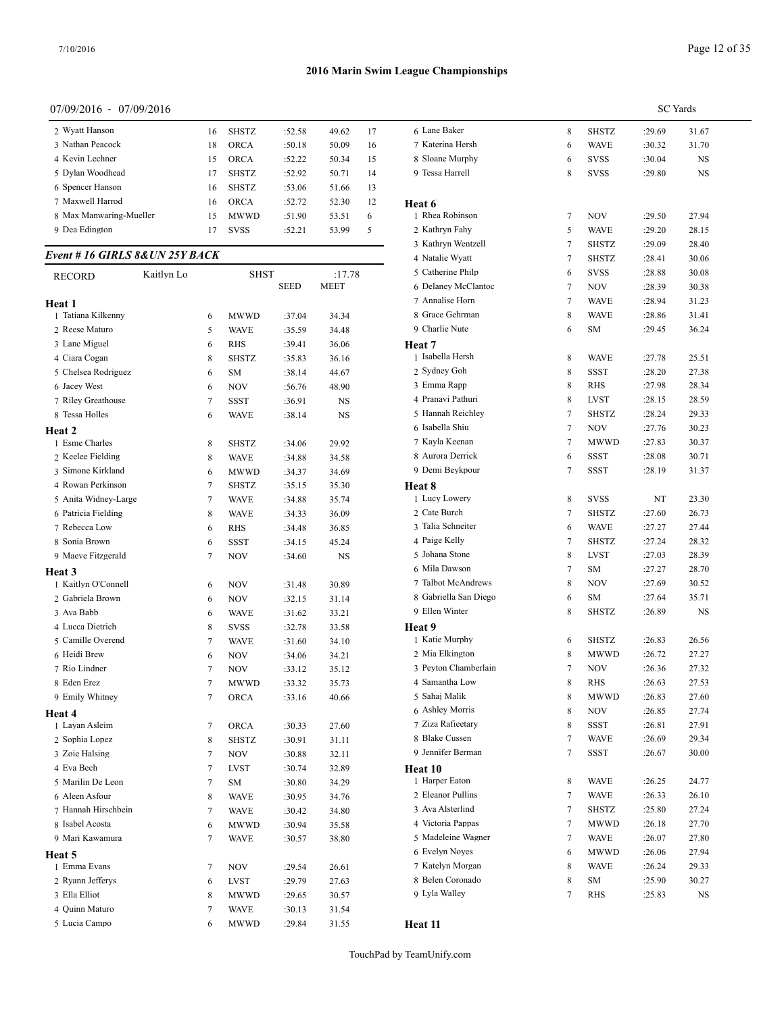# 07/09/2016 - 07/09/2016

| 2 Wyatt Hanson          | 16 | <b>SHSTZ</b> | :52.58 | 49.62 | 17 | 6 Lane Baker  |
|-------------------------|----|--------------|--------|-------|----|---------------|
| 3 Nathan Peacock        | 18 | <b>ORCA</b>  | :50.18 | 50.09 | 16 | 7 Katerina H  |
| 4 Kevin Lechner         | 15 | <b>ORCA</b>  | :52.22 | 50.34 | 15 | 8 Sloane Mu   |
| 5 Dylan Woodhead        | 17 | <b>SHSTZ</b> | :52.92 | 50.71 | 14 | 9 Tessa Harro |
| 6 Spencer Hanson        | 16 | <b>SHSTZ</b> | :53.06 | 51.66 | 13 |               |
| 7 Maxwell Harrod        | 16 | <b>ORCA</b>  | :52.72 | 52.30 | 12 | Heat 6        |
| 8 Max Manwaring-Mueller | 15 | <b>MWWD</b>  | :51.90 | 53.51 | 6  | 1 Rhea Robin  |
| 9 Dea Edington          | 17 | <b>SVSS</b>  | :52.21 | 53.99 | 5  | 2 Kathryn Fa  |
|                         |    |              |        |       |    |               |

# *Event # 16 GIRLS 8&UN 25Y BACK*

| RECORD               | Kaitlyn Lo     | <b>SHST</b>  |             | :17.78      | 5 Catherine Philp     |
|----------------------|----------------|--------------|-------------|-------------|-----------------------|
|                      |                |              | <b>SEED</b> | <b>MEET</b> | 6 Delaney McClantoc   |
| Heat 1               |                |              |             |             | 7 Annalise Horn       |
| 1 Tatiana Kilkenny   | 6              | <b>MWWD</b>  | :37.04      | 34.34       | 8 Grace Gehrman       |
| 2 Reese Maturo       | 5              | <b>WAVE</b>  | :35.59      | 34.48       | 9 Charlie Nute        |
| 3 Lane Miguel        | 6              | <b>RHS</b>   | :39.41      | 36.06       | Heat 7                |
| 4 Ciara Cogan        | 8              | <b>SHSTZ</b> | :35.83      | 36.16       | 1 Isabella Hersh      |
| 5 Chelsea Rodriguez  | 6              | <b>SM</b>    | :38.14      | 44.67       | 2 Sydney Goh          |
| 6 Jacey West         | 6              | <b>NOV</b>   | :56.76      | 48.90       | 3 Emma Rapp           |
| 7 Riley Greathouse   | $\overline{7}$ | SSST         | :36.91      | NS          | 4 Pranavi Pathuri     |
| 8 Tessa Holles       | 6              | <b>WAVE</b>  | :38.14      | <b>NS</b>   | 5 Hannah Reichley     |
| Heat 2               |                |              |             |             | 6 Isabella Shiu       |
| 1 Esme Charles       | 8              | <b>SHSTZ</b> | :34.06      | 29.92       | 7 Kayla Keenan        |
| 2 Keelee Fielding    | 8              | <b>WAVE</b>  | :34.88      | 34.58       | 8 Aurora Derrick      |
| 3 Simone Kirkland    | 6              | <b>MWWD</b>  | :34.37      | 34.69       | 9 Demi Beykpour       |
| 4 Rowan Perkinson    | $\tau$         | <b>SHSTZ</b> | :35.15      | 35.30       | Heat 8                |
| 5 Anita Widney-Large | $\overline{7}$ | <b>WAVE</b>  | :34.88      | 35.74       | 1 Lucy Lowery         |
| 6 Patricia Fielding  | 8              | <b>WAVE</b>  | :34.33      | 36.09       | 2 Cate Burch          |
| 7 Rebecca Low        | 6              | <b>RHS</b>   | :34.48      | 36.85       | 3 Talia Schneiter     |
| 8 Sonia Brown        | 6              | <b>SSST</b>  | :34.15      | 45.24       | 4 Paige Kelly         |
| 9 Maeve Fitzgerald   | $\tau$         | <b>NOV</b>   | :34.60      | <b>NS</b>   | 5 Johana Stone        |
| Heat 3               |                |              |             |             | 6 Mila Dawson         |
| 1 Kaitlyn O'Connell  | 6              | <b>NOV</b>   | :31.48      | 30.89       | 7 Talbot McAndrews    |
| 2 Gabriela Brown     | 6              | <b>NOV</b>   | :32.15      | 31.14       | 8 Gabriella San Diego |
| 3 Ava Babb           | 6              | <b>WAVE</b>  | :31.62      | 33.21       | 9 Ellen Winter        |
| 4 Lucca Dietrich     | 8              | <b>SVSS</b>  | :32.78      | 33.58       | Heat 9                |
| 5 Camille Overend    | $\tau$         | <b>WAVE</b>  | :31.60      | 34.10       | 1 Katie Murphy        |
| 6 Heidi Brew         | 6              | <b>NOV</b>   | :34.06      | 34.21       | 2 Mia Elkington       |
| 7 Rio Lindner        | $\overline{7}$ | <b>NOV</b>   | :33.12      | 35.12       | 3 Peyton Chamberlain  |
| 8 Eden Erez          | $\tau$         | <b>MWWD</b>  | :33.32      | 35.73       | 4 Samantha Low        |
| 9 Emily Whitney      | $\overline{7}$ | <b>ORCA</b>  | :33.16      | 40.66       | 5 Sahaj Malik         |
| Heat 4               |                |              |             |             | 6 Ashley Morris       |
| 1 Layan Asleim       | 7              | <b>ORCA</b>  | :30.33      | 27.60       | 7 Ziza Rafieetary     |
| 2 Sophia Lopez       | 8              | <b>SHSTZ</b> | :30.91      | 31.11       | 8 Blake Cussen        |
| 3 Zoie Halsing       | $\tau$         | <b>NOV</b>   | :30.88      | 32.11       | 9 Jennifer Berman     |
| 4 Eva Bech           | $\tau$         | <b>LVST</b>  | :30.74      | 32.89       | Heat 10               |
| 5 Marilin De Leon    | $\tau$         | <b>SM</b>    | :30.80      | 34.29       | 1 Harper Eaton        |
| 6 Aleen Asfour       | 8              | <b>WAVE</b>  | :30.95      | 34.76       | 2 Eleanor Pullins     |
| 7 Hannah Hirschbein  | $\tau$         | <b>WAVE</b>  | :30.42      | 34.80       | 3 Ava Alsterlind      |
| 8 Isabel Acosta      | 6              | <b>MWWD</b>  | :30.94      | 35.58       | 4 Victoria Pappas     |
| 9 Mari Kawamura      | $\overline{7}$ | <b>WAVE</b>  | :30.57      | 38.80       | 5 Madeleine Wagner    |
| Heat 5               |                |              |             |             | 6 Evelyn Noyes        |
| 1 Emma Evans         | 7              | <b>NOV</b>   | :29.54      | 26.61       | 7 Katelyn Morgan      |
| 2 Ryann Jefferys     | 6              | <b>LVST</b>  | :29.79      | 27.63       | 8 Belen Coronado      |
| 3 Ella Elliot        | 8              | <b>MWWD</b>  | :29.65      | 30.57       | 9 Lyla Walley         |
| 4 Quinn Maturo       | $\overline{7}$ | <b>WAVE</b>  | :30.13      | 31.54       |                       |
| 5 Lucia Campo        | 6              | <b>MWWD</b>  | :29.84      | 31.55       | Heat 11               |
|                      |                |              |             |             |                       |

| Page 12 of 35 |  |
|---------------|--|
|---------------|--|

|                       |   |              | <b>SC</b> Yards |       |  |  |  |
|-----------------------|---|--------------|-----------------|-------|--|--|--|
| 6 Lane Baker          | 8 | <b>SHSTZ</b> | :29.69          | 31.67 |  |  |  |
| 7 Katerina Hersh      | 6 | <b>WAVE</b>  | :30.32          | 31.70 |  |  |  |
| 8 Sloane Murphy       | 6 | <b>SVSS</b>  | :30.04          | NS    |  |  |  |
| 9 Tessa Harrell       | 8 | <b>SVSS</b>  | :29.80          | NS    |  |  |  |
| Heat 6                |   |              |                 |       |  |  |  |
| 1 Rhea Robinson       | 7 | NOV          | :29.50          | 27.94 |  |  |  |
| 2 Kathryn Fahy        | 5 | <b>WAVE</b>  | :29.20          | 28.15 |  |  |  |
| 3 Kathryn Wentzell    | 7 | SHSTZ        | :29.09          | 28.40 |  |  |  |
| 4 Natalie Wyatt       | 7 | <b>SHSTZ</b> | :28.41          | 30.06 |  |  |  |
| 5 Catherine Philp     | 6 | <b>SVSS</b>  | :28.88          | 30.08 |  |  |  |
| 6 Delaney McClantoc   | 7 | NOV          | :28.39          | 30.38 |  |  |  |
| 7 Annalise Horn       | 7 | WAVE         | :28.94          | 31.23 |  |  |  |
| 8 Grace Gehrman       | 8 | <b>WAVE</b>  | :28.86          | 31.41 |  |  |  |
| 9 Charlie Nute        | 6 | SM           | :29.45          | 36.24 |  |  |  |
| Heat 7                |   |              |                 |       |  |  |  |
| 1 Isabella Hersh      | 8 | <b>WAVE</b>  | :27.78          | 25.51 |  |  |  |
| 2 Sydney Goh          | 8 | <b>SSST</b>  | :28.20          | 27.38 |  |  |  |
| 3 Emma Rapp           | 8 | RHS          | :27.98          | 28.34 |  |  |  |
| 4 Pranavi Pathuri     | 8 | LVST         | :28.15          | 28.59 |  |  |  |
| 5 Hannah Reichley     | 7 | <b>SHSTZ</b> | :28.24          | 29.33 |  |  |  |
| 6 Isabella Shiu       | 7 | NOV          | :27.76          | 30.23 |  |  |  |
| 7 Kayla Keenan        | 7 | <b>MWWD</b>  | :27.83          | 30.37 |  |  |  |
| 8 Aurora Derrick      | 6 | SSST         | :28.08          | 30.71 |  |  |  |
| 9 Demi Beykpour       | 7 | SSST         | :28.19          | 31.37 |  |  |  |
| <b>Heat 8</b>         |   |              |                 |       |  |  |  |
| 1 Lucy Lowery         | 8 | <b>SVSS</b>  | NT              | 23.30 |  |  |  |
| 2 Cate Burch          | 7 | SHSTZ        | :27.60          | 26.73 |  |  |  |
| 3 Talia Schneiter     | 6 | <b>WAVE</b>  | :27.27          | 27.44 |  |  |  |
| 4 Paige Kelly         | 7 | <b>SHSTZ</b> | :27.24          | 28.32 |  |  |  |
| 5 Johana Stone        | 8 | <b>LVST</b>  | :27.03          | 28.39 |  |  |  |
| 6 Mila Dawson         | 7 | SM           | :27.27          | 28.70 |  |  |  |
| 7 Talbot McAndrews    | 8 | <b>NOV</b>   | :27.69          | 30.52 |  |  |  |
| 8 Gabriella San Diego | 6 | SM           | :27.64          | 35.71 |  |  |  |
| 9 Ellen Winter        | 8 | <b>SHSTZ</b> | :26.89          | NS    |  |  |  |
| Heat 9                |   |              |                 |       |  |  |  |
| 1 Katie Murphy        | 6 | SHSTZ        | :26.83          | 26.56 |  |  |  |
| 2 Mia Elkington       | 8 | MWWD         | :26.72          | 27.27 |  |  |  |
| 3 Peyton Chamberlain  | 7 | NOV          | :26.36          | 27.32 |  |  |  |
| 4 Samantha Low        | 8 | RHS          | :26.63          | 27.53 |  |  |  |
| 5 Sahaj Malik         | 8 | MWWD         | :26.83          | 27.60 |  |  |  |
| 6 Ashley Morris       | 8 | NOV          | :26.85          | 27.74 |  |  |  |
| 7 Ziza Rafieetary     | 8 | SSST         | :26.81          | 27.91 |  |  |  |
| 8 Blake Cussen        | 7 | WAVE         | :26.69          | 29.34 |  |  |  |
| 9 Jennifer Berman     | 7 | SSST         | :26.67          | 30.00 |  |  |  |
| Heat 10               |   |              |                 |       |  |  |  |
| 1 Harper Eaton        | 8 | WAVE         | :26.25          | 24.77 |  |  |  |
| 2 Eleanor Pullins     | 7 | WAVE         | :26.33          | 26.10 |  |  |  |
| 3 Ava Alsterlind      | 7 | SHSTZ        | :25.80          | 27.24 |  |  |  |
| 4 Victoria Pappas     | 7 | MWWD         | :26.18          | 27.70 |  |  |  |
| 5 Madeleine Wagner    | 7 | WAVE         | :26.07          | 27.80 |  |  |  |
| 6 Evelyn Noyes        | 6 | MWWD         | :26.06          | 27.94 |  |  |  |
| 7 Katelyn Morgan      | 8 | WAVE         | :26.24          | 29.33 |  |  |  |
|                       |   |              |                 |       |  |  |  |
| 8 Belen Coronado      | 8 | ${\rm SM}$   | :25.90          | 30.27 |  |  |  |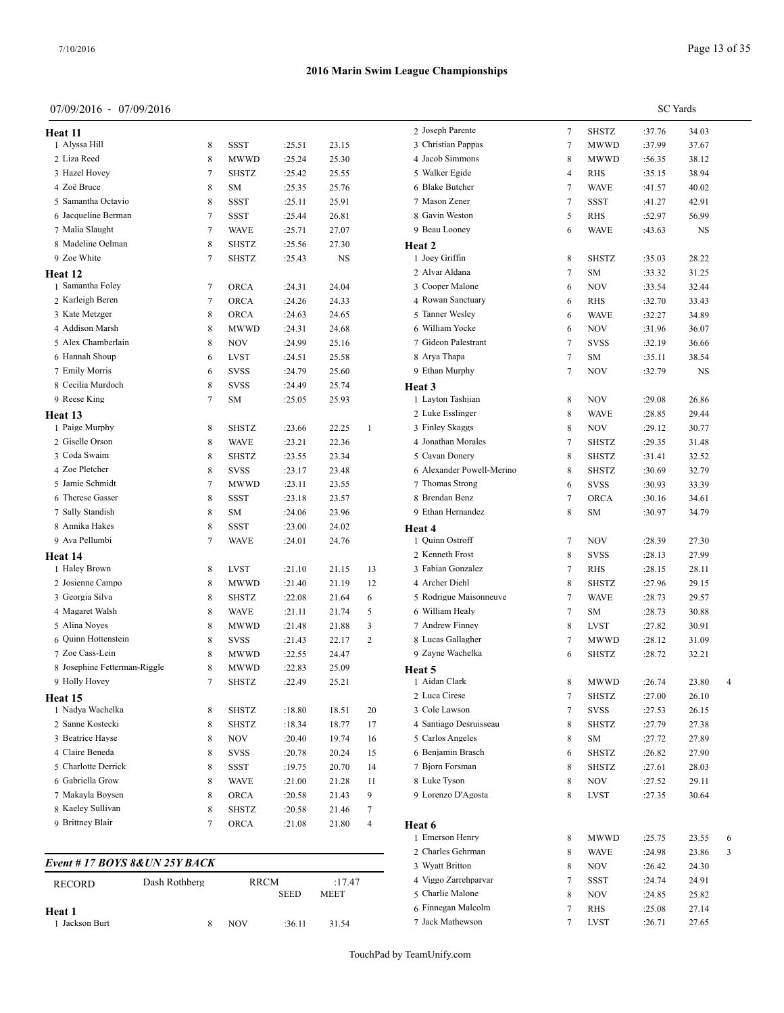**Heat 11** 1 Alyssa Hill 2 Liza Reed 3 Hazel Hovey 4 Zoë Bruce 5 Samantha Octavio 6 Jacqueline Berman 7 Malia Slaught 8 Madeline Oelman 9 Zoe White **Heat 12**

1 Samantha Foley 2 Karleigh Beren 3 Kate Metzger 4 Addison Marsh 5 Alex Chamberlain  $6\,$  Hannah Shoup 7 Emily Morris 8 Cecilia Murdoch 9 Reese King **Heat 13** 1 Paige Murphy 2 Giselle Orson 3 Coda Swaim 4 Zoe Pletcher 5 Jamie Schmidt 6 Therese Gasser 7 Sally Standish 8 Annika Hakes 9 Ava Pellumbi **Heat 14** 1 Haley Brown 2 Josienne Campo 3 Georgia Silva 4 Magaret Walsh 5 Alina Noyes 6 Quinn Hottenstein 7 Zoe Cass-Lein

*Event # 17 BOYS 8&UN 25Y* 

**Heat 1** 1 Jackson Burt

9 Holly Hovey **Heat 15**

#### **2016 Marin Swim League Championships**

| 07/09/2016 - 07/09/2016      |                |              |             |             |                |                             |   |              |        | <b>SC</b> Yards |                |
|------------------------------|----------------|--------------|-------------|-------------|----------------|-----------------------------|---|--------------|--------|-----------------|----------------|
| eat 11                       |                |              |             |             |                | 2 Joseph Parente            | 7 | <b>SHSTZ</b> | :37.76 | 34.03           |                |
| 1 Alyssa Hill                | 8              | <b>SSST</b>  | :25.51      | 23.15       |                | 3 Christian Pappas          | 7 | <b>MWWD</b>  | :37.99 | 37.67           |                |
| 2 Liza Reed                  | 8              | <b>MWWD</b>  | :25.24      | 25.30       |                | 4 Jacob Simmons             | 8 | <b>MWWD</b>  | :56.35 | 38.12           |                |
| 3 Hazel Hovey                | 7              | <b>SHSTZ</b> | :25.42      | 25.55       |                | 5 Walker Egide              | 4 | RHS          | :35.15 | 38.94           |                |
| 4 Zoë Bruce                  | 8              | SΜ           | :25.35      | 25.76       |                | 6 Blake Butcher             | 7 | WAVE         | :41.57 | 40.02           |                |
| 5 Samantha Octavio           | 8              | <b>SSST</b>  | :25.11      | 25.91       |                | 7 Mason Zener               | 7 | <b>SSST</b>  | :41.27 | 42.91           |                |
| 6 Jacqueline Berman          | 7              | <b>SSST</b>  | :25.44      | 26.81       |                | 8 Gavin Weston              | 5 | RHS          | :52.97 | 56.99           |                |
| 7 Malia Slaught              | $\overline{7}$ | <b>WAVE</b>  | :25.71      | 27.07       |                | 9 Beau Looney               | 6 | WAVE         | :43.63 | NS              |                |
| 8 Madeline Oelman            | 8              | <b>SHSTZ</b> | :25.56      | 27.30       |                | Heat 2                      |   |              |        |                 |                |
| 9 Zoe White                  | 7              | <b>SHSTZ</b> | :25.43      | NS          |                | 1 Joey Griffin              | 8 | <b>SHSTZ</b> | :35.03 | 28.22           |                |
| eat 12                       |                |              |             |             |                | 2 Alvar Aldana              | 7 | <b>SM</b>    | :33.32 | 31.25           |                |
| 1 Samantha Foley             | 7              | <b>ORCA</b>  | :24.31      | 24.04       |                | 3 Cooper Malone             | 6 | <b>NOV</b>   | :33.54 | 32.44           |                |
| 2 Karleigh Beren             | 7              | ORCA         | :24.26      | 24.33       |                | 4 Rowan Sanctuary           | 6 | <b>RHS</b>   | :32.70 | 33.43           |                |
| 3 Kate Metzger               | 8              | ORCA         | :24.63      | 24.65       |                | 5 Tanner Wesley             | 6 | WAVE         | :32.27 | 34.89           |                |
| 4 Addison Marsh              | 8              | <b>MWWD</b>  | :24.31      | 24.68       |                | 6 William Yocke             | 6 | <b>NOV</b>   | :31.96 | 36.07           |                |
| 5 Alex Chamberlain           | 8              | <b>NOV</b>   | :24.99      | 25.16       |                | 7 Gideon Palestrant         | 7 | <b>SVSS</b>  | :32.19 | 36.66           |                |
| 6 Hannah Shoup               | 6              | <b>LVST</b>  | :24.51      | 25.58       |                | 8 Arya Thapa                | 7 | SΜ           | :35.11 | 38.54           |                |
| 7 Emily Morris               | 6              | <b>SVSS</b>  | :24.79      | 25.60       |                | 9 Ethan Murphy              | 7 | <b>NOV</b>   | :32.79 | NS              |                |
| 8 Cecilia Murdoch            | 8              | <b>SVSS</b>  | :24.49      | 25.74       |                |                             |   |              |        |                 |                |
| 9 Reese King                 | 7              | <b>SM</b>    |             | 25.93       |                | Heat 3<br>1 Layton Tashjian |   |              |        |                 |                |
|                              |                |              | :25.05      |             |                | 2 Luke Esslinger            | 8 | NOV          | :29.08 | 26.86           |                |
| eat 13                       |                |              |             |             |                |                             | 8 | <b>WAVE</b>  | :28.85 | 29.44           |                |
| 1 Paige Murphy               | 8              | SHSTZ        | :23.66      | 22.25       | 1              | 3 Finley Skaggs             | 8 | <b>NOV</b>   | :29.12 | 30.77           |                |
| 2 Giselle Orson              | 8              | <b>WAVE</b>  | :23.21      | 22.36       |                | 4 Jonathan Morales          | 7 | <b>SHSTZ</b> | :29.35 | 31.48           |                |
| 3 Coda Swaim                 | 8              | SHSTZ        | :23.55      | 23.34       |                | 5 Cavan Donery              | 8 | <b>SHSTZ</b> | :31.41 | 32.52           |                |
| 4 Zoe Pletcher               | 8              | <b>SVSS</b>  | :23.17      | 23.48       |                | 6 Alexander Powell-Merino   | 8 | <b>SHSTZ</b> | :30.69 | 32.79           |                |
| 5 Jamie Schmidt              | 7              | <b>MWWD</b>  | :23.11      | 23.55       |                | 7 Thomas Strong             | 6 | <b>SVSS</b>  | :30.93 | 33.39           |                |
| 6 Therese Gasser             | 8              | SSST         | :23.18      | 23.57       |                | 8 Brendan Benz              | 7 | <b>ORCA</b>  | :30.16 | 34.61           |                |
| 7 Sally Standish             | 8              | SΜ           | :24.06      | 23.96       |                | 9 Ethan Hernandez           | 8 | SM           | :30.97 | 34.79           |                |
| 8 Annika Hakes               | 8              | <b>SSST</b>  | :23.00      | 24.02       |                | Heat 4                      |   |              |        |                 |                |
| 9 Ava Pellumbi               | 7              | <b>WAVE</b>  | :24.01      | 24.76       |                | 1 Quinn Ostroff             | 7 | <b>NOV</b>   | :28.39 | 27.30           |                |
| eat 14                       |                |              |             |             |                | 2 Kenneth Frost             | 8 | <b>SVSS</b>  | :28.13 | 27.99           |                |
| 1 Haley Brown                | 8              | <b>LVST</b>  | :21.10      | 21.15       | 13             | 3 Fabian Gonzalez           | 7 | <b>RHS</b>   | :28.15 | 28.11           |                |
| 2 Josienne Campo             | 8              | <b>MWWD</b>  | :21.40      | 21.19       | 12             | 4 Archer Diehl              | 8 | <b>SHSTZ</b> | :27.96 | 29.15           |                |
| 3 Georgia Silva              | 8              | SHSTZ        | :22.08      | 21.64       | 6              | 5 Rodrigue Maisonneuve      | 7 | <b>WAVE</b>  | :28.73 | 29.57           |                |
| 4 Magaret Walsh              | 8              | <b>WAVE</b>  | :21.11      | 21.74       | 5              | 6 William Healy             | 7 | SM           | :28.73 | 30.88           |                |
| 5 Alina Noyes                | 8              | <b>MWWD</b>  | :21.48      | 21.88       | 3              | 7 Andrew Finney             | 8 | LVST         | :27.82 | 30.91           |                |
| 6 Quinn Hottenstein          | 8              | <b>SVSS</b>  | :21.43      | 22.17       | 2              | 8 Lucas Gallagher           | 7 | <b>MWWD</b>  | :28.12 | 31.09           |                |
| 7 Zoe Cass-Lein              | 8              | <b>MWWD</b>  | :22.55      | 24.47       |                | 9 Zayne Wachelka            | 6 | <b>SHSTZ</b> | :28.72 | 32.21           |                |
| 8 Josephine Fetterman-Riggle | 8              | <b>MWWD</b>  | :22.83      | 25.09       |                | Heat 5                      |   |              |        |                 |                |
| 9 Holly Hovey                | 7              | SHSTZ        | :22.49      | 25.21       |                | 1 Aidan Clark               | 8 | <b>MWWD</b>  | :26.74 | 23.80           | $\overline{4}$ |
| eat 15                       |                |              |             |             |                | 2 Luca Cirese               | 7 | SHSTZ        | :27.00 | 26.10           |                |
| 1 Nadya Wachelka             | 8              | SHSTZ        | :18.80      | 18.51       | 20             | 3 Cole Lawson               | 7 | SVSS         | :27.53 | 26.15           |                |
| 2 Sanne Kostecki             | 8              | <b>SHSTZ</b> | :18.34      | 18.77       | 17             | 4 Santiago Desruisseau      | 8 | <b>SHSTZ</b> | :27.79 | 27.38           |                |
| 3 Beatrice Hayse             | 8              | <b>NOV</b>   | :20.40      | 19.74       | 16             | 5 Carlos Angeles            | 8 | SM           | :27.72 | 27.89           |                |
| 4 Claire Beneda              | 8              | <b>SVSS</b>  | :20.78      | 20.24       | 15             | 6 Benjamin Brasch           | 6 | <b>SHSTZ</b> | :26.82 | 27.90           |                |
| 5 Charlotte Derrick          | 8              | <b>SSST</b>  | :19.75      | 20.70       | 14             | 7 Bjorn Forsman             | 8 | <b>SHSTZ</b> | :27.61 | 28.03           |                |
| 6 Gabriella Grow             | 8              | <b>WAVE</b>  | :21.00      | 21.28       | 11             | 8 Luke Tyson                | 8 | <b>NOV</b>   | :27.52 | 29.11           |                |
| 7 Makayla Boysen             | 8              | ORCA         | :20.58      | 21.43       | 9              | 9 Lorenzo D'Agosta          | 8 | <b>LVST</b>  | :27.35 | 30.64           |                |
| 8 Kaeley Sullivan            | 8              | SHSTZ        | :20.58      | 21.46       | 7              |                             |   |              |        |                 |                |
| 9 Brittney Blair             | 7              | <b>ORCA</b>  | :21.08      | 21.80       | $\overline{4}$ | Heat 6                      |   |              |        |                 |                |
|                              |                |              |             |             |                | 1 Emerson Henry             | 8 | <b>MWWD</b>  | :25.75 | 23.55           | 6              |
|                              |                |              |             |             |                | 2 Charles Gehrman           | 8 | <b>WAVE</b>  | :24.98 | 23.86           | 3              |
| vent # 17 BOYS 8&UN 25Y BACK |                |              |             |             |                | 3 Wyatt Britton             | 8 | <b>NOV</b>   | :26.42 | 24.30           |                |
| Dash Rothberg                |                | <b>RRCM</b>  |             | :17.47      |                | 4 Viggo Zarrehparvar        | 7 | SSST         | :24.74 | 24.91           |                |
| <b>RECORD</b>                |                |              | <b>SEED</b> | <b>MEET</b> |                | 5 Charlie Malone            | 8 | <b>NOV</b>   | :24.85 | 25.82           |                |
|                              |                |              |             |             |                | 6 Finnegan Malcolm          | 7 | RHS          | :25.08 | 27.14           |                |
| eat 1<br>1 Jackson Burt      | 8              | <b>NOV</b>   | :36.11      | 31.54       |                | 7 Jack Mathewson            | 7 | <b>LVST</b>  | :26.71 | 27.65           |                |
|                              |                |              |             |             |                |                             |   |              |        |                 |                |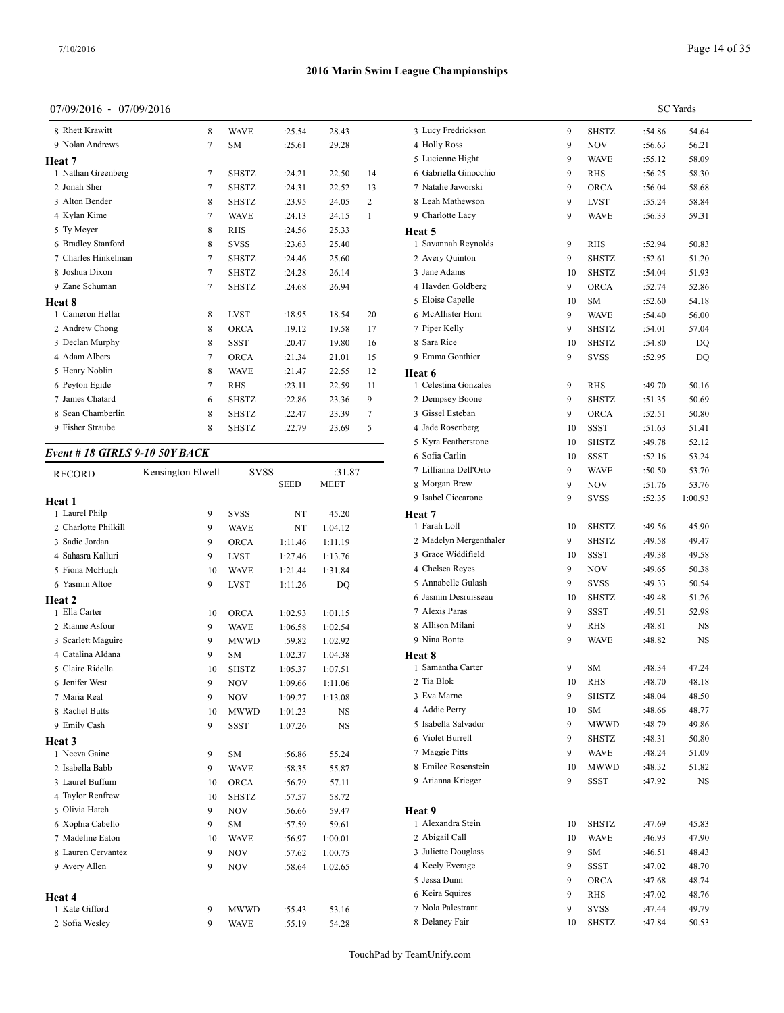## 07/09/2016 - 07/09/2016

| 8 Rhett Krawitt     | 8      | <b>WAVE</b>  | :25.54  | 28.43 |                | 3 Lucy Fredr  |
|---------------------|--------|--------------|---------|-------|----------------|---------------|
| 9 Nolan Andrews     | $\tau$ | <b>SM</b>    | :25.61  | 29.28 |                | 4 Holly Ross  |
| Heat 7              |        |              |         |       |                | 5 Lucienne H  |
| 1 Nathan Greenberg  | 7      | <b>SHSTZ</b> | :24.21  | 22.50 | 14             | 6 Gabriella C |
| 2 Jonah Sher        | 7      | <b>SHSTZ</b> | :24.31  | 22.52 | 13             | 7 Natalie Jaw |
| 3 Alton Bender      | 8      | <b>SHSTZ</b> | :23.95  | 24.05 | 2              | 8 Leah Math   |
| 4 Kylan Kime        | 7      | <b>WAVE</b>  | :24.13  | 24.15 | $\mathbf{1}$   | 9 Charlotte L |
| 5 Ty Meyer          | 8      | <b>RHS</b>   | :24.56  | 25.33 |                | Heat 5        |
| 6 Bradley Stanford  | 8      | <b>SVSS</b>  | :23.63  | 25.40 |                | 1 Savannah I  |
| 7 Charles Hinkelman | 7      | <b>SHSTZ</b> | :24.46  | 25.60 |                | 2 Avery Quir  |
| 8 Joshua Dixon      | 7      | <b>SHSTZ</b> | :24.28  | 26.14 |                | 3 Jane Adam   |
| 9 Zane Schuman      | 7      | <b>SHSTZ</b> | :24.68  | 26.94 |                | 4 Hayden Go   |
| Heat 8              |        |              |         |       |                | 5 Eloise Cap  |
| 1 Cameron Hellar    | 8      | <b>LVST</b>  | :18.95  | 18.54 | 20             | 6 McAllister  |
| 2 Andrew Chong      | 8      | <b>ORCA</b>  | :19.12  | 19.58 | 17             | 7 Piper Kelly |
| 3 Declan Murphy     | 8      | <b>SSST</b>  | :20.47  | 19.80 | 16             | 8 Sara Rice   |
| 4 Adam Albers       | 7      | <b>ORCA</b>  | :21.34  | 21.01 | 15             | 9 Emma Gor    |
| 5 Henry Noblin      | 8      | <b>WAVE</b>  | :21.47  | 22.55 | 12             | Heat 6        |
| 6 Peyton Egide      | 7      | <b>RHS</b>   | : 23.11 | 22.59 | 11             | 1 Celestina C |
| 7 James Chatard     | 6      | <b>SHSTZ</b> | :22.86  | 23.36 | 9              | 2 Dempsey E   |
| 8 Sean Chamberlin   | 8      | <b>SHSTZ</b> | :22.47  | 23.39 | $\overline{7}$ | 3 Gissel Este |
| 9 Fisher Straube    | 8      | <b>SHSTZ</b> | :22.79  | 23.69 | 5              | 4 Jade Rosen  |
|                     |        |              |         |       |                |               |

## *Event # 18 GIRLS 9-10 50Y BACK*

| <b>RECORD</b>        | Kensington Elwell | <b>SVSS</b>  |             | :31.87      | 7 Lillianna Dell' |
|----------------------|-------------------|--------------|-------------|-------------|-------------------|
|                      |                   |              | <b>SEED</b> | <b>MEET</b> | 8 Morgan Brew     |
| Heat 1               |                   |              |             |             | 9 Isabel Ciccaro  |
| 1 Laurel Philp       | 9                 | <b>SVSS</b>  | NT          | 45.20       | Heat 7            |
| 2 Charlotte Philkill | 9                 | <b>WAVE</b>  | NT          | 1:04.12     | 1 Farah Loll      |
| 3 Sadie Jordan       | 9                 | ORCA         | 1:11.46     | 1:11.19     | 2 Madelyn Merg    |
| 4 Sahasra Kalluri    | 9                 | <b>LVST</b>  | 1:27.46     | 1:13.76     | 3 Grace Widdifi   |
| 5 Fiona McHugh       | 10                | <b>WAVE</b>  | 1:21.44     | 1:31.84     | 4 Chelsea Reyes   |
| 6 Yasmin Altoe       | 9                 | <b>LVST</b>  | 1:11.26     | DQ          | 5 Annabelle Gu    |
| Heat 2               |                   |              |             |             | 6 Jasmin Desrui   |
| 1 Ella Carter        | 10                | ORCA         | 1:02.93     | 1:01.15     | 7 Alexis Paras    |
| 2 Rianne Asfour      | 9                 | <b>WAVE</b>  | 1:06.58     | 1:02.54     | 8 Allison Milan   |
| 3 Scarlett Maguire   | 9                 | <b>MWWD</b>  | :59.82      | 1:02.92     | 9 Nina Bonte      |
| 4 Catalina Aldana    | 9                 | <b>SM</b>    | 1:02.37     | 1:04.38     | Heat 8            |
| 5 Claire Ridella     | 10                | <b>SHSTZ</b> | 1:05.37     | 1:07.51     | 1 Samantha Car    |
| 6 Jenifer West       | 9                 | <b>NOV</b>   | 1:09.66     | 1:11.06     | 2 Tia Blok        |
| 7 Maria Real         | 9                 | <b>NOV</b>   | 1:09.27     | 1:13.08     | 3 Eva Marne       |
| 8 Rachel Butts       | 10                | <b>MWWD</b>  | 1:01.23     | NS          | 4 Addie Perry     |
| 9 Emily Cash         | 9                 | <b>SSST</b>  | 1:07.26     | <b>NS</b>   | 5 Isabella Salva  |
| Heat 3               |                   |              |             |             | 6 Violet Burrell  |
| 1 Neeva Gaine        | 9                 | SM           | :56.86      | 55.24       | 7 Maggie Pitts    |
| 2 Isabella Babb      | 9                 | <b>WAVE</b>  | :58.35      | 55.87       | 8 Emilee Rosen:   |
| 3 Laurel Buffum      | 10                | ORCA         | :56.79      | 57.11       | 9 Arianna Krieg   |
| 4 Taylor Renfrew     | 10                | <b>SHSTZ</b> | :57.57      | 58.72       |                   |
| 5 Olivia Hatch       | 9                 | <b>NOV</b>   | :56.66      | 59.47       | Heat 9            |
| 6 Xophia Cabello     | 9                 | <b>SM</b>    | :57.59      | 59.61       | 1 Alexandra Ste   |
| 7 Madeline Eaton     | 10                | <b>WAVE</b>  | :56.97      | 1:00.01     | 2 Abigail Call    |
| 8 Lauren Cervantez   | 9                 | <b>NOV</b>   | :57.62      | 1:00.75     | 3 Juliette Dougl  |
| 9 Avery Allen        | 9                 | NOV          | :58.64      | 1:02.65     | 4 Keely Everage   |
|                      |                   |              |             |             | 5 Jessa Dunn      |
| Heat 4               |                   |              |             |             | 6 Keira Squires   |
| 1 Kate Gifford       | 9                 | <b>MWWD</b>  | :55.43      | 53.16       | 7 Nola Palestrar  |
| 2 Sofia Wesley       | 9                 | <b>WAVE</b>  | :55.19      | 54.28       | 8 Delaney Fair    |
|                      |                   |              |             |             |                   |

|                                         |        |                           |                  | <b>SC</b> Yards  |
|-----------------------------------------|--------|---------------------------|------------------|------------------|
| 3 Lucy Fredrickson                      | 9      | <b>SHSTZ</b>              | :54.86           | 54.64            |
| 4 Holly Ross                            | 9      | <b>NOV</b>                | :56.63           | 56.21            |
| 5 Lucienne Hight                        | 9      | <b>WAVE</b>               | :55.12           | 58.09            |
| 6 Gabriella Ginocchio                   | 9      | <b>RHS</b>                | :56.25           | 58.30            |
| 7 Natalie Jaworski                      | 9      | <b>ORCA</b>               | :56.04           | 58.68            |
| 8 Leah Mathewson                        | 9      | LVST                      | :55.24           | 58.84            |
| 9 Charlotte Lacy                        | 9      | WAVE                      | :56.33           | 59.31            |
| Heat 5                                  |        |                           |                  |                  |
| 1 Savannah Reynolds                     | 9      | RHS                       | :52.94           | 50.83            |
| 2 Avery Quinton                         | 9      | <b>SHSTZ</b>              | :52.61           | 51.20            |
| 3 Jane Adams                            | 10     | <b>SHSTZ</b>              | :54.04           | 51.93            |
| 4 Hayden Goldberg                       | 9      | <b>ORCA</b>               | :52.74           | 52.86            |
| 5 Eloise Capelle                        | 10     | <b>SM</b>                 | :52.60           | 54.18            |
| 6 McAllister Horn                       | 9      | <b>WAVE</b>               | :54.40           | 56.00            |
| 7 Piper Kelly                           | 9      | <b>SHSTZ</b>              | :54.01           | 57.04            |
| 8 Sara Rice                             | 10     | <b>SHSTZ</b>              | :54.80           | DQ               |
| 9 Emma Gonthier                         | 9      | <b>SVSS</b>               | :52.95           | DQ               |
| Heat 6                                  |        |                           |                  |                  |
| 1 Celestina Gonzales                    | 9      | <b>RHS</b>                | :49.70           | 50.16            |
| 2 Dempsey Boone                         | 9      | <b>SHSTZ</b>              | :51.35           | 50.69            |
| 3 Gissel Esteban                        | 9      | <b>ORCA</b>               | :52.51           | 50.80            |
| 4 Jade Rosenberg                        | 10     | SSST                      | :51.63           | 51.41            |
| 5 Kyra Featherstone                     | 10     | <b>SHSTZ</b>              | :49.78           | 52.12            |
| 6 Sofia Carlin<br>7 Lillianna Dell'Orto | 10     | SSST                      | :52.16           | 53.24            |
| 8 Morgan Brew                           | 9      | <b>WAVE</b>               | :50.50           | 53.70            |
| 9 Isabel Ciccarone                      | 9<br>9 | <b>NOV</b><br><b>SVSS</b> | :51.76<br>:52.35 | 53.76<br>1:00.93 |
|                                         |        |                           |                  |                  |
| Heat 7<br>1 Farah Loll                  | 10     | <b>SHSTZ</b>              | :49.56           | 45.90            |
| 2 Madelyn Mergenthaler                  | 9      | <b>SHSTZ</b>              | :49.58           | 49.47            |
| 3 Grace Widdifield                      | 10     | SSST                      | :49.38           | 49.58            |
| 4 Chelsea Reyes                         | 9      | NOV                       | :49.65           | 50.38            |
| 5 Annabelle Gulash                      | 9      | <b>SVSS</b>               | :49.33           | 50.54            |
| 6 Jasmin Desruisseau                    | 10     | <b>SHSTZ</b>              | :49.48           | 51.26            |
| 7 Alexis Paras                          | 9      | SSST                      | :49.51           | 52.98            |
| 8 Allison Milani                        | 9      | RHS                       | :48.81           | NS               |
| 9 Nina Bonte                            | 9      | WAVE                      | :48.82           | NS               |
| <b>Heat 8</b>                           |        |                           |                  |                  |
| 1 Samantha Carter                       | 9      | <b>SM</b>                 | :48.34           | 47.24            |
| 2 Tia Blok                              | 10     | RHS                       | :48.70           | 48.18            |
| 3 Eva Marne                             | 9      | <b>SHSTZ</b>              | :48.04           | 48.50            |
| 4 Addie Perry                           | 10     | SM                        | :48.66           | 48.77            |
| 5 Isabella Salvador                     | 9      | MWWD                      | :48.79           | 49.86            |
| 6 Violet Burrell                        | 9      | <b>SHSTZ</b>              | :48.31           | 50.80            |
| 7 Maggie Pitts                          | 9      | <b>WAVE</b>               | :48.24           | 51.09            |
| 8 Emilee Rosenstein                     | 10     | <b>MWWD</b>               | :48.32           | 51.82            |
| 9 Arianna Krieger                       | 9      | <b>SSST</b>               | :47.92           | NS               |
|                                         |        |                           |                  |                  |
| Heat 9                                  |        |                           |                  |                  |
| 1 Alexandra Stein                       | 10     | SHSTZ                     | :47.69           | 45.83            |
| 2 Abigail Call                          | 10     | <b>WAVE</b>               | :46.93           | 47.90            |
| 3 Juliette Douglass                     | 9      | SM                        | :46.51           | 48.43            |
| 4 Keely Everage                         | 9      | SSST                      | :47.02           | 48.70            |
| 5 Jessa Dunn                            | 9      | ORCA                      | :47.68           | 48.74            |
| 6 Keira Squires                         | 9      | RHS                       | :47.02           | 48.76            |
| 7 Nola Palestrant<br>8 Delaney Fair     | 9      | SVSS                      | :47.44           | 49.79            |
|                                         | 10     | SHSTZ                     | :47.84           | 50.53            |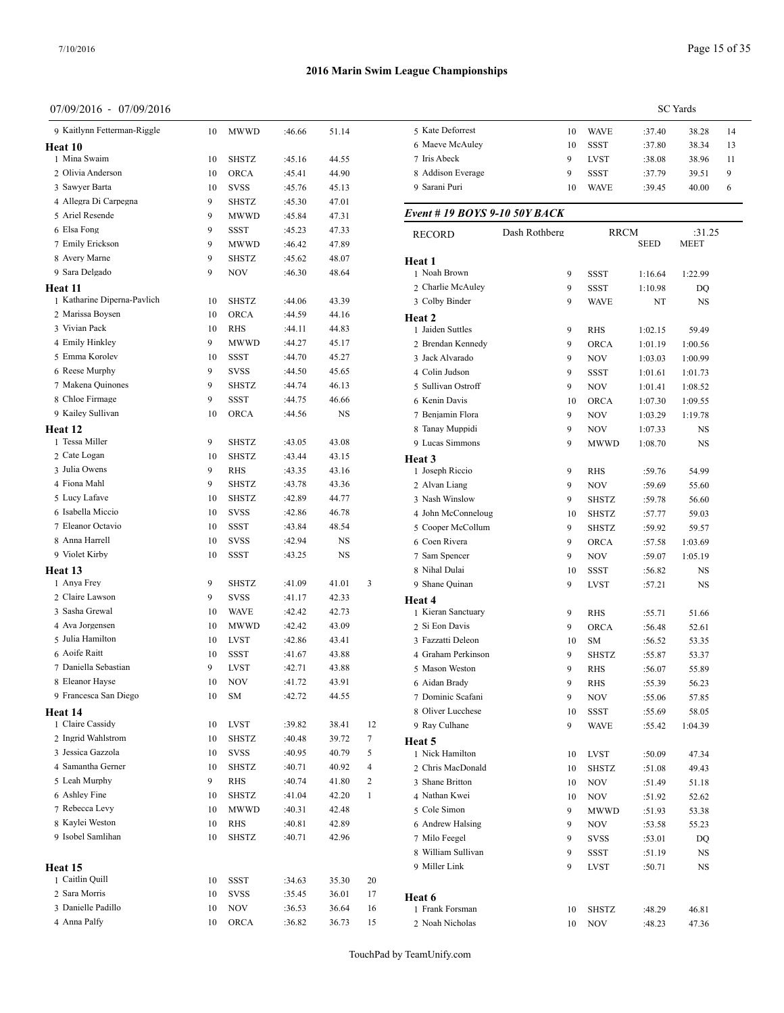**Heat 11**

**Heat 12**

**Heat 13**

**Heat 14**

**Heat 15**

#### **2016 Marin Swim League Championships**

#### 07/09/2016 - 07/09/2016

| 07/09/2016 - 07/09/2016           |    |              |        |       |                |                               |               |              |                  | <b>SC</b> Yards |    |
|-----------------------------------|----|--------------|--------|-------|----------------|-------------------------------|---------------|--------------|------------------|-----------------|----|
| 9 Kaitlynn Fetterman-Riggle       | 10 | MWWD         | :46.66 | 51.14 |                | 5 Kate Deforrest              | 10            | <b>WAVE</b>  | :37.40           | 38.28           | 14 |
| leat 10                           |    |              |        |       |                | 6 Maeve McAuley               | 10            | SSST         | :37.80           | 38.34           | 13 |
| 1 Mina Swaim                      | 10 | <b>SHSTZ</b> | :45.16 | 44.55 |                | 7 Iris Abeck                  | 9             | <b>LVST</b>  | :38.08           | 38.96           | 11 |
| 2 Olivia Anderson                 | 10 | <b>ORCA</b>  | :45.41 | 44.90 |                | 8 Addison Everage             | 9             | <b>SSST</b>  | :37.79           | 39.51           | 9  |
| 3 Sawyer Barta                    | 10 | <b>SVSS</b>  | :45.76 | 45.13 |                | 9 Sarani Puri                 | 10            | <b>WAVE</b>  | :39.45           | 40.00           | 6  |
| 4 Allegra Di Carpegna             | 9  | <b>SHSTZ</b> | :45.30 | 47.01 |                |                               |               |              |                  |                 |    |
| 5 Ariel Resende                   | 9  | <b>MWWD</b>  | :45.84 | 47.31 |                | Event # 19 BOYS 9-10 50Y BACK |               |              |                  |                 |    |
| 6 Elsa Fong                       | 9  | SSST         | :45.23 | 47.33 |                | <b>RECORD</b>                 | Dash Rothberg | <b>RRCM</b>  |                  | :31.25          |    |
| 7 Emily Erickson                  | 9  | <b>MWWD</b>  | :46.42 | 47.89 |                |                               |               |              | <b>SEED</b>      | <b>MEET</b>     |    |
| 8 Avery Marne                     | 9  | SHSTZ        | :45.62 | 48.07 |                | Heat 1                        |               |              |                  |                 |    |
| 9 Sara Delgado                    | 9  | <b>NOV</b>   | :46.30 | 48.64 |                | 1 Noah Brown                  | 9             | SSST         | 1:16.64          | 1:22.99         |    |
| leat 11                           |    |              |        |       |                | 2 Charlie McAuley             | 9             | <b>SSST</b>  | 1:10.98          | DQ              |    |
| 1 Katharine Diperna-Pavlich       | 10 | <b>SHSTZ</b> | :44.06 | 43.39 |                | 3 Colby Binder                | 9             | <b>WAVE</b>  | NT               | <b>NS</b>       |    |
| 2 Marissa Boysen                  | 10 | <b>ORCA</b>  | :44.59 | 44.16 |                | Heat 2                        |               |              |                  |                 |    |
| 3 Vivian Pack                     | 10 | RHS          | :44.11 | 44.83 |                | 1 Jaiden Suttles              | 9             | <b>RHS</b>   | 1:02.15          | 59.49           |    |
| 4 Emily Hinkley                   | 9  | <b>MWWD</b>  | :44.27 | 45.17 |                | 2 Brendan Kennedy             | 9             | <b>ORCA</b>  | 1:01.19          | 1:00.56         |    |
| 5 Emma Korolev                    | 10 | SSST         | :44.70 | 45.27 |                | 3 Jack Alvarado               | 9             | <b>NOV</b>   | 1:03.03          | 1:00.99         |    |
| 6 Reese Murphy                    | 9  | <b>SVSS</b>  | :44.50 | 45.65 |                | 4 Colin Judson                | 9             | <b>SSST</b>  | 1:01.61          | 1:01.73         |    |
| 7 Makena Quinones                 | 9  | <b>SHSTZ</b> | :44.74 | 46.13 |                | 5 Sullivan Ostroff            | 9             | <b>NOV</b>   | 1:01.41          | 1:08.52         |    |
| 8 Chloe Firmage                   | 9  | SSST         | :44.75 | 46.66 |                | 6 Kenin Davis                 | 10            | <b>ORCA</b>  | 1:07.30          | 1:09.55         |    |
| 9 Kailey Sullivan                 | 10 | <b>ORCA</b>  | :44.56 | NS    |                | 7 Benjamin Flora              | 9             | <b>NOV</b>   | 1:03.29          | 1:19.78         |    |
| leat 12                           |    |              |        |       |                | 8 Tanay Muppidi               | 9             | <b>NOV</b>   | 1:07.33          | NS              |    |
| 1 Tessa Miller                    | 9  | <b>SHSTZ</b> | :43.05 | 43.08 |                | 9 Lucas Simmons               | 9             | <b>MWWD</b>  | 1:08.70          | NS              |    |
| 2 Cate Logan                      | 10 | <b>SHSTZ</b> | :43.44 | 43.15 |                |                               |               |              |                  |                 |    |
| 3 Julia Owens                     | 9  | <b>RHS</b>   | :43.35 | 43.16 |                | Heat 3<br>1 Joseph Riccio     | 9             | <b>RHS</b>   |                  |                 |    |
| 4 Fiona Mahl                      | 9  | <b>SHSTZ</b> | :43.78 | 43.36 |                | 2 Alvan Liang                 | 9             | <b>NOV</b>   | :59.76<br>:59.69 | 54.99<br>55.60  |    |
| 5 Lucy Lafave                     | 10 | <b>SHSTZ</b> | :42.89 | 44.77 |                | 3 Nash Winslow                | 9             | <b>SHSTZ</b> | :59.78           | 56.60           |    |
| 6 Isabella Miccio                 | 10 | <b>SVSS</b>  | :42.86 | 46.78 |                | 4 John McConneloug            | 10            | <b>SHSTZ</b> |                  |                 |    |
| 7 Eleanor Octavio                 | 10 | SSST         | :43.84 | 48.54 |                | 5 Cooper McCollum             |               |              | :57.77           | 59.03           |    |
| 8 Anna Harrell                    | 10 | <b>SVSS</b>  | :42.94 | NS    |                | 6 Coen Rivera                 | 9             | <b>SHSTZ</b> | :59.92           | 59.57           |    |
| 9 Violet Kirby                    | 10 | SSST         | :43.25 | NS    |                |                               | 9             | <b>ORCA</b>  | :57.58           | 1:03.69         |    |
|                                   |    |              |        |       |                | 7 Sam Spencer                 | 9             | <b>NOV</b>   | :59.07           | 1:05.19         |    |
| leat 13<br>1 Anya Frey            |    |              |        |       |                | 8 Nihal Dulai                 | 10            | SSST         | :56.82           | NS              |    |
| 2 Claire Lawson                   | 9  | <b>SHSTZ</b> | :41.09 | 41.01 | 3              | 9 Shane Quinan                | 9             | <b>LVST</b>  | :57.21           | NS              |    |
| 3 Sasha Grewal                    | 9  | <b>SVSS</b>  | :41.17 | 42.33 |                | Heat 4                        |               |              |                  |                 |    |
|                                   | 10 | <b>WAVE</b>  | :42.42 | 42.73 |                | 1 Kieran Sanctuary            | 9             | <b>RHS</b>   | :55.71           | 51.66           |    |
| 4 Ava Jorgensen                   | 10 | <b>MWWD</b>  | :42.42 | 43.09 |                | 2 Si Eon Davis                | 9             | <b>ORCA</b>  | :56.48           | 52.61           |    |
| 5 Julia Hamilton<br>6 Aoife Raitt | 10 | <b>LVST</b>  | :42.86 | 43.41 |                | 3 Fazzatti Deleon             | 10            | <b>SM</b>    | :56.52           | 53.35           |    |
|                                   | 10 | <b>SSST</b>  | :41.67 | 43.88 |                | 4 Graham Perkinson            | 9             | <b>SHSTZ</b> | :55.87           | 53.37           |    |
| 7 Daniella Sebastian              | 9  | <b>LVST</b>  | :42.71 | 43.88 |                | 5 Mason Weston                | $\mathbf Q$   | <b>RHS</b>   | :56.07           | 55.89           |    |
| 8 Eleanor Hayse                   | 10 | <b>NOV</b>   | :41.72 | 43.91 |                | 6 Aidan Brady                 | 9             | <b>RHS</b>   | :55.39           | 56.23           |    |
| 9 Francesca San Diego             | 10 | <b>SM</b>    | :42.72 | 44.55 |                | 7 Dominic Scafani             | 9             | <b>NOV</b>   | :55.06           | 57.85           |    |
| leat 14                           |    |              |        |       |                | 8 Oliver Lucchese             | 10            | SSST         | :55.69           | 58.05           |    |
| 1 Claire Cassidy                  | 10 | <b>LVST</b>  | :39.82 | 38.41 | 12             | 9 Ray Culhane                 | 9             | <b>WAVE</b>  | :55.42           | 1:04.39         |    |
| 2 Ingrid Wahlstrom                | 10 | <b>SHSTZ</b> | :40.48 | 39.72 | 7              | Heat 5                        |               |              |                  |                 |    |
| 3 Jessica Gazzola                 | 10 | <b>SVSS</b>  | :40.95 | 40.79 | 5              | 1 Nick Hamilton               | 10            | <b>LVST</b>  | :50.09           | 47.34           |    |
| 4 Samantha Gerner                 | 10 | SHSTZ        | :40.71 | 40.92 | $\overline{4}$ | 2 Chris MacDonald             | 10            | <b>SHSTZ</b> | :51.08           | 49.43           |    |
| 5 Leah Murphy                     | 9  | RHS          | :40.74 | 41.80 | 2              | 3 Shane Britton               | 10            | <b>NOV</b>   | :51.49           | 51.18           |    |
| 6 Ashley Fine                     | 10 | SHSTZ        | :41.04 | 42.20 | $\mathbf{1}$   | 4 Nathan Kwei                 | 10            | <b>NOV</b>   | :51.92           | 52.62           |    |
| 7 Rebecca Levy                    | 10 | <b>MWWD</b>  | :40.31 | 42.48 |                | 5 Cole Simon                  | 9             | <b>MWWD</b>  | :51.93           | 53.38           |    |
| 8 Kaylei Weston                   | 10 | RHS          | :40.81 | 42.89 |                | 6 Andrew Halsing              | 9             | <b>NOV</b>   | :53.58           | 55.23           |    |
| 9 Isobel Samlihan                 | 10 | SHSTZ        | :40.71 | 42.96 |                | 7 Milo Feegel                 | 9             | <b>SVSS</b>  | :53.01           | DQ              |    |
|                                   |    |              |        |       |                | 8 William Sullivan            | 9             | SSST         | :51.19           | NS              |    |
| leat 15                           |    |              |        |       |                | 9 Miller Link                 | 9             | <b>LVST</b>  | :50.71           | NS              |    |
| 1 Caitlin Quill                   | 10 | SSST         | :34.63 | 35.30 | 20             |                               |               |              |                  |                 |    |
| 2 Sara Morris                     | 10 | <b>SVSS</b>  | :35.45 | 36.01 | 17             | Heat 6                        |               |              |                  |                 |    |
| 3 Danielle Padillo                | 10 | <b>NOV</b>   | :36.53 | 36.64 | 16             | 1 Frank Forsman               | 10            | SHSTZ        | :48.29           | 46.81           |    |
| 4 Anna Palfy                      | 10 | ORCA         | :36.82 | 36.73 | 15             | 2 Noah Nicholas               | 10            | <b>NOV</b>   | :48.23           | 47.36           |    |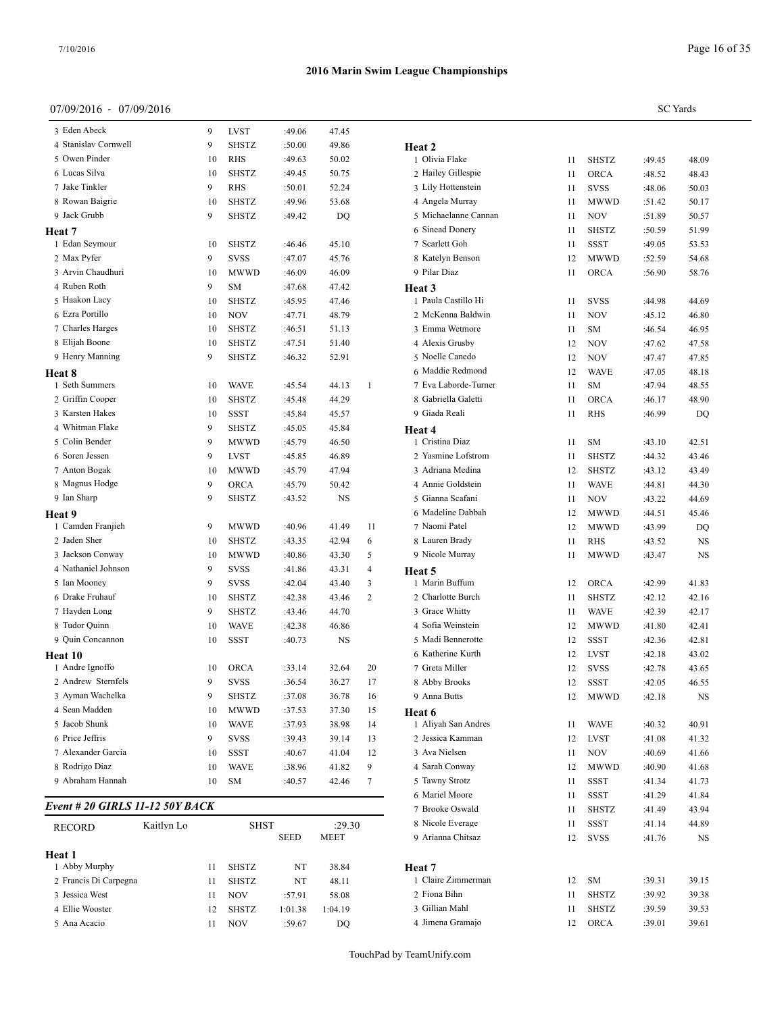**Heat 8**

**Heat 9**

**Heat 10**

#### **2016 Marin Swim League Championships**

4 Stanislav Cornwell 9 SHSTZ :50.00 49.86 5 Owen Pinder 10 RHS :49.63 50.02

8 Rowan Baigrie 10 SHSTZ :49.96 53.68

1 Edan Seymour 10 SHSTZ :46.46 45.10

3 Arvin Chaudhuri 10 MWWD :46.09 46.09

5 Haakon Lacy 10 SHSTZ :45.95 47.46 6 Ezra Portillo 10 NOV :47.71 48.79 7 Charles Harges 10 SHSTZ :46.51 51.13 8 Elijah Boone 10 SHSTZ :47.51 51.40 9 Henry Manning 9 SHSTZ :46.32 52.91

1 Seth Summers 10 WAVE :45.54 44.13 1 2 Griffin Cooper 10 SHSTZ :45.48 44.29

 Jackson Conway 10 MWWD :40.86 43.30 5 Nathaniel Johnson 9 SVSS :41.86 43.31 4 Ian Mooney 9 SVSS :42.04 43.40 3 Drake Fruhauf 10 SHSTZ :42.38 43.46 2 7 Hayden Long 9 SHSTZ :43.46 44.70 Tudor Quinn 10 WAVE :42.38 46.86 9 Quin Concannon 10 SSST :40.73 NS

4 Whitman Flake 9 SHSTZ :45.05 45.84 5 Colin Bender 9 MWWD :45.79 46.50 6 Soren Jessen 9 LVST :45.85 46.89 7 Anton Bogak 10 MWWD :45.79 47.94 8 Magnus Hodge 9 ORCA :45.79 50.42

#### SC Yards 3 Eden Abeck 9 LVST :49.06 47.45 6 Lucas Silva 10 SHSTZ :49.45 50.75 7 Jake Tinkler 9 RHS :50.01 52.24 9 Jack Grubb 9 SHSTZ :49.42 DQ 5 Michaelanne Cannan 11 NOV :51.89 50.57 2 Max Pyfer **9 SVSS** :47.07 45.76 8 Kat 4 Ruben Roth 9 SM :47.68 47.42 **Heat 3** 3 Karsten Hakes 10 SSST :45.84 45.57 9 Giada Reali 9 Ian Sharp 9 SHSTZ :43.52 NS 5 Gianna 1 Camden Franjieh 9 MWWD :40.96 41.49 11 2 Jaden Sher 10 SHSTZ :43.35 42.94 6 8 Lauren Brady 11 RHS :43.52 NS **Heat 2** 1 Olivia Flake 11 SHSTZ :49.45 48.09 2 Hailey Gillespie 11 ORCA :48.52 48.43 3 Lily Hottenstein 11 SVSS :48.06 50.03 4 Angela Murray 11 MWWD :51.42 50.17 6 Sinead Donery 11 SHSTZ :50.59 51.99 7 Scarlett Goh 11 SSST :49.05 53.53 8 Katelyn Benson 12 MWWD :52.59 54.68 9 Pilar Diaz 11 ORCA :56.90 58.76 **Heat 3** 1 Paula Castillo Hi 11 SVSS :44.98 44.69 2 McKenna Baldwin 11 NOV :45.12 46.80 3 Emma Wetmore 11 SM :46.54 46.95 4 Alexis Grusby 12 NOV :47.62 47.58 5 Noelle Canedo 12 NOV :47.47 47.85 6 Maddie Redmond 12 WAVE :47.05 48.18 7 Eva Laborde-Turner 11 SM :47.94 48.55 8 Gabriella Galetti 11 ORCA :46.17 48.90 9 Giada Reali 11 RHS :46.99 DQ **Heat 4** 1 Cristina Diaz 11 SM :43.10 42.51 2 Yasmine Lofstrom 11 SHSTZ :44.32 43.46 3 Adriana Medina 12 SHSTZ :43.12 43.49 4 Annie Goldstein 11 WAVE :44.81 44.30 5 Gianna Scafani 11 NOV :43.22 44.69 6 Madeline Dabbah 12 MWWD :44.51 45.46 7 Naomi Patel 12 MWWD :43.99 DQ 9 Nicole Murray 11 MWWD :43.47 NS **Heat 5** 1 Marin Buffum 12 ORCA :42.99 41.83 2 Charlotte Burch 11 SHSTZ :42.12 42.16 3 Grace Whitty 11 WAVE :42.39 42.17 4 Sofia Weinstein 12 MWWD :41.80 42.41 5 Madi Bennerotte 12 SSST :42.36 42.81 6 Katherine Kurth 12 LVST :42.18 43.02 7 Greta Miller 12 SVSS :42.78 43.65

1 Andre Ignoffo 10 ORCA :33.14 32.64 20 7 Greta Miller 2 Andrew Sternfels 9 SVSS :36.54 36.27 17 3 Ayman Wachelka 9 SHSTZ :37.08 36.78 16 4 Sean Madden 10 MWWD :37.53 37.30 15 5 Jacob Shunk 10 WAVE :37.93 38.98 14 6 Price Jeffris 9 SVSS :39.43 39.14 13 2 Jessica Kamman 12 LVST :41.08 41.32 7 Alexander Garcia 10 SSST :40.67 41.04 12 8 Rodrigo Diaz 10 WAVE :38.96 41.82 9 9 Abraham Hannah 10 SM :40.57 42.46 7 *Event # 20 GIRLS 11-12 50Y BACK* RECORD Kaitlyn Lo SHST :29.30 8 Nicole Ev SEED MEET 9 Arianna

| <b>RECORD</b>         | 11.001 v 111 LV |    | .<br><b>SEED</b> |         | $-1.00$<br><b>MEET</b> | 9 Arianna Chits |  |
|-----------------------|-----------------|----|------------------|---------|------------------------|-----------------|--|
|                       |                 |    |                  |         |                        |                 |  |
| Heat 1                |                 |    |                  |         |                        |                 |  |
| 1 Abby Murphy         |                 | 11 | <b>SHSTZ</b>     | NT      | 38.84                  | Heat 7          |  |
| 2 Francis Di Carpegna |                 | 11 | <b>SHSTZ</b>     | NT      | 48.11                  | 1 Claire Zimmer |  |
| 3 Jessica West        |                 | 11 | <b>NOV</b>       | :57.91  | 58.08                  | 2 Fiona Bihn    |  |
| 4 Ellie Wooster       |                 | 12 | <b>SHSTZ</b>     | 1:01.38 | 1:04.19                | 3 Gillian Mahl  |  |
| 5 Ana Acacio          |                 | 11 | <b>NOV</b>       | :59.67  | DO                     | 4 Jimena Grama  |  |
|                       |                 |    |                  |         |                        |                 |  |

| 8 Nicole Everage   | 11 | SSST         | :41.14 | 44.89 |  |
|--------------------|----|--------------|--------|-------|--|
| 9 Arianna Chitsaz  | 12 | <b>SVSS</b>  | :41.76 | NS    |  |
| Heat 7             |    |              |        |       |  |
| 1 Claire Zimmerman | 12 | SM.          | :39.31 | 39.15 |  |
| 2 Fiona Bihn       | 11 | <b>SHSTZ</b> | :39.92 | 39.38 |  |
| 3 Gillian Mahl     | 11 | <b>SHSTZ</b> | :39.59 | 39.53 |  |
| 4 Jimena Gramajo   | 12 | <b>ORCA</b>  | :39.01 | 39.61 |  |

8 Abby Brooks 12 SSST :42.05 46.55 9 Anna Butts 12 MWWD :42.18 NS

1 Aliyah San Andres 11 WAVE :40.32 40.91

 Ava Nielsen 11 NOV :40.69 41.66 Sarah Conway 12 MWWD :40.90 41.68 Tawny Strotz 11 SSST :41.34 41.73 Mariel Moore 11 SSST :41.29 41.84 7 Brooke Oswald 11 SHSTZ :41.49 43.94

TouchPad by TeamUnify.com

**Heat 6**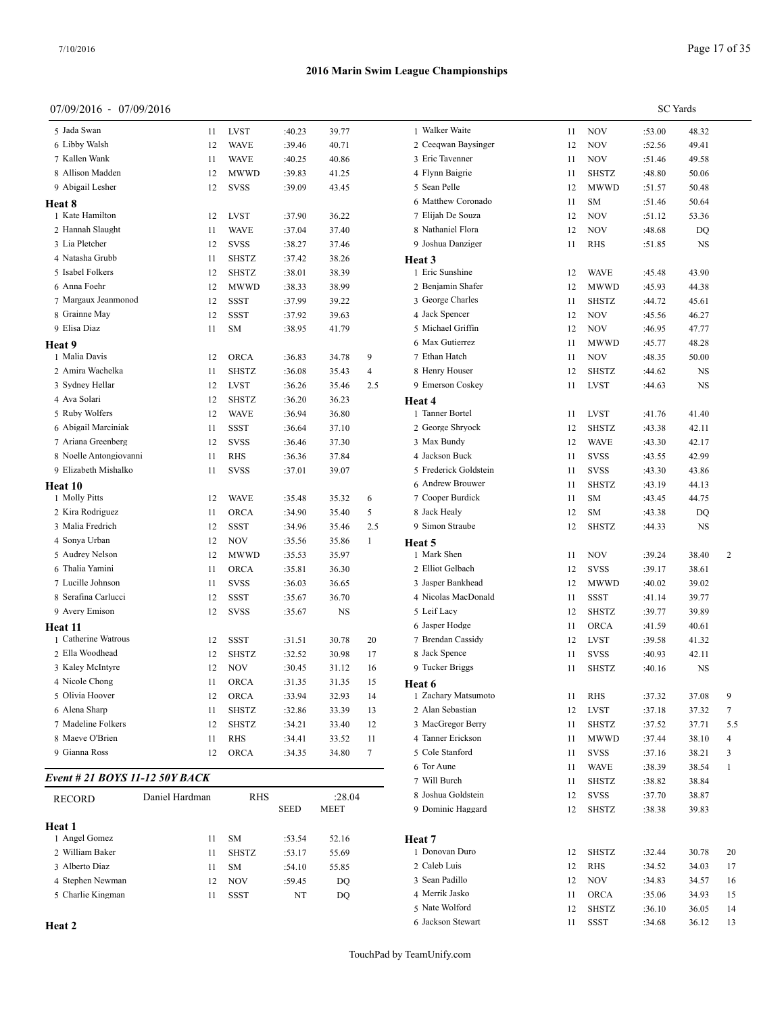## 07/09/2016 - 07/09/2016

| 5 Jada Swan            | 11 | LVST         | :40.23 | 39.77 |     | 1 Walker Wai   |
|------------------------|----|--------------|--------|-------|-----|----------------|
| 6 Libby Walsh          | 12 | <b>WAVE</b>  | :39.46 | 40.71 |     | 2 Ceeqwan B    |
| 7 Kallen Wank          | 11 | <b>WAVE</b>  | :40.25 | 40.86 |     | 3 Eric Tavenr  |
| 8 Allison Madden       | 12 | MWWD         | :39.83 | 41.25 |     | 4 Flynn Baigr  |
| 9 Abigail Lesher       | 12 | <b>SVSS</b>  | :39.09 | 43.45 |     | 5 Sean Pelle   |
| Heat 8                 |    |              |        |       |     | 6 Matthew Co   |
| 1 Kate Hamilton        | 12 | <b>LVST</b>  | :37.90 | 36.22 |     | 7 Elijah De S  |
| 2 Hannah Slaught       | 11 | <b>WAVE</b>  | :37.04 | 37.40 |     | 8 Nathaniel F  |
| 3 Lia Pletcher         | 12 | <b>SVSS</b>  | :38.27 | 37.46 |     | 9 Joshua Dan   |
| 4 Natasha Grubb        | 11 | <b>SHSTZ</b> | :37.42 | 38.26 |     | Heat 3         |
| 5 Isabel Folkers       | 12 | SHSTZ        | :38.01 | 38.39 |     | 1 Eric Sunshi  |
| 6 Anna Foehr           | 12 | MWWD         | :38.33 | 38.99 |     | 2 Benjamin S   |
| 7 Margaux Jeanmonod    | 12 | <b>SSST</b>  | :37.99 | 39.22 |     | 3 George Cha   |
| 8 Grainne May          | 12 | <b>SSST</b>  | :37.92 | 39.63 |     | 4 Jack Spence  |
| 9 Elisa Diaz           | 11 | SM           | :38.95 | 41.79 |     | 5 Michael Gr   |
| Heat 9                 |    |              |        |       |     | 6 Max Gutier   |
| 1 Malia Davis          | 12 | ORCA         | :36.83 | 34.78 | 9   | 7 Ethan Hatcl  |
| 2 Amira Wachelka       | 11 | <b>SHSTZ</b> | :36.08 | 35.43 | 4   | 8 Henry Hous   |
| 3 Sydney Hellar        | 12 | <b>LVST</b>  | :36.26 | 35.46 | 2.5 | 9 Emerson Co   |
| 4 Ava Solari           | 12 | <b>SHSTZ</b> | :36.20 | 36.23 |     | Heat 4         |
| 5 Ruby Wolfers         | 12 | <b>WAVE</b>  | :36.94 | 36.80 |     | 1 Tanner Bort  |
| 6 Abigail Marciniak    | 11 | <b>SSST</b>  | :36.64 | 37.10 |     | 2 George Shr   |
| 7 Ariana Greenberg     | 12 | <b>SVSS</b>  | :36.46 | 37.30 |     | 3 Max Bundy    |
| 8 Noelle Antongiovanni | 11 | <b>RHS</b>   | :36.36 | 37.84 |     | 4 Jackson Bu   |
| 9 Elizabeth Mishalko   | 11 | <b>SVSS</b>  | :37.01 | 39.07 |     | 5 Frederick G  |
| Heat 10                |    |              |        |       |     | 6 Andrew Bro   |
| 1 Molly Pitts          | 12 | <b>WAVE</b>  | :35.48 | 35.32 | 6   | 7 Cooper Bur   |
| 2 Kira Rodriguez       | 11 | ORCA         | :34.90 | 35.40 | 5   | 8 Jack Healy   |
| 3 Malia Fredrich       | 12 | <b>SSST</b>  | :34.96 | 35.46 | 2.5 | 9 Simon Strat  |
| 4 Sonya Urban          | 12 | NOV          | :35.56 | 35.86 | 1   | Heat 5         |
| 5 Audrey Nelson        | 12 | <b>MWWD</b>  | :35.53 | 35.97 |     | 1 Mark Shen    |
| 6 Thalia Yamini        | 11 | ORCA         | :35.81 | 36.30 |     | 2 Elliot Gelba |
| 7 Lucille Johnson      | 11 | SVSS         | :36.03 | 36.65 |     | 3 Jasper Bank  |
| 8 Serafina Carlucci    | 12 | SSST         | :35.67 | 36.70 |     | 4 Nicolas Ma   |
| 9 Avery Emison         | 12 | <b>SVSS</b>  | :35.67 | NS    |     | 5 Leif Lacy    |
| Heat 11                |    |              |        |       |     | 6 Jasper Hod;  |
| 1 Catherine Watrous    | 12 | SSST         | :31.51 | 30.78 | 20  | 7 Brendan Ca   |
| 2 Ella Woodhead        | 12 | <b>SHSTZ</b> | :32.52 | 30.98 | 17  | 8 Jack Spence  |
| 3 Kaley McIntyre       | 12 | <b>NOV</b>   | :30.45 | 31.12 | 16  | 9 Tucker Brig  |
| 4 Nicole Chong         | 11 | <b>ORCA</b>  | :31.35 | 31.35 | 15  | Heat 6         |
| 5 Olivia Hoover        | 12 | ORCA         | :33.94 | 32.93 | 14  | 1 Zachary Ma   |
| 6 Alena Sharp          | 11 | <b>SHSTZ</b> | :32.86 | 33.39 | 13  | 2 Alan Sebas   |
| 7 Madeline Folkers     | 12 | <b>SHSTZ</b> | :34.21 | 33.40 | 12  | 3 MacGregor    |
| 8 Maeve O'Brien        | 11 | <b>RHS</b>   | :34.41 | 33.52 | 11  | 4 Tanner Eric  |
| 9 Gianna Ross          | 12 | <b>ORCA</b>  | :34.35 | 34.80 | 7   | 5 Cole Stanfo  |
|                        |    |              |        |       |     |                |

## *Event # 21 BOYS 11-12 50Y BACK*

| <b>RECORD</b>     | Daniel Hardman | <b>RHS</b>   |             | :28.04 | 8 Joshua Goldst |
|-------------------|----------------|--------------|-------------|--------|-----------------|
|                   |                |              | <b>SEED</b> | MEET   | 9 Dominic Hagg  |
| Heat 1            |                |              |             |        |                 |
| 1 Angel Gomez     | 11             | <b>SM</b>    | :53.54      | 52.16  | Heat 7          |
| 2 William Baker   | 11             | <b>SHSTZ</b> | :53.17      | 55.69  | 1 Donovan Duro  |
| 3 Alberto Diaz    | 11             | <b>SM</b>    | :54.10      | 55.85  | 2 Caleb Luis    |
| 4 Stephen Newman  | 12             | <b>NOV</b>   | :59.45      | DO     | 3 Sean Padillo  |
| 5 Charlie Kingman | 11             | SSST         | NT          | DO     | 4 Merrik Jasko  |
|                   |                |              |             |        |                 |

**Heat 2**

|                       |    |              | <b>SC</b> Yards |       |     |
|-----------------------|----|--------------|-----------------|-------|-----|
| 1 Walker Waite        | 11 | NOV          | :53.00          | 48.32 |     |
| 2 Ceeqwan Baysinger   | 12 | NOV          | :52.56          | 49.41 |     |
| 3 Eric Tavenner       | 11 | NOV          | :51.46          | 49.58 |     |
| 4 Flynn Baigrie       | 11 | <b>SHSTZ</b> | :48.80          | 50.06 |     |
| 5 Sean Pelle          | 12 | MWWD         | :51.57          | 50.48 |     |
| 6 Matthew Coronado    | 11 | SM           | :51.46          | 50.64 |     |
| 7 Elijah De Souza     | 12 | NOV          | :51.12          | 53.36 |     |
| 8 Nathaniel Flora     | 12 | NOV          | :48.68          | DQ    |     |
| 9 Joshua Danziger     | 11 | RHS          | :51.85          | NS    |     |
| Heat 3                |    |              |                 |       |     |
| 1 Eric Sunshine       | 12 | WAVE         | :45.48          | 43.90 |     |
| 2 Benjamin Shafer     | 12 | MWWD         | :45.93          | 44.38 |     |
| 3 George Charles      | 11 | <b>SHSTZ</b> | :44.72          | 45.61 |     |
| 4 Jack Spencer        | 12 | NOV          | :45.56          | 46.27 |     |
| 5 Michael Griffin     | 12 | NOV          | :46.95          | 47.77 |     |
| 6 Max Gutierrez       | 11 | <b>MWWD</b>  | :45.77          | 48.28 |     |
| 7 Ethan Hatch         | 11 | <b>NOV</b>   | :48.35          | 50.00 |     |
| 8 Henry Houser        | 12 | <b>SHSTZ</b> | :44.62          | NS    |     |
| 9 Emerson Coskey      | 11 | LVST         | :44.63          | NS    |     |
| Heat 4                |    |              |                 |       |     |
| 1 Tanner Bortel       | 11 | <b>LVST</b>  | :41.76          | 41.40 |     |
| 2 George Shryock      | 12 | <b>SHSTZ</b> | :43.38          | 42.11 |     |
| 3 Max Bundy           | 12 | WAVE         | :43.30          | 42.17 |     |
| 4 Jackson Buck        | 11 | <b>SVSS</b>  | :43.55          | 42.99 |     |
| 5 Frederick Goldstein | 11 | SVSS         | :43.30          | 43.86 |     |
| 6 Andrew Brouwer      | 11 | SHSTZ        | :43.19          | 44.13 |     |
| 7 Cooper Burdick      | 11 | SM           | :43.45          | 44.75 |     |
| 8 Jack Healy          | 12 | SM           | :43.38          | DQ    |     |
| 9 Simon Straube       | 12 | <b>SHSTZ</b> | :44.33          | NS    |     |
| Heat 5                |    |              |                 |       |     |
| 1 Mark Shen           | 11 | <b>NOV</b>   | :39.24          | 38.40 | 2   |
| 2 Elliot Gelbach      | 12 | <b>SVSS</b>  | :39.17          | 38.61 |     |
| 3 Jasper Bankhead     | 12 | MWWD         | :40.02          | 39.02 |     |
| 4 Nicolas MacDonald   | 11 | SSST         | :41.14          | 39.77 |     |
| 5 Leif Lacy           | 12 | <b>SHSTZ</b> | :39.77          | 39.89 |     |
| 6 Jasper Hodge        | 11 | <b>ORCA</b>  | :41.59          | 40.61 |     |
| 7 Brendan Cassidy     | 12 | <b>LVST</b>  | :39.58          | 41.32 |     |
| 8 Jack Spence         | 11 | <b>SVSS</b>  | :40.93          | 42.11 |     |
| 9 Tucker Briggs       | 11 | SHSTZ        | :40.16          | NS    |     |
| Heat 6                |    |              |                 |       |     |
| 1 Zachary Matsumoto   | 11 | RHS          | :37.32          | 37.08 | 9   |
| 2 Alan Sebastian      | 12 | <b>LVST</b>  | :37.18          | 37.32 | 7   |
| 3 MacGregor Berry     | 11 | <b>SHSTZ</b> | :37.52          | 37.71 | 5.5 |
| 4 Tanner Erickson     | 11 | MWWD         | :37.44          | 38.10 | 4   |
| 5 Cole Stanford       | 11 | <b>SVSS</b>  | :37.16          | 38.21 | 3   |
| 6 Tor Aune            | 11 | WAVE         | :38.39          | 38.54 | 1   |
| 7 Will Burch          | 11 | <b>SHSTZ</b> | :38.82          | 38.84 |     |
| 8 Joshua Goldstein    | 12 | <b>SVSS</b>  | :37.70          | 38.87 |     |
| 9 Dominic Haggard     | 12 | SHSTZ        | :38.38          | 39.83 |     |
|                       |    |              |                 |       |     |
| Heat 7                |    |              |                 |       |     |
| 1 Donovan Duro        | 12 | <b>SHSTZ</b> | :32.44          | 30.78 | 20  |
| 2 Caleb Luis          | 12 | RHS          | :34.52          | 34.03 | 17  |
| 3 Sean Padillo        | 12 | <b>NOV</b>   | :34.83          | 34.57 | 16  |
| 4 Merrik Jasko        | 11 | <b>ORCA</b>  | :35.06          | 34.93 | 15  |
| 5 Nate Wolford        | 12 | <b>SHSTZ</b> | :36.10          | 36.05 | 14  |
| 6 Jackson Stewart     | 11 | <b>SSST</b>  | :34.68          | 36.12 | 13  |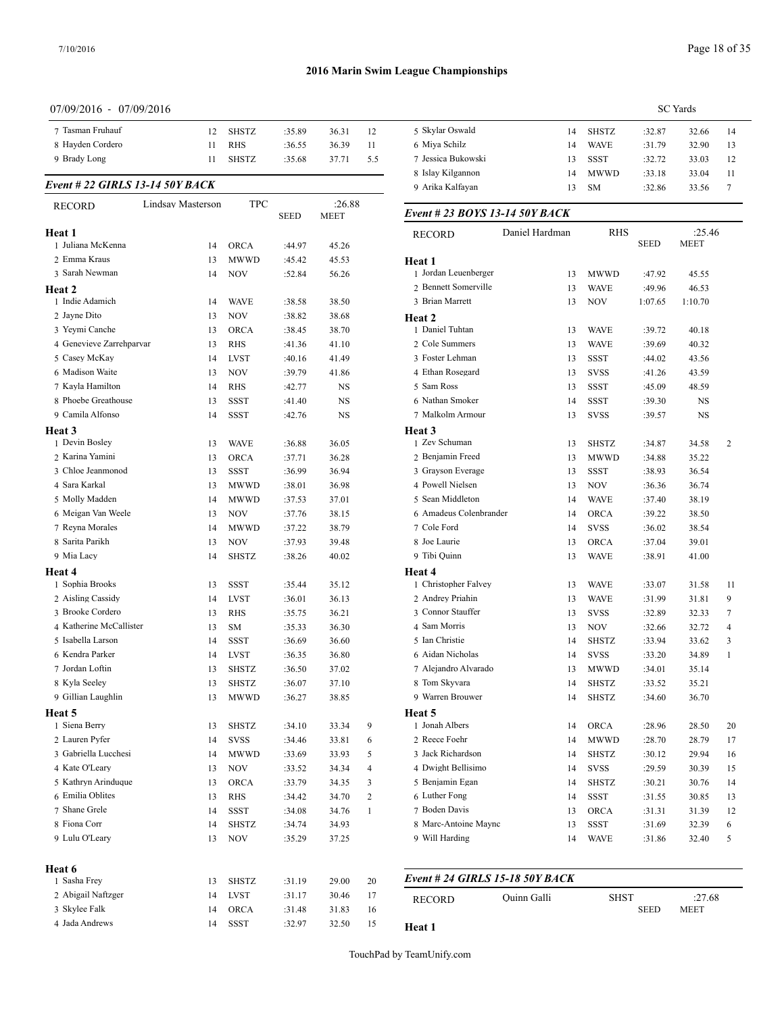#### 07/09/2016 - 07/09/2016

| 7 Tasman Fruhauf                     | 12                | <b>SHSTZ</b>              | :35.89           | 36.31          | 12               | 5 Skylar Oswald                          | 14             | <b>SHSTZ</b>               | :32.87           | 32.66          |
|--------------------------------------|-------------------|---------------------------|------------------|----------------|------------------|------------------------------------------|----------------|----------------------------|------------------|----------------|
| 8 Hayden Cordero                     | 11                | <b>RHS</b>                | :36.55           | 36.39          | 11               | 6 Miya Schilz                            | 14             | <b>WAVE</b>                | :31.79           | 32.90          |
| 9 Brady Long                         | 11                | <b>SHSTZ</b>              | :35.68           | 37.71          | 5.5              | 7 Jessica Bukowski                       | 13             | <b>SSST</b>                | :32.72           | 33.03          |
|                                      |                   |                           |                  |                |                  | 8 Islay Kilgannon                        | 14             | <b>MWWD</b>                | :33.18           | 33.04          |
| Event # 22 GIRLS 13-14 50Y BACK      |                   |                           |                  |                |                  | 9 Arika Kalfayan                         | 13             | <b>SM</b>                  | :32.86           | 33.56          |
| <b>RECORD</b>                        | Lindsay Masterson | <b>TPC</b>                | <b>SEED</b>      | :26.88<br>MEET |                  | Event # 23 BOYS 13-14 50Y BACK           |                |                            |                  |                |
| Heat 1                               |                   |                           |                  |                |                  | <b>RECORD</b>                            | Daniel Hardman | <b>RHS</b>                 |                  | :25.46         |
| 1 Juliana McKenna                    | 14                | <b>ORCA</b>               | :44.97           | 45.26          |                  |                                          |                |                            | <b>SEED</b>      | <b>MEET</b>    |
| 2 Emma Kraus                         | 13                | <b>MWWD</b>               | :45.42           | 45.53          |                  | Heat 1                                   |                |                            |                  |                |
| 3 Sarah Newman                       | 14                | <b>NOV</b>                | :52.84           | 56.26          |                  | 1 Jordan Leuenberger                     | 13             | <b>MWWD</b>                | :47.92           | 45.55          |
| <b>Heat 2</b>                        |                   |                           |                  |                |                  | 2 Bennett Somerville                     | 13             | <b>WAVE</b>                | :49.96           | 46.53          |
| 1 Indie Adamich                      | 14                | <b>WAVE</b>               | :38.58           | 38.50          |                  | 3 Brian Marrett                          | 13             | <b>NOV</b>                 | 1:07.65          | 1:10.70        |
| 2 Jayne Dito                         | 13                | <b>NOV</b>                | :38.82           | 38.68          |                  | Heat 2                                   |                |                            |                  |                |
| 3 Yeymi Canche                       | 13                | <b>ORCA</b>               | :38.45           | 38.70          |                  | 1 Daniel Tuhtan                          | 13             | <b>WAVE</b>                | :39.72           | 40.18          |
| 4 Genevieve Zarrehparvar             | 13                | <b>RHS</b>                | :41.36           | 41.10          |                  | 2 Cole Summers                           | 13             | <b>WAVE</b>                | :39.69           | 40.32          |
| 5 Casey McKay                        | 14                | <b>LVST</b>               | :40.16           | 41.49          |                  | 3 Foster Lehman                          | 13             | <b>SSST</b>                | :44.02           | 43.56          |
| 6 Madison Waite                      | 13                | <b>NOV</b>                | :39.79           | 41.86          |                  | 4 Ethan Rosegard                         | 13             | <b>SVSS</b>                | :41.26           | 43.59          |
| 7 Kayla Hamilton                     | 14                | <b>RHS</b>                | :42.77           | NS             |                  | 5 Sam Ross                               | 13             | <b>SSST</b>                | :45.09           | 48.59          |
| 8 Phoebe Greathouse                  | 13                | <b>SSST</b>               | :41.40           | NS             |                  | 6 Nathan Smoker                          | 14             | <b>SSST</b>                | :39.30           | NS             |
| 9 Camila Alfonso                     | 14                | <b>SSST</b>               | :42.76           | NS             |                  | 7 Malkolm Armour                         | 13             | <b>SVSS</b>                | :39.57           | <b>NS</b>      |
| <b>Heat 3</b>                        |                   |                           |                  |                |                  | Heat <sub>3</sub>                        |                |                            |                  |                |
| 1 Devin Bosley                       | 13                | <b>WAVE</b>               | :36.88           | 36.05          |                  | 1 Zev Schuman                            | 13             | <b>SHSTZ</b>               | :34.87           | 34.58          |
| 2 Karina Yamini                      | 13                | <b>ORCA</b>               | :37.71           | 36.28          |                  | 2 Benjamin Freed                         | 13             | <b>MWWD</b>                | :34.88           | 35.22          |
| 3 Chloe Jeanmonod                    | 13                | <b>SSST</b>               | :36.99           | 36.94          |                  | 3 Grayson Everage                        | 13             | <b>SSST</b>                | :38.93           | 36.54          |
| 4 Sara Karkal                        | 13                | <b>MWWD</b>               | :38.01           | 36.98          |                  | 4 Powell Nielsen                         | 13             | <b>NOV</b>                 | :36.36           | 36.74          |
| 5 Molly Madden                       | 14                | <b>MWWD</b>               | :37.53           | 37.01          |                  | 5 Sean Middleton                         | 14             | <b>WAVE</b>                | :37.40           | 38.19          |
| 6 Meigan Van Weele                   | 13                | <b>NOV</b>                | :37.76           | 38.15          |                  | 6 Amadeus Colenbrander                   | 14             | ORCA                       | :39.22           | 38.50          |
| 7 Reyna Morales                      | 14                | <b>MWWD</b>               | :37.22           | 38.79          |                  | 7 Cole Ford                              | 14             | <b>SVSS</b>                | :36.02           | 38.54          |
| 8 Sarita Parikh                      | 13                | <b>NOV</b>                | :37.93           | 39.48          |                  | 8 Joe Laurie                             | 13             | <b>ORCA</b>                | :37.04           | 39.01          |
| 9 Mia Lacy                           | 14                | <b>SHSTZ</b>              | :38.26           | 40.02          |                  | 9 Tibi Quinn                             | 13             | <b>WAVE</b>                | :38.91           | 41.00          |
| Heat 4                               |                   |                           |                  |                |                  | Heat 4                                   |                |                            |                  |                |
| 1 Sophia Brooks<br>2 Aisling Cassidy | 13                | <b>SSST</b>               | :35.44           | 35.12          |                  | 1 Christopher Falvey<br>2 Andrey Priahin | 13             | <b>WAVE</b>                | :33.07           | 31.58          |
| 3 Brooke Cordero                     | 14<br>13          | <b>LVST</b><br><b>RHS</b> | :36.01<br>:35.75 | 36.13<br>36.21 |                  | 3 Connor Stauffer                        | 13<br>13       | <b>WAVE</b><br><b>SVSS</b> | :31.99<br>:32.89 | 31.81<br>32.33 |
| 4 Katherine McCallister              | 13                | <b>SM</b>                 | :35.33           | 36.30          |                  | 4 Sam Morris                             | 13             | <b>NOV</b>                 |                  | 32.72          |
| 5 Isabella Larson                    | 14                | <b>SSST</b>               | :36.69           | 36.60          |                  | 5 Ian Christie                           | 14             | <b>SHSTZ</b>               | :32.66<br>:33.94 | 33.62          |
| 6 Kendra Parker                      | 14                | <b>LVST</b>               | :36.35           | 36.80          |                  | 6 Aidan Nicholas                         | 14             | <b>SVSS</b>                | :33.20           | 34.89          |
| 7 Jordan Loftin                      | 13                | <b>SHSTZ</b>              | :36.50           | 37.02          |                  | 7 Alejandro Alvarado                     | 13             | <b>MWWD</b>                | :34.01           | 35.14          |
| 8 Kyla Seeley                        | 13                | <b>SHSTZ</b>              | :36.07           | 37.10          |                  | 8 Tom Skyvara                            | 14             | <b>SHSTZ</b>               | :33.52           | 35.21          |
| 9 Gillian Laughlin                   | 13                | <b>MWWD</b>               | :36.27           | 38.85          |                  | 9 Warren Brouwer                         | 14             | <b>SHSTZ</b>               | :34.60           | 36.70          |
| Heat 5                               |                   |                           |                  |                |                  |                                          |                |                            |                  |                |
| 1 Siena Berry                        | 13                | <b>SHSTZ</b>              | :34.10           | 33.34          | 9                | Heat 5<br>1 Jonah Albers                 | 14             | <b>ORCA</b>                | :28.96           | 28.50          |
| 2 Lauren Pyfer                       | 14                | <b>SVSS</b>               | :34.46           | 33.81          | 6                | 2 Reece Foehr                            | 14             | <b>MWWD</b>                | :28.70           | 28.79          |
| 3 Gabriella Lucchesi                 | 14                | <b>MWWD</b>               | :33.69           | 33.93          | 5                | 3 Jack Richardson                        | 14             | <b>SHSTZ</b>               | :30.12           | 29.94          |
| 4 Kate O'Leary                       | 13                | <b>NOV</b>                | :33.52           | 34.34          | $\overline{4}$   | 4 Dwight Bellisimo                       | 14             | <b>SVSS</b>                | :29.59           | 30.39          |
| 5 Kathryn Arinduque                  | 13                | <b>ORCA</b>               | :33.79           | 34.35          | 3                | 5 Benjamin Egan                          | 14             | <b>SHSTZ</b>               | :30.21           | 30.76          |
| 6 Emilia Oblites                     | 13                | <b>RHS</b>                | :34.42           | 34.70          | $\boldsymbol{2}$ | 6 Luther Fong                            | 14             | SSST                       | :31.55           | 30.85          |
| 7 Shane Grele                        | 14                | <b>SSST</b>               | :34.08           | 34.76          | $\mathbf{1}$     | 7 Boden Davis                            | 13             | <b>ORCA</b>                | :31.31           | 31.39          |
| 8 Fiona Corr                         | 14                | <b>SHSTZ</b>              | :34.74           | 34.93          |                  | 8 Marc-Antoine Maync                     | 13             | SSST                       | :31.69           | 32.39          |
| 9 Lulu O'Leary                       | 13                | <b>NOV</b>                | :35.29           | 37.25          |                  | 9 Will Harding                           | 14             | <b>WAVE</b>                | :31.86           | 32.40          |
| Heat 6                               |                   |                           |                  |                |                  |                                          |                |                            |                  |                |
| 1 Sasha Frey                         | 13                | SHSTZ                     | :31.19           | 29.00          | 20               | Event # 24 GIRLS 15-18 50Y BACK          |                |                            |                  |                |
| 2 Abigail Naftzger                   | 14                | <b>LVST</b>               | :31.17           | 30.46          | 17               |                                          | Ouinn Galli    | <b>SHST</b>                |                  | :27.68         |
| 3 Skylee Falk                        | 14                | <b>ORCA</b>               | :31.48           | 31.83          | 16               | <b>RECORD</b>                            |                |                            | <b>SEED</b>      | MEET           |
| 4 Jada Andrews                       | 14                | SSST                      | :32.97           | 32.50          | 15               | Heat 1                                   |                |                            |                  |                |

|                                   |                |              |             | <b>SC</b> Yards       |    |
|-----------------------------------|----------------|--------------|-------------|-----------------------|----|
| 5 Skylar Oswald                   | 14             | SHSTZ        | :32.87      | 32.66                 | 14 |
| 6 Miya Schilz                     | 14             | WAVE         | :31.79      | 32.90                 | 13 |
| 7 Jessica Bukowski                | 13             | <b>SSST</b>  | :32.72      | 33.03                 | 12 |
| 8 Islay Kilgannon                 | 14             | MWWD         | :33.18      | 33.04                 | 11 |
| 9 Arika Kalfayan                  | 13             | SM           | :32.86      | 33.56                 | 7  |
| Event # 23 BOYS 13-14 50Y BACK    |                |              |             |                       |    |
| <b>RECORD</b>                     | Daniel Hardman | <b>RHS</b>   | <b>SEED</b> | :25.46<br><b>MEET</b> |    |
| Heat 1                            |                |              |             |                       |    |
| 1 Jordan Leuenberger              | 13             | MWWD         | :47.92      | 45.55                 |    |
| 2 Bennett Somerville              | 13             | WAVE         | :49.96      | 46.53                 |    |
| 3 Brian Marrett                   | 13             | NOV          | 1:07.65     | 1:10.70               |    |
| Heat 2                            |                |              |             |                       |    |
| 1 Daniel Tuhtan                   | 13             | WAVE         | :39.72      | 40.18                 |    |
| 2 Cole Summers                    | 13             | WAVE         | :39.69      | 40.32                 |    |
| 3 Foster Lehman                   | 13             | <b>SSST</b>  | :44.02      | 43.56                 |    |
| 4 Ethan Rosegard                  | 13             | <b>SVSS</b>  | :41.26      | 43.59                 |    |
| 5 Sam Ross                        | 13             | SSST         | :45.09      | 48.59                 |    |
| 6 Nathan Smoker                   | 14             | SSST         | :39.30      | NS                    |    |
| 7 Malkolm Armour                  | 13             | SVSS         | :39.57      | NS                    |    |
| Heat 3                            |                |              |             |                       |    |
| 1 Zev Schuman                     | 13             | <b>SHSTZ</b> | :34.87      | 34.58                 | 2  |
| 2 Benjamin Freed                  | 13             | MWWD         | :34.88      | 35.22                 |    |
| 3 Grayson Everage                 | 13             | SSST         | :38.93      | 36.54                 |    |
| 4 Powell Nielsen                  | 13             | NOV          | :36.36      | 36.74                 |    |
| 5 Sean Middleton                  | 14             | WAVE         | :37.40      | 38.19                 |    |
| 6 Amadeus Colenbrander            | 14             | <b>ORCA</b>  | :39.22      | 38.50                 |    |
| 7 Cole Ford                       | 14             | <b>SVSS</b>  | :36.02      | 38.54                 |    |
| 8 Joe Laurie                      | 13             | ORCA         | :37.04      | 39.01                 |    |
| 9 Tibi Quinn                      | 13             | WAVE         | :38.91      | 41.00                 |    |
| Heat 4                            |                |              |             |                       |    |
| 1 Christopher Falvey              | 13             | WAVE         | :33.07      | 31.58                 | 11 |
| 2 Andrey Priahin                  | 13             | <b>WAVE</b>  | :31.99      | 31.81                 | 9  |
| 3 Connor Stauffer                 | 13             | <b>SVSS</b>  | :32.89      | 32.33                 | 7  |
| 4 Sam Morris                      | 13             | NOV          | :32.66      | 32.72                 | 4  |
| 5 Ian Christie                    | 14             | <b>SHSTZ</b> | :33.94      | 33.62                 | 3  |
| 6 Aidan Nicholas                  | 14             | SVSS         | :33.20      | 34.89                 | 1  |
| 7 Alejandro Alvarado              | 13             | MWWD         | :34.01      | 35.14                 |    |
| 8 Tom Skyvara<br>9 Warren Brouwer | 14             | SHSTZ        | :33.52      | 35.21                 |    |
|                                   | 14             | <b>SHSTZ</b> | :34.60      | 36.70                 |    |
| Heat 5<br>1 Jonah Albers          |                |              |             |                       |    |
| 2 Reece Foehr                     | 14             | ORCA<br>MWWD | :28.96      | 28.50                 | 20 |
| 3 Jack Richardson                 | 14             |              | :28.70      | 28.79                 | 17 |
| 4 Dwight Bellisimo                | 14             | SHSTZ        | :30.12      | 29.94                 | 16 |
| 5 Benjamin Egan                   | 14             | SVSS         | :29.59      | 30.39                 | 15 |
| 6 Luther Fong                     | 14             | SHSTZ        | :30.21      | 30.76                 | 14 |
| 7 Boden Davis                     | 14             | SSST         | :31.55      | 30.85                 | 13 |
| 8 Marc-Antoine Maync              | 13             | ORCA         | :31.31      | 31.39                 | 12 |
| 9 Will Harding                    | 13             | SSST         | :31.69      | 32.39                 | 6  |
|                                   | 14             | <b>WAVE</b>  | :31.86      | 32.40                 | 5  |
|                                   |                |              |             |                       |    |

| <b>RECORD</b> | Ouinn Galli | <b>SHST</b> | :27.68      |  |
|---------------|-------------|-------------|-------------|--|
|               |             | SEED        | <b>MEET</b> |  |

TouchPad by TeamUnify.com

**Heat 1**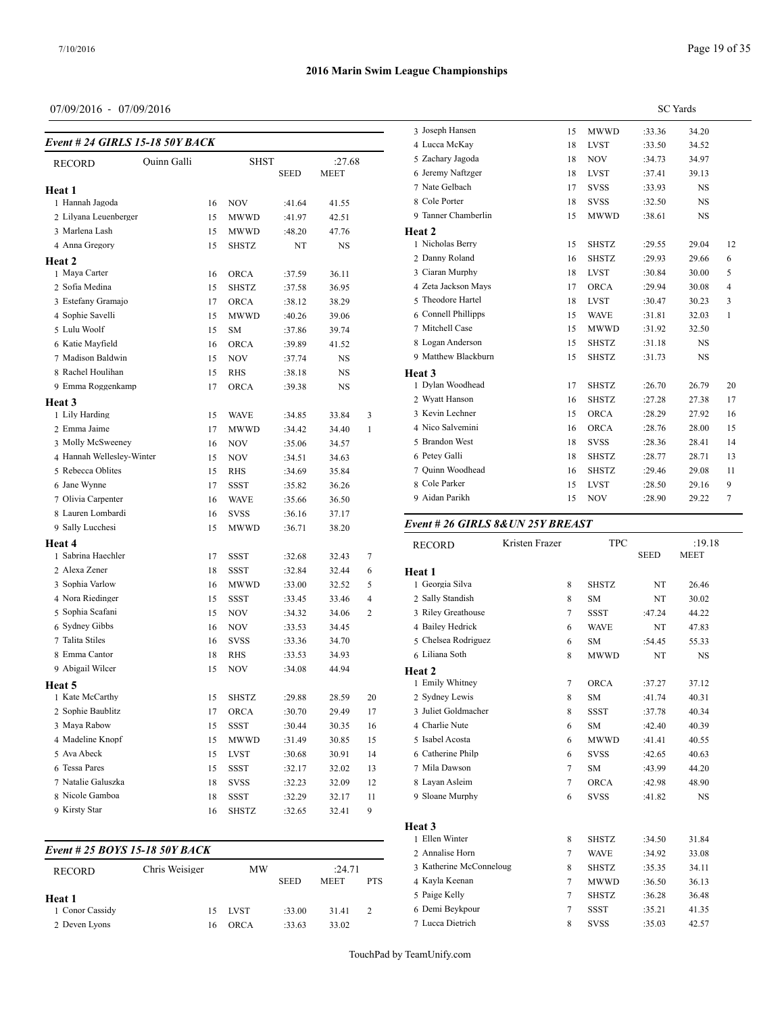## 07/09/2016 - 07/09/2016

| Event # 24 GIRLS 15-18 50Y BACK |                    |    |              |             |        |              | 3 Joseph Har<br>4 Lucca Mck |
|---------------------------------|--------------------|----|--------------|-------------|--------|--------------|-----------------------------|
|                                 | <b>Ouinn Galli</b> |    | <b>SHST</b>  |             | :27.68 |              | 5 Zachary Ja                |
| <b>RECORD</b>                   |                    |    |              | <b>SEED</b> | MEET   |              | 6 Jeremy Nat                |
| Heat 1                          |                    |    |              |             |        |              | 7 Nate Gelba                |
| 1 Hannah Jagoda                 |                    | 16 | NOV          | :41.64      | 41.55  |              | 8 Cole Porter               |
| 2 Lilyana Leuenberger           |                    | 15 | <b>MWWD</b>  | :41.97      | 42.51  |              | 9 Tanner Cha                |
| 3 Marlena Lash                  |                    | 15 | <b>MWWD</b>  | :48.20      | 47.76  |              | Heat 2                      |
| 4 Anna Gregory                  |                    | 15 | SHSTZ        | NT          | NS     |              | 1 Nicholas B                |
| Heat 2                          |                    |    |              |             |        |              | 2 Danny Rol                 |
| 1 Maya Carter                   |                    | 16 | <b>ORCA</b>  | :37.59      | 36.11  |              | 3 Ciaran Mui                |
| 2 Sofia Medina                  |                    | 15 | <b>SHSTZ</b> | :37.58      | 36.95  |              | 4 Zeta Jackso               |
| 3 Estefany Gramajo              |                    | 17 | <b>ORCA</b>  | :38.12      | 38.29  |              | 5 Theodore I                |
| 4 Sophie Savelli                |                    | 15 | <b>MWWD</b>  | :40.26      | 39.06  |              | 6 Connell Ph                |
| 5 Lulu Woolf                    |                    | 15 | <b>SM</b>    | :37.86      | 39.74  |              | 7 Mitchell Ca               |
| 6 Katie Mayfield                |                    | 16 | <b>ORCA</b>  | :39.89      | 41.52  |              | 8 Logan And                 |
| 7 Madison Baldwin               |                    | 15 | <b>NOV</b>   | :37.74      | NS     |              | 9 Matthew B                 |
| 8 Rachel Houlihan               |                    | 15 | RHS          | :38.18      | NS     |              | Heat 3                      |
| 9 Emma Roggenkamp               |                    | 17 | <b>ORCA</b>  | :39.38      | NS     |              | 1 Dylan Woo                 |
| Heat 3                          |                    |    |              |             |        |              | 2 Wyatt Han:                |
| 1 Lily Harding                  |                    | 15 | <b>WAVE</b>  | :34.85      | 33.84  | 3            | 3 Kevin Lecl                |
| 2 Emma Jaime                    |                    | 17 | <b>MWWD</b>  | :34.42      | 34.40  | $\mathbf{1}$ | 4 Nico Salve                |
| 3 Molly McSweeney               |                    | 16 | NOV          | :35.06      | 34.57  |              | 5 Brandon W                 |
| 4 Hannah Wellesley-Winter       |                    | 15 | <b>NOV</b>   | :34.51      | 34.63  |              | 6 Petey Galli               |
| 5 Rebecca Oblites               |                    | 15 | <b>RHS</b>   | :34.69      | 35.84  |              | 7 Quinn Woo                 |
| 6 Jane Wynne                    |                    | 17 | <b>SSST</b>  | :35.82      | 36.26  |              | 8 Cole Parke                |
| 7 Olivia Carpenter              |                    | 16 | <b>WAVE</b>  | :35.66      | 36.50  |              | 9 Aidan Paril               |
| 8 Lauren Lombardi               |                    | 16 | <b>SVSS</b>  | :36.16      | 37.17  |              |                             |
| 9 Sally Lucchesi                |                    | 15 | <b>MWWD</b>  | :36.71      | 38.20  |              | Event # $26$ C              |
| Heat 4                          |                    |    |              |             |        |              | RECORD                      |
| 1 Sabrina Haechler              |                    | 17 | SSST         | :32.68      | 32.43  | 7            |                             |
| 2 Alexa Zener                   |                    | 18 | SSST         | :32.84      | 32.44  | 6            | Heat 1                      |
| 3 Sophia Varlow                 |                    | 16 | <b>MWWD</b>  | :33.00      | 32.52  | 5            | 1 Georgia Sil               |
| 4 Nora Riedinger                |                    | 15 | <b>SSST</b>  | :33.45      | 33.46  | 4            | 2 Sally Stand               |
| 5 Sophia Scafani                |                    | 15 | NOV          | :34.32      | 34.06  | 2            | 3 Riley Grea                |
| 6 Sydney Gibbs                  |                    | 16 | NOV          | :33.53      | 34.45  |              | 4 Bailey Hed                |
| 7 Talita Stiles                 |                    | 16 | <b>SVSS</b>  | :33.36      | 34.70  |              | 5 Chelsea Ro                |
| 8 Emma Cantor                   |                    | 18 | RHS          | :33.53      | 34.93  |              | 6 Liliana Sot               |
| 9 Abigail Wilcer                |                    | 15 | <b>NOV</b>   | :34.08      | 44.94  |              | Heat 2                      |
| Heat 5                          |                    |    |              |             |        |              | 1 Emily Whi                 |
| 1 Kate McCarthy                 |                    | 15 | <b>SHSTZ</b> | :29.88      | 28.59  | 20           | 2 Sydney Le                 |
| 2 Sophie Baublitz               |                    | 17 | ORCA         | :30.70      | 29.49  | 17           | 3 Juliet Gold               |
| 3 Maya Rabow                    |                    | 15 | SSST         | :30.44      | 30.35  | 16           | 4 Charlie Nu                |
| 4 Madeline Knopf                |                    | 15 | MWWD         | :31.49      | 30.85  | 15           | 5 Isabel Acos               |
| 5 Ava Abeck                     |                    | 15 | <b>LVST</b>  | :30.68      | 30.91  | 14           | 6 Catherine I               |
| 6 Tessa Pares                   |                    | 15 | SSST         | :32.17      | 32.02  | 13           | 7 Mila Daws                 |
| 7 Natalie Galuszka              |                    | 18 | SVSS         | :32.23      | 32.09  | 12           | 8 Layan Asle                |
| 8 Nicole Gamboa                 |                    | 18 | SSST         | :32.29      | 32.17  | 11           | 9 Sloane Mu                 |
| 9 Kirsty Star                   |                    | 16 | <b>SHSTZ</b> | :32.65      | 32.41  | 9            |                             |

| Event # 25 BOYS 15-18 50Y BACK |      |             |             |            |                  |  |  |
|--------------------------------|------|-------------|-------------|------------|------------------|--|--|
| Chris Weisiger                 | MW   |             |             |            | 3 Katherine McC  |  |  |
|                                |      | <b>SEED</b> | <b>MEET</b> | <b>PTS</b> | 4 Kayla Keenan   |  |  |
|                                |      |             |             |            | 5 Paige Kelly    |  |  |
| 15                             | LVST | :33.00      | 31.41       | 2          | 6 Demi Bevkpou   |  |  |
| 16                             | ORCA | :33.63      | 33.02       |            | 7 Lucca Dietrich |  |  |
|                                |      |             |             |            | :24.71           |  |  |

|                     | <b>SC</b> Yards |              |        |           |                |  |  |  |
|---------------------|-----------------|--------------|--------|-----------|----------------|--|--|--|
| 3 Joseph Hansen     | 15              | <b>MWWD</b>  | :33.36 | 34.20     |                |  |  |  |
| 4 Lucca McKay       | 18              | <b>LVST</b>  | :33.50 | 34.52     |                |  |  |  |
| 5 Zachary Jagoda    | 18              | <b>NOV</b>   | :34.73 | 34.97     |                |  |  |  |
| 6 Jeremy Naftzger   | 18              | <b>LVST</b>  | :37.41 | 39.13     |                |  |  |  |
| 7 Nate Gelbach      | 17              | <b>SVSS</b>  | :33.93 | <b>NS</b> |                |  |  |  |
| 8 Cole Porter       | 18              | <b>SVSS</b>  | :32.50 | <b>NS</b> |                |  |  |  |
| 9 Tanner Chamberlin | 15              | <b>MWWD</b>  | :38.61 | <b>NS</b> |                |  |  |  |
| Heat <sub>2</sub>   |                 |              |        |           |                |  |  |  |
| 1 Nicholas Berry    | 15              | <b>SHSTZ</b> | :29.55 | 29.04     | 12             |  |  |  |
| 2 Danny Roland      | 16              | <b>SHSTZ</b> | :29.93 | 29.66     | 6              |  |  |  |
| 3 Ciaran Murphy     | 18              | <b>LVST</b>  | :30.84 | 30.00     | 5              |  |  |  |
| 4 Zeta Jackson Mays | 17              | <b>ORCA</b>  | :29.94 | 30.08     | $\overline{4}$ |  |  |  |
| 5 Theodore Hartel   | 18              | <b>LVST</b>  | :30.47 | 30.23     | 3              |  |  |  |
| 6 Connell Phillipps | 15              | <b>WAVE</b>  | :31.81 | 32.03     | 1              |  |  |  |
| 7 Mitchell Case     | 15              | <b>MWWD</b>  | :31.92 | 32.50     |                |  |  |  |
| 8 Logan Anderson    | 15              | <b>SHSTZ</b> | :31.18 | <b>NS</b> |                |  |  |  |
| 9 Matthew Blackburn | 15              | <b>SHSTZ</b> | :31.73 | <b>NS</b> |                |  |  |  |
| Heat 3              |                 |              |        |           |                |  |  |  |
| 1 Dylan Woodhead    | 17              | <b>SHSTZ</b> | :26.70 | 26.79     | 20             |  |  |  |
| 2 Wyatt Hanson      | 16              | <b>SHSTZ</b> | :27.28 | 27.38     | 17             |  |  |  |
| 3 Kevin Lechner     | 15              | <b>ORCA</b>  | :28.29 | 27.92     | 16             |  |  |  |
| 4 Nico Salvemini    | 16              | <b>ORCA</b>  | :28.76 | 28.00     | 15             |  |  |  |
| 5 Brandon West      | 18              | <b>SVSS</b>  | :28.36 | 28.41     | 14             |  |  |  |
| 6 Petey Galli       | 18              | <b>SHSTZ</b> | :28.77 | 28.71     | 13             |  |  |  |
| 7 Ouinn Woodhead    | 16              | <b>SHSTZ</b> | :29.46 | 29.08     | 11             |  |  |  |
| 8 Cole Parker       | 15              | <b>LVST</b>  | :28.50 | 29.16     | 9              |  |  |  |
| 9 Aidan Parikh      | 15              | <b>NOV</b>   | :28.90 | 29.22     | $\tau$         |  |  |  |
|                     |                 |              |        |           |                |  |  |  |

## *Event # 26 GIRLS 8&UN 25Y BREAST*

|                   | <b>RECORD</b>           | Kristen Frazer |                | <b>TPC</b>   | <b>SEED</b> | :19.18<br><b>MEET</b> |
|-------------------|-------------------------|----------------|----------------|--------------|-------------|-----------------------|
| Heat 1            |                         |                |                |              |             |                       |
|                   | 1 Georgia Silva         |                | 8              | <b>SHSTZ</b> | NT          | 26.46                 |
|                   | 2 Sally Standish        |                | 8              | <b>SM</b>    | NT          | 30.02                 |
|                   | 3 Riley Greathouse      |                | 7              | <b>SSST</b>  | :47.24      | 44.22                 |
|                   | 4 Bailey Hedrick        |                | 6              | <b>WAVE</b>  | NT          | 47.83                 |
|                   | 5 Chelsea Rodriguez     |                | 6              | <b>SM</b>    | :54.45      | 55.33                 |
|                   | 6 Liliana Soth          |                | 8              | <b>MWWD</b>  | NT          | $_{\rm NS}$           |
| Heat 2            |                         |                |                |              |             |                       |
|                   | 1 Emily Whitney         |                | 7              | <b>ORCA</b>  | :37.27      | 37.12                 |
|                   | 2 Sydney Lewis          |                | 8              | <b>SM</b>    | :41.74      | 40.31                 |
|                   | 3 Juliet Goldmacher     |                | 8              | <b>SSST</b>  | :37.78      | 40.34                 |
|                   | 4 Charlie Nute          |                | 6              | <b>SM</b>    | :42.40      | 40.39                 |
|                   | 5 Isabel Acosta         |                | 6              | <b>MWWD</b>  | :41.41      | 40.55                 |
|                   | 6 Catherine Philp       |                | 6              | <b>SVSS</b>  | :42.65      | 40.63                 |
|                   | 7 Mila Dawson           |                | $\overline{7}$ | <b>SM</b>    | :43.99      | 44.20                 |
|                   | 8 Layan Asleim          |                | 7              | <b>ORCA</b>  | :42.98      | 48.90                 |
|                   | 9 Sloane Murphy         |                | 6              | <b>SVSS</b>  | :41.82      | NS                    |
|                   |                         |                |                |              |             |                       |
| Heat <sub>3</sub> |                         |                |                |              |             |                       |
|                   | 1 Ellen Winter          |                | 8              | <b>SHSTZ</b> | :34.50      | 31.84                 |
|                   | 2 Annalise Horn         |                | 7              | <b>WAVE</b>  | :34.92      | 33.08                 |
|                   | 3 Katherine McConneloug |                | 8              | <b>SHSTZ</b> | :35.35      | 34.11                 |
|                   | 4 Kayla Keenan          |                | $\overline{7}$ | <b>MWWD</b>  | :36.50      | 36.13                 |
|                   | 5 Paige Kelly           |                | $\overline{7}$ | <b>SHSTZ</b> | :36.28      | 36.48                 |
|                   | 6 Demi Beykpour         |                | 7              | <b>SSST</b>  | :35.21      | 41.35                 |
|                   | 7 Lucca Dietrich        |                | 8              | <b>SVSS</b>  | :35.03      | 42.57                 |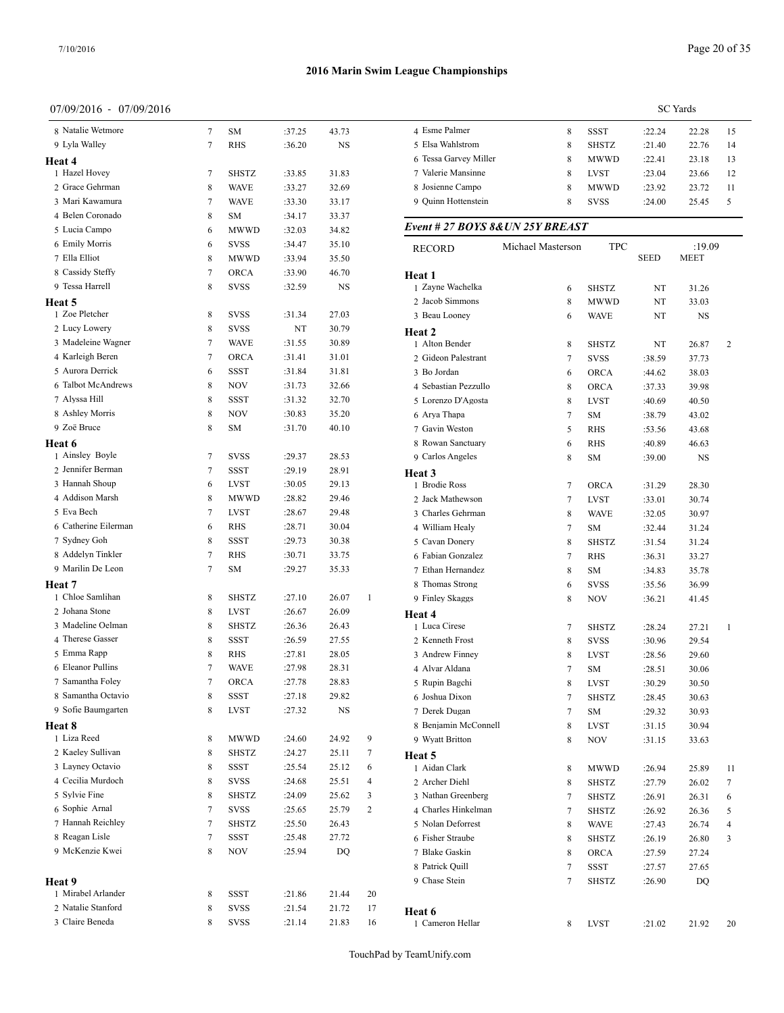## 07/09/2016 - 07/09/2016

| 8 Natalie Wetmore              | 7      | SΜ                  | :37.25           | 43.73          |              | 4 Esme Palmer                     |
|--------------------------------|--------|---------------------|------------------|----------------|--------------|-----------------------------------|
| 9 Lyla Walley                  | 7      | <b>RHS</b>          | :36.20           | NS             |              | 5 Elsa Wahlstrom                  |
| Heat 4                         |        |                     |                  |                |              | 6 Tessa Garvey Miller             |
| 1 Hazel Hovey                  | 7      | <b>SHSTZ</b>        | :33.85           | 31.83          |              | 7 Valerie Mansinne                |
| 2 Grace Gehrman                | 8      | <b>WAVE</b>         | :33.27           | 32.69          |              | 8 Josienne Campo                  |
| 3 Mari Kawamura                | 7      | <b>WAVE</b>         | :33.30           | 33.17          |              | 9 Quinn Hottenstein               |
| 4 Belen Coronado               | 8      | SΜ                  | :34.17           | 33.37          |              |                                   |
| 5 Lucia Campo                  | 6      | MWWD                | :32.03           | 34.82          |              | Event # 27 BOYS 8& UN 25Y Bl      |
| 6 Emily Morris                 | 6      | <b>SVSS</b>         | :34.47           | 35.10          |              | Michael Mas<br><b>RECORD</b>      |
| 7 Ella Elliot                  | 8      | MWWD                | :33.94           | 35.50          |              |                                   |
| 8 Cassidy Steffy               | 7      | ORCA                | :33.90           | 46.70          |              | Heat 1                            |
| 9 Tessa Harrell                | 8      | SVSS                | :32.59           | NS             |              | 1 Zayne Wachelka                  |
| Heat 5                         |        |                     |                  |                |              | 2 Jacob Simmons                   |
| 1 Zoe Pletcher                 | 8      | SVSS                | :31.34           | 27.03          |              | 3 Beau Looney                     |
| 2 Lucy Lowery                  | 8      | SVSS                | NT               | 30.79          |              | Heat 2                            |
| 3 Madeleine Wagner             | 7      | <b>WAVE</b>         | :31.55           | 30.89          |              | 1 Alton Bender                    |
| 4 Karleigh Beren               | 7      | ORCA                | :31.41           | 31.01          |              | 2 Gideon Palestrant               |
| 5 Aurora Derrick               | 6      | SSST                | :31.84           | 31.81          |              | 3 Bo Jordan                       |
| 6 Talbot McAndrews             | 8      | <b>NOV</b>          | :31.73           | 32.66          |              | 4 Sebastian Pezzullo              |
| 7 Alyssa Hill                  | 8      | SSST                | :31.32           | 32.70          |              | 5 Lorenzo D'Agosta                |
| 8 Ashley Morris<br>9 Zoë Bruce | 8      | NOV                 | :30.83           | 35.20          |              | 6 Arya Thapa                      |
|                                | 8      | SΜ                  | :31.70           | 40.10          |              | 7 Gavin Weston                    |
| Heat 6<br>1 Ainsley Boyle      |        |                     |                  |                |              | 8 Rowan Sanctuary                 |
| 2 Jennifer Berman              | 7<br>7 | <b>SVSS</b>         | :29.37           | 28.53          |              | 9 Carlos Angeles                  |
| 3 Hannah Shoup                 | 6      | SSST<br><b>LVST</b> | :29.19           | 28.91<br>29.13 |              | Heat 3                            |
| 4 Addison Marsh                | 8      | <b>MWWD</b>         | :30.05<br>:28.82 | 29.46          |              | 1 Brodie Ross<br>2 Jack Mathewson |
| 5 Eva Bech                     | 7      | <b>LVST</b>         | :28.67           | 29.48          |              | 3 Charles Gehrman                 |
| 6 Catherine Eilerman           | 6      | <b>RHS</b>          | :28.71           | 30.04          |              | 4 William Healy                   |
| 7 Sydney Goh                   | 8      | SSST                | :29.73           | 30.38          |              | 5 Cavan Donery                    |
| 8 Addelyn Tinkler              | 7      | RHS                 | :30.71           | 33.75          |              | 6 Fabian Gonzalez                 |
| 9 Marilin De Leon              | 7      | SM                  | :29.27           | 35.33          |              | 7 Ethan Hernandez                 |
| Heat 7                         |        |                     |                  |                |              | 8 Thomas Strong                   |
| 1 Chloe Samlihan               | 8      | <b>SHSTZ</b>        | :27.10           | 26.07          | $\mathbf{1}$ | 9 Finley Skaggs                   |
| 2 Johana Stone                 | 8      | LVST                | :26.67           | 26.09          |              |                                   |
| 3 Madeline Oelman              | 8      | <b>SHSTZ</b>        | :26.36           | 26.43          |              | Heat 4<br>1 Luca Cirese           |
| 4 Therese Gasser               | 8      | <b>SSST</b>         | :26.59           | 27.55          |              | 2 Kenneth Frost                   |
| 5 Emma Rapp                    | 8      | RHS                 | :27.81           | 28.05          |              | 3 Andrew Finney                   |
| 6 Eleanor Pullins              | 7      | <b>WAVE</b>         | :27.98           | 28.31          |              | 4 Alvar Aldana                    |
| 7 Samantha Foley               | 7      | ORCA                | :27.78           | 28.83          |              | 5 Rupin Bagchi                    |
| 8 Samantha Octavio             | 8      | SSST                | :27.18           | 29.82          |              | 6 Joshua Dixon                    |
| 9 Sofie Baumgarten             | 8      | LVST                | :27.32           | NS             |              | 7 Derek Dugan                     |
| Heat 8                         |        |                     |                  |                |              | 8 Benjamin McConnell              |
| 1 Liza Reed                    | 8      | MWWD                | :24.60           | 24.92          | 9            | 9 Wyatt Britton                   |
| 2 Kaeley Sullivan              | 8      | SHSTZ               | :24.27           | 25.11          | 7            | Heat 5                            |
| 3 Layney Octavio               | 8      | SSST                | :25.54           | 25.12          | 6            | 1 Aidan Clark                     |
| 4 Cecilia Murdoch              | 8      | SVSS                | :24.68           | 25.51          | 4            | 2 Archer Diehl                    |
| 5 Sylvie Fine                  | 8      | SHSTZ               | :24.09           | 25.62          | 3            | 3 Nathan Greenberg                |
| 6 Sophie Arnal                 | 7      | SVSS                | :25.65           | 25.79          | 2            | 4 Charles Hinkelman               |
| 7 Hannah Reichley              | 7      | SHSTZ               | :25.50           | 26.43          |              | 5 Nolan Deforrest                 |
| 8 Reagan Lisle                 | 7      | SSST                | :25.48           | 27.72          |              | 6 Fisher Straube                  |
| 9 McKenzie Kwei                | 8      | NOV                 | :25.94           | DQ             |              | 7 Blake Gaskin                    |
|                                |        |                     |                  |                |              | 8 Patrick Quill                   |
| Heat 9                         |        |                     |                  |                |              | 9 Chase Stein                     |
| 1 Mirabel Arlander             | 8      | SSST                | :21.86           | 21.44          | 20           |                                   |
| 2 Natalie Stanford             | 8      | SVSS                | :21.54           | 21.72          | 17           | Heat 6                            |
| 3 Claire Beneda                | 8      | SVSS                | :21.14           | 21.83          | 16           | 1 Cameron Hellar                  |

|                       | <b>SC</b> Yards |              |        |       |    |  |  |  |
|-----------------------|-----------------|--------------|--------|-------|----|--|--|--|
| 4 Esme Palmer         | 8               | SSST         | :22.24 | 22.28 | 15 |  |  |  |
| 5 Elsa Wahlstrom      | 8               | <b>SHSTZ</b> | :21.40 | 22.76 | 14 |  |  |  |
| 6 Tessa Garvey Miller | 8               | <b>MWWD</b>  | :22.41 | 23.18 | 13 |  |  |  |
| 7 Valerie Mansinne    | 8               | <b>LVST</b>  | :23.04 | 23.66 | 12 |  |  |  |
| 8 Josienne Campo      | 8               | <b>MWWD</b>  | :23.92 | 23.72 | 11 |  |  |  |
| 9 Ouinn Hottenstein   | 8               | <b>SVSS</b>  | :24.00 | 25.45 | 5  |  |  |  |
|                       |                 |              |        |       |    |  |  |  |

# $REAST$

| RECORD               | Michael Masterson | <b>TPC</b>   | <b>SEED</b> | :19.09<br><b>MEET</b> |    |
|----------------------|-------------------|--------------|-------------|-----------------------|----|
| Heat 1               |                   |              |             |                       |    |
| 1 Zayne Wachelka     | 6                 | SHSTZ        | NT          | 31.26                 |    |
| 2 Jacob Simmons      | 8                 | MWWD         | NT          | 33.03                 |    |
| 3 Beau Looney        | 6                 | WAVE         | NT          | NS                    |    |
| Heat 2               |                   |              |             |                       |    |
| 1 Alton Bender       | 8                 | SHSTZ        | NT          | 26.87                 | 2  |
| 2 Gideon Palestrant  | 7                 | <b>SVSS</b>  | :38.59      | 37.73                 |    |
| 3 Bo Jordan          | 6                 | <b>ORCA</b>  | :44.62      | 38.03                 |    |
| 4 Sebastian Pezzullo | 8                 | <b>ORCA</b>  | :37.33      | 39.98                 |    |
| 5 Lorenzo D'Agosta   | 8                 | <b>LVST</b>  | :40.69      | 40.50                 |    |
| 6 Arya Thapa         | 7                 | SM           | :38.79      | 43.02                 |    |
| 7 Gavin Weston       | 5                 | <b>RHS</b>   | :53.56      | 43.68                 |    |
| 8 Rowan Sanctuary    | 6                 | RHS          | :40.89      | 46.63                 |    |
| 9 Carlos Angeles     | 8                 | SM           | :39.00      | NS                    |    |
| Heat 3               |                   |              |             |                       |    |
| 1 Brodie Ross        | 7                 | ORCA         | :31.29      | 28.30                 |    |
| 2 Jack Mathewson     | 7                 | <b>LVST</b>  | :33.01      | 30.74                 |    |
| 3 Charles Gehrman    | 8                 | <b>WAVE</b>  | :32.05      | 30.97                 |    |
| 4 William Healy      | 7                 | SM           | :32.44      | 31.24                 |    |
| 5 Cavan Donery       | 8                 | <b>SHSTZ</b> | :31.54      | 31.24                 |    |
| 6 Fabian Gonzalez    | 7                 | RHS          | :36.31      | 33.27                 |    |
| 7 Ethan Hernandez    | 8                 | SM           | :34.83      | 35.78                 |    |
| 8 Thomas Strong      | 6                 | SVSS         | :35.56      | 36.99                 |    |
| 9 Finley Skaggs      | 8                 | NOV          | :36.21      | 41.45                 |    |
| Heat 4               |                   |              |             |                       |    |
| 1 Luca Cirese        | 7                 | SHSTZ        | :28.24      | 27.21                 | 1  |
| 2 Kenneth Frost      | 8                 | SVSS         | :30.96      | 29.54                 |    |
| 3 Andrew Finney      | 8                 | <b>LVST</b>  | :28.56      | 29.60                 |    |
| 4 Alvar Aldana       | 7                 | SM           | :28.51      | 30.06                 |    |
| 5 Rupin Bagchi       | 8                 | <b>LVST</b>  | :30.29      | 30.50                 |    |
| 6 Joshua Dixon       | 7                 | SHSTZ        | :28.45      | 30.63                 |    |
| 7 Derek Dugan        | 7                 | SM           | :29.32      | 30.93                 |    |
| 8 Benjamin McConnell | 8                 | <b>LVST</b>  | :31.15      | 30.94                 |    |
| 9 Wyatt Britton      | 8                 | NOV          | :31.15      | 33.63                 |    |
| Heat 5               |                   |              |             |                       |    |
| 1 Aidan Clark        | 8                 | MWWD         | :26.94      | 25.89                 | 11 |
| 2 Archer Diehl       | 8                 | SHSTZ        | :27.79      | 26.02                 | 7  |
| 3 Nathan Greenberg   | 7                 | <b>SHSTZ</b> | :26.91      | 26.31                 | 6  |
| 4 Charles Hinkelman  | 7                 | SHSTZ        | :26.92      | 26.36                 | 5  |
| 5 Nolan Deforrest    | 8                 | WAVE         | :27.43      | 26.74                 | 4  |
| 6 Fisher Straube     | 8                 | SHSTZ        | :26.19      | 26.80                 | 3  |
| 7 Blake Gaskin       | 8                 | ORCA         | :27.59      | 27.24                 |    |
| 8 Patrick Quill      | 7                 | SSST         | :27.57      | 27.65                 |    |
| 9 Chase Stein        | 7                 | SHSTZ        | :26.90      | DQ                    |    |
| Heat 6               |                   |              |             |                       |    |
| 1 Cameron Hellar     | 8                 | LVST         | :21.02      | 21.92                 | 20 |
|                      |                   |              |             |                       |    |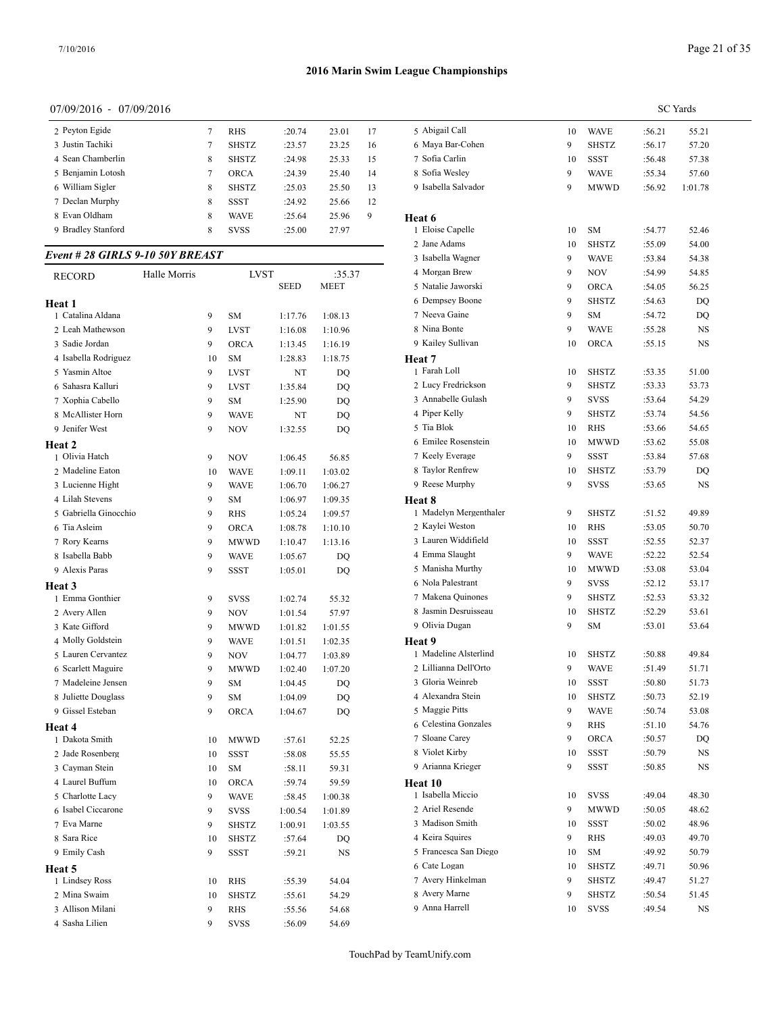## 07/09/2016 - 07/09/2016

| 2 Peyton Egide     |   | RHS          | :20.74 | 23.01 | 17 | 5 Abigail Ca  |
|--------------------|---|--------------|--------|-------|----|---------------|
| 3 Justin Tachiki   |   | <b>SHSTZ</b> | :23.57 | 23.25 | 16 | 6 Maya Bar-   |
| 4 Sean Chamberlin  | 8 | <b>SHSTZ</b> | :24.98 | 25.33 | 15 | 7 Sofia Carli |
| 5 Benjamin Lotosh  |   | <b>ORCA</b>  | :24.39 | 25.40 | 14 | 8 Sofia Wesl  |
| 6 William Sigler   | 8 | <b>SHSTZ</b> | :25.03 | 25.50 | 13 | 9 Isabella Sa |
| 7 Declan Murphy    | 8 | SSST         | :24.92 | 25.66 | 12 |               |
| 8 Evan Oldham      | 8 | <b>WAVE</b>  | :25.64 | 25.96 | 9  | Heat 6        |
| 9 Bradley Stanford | 8 | <b>SVSS</b>  | :25.00 | 27.97 |    | 1 Eloise Cap  |
|                    |   |              |        |       |    |               |

# *Event # 28 GIRLS 9-10 50Y BREAST*

| <b>RECORD</b>         | Halle Morris |    | <b>LVST</b>  |             | :35.37      | 4 Morgan Brew     |
|-----------------------|--------------|----|--------------|-------------|-------------|-------------------|
|                       |              |    |              | <b>SEED</b> | <b>MEET</b> | 5 Natalie Jawors  |
| Heat 1                |              |    |              |             |             | 6 Dempsey Boo     |
| 1 Catalina Aldana     |              | 9  | <b>SM</b>    | 1:17.76     | 1:08.13     | 7 Neeva Gaine     |
| 2 Leah Mathewson      |              | 9  | <b>LVST</b>  | 1:16.08     | 1:10.96     | 8 Nina Bonte      |
| 3 Sadie Jordan        |              | 9  | ORCA         | 1:13.45     | 1:16.19     | 9 Kailey Sulliva  |
| 4 Isabella Rodriguez  |              | 10 | <b>SM</b>    | 1:28.83     | 1:18.75     | Heat 7            |
| 5 Yasmin Altoe        |              | 9  | <b>LVST</b>  | NT          | DQ          | 1 Farah Loll      |
| 6 Sahasra Kalluri     |              | 9  | <b>LVST</b>  | 1:35.84     | DQ          | 2 Lucy Fredrick   |
| 7 Xophia Cabello      |              | 9  | <b>SM</b>    | 1:25.90     | DQ          | 3 Annabelle Gu    |
| 8 McAllister Horn     |              | 9  | <b>WAVE</b>  | NT          | DQ          | 4 Piper Kelly     |
| 9 Jenifer West        |              | 9  | <b>NOV</b>   | 1:32.55     | DO          | 5 Tia Blok        |
| Heat 2                |              |    |              |             |             | 6 Emilee Rosen:   |
| 1 Olivia Hatch        |              | 9  | <b>NOV</b>   | 1:06.45     | 56.85       | 7 Keely Everage   |
| 2 Madeline Eaton      |              | 10 | <b>WAVE</b>  | 1:09.11     | 1:03.02     | 8 Taylor Renfre   |
| 3 Lucienne Hight      |              | 9  | <b>WAVE</b>  | 1:06.70     | 1:06.27     | 9 Reese Murphy    |
| 4 Lilah Stevens       |              | 9  | SΜ           | 1:06.97     | 1:09.35     | Heat 8            |
| 5 Gabriella Ginocchio |              | 9  | <b>RHS</b>   | 1:05.24     | 1:09.57     | 1 Madelyn Merg    |
| 6 Tia Asleim          |              | 9  | ORCA         | 1:08.78     | 1:10.10     | 2 Kaylei Westor   |
| 7 Rory Kearns         |              | 9  | <b>MWWD</b>  | 1:10.47     | 1:13.16     | 3 Lauren Widdi    |
| 8 Isabella Babb       |              | 9  | <b>WAVE</b>  | 1:05.67     | DQ          | 4 Emma Slaugh     |
| 9 Alexis Paras        |              | 9  | <b>SSST</b>  | 1:05.01     | DO          | 5 Manisha Murt    |
| <b>Heat 3</b>         |              |    |              |             |             | 6 Nola Palestrar  |
| 1 Emma Gonthier       |              | 9  | <b>SVSS</b>  | 1:02.74     | 55.32       | 7 Makena Quino    |
| 2 Avery Allen         |              | 9  | <b>NOV</b>   | 1:01.54     | 57.97       | 8 Jasmin Desrui   |
| 3 Kate Gifford        |              | 9  | <b>MWWD</b>  | 1:01.82     | 1:01.55     | 9 Olivia Dugan    |
| 4 Molly Goldstein     |              | 9  | <b>WAVE</b>  | 1:01.51     | 1:02.35     | Heat 9            |
| 5 Lauren Cervantez    |              | 9  | <b>NOV</b>   | 1:04.77     | 1:03.89     | 1 Madeline Alst   |
| 6 Scarlett Maguire    |              | 9  | <b>MWWD</b>  | 1:02.40     | 1:07.20     | 2 Lillianna Dell' |
| 7 Madeleine Jensen    |              | 9  | <b>SM</b>    | 1:04.45     | DQ          | 3 Gloria Weinre   |
| 8 Juliette Douglass   |              | 9  | <b>SM</b>    | 1:04.09     | DQ          | 4 Alexandra Ste   |
| 9 Gissel Esteban      |              | 9  | <b>ORCA</b>  | 1:04.67     | DQ          | 5 Maggie Pitts    |
| Heat 4                |              |    |              |             |             | 6 Celestina Gon   |
| 1 Dakota Smith        |              | 10 | MWWD         | :57.61      | 52.25       | 7 Sloane Carey    |
| 2 Jade Rosenberg      |              | 10 | SSST         | :58.08      | 55.55       | 8 Violet Kirby    |
| 3 Cayman Stein        |              | 10 | SΜ           | :58.11      | 59.31       | 9 Arianna Krieg   |
| 4 Laurel Buffum       |              | 10 | <b>ORCA</b>  | :59.74      | 59.59       | Heat 10           |
| 5 Charlotte Lacy      |              | 9  | <b>WAVE</b>  | :58.45      | 1:00.38     | 1 Isabella Micci  |
| 6 Isabel Ciccarone    |              | 9  | <b>SVSS</b>  | 1:00.54     | 1:01.89     | 2 Ariel Resende   |
| 7 Eva Marne           |              | 9  | <b>SHSTZ</b> | 1:00.91     | 1:03.55     | 3 Madison Smit    |
| 8 Sara Rice           |              | 10 | <b>SHSTZ</b> | :57.64      | DO          | 4 Keira Squires   |
| 9 Emily Cash          |              | 9  | <b>SSST</b>  | :59.21      | <b>NS</b>   | 5 Francesca San   |
| Heat 5                |              |    |              |             |             | 6 Cate Logan      |
| 1 Lindsey Ross        |              | 10 | <b>RHS</b>   | :55.39      | 54.04       | 7 Avery Hinkelr   |
| 2 Mina Swaim          |              | 10 | <b>SHSTZ</b> | :55.61      | 54.29       | 8 Avery Marne     |
| 3 Allison Milani      |              | 9  | <b>RHS</b>   | :55.56      | 54.68       | 9 Anna Harrell    |
| 4 Sasha Lilien        |              | 9  | <b>SVSS</b>  | :56.09      | 54.69       |                   |

|                        |    |              |        | <b>SC</b> Yards |
|------------------------|----|--------------|--------|-----------------|
| 5 Abigail Call         | 10 | WAVE         | :56.21 | 55.21           |
| 6 Maya Bar-Cohen       | 9  | <b>SHSTZ</b> | :56.17 | 57.20           |
| 7 Sofia Carlin         | 10 | SSST         | :56.48 | 57.38           |
| 8 Sofia Wesley         | 9  | WAVE         | :55.34 | 57.60           |
| 9 Isabella Salvador    | 9  | MWWD         | :56.92 | 1:01.78         |
| Heat 6                 |    |              |        |                 |
| 1 Eloise Capelle       | 10 | SΜ           | :54.77 | 52.46           |
| 2 Jane Adams           | 10 | SHSTZ        | :55.09 | 54.00           |
| 3 Isabella Wagner      | 9  | <b>WAVE</b>  | :53.84 | 54.38           |
| 4 Morgan Brew          | 9  | <b>NOV</b>   | :54.99 | 54.85           |
| 5 Natalie Jaworski     | 9  | <b>ORCA</b>  | :54.05 | 56.25           |
| 6 Dempsey Boone        | 9  | <b>SHSTZ</b> | :54.63 | DQ              |
| 7 Neeva Gaine          | 9  | SM           | :54.72 | DQ              |
| 8 Nina Bonte           | 9  | WAVE         | :55.28 | NS              |
| 9 Kailey Sullivan      | 10 | ORCA         | :55.15 | NS              |
| Heat 7                 |    |              |        |                 |
| 1 Farah Loll           | 10 | SHSTZ        | :53.35 | 51.00           |
| 2 Lucy Fredrickson     | 9  | SHSTZ        | :53.33 | 53.73           |
| 3 Annabelle Gulash     | 9  | <b>SVSS</b>  | :53.64 | 54.29           |
| 4 Piper Kelly          | 9  | SHSTZ        | :53.74 | 54.56           |
| 5 Tia Blok             | 10 | <b>RHS</b>   | :53.66 | 54.65           |
| 6 Emilee Rosenstein    | 10 | <b>MWWD</b>  | :53.62 | 55.08           |
| 7 Keely Everage        | 9  | SSST         | :53.84 | 57.68           |
| 8 Taylor Renfrew       | 10 | SHSTZ        | :53.79 | DQ              |
| 9 Reese Murphy         | 9  | SVSS         | :53.65 | NS              |
| <b>Heat 8</b>          |    |              |        |                 |
| 1 Madelyn Mergenthaler | 9  | <b>SHSTZ</b> | :51.52 | 49.89           |
| 2 Kaylei Weston        | 10 | RHS          | :53.05 | 50.70           |
| 3 Lauren Widdifield    | 10 | SSST         | :52.55 | 52.37           |
| 4 Emma Slaught         | 9  | WAVE         | :52.22 | 52.54           |
| 5 Manisha Murthy       | 10 | MWWD         | :53.08 | 53.04           |
| 6 Nola Palestrant      | 9  | <b>SVSS</b>  | :52.12 | 53.17           |
| 7 Makena Quinones      | 9  | SHSTZ        | :52.53 | 53.32           |
| 8 Jasmin Desruisseau   | 10 | <b>SHSTZ</b> | :52.29 | 53.61           |
| 9 Olivia Dugan         | 9  | SΜ           | :53.01 | 53.64           |
| Heat 9                 |    |              |        |                 |
| 1 Madeline Alsterlind  | 10 | SHSTZ        | :50.88 | 49.84           |
| 2 Lillianna Dell'Orto  | 9  | WAVE         | :51.49 | 51.71           |
| 3 Gloria Weinreb       | 10 | SSST         | :50.80 | 51.73           |
| 4 Alexandra Stein      | 10 | SHSTZ        | :50.73 | 52.19           |
| 5 Maggie Pitts         | 9  | <b>WAVE</b>  | :50.74 | 53.08           |
| 6 Celestina Gonzales   | 9  | <b>RHS</b>   | :51.10 | 54.76           |
| 7 Sloane Carey         | 9  | ORCA         | :50.57 | DQ              |
| 8 Violet Kirby         | 10 | SSST         | :50.79 | NS              |
| 9 Arianna Krieger      | 9  | SSST         | :50.85 | NS              |
| Heat 10                |    |              |        |                 |
| 1 Isabella Miccio      | 10 | <b>SVSS</b>  | :49.04 | 48.30           |
| 2 Ariel Resende        | 9  | MWWD         | :50.05 | 48.62           |
| 3 Madison Smith        | 10 | SSST         | :50.02 | 48.96           |
| 4 Keira Squires        | 9  | <b>RHS</b>   | :49.03 | 49.70           |
| 5 Francesca San Diego  | 10 | SΜ           | :49.92 | 50.79           |
| 6 Cate Logan           | 10 | SHSTZ        | :49.71 | 50.96           |
| 7 Avery Hinkelman      | 9  | SHSTZ        | :49.47 | 51.27           |
| 8 Avery Marne          | 9  | SHSTZ        | :50.54 | 51.45           |
| 9 Anna Harrell         | 10 | SVSS         | :49.54 | NS              |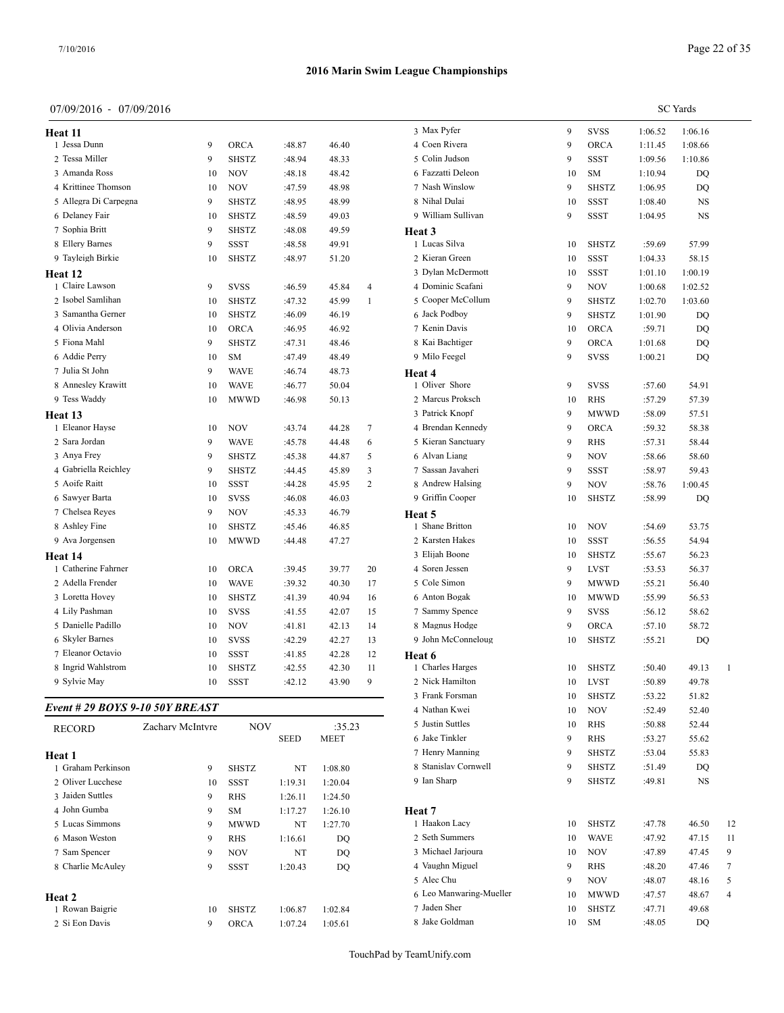SC Yards

| Heat 11                         |                  |              |             |                       |                | 3 Max Pyfer        |
|---------------------------------|------------------|--------------|-------------|-----------------------|----------------|--------------------|
| 1 Jessa Dunn                    | 9                | <b>ORCA</b>  | :48.87      | 46.40                 |                | 4 Coen Rivera      |
| 2 Tessa Miller                  | 9                | <b>SHSTZ</b> | :48.94      | 48.33                 |                | 5 Colin Judson     |
| 3 Amanda Ross                   | 10               | <b>NOV</b>   | :48.18      | 48.42                 |                | 6 Fazzatti Deleon  |
| 4 Krittinee Thomson             | 10               | <b>NOV</b>   | :47.59      | 48.98                 |                | 7 Nash Winslow     |
| 5 Allegra Di Carpegna           | 9                | <b>SHSTZ</b> | :48.95      | 48.99                 |                | 8 Nihal Dulai      |
| 6 Delaney Fair                  | 10               | <b>SHSTZ</b> | :48.59      | 49.03                 |                | 9 William Sullivan |
| 7 Sophia Britt                  | 9                | <b>SHSTZ</b> | :48.08      | 49.59                 |                | Heat <sub>3</sub>  |
| 8 Ellery Barnes                 | 9                | <b>SSST</b>  | :48.58      | 49.91                 |                | 1 Lucas Silva      |
| 9 Tayleigh Birkie               | 10               | <b>SHSTZ</b> | :48.97      | 51.20                 |                | 2 Kieran Green     |
| Heat 12                         |                  |              |             |                       |                | 3 Dylan McDermott  |
| 1 Claire Lawson                 | 9                | <b>SVSS</b>  | :46.59      | 45.84                 | $\overline{4}$ | 4 Dominic Scafani  |
| 2 Isobel Samlihan               | 10               | <b>SHSTZ</b> | :47.32      | 45.99                 | $\mathbf{1}$   | 5 Cooper McCollum  |
| 3 Samantha Gerner               | 10               | <b>SHSTZ</b> | :46.09      | 46.19                 |                | 6 Jack Podbov      |
| 4 Olivia Anderson               | 10               | <b>ORCA</b>  | :46.95      | 46.92                 |                | 7 Kenin Davis      |
| 5 Fiona Mahl                    | 9                | <b>SHSTZ</b> | :47.31      | 48.46                 |                | 8 Kai Bachtiger    |
| 6 Addie Perry                   | 10               | <b>SM</b>    | :47.49      | 48.49                 |                | 9 Milo Feegel      |
| 7 Julia St John                 | 9                | <b>WAVE</b>  | :46.74      | 48.73                 |                | Heat 4             |
| 8 Annesley Krawitt              | 10               | <b>WAVE</b>  | :46.77      | 50.04                 |                | 1 Oliver Shore     |
| 9 Tess Waddy                    | 10               | <b>MWWD</b>  | :46.98      | 50.13                 |                | 2 Marcus Proksch   |
| Heat 13                         |                  |              |             |                       |                | 3 Patrick Knopf    |
| 1 Eleanor Hayse                 | 10               | <b>NOV</b>   | :43.74      | 44.28                 | $\tau$         | 4 Brendan Kennedy  |
| 2 Sara Jordan                   | 9                | <b>WAVE</b>  | :45.78      | 44.48                 | 6              | 5 Kieran Sanctuary |
| 3 Anya Frey                     | 9                | <b>SHSTZ</b> | :45.38      | 44.87                 | 5              | 6 Alvan Liang      |
| 4 Gabriella Reichley            | 9                | <b>SHSTZ</b> | :44.45      | 45.89                 | 3              | 7 Sassan Javaheri  |
| 5 Aoife Raitt                   | 10               | <b>SSST</b>  | :44.28      | 45.95                 | $\overline{c}$ | 8 Andrew Halsing   |
| 6 Sawyer Barta                  | 10               | <b>SVSS</b>  | :46.08      | 46.03                 |                | 9 Griffin Cooper   |
| 7 Chelsea Reyes                 | 9                | <b>NOV</b>   | :45.33      | 46.79                 |                | Heat 5             |
| 8 Ashley Fine                   | 10               | <b>SHSTZ</b> | :45.46      | 46.85                 |                | 1 Shane Britton    |
| 9 Ava Jorgensen                 | 10               | <b>MWWD</b>  | :44.48      | 47.27                 |                | 2 Karsten Hakes    |
| Heat 14                         |                  |              |             |                       |                | 3 Elijah Boone     |
| 1 Catherine Fahrner             | 10               | <b>ORCA</b>  | :39.45      | 39.77                 | 20             | 4 Soren Jessen     |
| 2 Adella Frender                | 10               | <b>WAVE</b>  | :39.32      | 40.30                 | 17             | 5 Cole Simon       |
| 3 Loretta Hovey                 | 10               | <b>SHSTZ</b> | :41.39      | 40.94                 | 16             | 6 Anton Bogak      |
| 4 Lily Pashman                  | 10               | <b>SVSS</b>  | :41.55      | 42.07                 | 15             | 7 Sammy Spence     |
| 5 Danielle Padillo              | 10               | <b>NOV</b>   | :41.81      | 42.13                 | 14             | 8 Magnus Hodge     |
| 6 Skyler Barnes                 | 10               | <b>SVSS</b>  | :42.29      | 42.27                 | 13             | 9 John McConneloug |
| 7 Eleanor Octavio               | 10               | <b>SSST</b>  | :41.85      | 42.28                 | 12             | Heat 6             |
| 8 Ingrid Wahlstrom              | 10               | <b>SHSTZ</b> | :42.55      | 42.30                 | 11             | 1 Charles Harges   |
| 9 Sylvie May                    | 10               | <b>SSST</b>  | :42.12      | 43.90                 | 9              | 2 Nick Hamilton    |
|                                 |                  |              |             |                       |                | 3 Frank Forsman    |
| Event # 29 BOYS 9-10 50Y BREAST |                  |              |             |                       |                | 4 Nathan Kwei      |
|                                 |                  |              |             |                       |                | 5 Justin Suttles   |
| <b>RECORD</b>                   | Zachary McIntyre | <b>NOV</b>   | <b>SEED</b> | :35.23<br><b>MEET</b> |                | 6 Jake Tinkler     |
|                                 |                  |              |             |                       |                | 7 Henry Manning    |
| Heat 1                          |                  |              |             |                       |                |                    |

| Heat 1             |    |              |         |         | 7 Henry Mannir   |
|--------------------|----|--------------|---------|---------|------------------|
| 1 Graham Perkinson | 9  | <b>SHSTZ</b> | NT      | 1:08.80 | 8 Stanislav Corr |
| 2. Oliver Lucchese | 10 | <b>SSST</b>  | 1:19.31 | 1:20.04 | 9 Ian Sharp      |
| 3 Jaiden Suttles   | 9  | <b>RHS</b>   | 1:26.11 | 1:24.50 |                  |
| 4 John Gumba       | 9  | <b>SM</b>    | 1:17.27 | 1:26.10 | Heat 7           |
| 5 Lucas Simmons    | 9  | <b>MWWD</b>  | NT      | 1:27.70 | 1 Haakon Lacy    |
| 6 Mason Weston     | 9  | <b>RHS</b>   | 1:16.61 | DO      | 2 Seth Summers   |
| 7 Sam Spencer      | 9  | <b>NOV</b>   | NT      | DO      | 3 Michael Jarjou |
| 8 Charlie McAuley  | 9  | <b>SSST</b>  | 1:20.43 | DO      | 4 Vaughn Migue   |
|                    |    |              |         |         | 5 Alec Chu       |
| <b>Heat 2</b>      |    |              |         |         | 6 Leo Manwarin   |
| 1 Rowan Baigrie    | 10 | <b>SHSTZ</b> | 1:06.87 | 1:02.84 | 7 Jaden Sher     |
| 2 Si Eon Davis     | 9  | <b>ORCA</b>  | 1:07.24 | 1:05.61 | 8 Jake Goldman   |
|                    |    |              |         |         |                  |

| 3 Max Pyfer             | 9  | SVSS         | 1:06.52 | 1:06.16 |              |
|-------------------------|----|--------------|---------|---------|--------------|
| 4 Coen Rivera           | 9  | ORCA         | 1:11.45 | 1:08.66 |              |
| 5 Colin Judson          | 9  | <b>SSST</b>  | 1:09.56 | 1:10.86 |              |
| 6 Fazzatti Deleon       | 10 | SM           | 1:10.94 | DQ      |              |
| 7 Nash Winslow          | 9  | <b>SHSTZ</b> | 1:06.95 | DQ      |              |
| 8 Nihal Dulai           | 10 | <b>SSST</b>  | 1:08.40 | NS      |              |
| 9 William Sullivan      | 9  | SSST         | 1:04.95 | NS      |              |
| <b>Heat 3</b>           |    |              |         |         |              |
| 1 Lucas Silva           | 10 | SHSTZ        | :59.69  | 57.99   |              |
| 2 Kieran Green          | 10 | SSST         | 1:04.33 | 58.15   |              |
| 3 Dylan McDermott       | 10 | SSST         | 1:01.10 | 1:00.19 |              |
| 4 Dominic Scafani       | 9  | NOV          | 1:00.68 | 1:02.52 |              |
| 5 Cooper McCollum       | 9  | <b>SHSTZ</b> | 1:02.70 | 1:03.60 |              |
| 6 Jack Podboy           | 9  | SHSTZ        | 1:01.90 | DQ      |              |
| 7 Kenin Davis           | 10 | <b>ORCA</b>  | :59.71  | DQ      |              |
| 8 Kai Bachtiger         | 9  | ORCA         | 1:01.68 | DQ      |              |
| 9 Milo Feegel           | 9  | SVSS         | 1:00.21 | DQ      |              |
| Heat 4                  |    |              |         |         |              |
| 1 Oliver Shore          | 9  | SVSS         | :57.60  | 54.91   |              |
| 2 Marcus Proksch        | 10 | RHS          | :57.29  | 57.39   |              |
| 3 Patrick Knopf         | 9  | MWWD         | :58.09  | 57.51   |              |
| 4 Brendan Kennedy       | 9  | ORCA         | :59.32  | 58.38   |              |
| 5 Kieran Sanctuary      | 9  | RHS          | :57.31  | 58.44   |              |
| 6 Alvan Liang           | 9  | <b>NOV</b>   | :58.66  | 58.60   |              |
| 7 Sassan Javaheri       | 9  | SSST         | :58.97  | 59.43   |              |
| 8 Andrew Halsing        | 9  | NOV          | :58.76  | 1:00.45 |              |
| 9 Griffin Cooper        | 10 | SHSTZ        | :58.99  | DQ      |              |
| Heat 5                  |    |              |         |         |              |
| 1 Shane Britton         | 10 | <b>NOV</b>   | :54.69  | 53.75   |              |
| 2 Karsten Hakes         | 10 | SSST         | :56.55  | 54.94   |              |
| 3 Elijah Boone          | 10 | SHSTZ        | :55.67  | 56.23   |              |
| 4 Soren Jessen          | 9  | LVST         | :53.53  | 56.37   |              |
| 5 Cole Simon            | 9  | MWWD         | :55.21  | 56.40   |              |
| 6 Anton Bogak           | 10 | MWWD         | :55.99  | 56.53   |              |
| 7 Sammy Spence          | 9  | <b>SVSS</b>  | :56.12  | 58.62   |              |
| 8 Magnus Hodge          | 9  | ORCA         | :57.10  | 58.72   |              |
| 9 John McConneloug      | 10 | SHSTZ        | :55.21  | DQ      |              |
| Heat 6                  |    |              |         |         |              |
| 1 Charles Harges        | 10 | SHSTZ        | :50.40  | 49.13   | $\mathbf{1}$ |
| 2 Nick Hamilton         | 10 | <b>LVST</b>  | :50.89  | 49.78   |              |
| 3 Frank Forsman         | 10 | <b>SHSTZ</b> | :53.22  | 51.82   |              |
| 4 Nathan Kwei           | 10 | NOV          | :52.49  | 52.40   |              |
| 5 Justin Suttles        | 10 | RHS          | :50.88  | 52.44   |              |
| 6 Jake Tinkler          | 9  | RHS          | :53.27  | 55.62   |              |
| 7 Henry Manning         | 9  | SHSTZ        | :53.04  | 55.83   |              |
| 8 Stanislav Cornwell    | 9  | SHSTZ        | :51.49  | DQ      |              |
| 9 Ian Sharp             | 9  | SHSTZ        | :49.81  | NS      |              |
|                         |    |              |         |         |              |
| Heat 7                  |    |              |         |         |              |
| 1 Haakon Lacy           | 10 | SHSTZ        | :47.78  | 46.50   | 12           |
| 2 Seth Summers          | 10 | WAVE         | :47.92  | 47.15   | 11           |
| 3 Michael Jarjoura      | 10 | <b>NOV</b>   | :47.89  | 47.45   | 9            |
| 4 Vaughn Miguel         | 9  | RHS          | :48.20  | 47.46   | 7            |
| 5 Alec Chu              | 9  | NOV          | :48.07  | 48.16   | 5            |
| 6 Leo Manwaring-Mueller | 10 | MWWD         | :47.57  | 48.67   | 4            |
| 7 Jaden Sher            | 10 | SHSTZ        | :47.71  | 49.68   |              |
| 8 Jake Goldman          | 10 | ${\rm SM}$   | :48.05  | DQ      |              |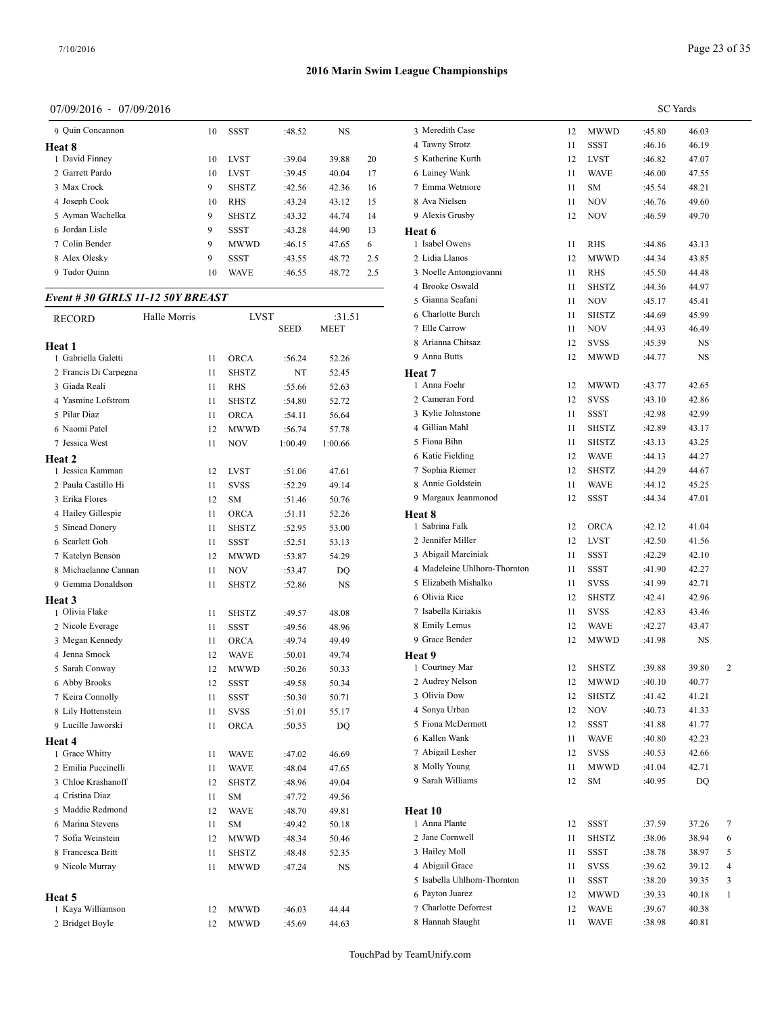## 07/09/2016 - 07/09/2016

| 9 Ouin Concannon | 10 | <b>SSST</b>  | :48.52 | <b>NS</b> |     | 3 Meredith C  |
|------------------|----|--------------|--------|-----------|-----|---------------|
| Heat 8           |    |              |        |           |     | 4 Tawny Stro  |
| 1 David Finney   | 10 | <b>LVST</b>  | :39.04 | 39.88     | 20  | 5 Katherine K |
| 2 Garrett Pardo  | 10 | <b>LVST</b>  | :39.45 | 40.04     | 17  | 6 Lainey War  |
| 3 Max Crock      | 9  | <b>SHSTZ</b> | :42.56 | 42.36     | 16  | 7 Emma Wetı   |
| 4 Joseph Cook    | 10 | <b>RHS</b>   | :43.24 | 43.12     | 15  | 8 Ava Nielser |
| 5 Ayman Wachelka | 9  | <b>SHSTZ</b> | :43.32 | 44.74     | 14  | 9 Alexis Grus |
| 6 Jordan Lisle   | 9  | <b>SSST</b>  | :43.28 | 44.90     | 13  | Heat 6        |
| 7 Colin Bender   | 9  | <b>MWWD</b>  | :46.15 | 47.65     | 6   | 1 Isabel Owe  |
| 8 Alex Olesky    | 9  | <b>SSST</b>  | :43.55 | 48.72     | 2.5 | 2 Lidia Llano |
| 9 Tudor Quinn    | 10 | <b>WAVE</b>  | :46.55 | 48.72     | 2.5 | 3 Noelle Anto |
|                  |    |              |        |           |     |               |

# *Event # 30 GIRLS 11-12 50Y BREAST*

| <b>RECORD</b>         | Halle Morris |    | <b>LVST</b>  |             | :31.51    | 6 Charlotte Buro  |
|-----------------------|--------------|----|--------------|-------------|-----------|-------------------|
|                       |              |    |              | <b>SEED</b> | MEET      | 7 Elle Carrow     |
| Heat 1                |              |    |              |             |           | 8 Arianna Chits   |
| 1 Gabriella Galetti   |              | 11 | <b>ORCA</b>  | :56.24      | 52.26     | 9 Anna Butts      |
| 2 Francis Di Carpegna |              | 11 | <b>SHSTZ</b> | NT          | 52.45     | Heat 7            |
| 3 Giada Reali         |              | 11 | <b>RHS</b>   | :55.66      | 52.63     | 1 Anna Foehr      |
| 4 Yasmine Lofstrom    |              | 11 | <b>SHSTZ</b> | :54.80      | 52.72     | 2 Cameran Ford    |
| 5 Pilar Diaz          |              | 11 | <b>ORCA</b>  | :54.11      | 56.64     | 3 Kylie Johnstor  |
| 6 Naomi Patel         |              | 12 | <b>MWWD</b>  | :56.74      | 57.78     | 4 Gillian Mahl    |
| 7 Jessica West        |              | 11 | NOV          | 1:00.49     | 1:00.66   | 5 Fiona Bihn      |
| Heat 2                |              |    |              |             |           | 6 Katie Fielding  |
| 1 Jessica Kamman      |              | 12 | <b>LVST</b>  | :51.06      | 47.61     | 7 Sophia Rieme    |
| 2 Paula Castillo Hi   |              | 11 | <b>SVSS</b>  | :52.29      | 49.14     | 8 Annie Goldste   |
| 3 Erika Flores        |              | 12 | SM           | :51.46      | 50.76     | 9 Margaux Jean    |
| 4 Hailey Gillespie    |              | 11 | <b>ORCA</b>  | :51.11      | 52.26     | Heat 8            |
| 5 Sinead Donery       |              | 11 | <b>SHSTZ</b> | :52.95      | 53.00     | 1 Sabrina Falk    |
| 6 Scarlett Goh        |              | 11 | SSST         | :52.51      | 53.13     | 2 Jennifer Mille  |
| 7 Katelyn Benson      |              | 12 | <b>MWWD</b>  | :53.87      | 54.29     | 3 Abigail Marci   |
| 8 Michaelanne Cannan  |              | 11 | <b>NOV</b>   | :53.47      | DQ        | 4 Madeleine Uh    |
| 9 Gemma Donaldson     |              | 11 | <b>SHSTZ</b> | :52.86      | NS        | 5 Elizabeth Misl  |
| <b>Heat 3</b>         |              |    |              |             |           | 6 Olivia Rice     |
| 1 Olivia Flake        |              | 11 | <b>SHSTZ</b> | :49.57      | 48.08     | 7 Isabella Kirial |
| 2 Nicole Everage      |              | 11 | <b>SSST</b>  | :49.56      | 48.96     | 8 Emily Lemus     |
| 3 Megan Kennedy       |              | 11 | ORCA         | :49.74      | 49.49     | 9 Grace Bender    |
| 4 Jenna Smock         |              | 12 | <b>WAVE</b>  | :50.01      | 49.74     | Heat 9            |
| 5 Sarah Conway        |              | 12 | <b>MWWD</b>  | :50.26      | 50.33     | 1 Courtney Mar    |
| 6 Abby Brooks         |              | 12 | <b>SSST</b>  | :49.58      | 50.34     | 2 Audrey Nelson   |
| 7 Keira Connolly      |              | 11 | <b>SSST</b>  | :50.30      | 50.71     | 3 Olivia Dow      |
| 8 Lily Hottenstein    |              | 11 | <b>SVSS</b>  | :51.01      | 55.17     | 4 Sonya Urban     |
| 9 Lucille Jaworski    |              | 11 | <b>ORCA</b>  | :50.55      | DQ        | 5 Fiona McDerr    |
| Heat 4                |              |    |              |             |           | 6 Kallen Wank     |
| 1 Grace Whitty        |              | 11 | <b>WAVE</b>  | :47.02      | 46.69     | 7 Abigail Leshe   |
| 2 Emilia Puccinelli   |              | 11 | <b>WAVE</b>  | :48.04      | 47.65     | 8 Molly Young     |
| 3 Chloe Krashanoff    |              | 12 | <b>SHSTZ</b> | :48.96      | 49.04     | 9 Sarah William   |
| 4 Cristina Diaz       |              | 11 | SM           | :47.72      | 49.56     |                   |
| 5 Maddie Redmond      |              | 12 | <b>WAVE</b>  | :48.70      | 49.81     | Heat 10           |
| 6 Marina Stevens      |              | 11 | <b>SM</b>    | :49.42      | 50.18     | 1 Anna Plante     |
| 7 Sofia Weinstein     |              | 12 | MWWD         | :48.34      | 50.46     | 2 Jane Cornwell   |
| 8 Francesca Britt     |              | 11 | <b>SHSTZ</b> | :48.48      | 52.35     | 3 Hailey Moll     |
| 9 Nicole Murray       |              | 11 | <b>MWWD</b>  | :47.24      | <b>NS</b> | 4 Abigail Grace   |
|                       |              |    |              |             |           | 5 Isabella Uhlho  |
| Heat 5                |              |    |              |             |           | 6 Payton Juarez   |
| 1 Kaya Williamson     |              | 12 | <b>MWWD</b>  | :46.03      | 44.44     | 7 Charlotte Defo  |
| 2 Bridget Boyle       |              | 12 | <b>MWWD</b>  | :45.69      | 44.63     | 8 Hannah Slaug    |
|                       |              |    |              |             |           |                   |

|                              |    |              | <b>SC</b> Yards |       |              |
|------------------------------|----|--------------|-----------------|-------|--------------|
| 3 Meredith Case              | 12 | MWWD         | :45.80          | 46.03 |              |
| 4 Tawny Strotz               | 11 | SSST         | :46.16          | 46.19 |              |
| 5 Katherine Kurth            | 12 | LVST         | :46.82          | 47.07 |              |
| 6 Lainey Wank                | 11 | WAVE         | :46.00          | 47.55 |              |
| 7 Emma Wetmore               | 11 | SМ           | :45.54          | 48.21 |              |
| 8 Ava Nielsen                | 11 | <b>NOV</b>   | :46.76          | 49.60 |              |
| 9 Alexis Grusby              | 12 | NOV          | :46.59          | 49.70 |              |
| Heat 6                       |    |              |                 |       |              |
| 1 Isabel Owens               | 11 | <b>RHS</b>   | :44.86          | 43.13 |              |
| 2 Lidia Llanos               | 12 | <b>MWWD</b>  | :44.34          | 43.85 |              |
| 3 Noelle Antongiovanni       | 11 | <b>RHS</b>   | :45.50          | 44.48 |              |
| 4 Brooke Oswald              | 11 | SHSTZ        | :44.36          | 44.97 |              |
| 5 Gianna Scafani             | 11 | NOV          | :45.17          | 45.41 |              |
| 6 Charlotte Burch            | 11 | SHSTZ        | :44.69          | 45.99 |              |
| 7 Elle Carrow                | 11 | <b>NOV</b>   | :44.93          | 46.49 |              |
| 8 Arianna Chitsaz            | 12 | SVSS         | :45.39          | NS    |              |
| 9 Anna Butts                 | 12 | MWWD         | :44.77          | NS    |              |
| Heat 7                       |    |              |                 |       |              |
| 1 Anna Foehr                 | 12 | MWWD         | :43.77          | 42.65 |              |
| 2 Cameran Ford               | 12 | SVSS         | :43.10          | 42.86 |              |
| 3 Kylie Johnstone            | 11 | SSST         | :42.98          | 42.99 |              |
| 4 Gillian Mahl               | 11 | <b>SHSTZ</b> | :42.89          | 43.17 |              |
| 5 Fiona Bihn                 | 11 | SHSTZ        | :43.13          | 43.25 |              |
| 6 Katie Fielding             | 12 | WAVE         | :44.13          | 44.27 |              |
| 7 Sophia Riemer              | 12 | SHSTZ        | :44.29          | 44.67 |              |
| 8 Annie Goldstein            | 11 | WAVE         | :44.12          | 45.25 |              |
| 9 Margaux Jeanmonod          | 12 | SSST         | :44.34          | 47.01 |              |
| Heat 8                       |    |              |                 |       |              |
| 1 Sabrina Falk               | 12 | ORCA         | :42.12          | 41.04 |              |
| 2 Jennifer Miller            | 12 | LVST         | :42.50          | 41.56 |              |
| 3 Abigail Marciniak          | 11 | SSST         | :42.29          | 42.10 |              |
| 4 Madeleine Uhlhorn-Thornton | 11 | SSST         | :41.90          | 42.27 |              |
| 5 Elizabeth Mishalko         | 11 | SVSS         | :41.99          | 42.71 |              |
| 6 Olivia Rice                | 12 | SHSTZ        | :42.41          | 42.96 |              |
| 7 Isabella Kiriakis          | 11 | SVSS         | :42.83          | 43.46 |              |
| 8 Emily Lemus                | 12 | WAVE         | :42.27          | 43.47 |              |
| 9 Grace Bender               | 12 | MWWD         | :41.98          | NS    |              |
| Heat 9                       |    |              |                 |       |              |
| 1 Courtney Mar               | 12 | <b>SHSTZ</b> | :39.88          | 39.80 | 2            |
| 2 Audrey Nelson              | 12 | MWWD         | :40.10          | 40.77 |              |
| 3 Olivia Dow                 | 12 | SHSTZ        | :41.42          | 41.21 |              |
| 4 Sonya Urban                | 12 | NOV          | :40.73          | 41.33 |              |
| 5 Fiona McDermott            | 12 | SSST         | :41.88          | 41.77 |              |
| 6 Kallen Wank                | 11 | WAVE         | :40.80          | 42.23 |              |
| 7 Abigail Lesher             | 12 | SVSS         | :40.53          | 42.66 |              |
| 8 Molly Young                | 11 | MWWD         | :41.04          | 42.71 |              |
| 9 Sarah Williams             | 12 | SM           | :40.95          | DQ    |              |
|                              |    |              |                 |       |              |
| Heat 10                      |    |              |                 |       |              |
| 1 Anna Plante                | 12 | SSST         | :37.59          | 37.26 | 7            |
| 2 Jane Cornwell              | 11 | SHSTZ        | :38.06          | 38.94 | 6            |
| 3 Hailey Moll                | 11 | SSST         | :38.78          | 38.97 | 5            |
| 4 Abigail Grace              | 11 | SVSS         | :39.62          | 39.12 | 4            |
| 5 Isabella Uhlhorn-Thornton  | 11 | SSST         | :38.20          | 39.35 | 3            |
| 6 Payton Juarez              | 12 | MWWD         | :39.33          | 40.18 | $\mathbf{1}$ |
| 7 Charlotte Deforrest        | 12 | WAVE         | :39.67          | 40.38 |              |
| 8 Hannah Slaught             | 11 | WAVE         | :38.98          | 40.81 |              |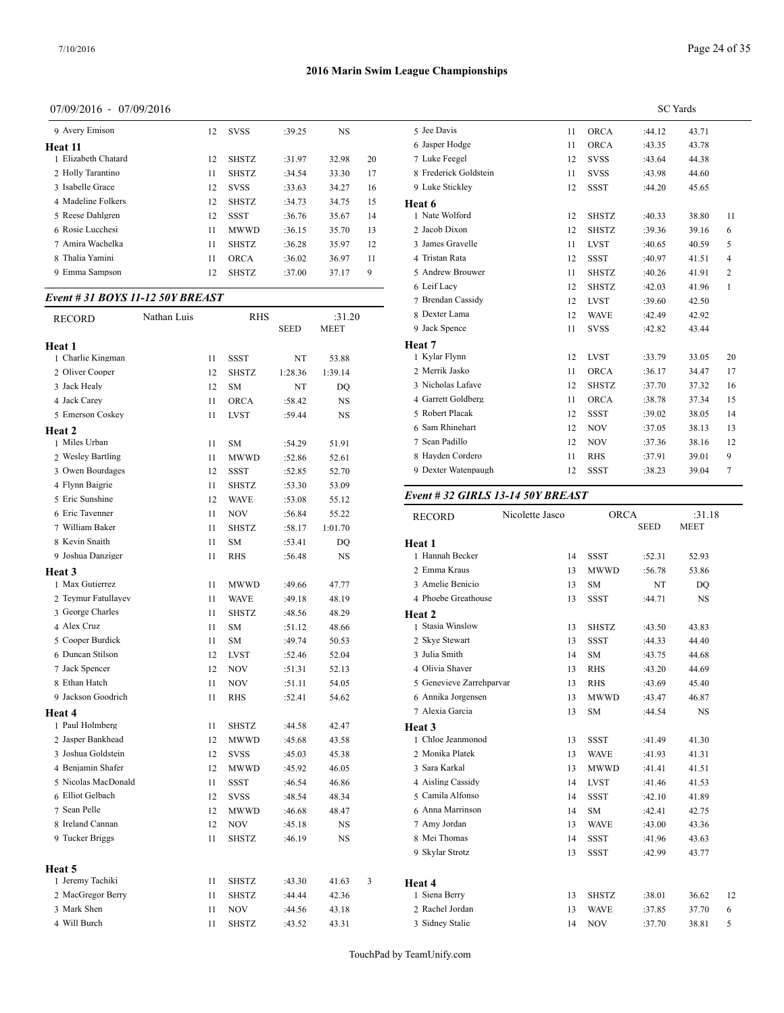## 07/09/2016 - 07/09/2016

| 9 Avery Emison      | 12 | <b>SVSS</b>  | :39.25 | NS.   |    | 5 Jee Davis   |
|---------------------|----|--------------|--------|-------|----|---------------|
| Heat 11             |    |              |        |       |    | 6 Jasper Hod  |
| 1 Elizabeth Chatard | 12 | <b>SHSTZ</b> | :31.97 | 32.98 | 20 | 7 Luke Feego  |
| 2 Holly Tarantino   | 11 | <b>SHSTZ</b> | :34.54 | 33.30 | 17 | 8 Frederick Q |
| 3 Isabelle Grace    | 12 | <b>SVSS</b>  | :33.63 | 34.27 | 16 | 9 Luke Stick  |
| 4 Madeline Folkers  | 12 | <b>SHSTZ</b> | :34.73 | 34.75 | 15 | Heat 6        |
| 5 Reese Dahlgren    | 12 | SSST         | :36.76 | 35.67 | 14 | 1 Nate Wolfd  |
| 6 Rosie Lucchesi    | 11 | <b>MWWD</b>  | :36.15 | 35.70 | 13 | 2 Jacob Dixo  |
| 7 Amira Wachelka    | 11 | <b>SHSTZ</b> | :36.28 | 35.97 | 12 | 3 James Gray  |
| 8 Thalia Yamini     | 11 | <b>ORCA</b>  | :36.02 | 36.97 | 11 | 4 Tristan Rat |
| 9 Emma Sampson      | 12 | <b>SHSTZ</b> | :37.00 | 37.17 | 9  | 5 Andrew Br   |
|                     |    |              |        |       |    |               |

## *Event # 31 BOYS 11-12 50Y BREAST*

| RECORD              | Nathan Luis |    | RHS          |             | :31.20      | 8 Dexter Lama    |  |
|---------------------|-------------|----|--------------|-------------|-------------|------------------|--|
|                     |             |    |              | <b>SEED</b> | <b>MEET</b> | 9 Jack Spence    |  |
| Heat 1              |             |    |              |             |             | Heat 7           |  |
| 1 Charlie Kingman   |             | 11 | SSST         | NT          | 53.88       | 1 Kylar Flynn    |  |
| 2 Oliver Cooper     |             | 12 | <b>SHSTZ</b> | 1:28.36     | 1:39.14     | 2 Merrik Jasko   |  |
| 3 Jack Healy        |             | 12 | <b>SM</b>    | NT          | DO          | 3 Nicholas Lafa  |  |
| 4 Jack Carey        |             | 11 | ORCA         | :58.42      | NS          | 4 Garrett Goldb  |  |
| 5 Emerson Coskey    |             | 11 | <b>LVST</b>  | :59.44      | NS          | 5 Robert Placak  |  |
| Heat 2              |             |    |              |             |             | 6 Sam Rhinehar   |  |
| 1 Miles Urban       |             | 11 | SM           | :54.29      | 51.91       | 7 Sean Padillo   |  |
| 2 Wesley Bartling   |             | 11 | <b>MWWD</b>  | :52.86      | 52.61       | 8 Hayden Corde   |  |
| 3 Owen Bourdages    |             | 12 | SSST         | :52.85      | 52.70       | 9 Dexter Waten   |  |
| 4 Flynn Baigrie     |             | 11 | SHSTZ        | :53.30      | 53.09       |                  |  |
| 5 Eric Sunshine     |             | 12 | <b>WAVE</b>  | :53.08      | 55.12       | Event # 32 GII   |  |
| 6 Eric Tavenner     |             | 11 | NOV          | :56.84      | 55.22       | <b>RECORD</b>    |  |
| 7 William Baker     |             | 11 | <b>SHSTZ</b> | :58.17      | 1:01.70     |                  |  |
| 8 Kevin Snaith      |             | 11 | <b>SM</b>    | :53.41      | DO          | Heat 1           |  |
| 9 Joshua Danziger   |             | 11 | RHS          | :56.48      | NS          | 1 Hannah Becke   |  |
| Heat 3              |             |    |              |             |             | 2 Emma Kraus     |  |
| 1 Max Gutierrez     |             | 11 | MWWD         | :49.66      | 47.77       | 3 Amelie Benici  |  |
| 2 Teymur Fatullayev |             | 11 | <b>WAVE</b>  | :49.18      | 48.19       | 4 Phoebe Greath  |  |
| 3 George Charles    |             | 11 | <b>SHSTZ</b> | :48.56      | 48.29       | Heat 2           |  |
| 4 Alex Cruz         |             | 11 | <b>SM</b>    | : 51.12     | 48.66       | 1 Stasia Winslov |  |
| 5 Cooper Burdick    |             | 11 | SM           | :49.74      | 50.53       | 2 Skye Stewart   |  |
| 6 Duncan Stilson    |             | 12 | <b>LVST</b>  | :52.46      | 52.04       | 3 Julia Smith    |  |
| 7 Jack Spencer      |             | 12 | NOV          | :51.31      | 52.13       | 4 Olivia Shaver  |  |
| 8 Ethan Hatch       |             | 11 | <b>NOV</b>   | :51.11      | 54.05       | 5 Genevieve Zar  |  |
| 9 Jackson Goodrich  |             | 11 | <b>RHS</b>   | :52.41      | 54.62       | 6 Annika Jorger  |  |
| <b>Heat 4</b>       |             |    |              |             |             | 7 Alexia Garcia  |  |
| 1 Paul Holmberg     |             | 11 | SHSTZ        | :44.58      | 42.47       | Heat 3           |  |
| 2 Jasper Bankhead   |             | 12 | MWWD         | :45.68      | 43.58       | 1 Chloe Jeanmo   |  |
| 3 Joshua Goldstein  |             | 12 | <b>SVSS</b>  | :45.03      | 45.38       | 2 Monika Platek  |  |
| 4 Benjamin Shafer   |             | 12 | <b>MWWD</b>  | :45.92      | 46.05       | 3 Sara Karkal    |  |
| 5 Nicolas MacDonald |             | 11 | <b>SSST</b>  | :46.54      | 46.86       | 4 Aisling Cassic |  |
| 6 Elliot Gelbach    |             | 12 | <b>SVSS</b>  | :48.54      | 48.34       | 5 Camila Alfons  |  |
| 7 Sean Pelle        |             | 12 | MWWD         | :46.68      | 48.47       | 6 Anna Marrins   |  |
| 8 Ireland Cannan    |             | 12 | NOV          | :45.18      | NS          | 7 Amy Jordan     |  |
| 9 Tucker Briggs     |             | 11 | <b>SHSTZ</b> | :46.19      | NS          | 8 Mei Thomas     |  |
|                     |             |    |              |             |             | 9 Skylar Strotz  |  |
| Heat 5              |             |    |              |             |             |                  |  |
| 1 Jeremy Tachiki    |             | 11 | SHSTZ        | :43.30      | 41.63       | 3<br>Heat 4      |  |
| 2 MacGregor Berry   |             | 11 | <b>SHSTZ</b> | :44.44      | 42.36       | 1 Siena Berry    |  |
| 3 Mark Shen         |             | 11 | <b>NOV</b>   | :44.56      | 43.18       | 2 Rachel Jordan  |  |
| 4 Will Burch        |             | 11 | <b>SHSTZ</b> | :43.52      | 43.31       | 3 Sidney Stalie  |  |

|                       | <b>SC</b> Yards |              |        |       |                |  |  |  |
|-----------------------|-----------------|--------------|--------|-------|----------------|--|--|--|
| 5 Jee Davis           | 11              | <b>ORCA</b>  | :44.12 | 43.71 |                |  |  |  |
| 6 Jasper Hodge        | 11              | <b>ORCA</b>  | :43.35 | 43.78 |                |  |  |  |
| 7 Luke Feegel         | 12              | <b>SVSS</b>  | :43.64 | 44.38 |                |  |  |  |
| 8 Frederick Goldstein | 11              | <b>SVSS</b>  | :43.98 | 44.60 |                |  |  |  |
| 9 Luke Stickley       | 12              | <b>SSST</b>  | :44.20 | 45.65 |                |  |  |  |
| Heat 6                |                 |              |        |       |                |  |  |  |
| 1 Nate Wolford        | 12              | <b>SHSTZ</b> | :40.33 | 38.80 | 11             |  |  |  |
| 2 Jacob Dixon         | 12              | <b>SHSTZ</b> | :39.36 | 39.16 | 6              |  |  |  |
| 3 James Gravelle      | 11              | <b>LVST</b>  | :40.65 | 40.59 | 5              |  |  |  |
| 4 Tristan Rata        | 12              | <b>SSST</b>  | :40.97 | 41.51 | $\overline{4}$ |  |  |  |
| 5 Andrew Brouwer      | 11              | <b>SHSTZ</b> | :40.26 | 41.91 | 2              |  |  |  |
| 6 Leif Lacy           | 12              | <b>SHSTZ</b> | :42.03 | 41.96 | $\mathbf{1}$   |  |  |  |
| 7 Brendan Cassidy     | 12              | <b>LVST</b>  | :39.60 | 42.50 |                |  |  |  |
| 8 Dexter Lama         | 12              | <b>WAVE</b>  | :42.49 | 42.92 |                |  |  |  |
| 9 Jack Spence         | 11              | <b>SVSS</b>  | :42.82 | 43.44 |                |  |  |  |
| Heat 7                |                 |              |        |       |                |  |  |  |
| 1 Kylar Flynn         | 12              | <b>LVST</b>  | :33.79 | 33.05 | 20             |  |  |  |
| 2 Merrik Jasko        | 11              | <b>ORCA</b>  | :36.17 | 34.47 | 17             |  |  |  |
| 3 Nicholas Lafave     | 12              | <b>SHSTZ</b> | :37.70 | 37.32 | 16             |  |  |  |
| 4 Garrett Goldberg    | 11              | <b>ORCA</b>  | :38.78 | 37.34 | 15             |  |  |  |
| 5 Robert Placak       | 12              | <b>SSST</b>  | :39.02 | 38.05 | 14             |  |  |  |
| 6 Sam Rhinehart       | 12              | <b>NOV</b>   | :37.05 | 38.13 | 13             |  |  |  |
| 7 Sean Padillo        | 12              | <b>NOV</b>   | :37.36 | 38.16 | 12             |  |  |  |
| 8 Hayden Cordero      | 11              | <b>RHS</b>   | :37.91 | 39.01 | 9              |  |  |  |
| 9 Dexter Watenpaugh   | 12              | <b>SSST</b>  | :38.23 | 39.04 | 7              |  |  |  |
|                       |                 |              |        |       |                |  |  |  |

#### *Event # 32 GIRLS 13-14 50Y BREAST*

| <b>RECORD</b>            | Nicolette Jasco | <b>ORCA</b>  | <b>SEED</b> | :31.18<br><b>MEET</b> |    |
|--------------------------|-----------------|--------------|-------------|-----------------------|----|
| Heat 1                   |                 |              |             |                       |    |
| 1 Hannah Becker          | 14              | <b>SSST</b>  | :52.31      | 52.93                 |    |
| 2 Emma Kraus             | 13              | <b>MWWD</b>  | :56.78      | 53.86                 |    |
| 3 Amelie Benicio         | 13              | <b>SM</b>    | NT          | DO                    |    |
| 4 Phoebe Greathouse      | 13              | <b>SSST</b>  | :44.71      | <b>NS</b>             |    |
| Heat 2                   |                 |              |             |                       |    |
| 1 Stasia Winslow         | 13              | <b>SHSTZ</b> | :43.50      | 43.83                 |    |
| 2 Skye Stewart           | 13              | <b>SSST</b>  | :44.33      | 44.40                 |    |
| 3 Julia Smith            | 14              | <b>SM</b>    | :43.75      | 44.68                 |    |
| 4 Olivia Shaver          | 13              | <b>RHS</b>   | :43.20      | 44.69                 |    |
| 5 Genevieve Zarrehparvar | 13              | <b>RHS</b>   | :43.69      | 45.40                 |    |
| 6 Annika Jorgensen       | 13              | <b>MWWD</b>  | :43.47      | 46.87                 |    |
| 7 Alexia Garcia          | 13              | <b>SM</b>    | :44.54      | <b>NS</b>             |    |
| Heat 3                   |                 |              |             |                       |    |
| 1 Chloe Jeanmonod        | 13              | <b>SSST</b>  | :41.49      | 41.30                 |    |
| 2 Monika Platek          | 13              | <b>WAVE</b>  | :41.93      | 41.31                 |    |
| 3 Sara Karkal            | 13              | <b>MWWD</b>  | :41.41      | 41.51                 |    |
| 4 Aisling Cassidy        | 14              | <b>LVST</b>  | :41.46      | 41.53                 |    |
| 5 Camila Alfonso         | 14              | <b>SSST</b>  | :42.10      | 41.89                 |    |
| 6 Anna Marrinson         | 14              | <b>SM</b>    | :42.41      | 42.75                 |    |
| 7 Amy Jordan             | 13              | <b>WAVE</b>  | :43.00      | 43.36                 |    |
| 8 Mei Thomas             | 14              | <b>SSST</b>  | :41.96      | 43.63                 |    |
| 9 Skylar Strotz          | 13              | <b>SSST</b>  | :42.99      | 43.77                 |    |
|                          |                 |              |             |                       |    |
| Heat 4                   |                 |              |             |                       |    |
| 1 Siena Berry            | 13              | <b>SHSTZ</b> | :38.01      | 36.62                 | 12 |
| 2 Rachel Jordan          | 13              | <b>WAVE</b>  | :37.85      | 37.70                 | 6  |
| 3 Sidney Stalie          | 14              | <b>NOV</b>   | :37.70      | 38.81                 | 5  |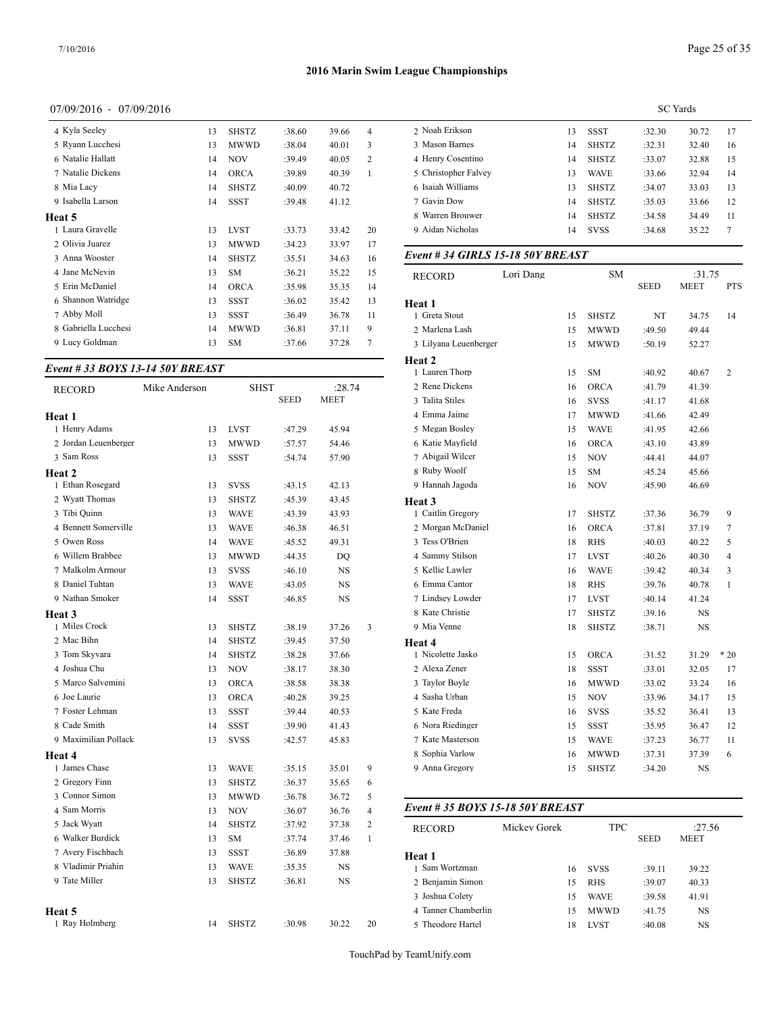## 07/09/2016 - 07/09/2016

| 4 Kyla Seeley        | 13 | <b>SHSTZ</b> | :38.60 | 39.66 | 4  | 2 Noah Erikson                   |           | 13 | <b>SSST</b>  | :32.30      | 30.72       |
|----------------------|----|--------------|--------|-------|----|----------------------------------|-----------|----|--------------|-------------|-------------|
| 5 Ryann Lucchesi     | 13 | <b>MWWD</b>  | :38.04 | 40.01 | 3  | 3 Mason Barnes                   |           | 14 | <b>SHSTZ</b> | :32.31      | 32.40       |
| 6 Natalie Hallatt    | 14 | <b>NOV</b>   | :39.49 | 40.05 | 2  | 4 Henry Cosentino                |           | 14 | <b>SHSTZ</b> | :33.07      | 32.88       |
| 7 Natalie Dickens    | 14 | <b>ORCA</b>  | :39.89 | 40.39 |    | 5 Christopher Falvey             |           | 13 | <b>WAVE</b>  | :33.66      | 32.94       |
| 8 Mia Lacy           | 14 | <b>SHSTZ</b> | :40.09 | 40.72 |    | 6 Isaiah Williams                |           | 13 | <b>SHSTZ</b> | :34.07      | 33.03       |
| 9 Isabella Larson    | 14 | <b>SSST</b>  | :39.48 | 41.12 |    | 7 Gavin Dow                      |           | 14 | <b>SHSTZ</b> | :35.03      | 33.66       |
| Heat 5               |    |              |        |       |    | 8 Warren Brouwer                 |           | 14 | <b>SHSTZ</b> | :34.58      | 34.49       |
| Laura Gravelle       | 13 | <b>LVST</b>  | :33.73 | 33.42 | 20 | 9 Aidan Nicholas                 |           | 14 | <b>SVSS</b>  | :34.68      | 35.22       |
| 2 Olivia Juarez      | 13 | <b>MWWD</b>  | :34.23 | 33.97 | 17 |                                  |           |    |              |             |             |
| 3 Anna Wooster       | 14 | <b>SHSTZ</b> | :35.51 | 34.63 | 16 | Event #34 GIRLS 15-18 50Y BREAST |           |    |              |             |             |
| 4 Jane McNevin       | 13 | <b>SM</b>    | :36.21 | 35.22 | 15 | <b>RECORD</b>                    | Lori Dang |    | <b>SM</b>    |             | :31.75      |
| 5 Erin McDaniel      | 14 | <b>ORCA</b>  | :35.98 | 35.35 | 14 |                                  |           |    |              | <b>SEED</b> | <b>MEET</b> |
| 6 Shannon Watridge   | 13 | <b>SSST</b>  | :36.02 | 35.42 | 13 | Heat 1                           |           |    |              |             |             |
| 7 Abby Moll          | 13 | <b>SSST</b>  | :36.49 | 36.78 | 11 | 1 Greta Stout                    |           | 15 | <b>SHSTZ</b> | NT          | 34.75       |
| 8 Gabriella Lucchesi | 14 | <b>MWWD</b>  | :36.81 | 37.11 | 9  | 2 Marlena Lash                   |           | 15 | <b>MWWD</b>  | :49.50      | 49.44       |
| 9 Lucy Goldman       | 13 | <b>SM</b>    | :37.66 | 37.28 |    | 3 Lilyana Leuenberger            |           | 15 | MWWD         | :50.19      | 52.27       |
|                      |    |              |        |       |    |                                  |           |    |              |             |             |

## *Event # 33 BOYS 13-14 50Y BREAST*

| <b>RECORD</b>        | Mike Anderson | <b>SHST</b>  |             | :28.74      |                         | 2 Rene Dickens                   | 16           | ORCA         | :41.79      | 41.39       |
|----------------------|---------------|--------------|-------------|-------------|-------------------------|----------------------------------|--------------|--------------|-------------|-------------|
|                      |               |              | <b>SEED</b> | <b>MEET</b> |                         | 3 Talita Stiles                  | 16           | <b>SVSS</b>  | :41.17      | 41.68       |
| Heat 1               |               |              |             |             |                         | 4 Emma Jaime                     | 17           | <b>MWWD</b>  | :41.66      | 42.49       |
| 1 Henry Adams        | 13            | <b>LVST</b>  | :47.29      | 45.94       |                         | 5 Megan Bosley                   | 15           | <b>WAVE</b>  | :41.95      | 42.66       |
| 2 Jordan Leuenberger | 13            | <b>MWWD</b>  | :57.57      | 54.46       |                         | 6 Katie Mayfield                 | 16           | <b>ORCA</b>  | :43.10      | 43.89       |
| 3 Sam Ross           | 13            | <b>SSST</b>  | :54.74      | 57.90       |                         | 7 Abigail Wilcer                 | 15           | <b>NOV</b>   | :44.41      | 44.07       |
| Heat 2               |               |              |             |             |                         | 8 Ruby Woolf                     | 15           | SM           | :45.24      | 45.66       |
| 1 Ethan Rosegard     | 13            | <b>SVSS</b>  | :43.15      | 42.13       |                         | 9 Hannah Jagoda                  | 16           | <b>NOV</b>   | :45.90      | 46.69       |
| 2 Wyatt Thomas       | 13            | <b>SHSTZ</b> | :45.39      | 43.45       |                         | Heat 3                           |              |              |             |             |
| 3 Tibi Quinn         | 13            | <b>WAVE</b>  | :43.39      | 43.93       |                         | 1 Caitlin Gregory                | 17           | <b>SHSTZ</b> | :37.36      | 36.79       |
| 4 Bennett Somerville | 13            | <b>WAVE</b>  | :46.38      | 46.51       |                         | 2 Morgan McDaniel                | 16           | ORCA         | :37.81      | 37.19       |
| 5 Owen Ross          | 14            | <b>WAVE</b>  | :45.52      | 49.31       |                         | 3 Tess O'Brien                   | 18           | <b>RHS</b>   | :40.03      | 40.22       |
| 6 Willem Brabbee     | 13            | <b>MWWD</b>  | :44.35      | <b>DO</b>   |                         | 4 Sammy Stilson                  | 17           | <b>LVST</b>  | :40.26      | 40.30       |
| 7 Malkolm Armour     | 13            | <b>SVSS</b>  | :46.10      | <b>NS</b>   |                         | 5 Kellie Lawler                  | 16           | <b>WAVE</b>  | :39.42      | 40.34       |
| 8 Daniel Tuhtan      | 13            | <b>WAVE</b>  | :43.05      | NS          |                         | 6 Emma Cantor                    | 18           | <b>RHS</b>   | :39.76      | 40.78       |
| 9 Nathan Smoker      | 14            | <b>SSST</b>  | :46.85      | <b>NS</b>   |                         | 7 Lindsey Lowder                 | 17           | <b>LVST</b>  | :40.14      | 41.24       |
| Heat 3               |               |              |             |             |                         | 8 Kate Christie                  | 17           | <b>SHSTZ</b> | :39.16      | NS          |
| 1 Miles Crock        | 13            | <b>SHSTZ</b> | :38.19      | 37.26       | 3                       | 9 Mia Venne                      | 18           | <b>SHSTZ</b> | :38.71      | <b>NS</b>   |
| 2 Mac Bihn           | 14            | <b>SHSTZ</b> | :39.45      | 37.50       |                         | Heat 4                           |              |              |             |             |
| 3 Tom Skyvara        | 14            | <b>SHSTZ</b> | :38.28      | 37.66       |                         | 1 Nicolette Jasko                | 15           | <b>ORCA</b>  | :31.52      | 31.29       |
| 4 Joshua Chu         | 13            | <b>NOV</b>   | :38.17      | 38.30       |                         | 2 Alexa Zener                    | 18           | <b>SSST</b>  | :33.01      | 32.05       |
| 5 Marco Salvemini    | 13            | ORCA         | :38.58      | 38.38       |                         | 3 Taylor Boyle                   | 16           | <b>MWWD</b>  | :33.02      | 33.24       |
| 6 Joe Laurie         | 13            | <b>ORCA</b>  | :40.28      | 39.25       |                         | 4 Sasha Urban                    | 15           | <b>NOV</b>   | :33.96      | 34.17       |
| 7 Foster Lehman      | 13            | <b>SSST</b>  | :39.44      | 40.53       |                         | 5 Kate Freda                     | 16           | <b>SVSS</b>  | :35.52      | 36.41       |
| 8 Cade Smith         | 14            | <b>SSST</b>  | :39.90      | 41.43       |                         | 6 Nora Riedinger                 | 15           | <b>SSST</b>  | :35.95      | 36.47       |
| 9 Maximilian Pollack | 13            | <b>SVSS</b>  | :42.57      | 45.83       |                         | 7 Kate Masterson                 | 15           | <b>WAVE</b>  | :37.23      | 36.77       |
| Heat 4               |               |              |             |             |                         | 8 Sophia Varlow                  | 16           | <b>MWWD</b>  | :37.31      | 37.39       |
| 1 James Chase        | 13            | <b>WAVE</b>  | :35.15      | 35.01       | 9                       | 9 Anna Gregory                   | 15           | <b>SHSTZ</b> | :34.20      | <b>NS</b>   |
| 2 Gregory Finn       | 13            | <b>SHSTZ</b> | :36.37      | 35.65       | 6                       |                                  |              |              |             |             |
| 3 Connor Simon       | 13            | <b>MWWD</b>  | :36.78      | 36.72       | 5                       |                                  |              |              |             |             |
| 4 Sam Morris         | 13            | <b>NOV</b>   | :36.07      | 36.76       | 4                       | Event # 35 BOYS 15-18 50Y BREAST |              |              |             |             |
| 5 Jack Wyatt         | 14            | <b>SHSTZ</b> | :37.92      | 37.38       | $\overline{\mathbf{c}}$ | <b>RECORD</b>                    | Mickey Gorek | <b>TPC</b>   |             | :27.5       |
| 6 Walker Burdick     | 13            | <b>SM</b>    | :37.74      | 37.46       | 1                       |                                  |              |              | <b>SEED</b> | <b>MEET</b> |
| 7 Avery Fischbach    | 13            | <b>SSST</b>  | :36.89      | 37.88       |                         | Heat 1                           |              |              |             |             |
| 8 Vladimir Priahin   | 13            | <b>WAVE</b>  | :35.35      | NS          |                         | 1 Sam Wortzman                   | 16           | <b>SVSS</b>  | :39.11      | 39.22       |
| 9 Tate Miller        | 13            | <b>SHSTZ</b> | :36.81      | $_{\rm NS}$ |                         | 2 Benjamin Simon                 | 15           | <b>RHS</b>   | :39.07      | 40.33       |
|                      |               |              |             |             |                         | 3 Joshua Colety                  | 15           | <b>WAVE</b>  | :39.58      | 41.91       |
| Heat 5               |               |              |             |             |                         | 4 Tanner Chamberlin              | 15           | <b>MWWD</b>  | :41.75      | NS          |
| 1 Ray Holmberg       | 14            | <b>SHSTZ</b> | :30.98      | 30.22       | 20                      | 5 Theodore Hartel                | 18           | <b>LVST</b>  | :40.08      | NS          |
|                      |               |              |             |             |                         |                                  |              |              |             |             |

| 2 Noah Erikson       | 13 | <b>SSST</b>  | :32.30 | 30.72 | 17 |
|----------------------|----|--------------|--------|-------|----|
| 3 Mason Barnes       | 14 | <b>SHSTZ</b> | :32.31 | 32.40 | 16 |
| 4 Henry Cosentino    | 14 | <b>SHSTZ</b> | :33.07 | 32.88 | 15 |
| 5 Christopher Falvey | 13 | <b>WAVE</b>  | :33.66 | 32.94 | 14 |
| 6 Isaiah Williams    | 13 | <b>SHSTZ</b> | :34.07 | 33.03 | 13 |
| 7 Gavin Dow          | 14 | <b>SHSTZ</b> | :35.03 | 33.66 | 12 |
| 8 Warren Brouwer     | 14 | <b>SHSTZ</b> | :34.58 | 34.49 | 11 |
| 9 Aidan Nicholas     | 14 | <b>SVSS</b>  | :34.68 | 35.22 | 7  |
|                      |    |              |        |       |    |

| <b>RECORD</b>            | Lori Dang |          | <b>SM</b>                | <b>SEED</b> | :31.75<br><b>MEET</b> | <b>PTS</b>     |
|--------------------------|-----------|----------|--------------------------|-------------|-----------------------|----------------|
|                          |           |          |                          |             |                       |                |
| Heat 1<br>1 Greta Stout  |           |          |                          |             |                       |                |
| 2 Marlena Lash           |           | 15<br>15 | SHSTZ                    | NT          | 34.75<br>49.44        | 14             |
| 3 Lilyana Leuenberger    |           |          | MWWD                     | :49.50      |                       |                |
|                          |           | 15       | MWWD                     | :50.19      | 52.27                 |                |
| Heat 2<br>1 Lauren Thorp |           |          |                          |             |                       |                |
| 2 Rene Dickens           |           | 15       | <b>SM</b><br><b>ORCA</b> | :40.92      | 40.67                 | $\overline{c}$ |
|                          |           | 16       |                          | :41.79      | 41.39                 |                |
| 3 Talita Stiles          |           | 16       | <b>SVSS</b>              | :41.17      | 41.68                 |                |
| 4 Emma Jaime             |           | 17       | <b>MWWD</b>              | :41.66      | 42.49                 |                |
| 5 Megan Bosley           |           | 15       | <b>WAVE</b>              | :41.95      | 42.66                 |                |
| 6 Katie Mayfield         |           | 16       | ORCA                     | :43.10      | 43.89                 |                |
| 7 Abigail Wilcer         |           | 15       | <b>NOV</b>               | :44.41      | 44.07                 |                |
| 8 Ruby Woolf             |           | 15       | <b>SM</b>                | :45.24      | 45.66                 |                |
| 9 Hannah Jagoda          |           | 16       | NOV                      | :45.90      | 46.69                 |                |
| Heat 3                   |           |          |                          |             |                       |                |
| 1 Caitlin Gregory        |           | 17       | <b>SHSTZ</b>             | :37.36      | 36.79                 | 9              |
| 2 Morgan McDaniel        |           | 16       | <b>ORCA</b>              | :37.81      | 37.19                 | 7              |
| 3 Tess O'Brien           |           | 18       | <b>RHS</b>               | :40.03      | 40.22                 | 5              |
| 4 Sammy Stilson          |           | 17       | <b>LVST</b>              | :40.26      | 40.30                 | 4              |
| 5 Kellie Lawler          |           | 16       | <b>WAVE</b>              | :39.42      | 40.34                 | 3              |
| 6 Emma Cantor            |           | 18       | <b>RHS</b>               | :39.76      | 40.78                 | $\mathbf{1}$   |
| 7 Lindsey Lowder         |           | 17       | <b>LVST</b>              | :40.14      | 41.24                 |                |
| 8 Kate Christie          |           | 17       | SHSTZ                    | :39.16      | NS                    |                |
| 9 Mia Venne              |           | 18       | <b>SHSTZ</b>             | :38.71      | NS                    |                |
| Heat 4                   |           |          |                          |             |                       |                |
| 1 Nicolette Jasko        |           | 15       | <b>ORCA</b>              | :31.52      | 31.29                 | $*20$          |
| 2 Alexa Zener            |           | 18       | <b>SSST</b>              | :33.01      | 32.05                 | 17             |
| 3 Taylor Boyle           |           | 16       | MWWD                     | :33.02      | 33.24                 | 16             |
| 4 Sasha Urban            |           | 15       | <b>NOV</b>               | :33.96      | 34.17                 | 15             |
| 5 Kate Freda             |           | 16       | <b>SVSS</b>              | :35.52      | 36.41                 | 13             |
| 6 Nora Riedinger         |           | 15       | <b>SSST</b>              | :35.95      | 36.47                 | 12             |
| 7 Kate Masterson         |           | 15       | <b>WAVE</b>              | :37.23      | 36.77                 | 11             |
| 8 Sophia Varlow          |           | 16       | MWWD                     | :37.31      | 37.39                 | 6              |
| 9 Anna Gregory           |           | 15       | <b>SHSTZ</b>             | :34.20      | NS                    |                |
|                          |           |          |                          |             |                       |                |

| <b>RECORD</b>       | Mickey Gorek | TPC.        |             | :27.56    |  |
|---------------------|--------------|-------------|-------------|-----------|--|
|                     |              |             | <b>SEED</b> | MEET      |  |
| Heat 1              |              |             |             |           |  |
| 1 Sam Wortzman      | 16           | <b>SVSS</b> | :39.11      | 39.22     |  |
| 2 Benjamin Simon    | 15           | <b>RHS</b>  | :39.07      | 40.33     |  |
| 3 Joshua Colety     | 15           | <b>WAVE</b> | :39.58      | 41.91     |  |
| 4 Tanner Chamberlin | 15           | <b>MWWD</b> | :41.75      | <b>NS</b> |  |
| 5 Theodore Hartel   | 18           | <b>LVST</b> | :40.08      | NS        |  |
|                     |              |             |             |           |  |

TouchPad by TeamUnify.com

SC Yards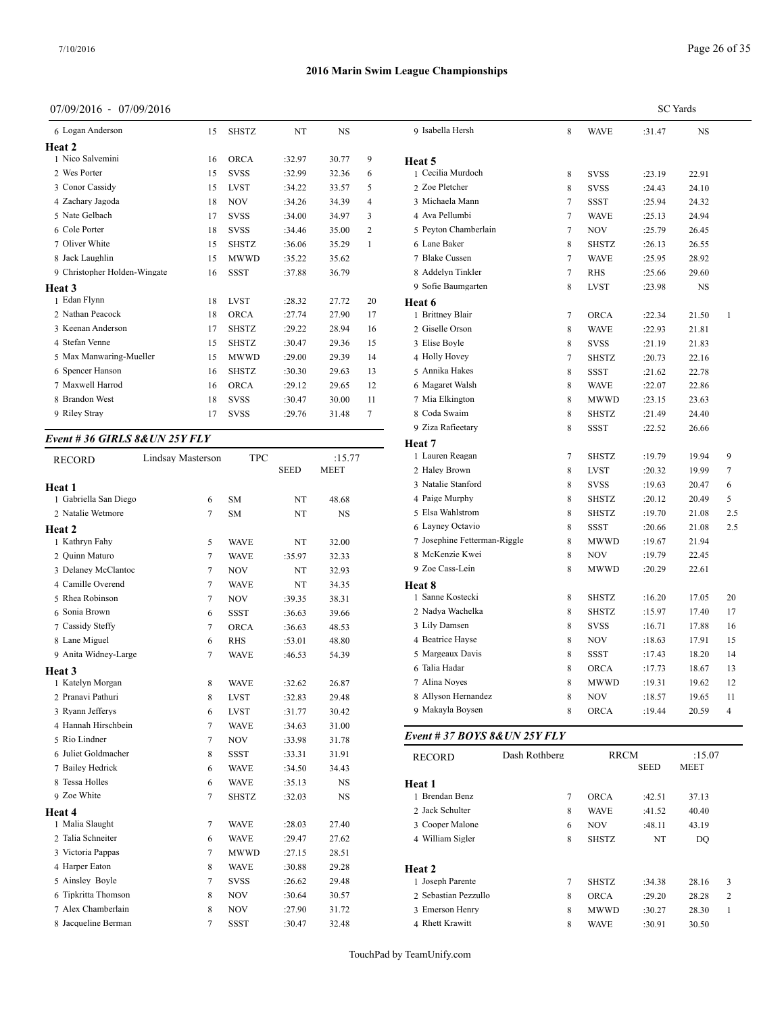## Page 26 of 35

## **2016 Marin Swim League Championships**

## 07/09/2016 - 07/09/2016

| 6 Logan Anderson             | 15 | <b>SHSTZ</b> | NT     | <b>NS</b> |                | 9 Isabella He |
|------------------------------|----|--------------|--------|-----------|----------------|---------------|
| <b>Heat 2</b>                |    |              |        |           |                |               |
| 1 Nico Salvemini             | 16 | <b>ORCA</b>  | :32.97 | 30.77     | 9              | Heat 5        |
| 2 Wes Porter                 | 15 | <b>SVSS</b>  | :32.99 | 32.36     | 6              | 1 Cecilia Mu  |
| 3 Conor Cassidy              | 15 | <b>LVST</b>  | :34.22 | 33.57     | 5              | 2 Zoe Pletch  |
| 4 Zachary Jagoda             | 18 | <b>NOV</b>   | :34.26 | 34.39     | $\overline{4}$ | 3 Michaela N  |
| 5 Nate Gelbach               | 17 | <b>SVSS</b>  | :34.00 | 34.97     | 3              | 4 Ava Pellun  |
| 6 Cole Porter                | 18 | <b>SVSS</b>  | :34.46 | 35.00     | $\overline{2}$ | 5 Peyton Cha  |
| 7 Oliver White               | 15 | <b>SHSTZ</b> | :36.06 | 35.29     | $\mathbf{1}$   | 6 Lane Baker  |
| 8 Jack Laughlin              | 15 | <b>MWWD</b>  | :35.22 | 35.62     |                | 7 Blake Cuss  |
| 9 Christopher Holden-Wingate | 16 | <b>SSST</b>  | :37.88 | 36.79     |                | 8 Addelyn Ti  |
| Heat 3                       |    |              |        |           |                | 9 Sofie Baun  |
| 1 Edan Flynn                 | 18 | <b>LVST</b>  | :28.32 | 27.72     | 20             | Heat 6        |
| 2 Nathan Peacock             | 18 | <b>ORCA</b>  | :27.74 | 27.90     | 17             | 1 Brittney Bl |
| 3 Keenan Anderson            | 17 | <b>SHSTZ</b> | :29.22 | 28.94     | 16             | 2 Giselle Ors |
| 4 Stefan Venne               | 15 | <b>SHSTZ</b> | :30.47 | 29.36     | 15             | 3 Elise Boyle |
| 5 Max Manwaring-Mueller      | 15 | <b>MWWD</b>  | :29.00 | 29.39     | 14             | 4 Holly Hove  |
| 6 Spencer Hanson             | 16 | <b>SHSTZ</b> | :30.30 | 29.63     | 13             | 5 Annika Ha   |
| 7 Maxwell Harrod             | 16 | <b>ORCA</b>  | :29.12 | 29.65     | 12             | 6 Magaret W   |
| 8 Brandon West               | 18 | <b>SVSS</b>  | :30.47 | 30.00     | 11             | 7 Mia Elking  |
| 9 Riley Stray                | 17 | <b>SVSS</b>  | :29.76 | 31.48     | 7              | 8 Coda Swai   |
|                              |    |              |        |           |                |               |

## *Event # 36 GIRLS 8&UN 25Y FLY*

| Lindsay Masterson | <b>TPC</b>   |             | :15.77      | 1 Lauren R    |
|-------------------|--------------|-------------|-------------|---------------|
|                   |              | <b>SEED</b> | <b>MEET</b> | 2 Haley Bro   |
|                   |              |             |             | 3 Natalie St  |
| 6                 | SM           | NT          | 48.68       | 4 Paige Mu    |
| 7                 | SM           | NT          | <b>NS</b>   | 5 Elsa Wah    |
|                   |              |             |             | 6 Layney C    |
| 5                 | <b>WAVE</b>  | NT          | 32.00       | 7 Josephine   |
| 7                 | <b>WAVE</b>  | :35.97      | 32.33       | 8 McKenzi     |
| 7                 | <b>NOV</b>   | NT          | 32.93       | 9 Zoe Cass-   |
| 7                 | <b>WAVE</b>  | NT          | 34.35       | Heat 8        |
| 7                 | <b>NOV</b>   | :39.35      | 38.31       | 1 Sanne Ko    |
| 6                 | <b>SSST</b>  | :36.63      | 39.66       | 2 Nadya Wa    |
| $\overline{7}$    | ORCA         | :36.63      | 48.53       | 3 Lily Dam    |
| 6                 | <b>RHS</b>   | :53.01      | 48.80       | 4 Beatrice I  |
| 7                 | WAVE         | :46.53      | 54.39       | 5 Margeaux    |
|                   |              |             |             | 6 Talia Had   |
| 8                 | <b>WAVE</b>  | :32.62      | 26.87       | 7 Alina No    |
| 8                 | <b>LVST</b>  | :32.83      | 29.48       | 8 Allyson F   |
| 6                 | <b>LVST</b>  | :31.77      | 30.42       | 9 Makayla     |
| 7                 | <b>WAVE</b>  | :34.63      | 31.00       |               |
| 7                 | <b>NOV</b>   | :33.98      | 31.78       | Event # $37$  |
| 8                 | <b>SSST</b>  | :33.31      | 31.91       | <b>RECORD</b> |
| 6                 | <b>WAVE</b>  | :34.50      | 34.43       |               |
| 6                 | <b>WAVE</b>  | :35.13      | NS          | Heat 1        |
| $\overline{7}$    | <b>SHSTZ</b> | :32.03      | NS          | 1 Brendan l   |
|                   |              |             |             | 2 Jack Schu   |
| 7                 | <b>WAVE</b>  | :28.03      | 27.40       | 3 Cooper M    |
| 6                 | <b>WAVE</b>  | :29.47      | 27.62       | 4 William S   |
| 7                 | <b>MWWD</b>  | :27.15      | 28.51       |               |
| 8                 | <b>WAVE</b>  | :30.88      | 29.28       | Heat 2        |
| 7                 | <b>SVSS</b>  | :26.62      | 29.48       | 1 Joseph Pa   |
| 8                 | <b>NOV</b>   | :30.64      | 30.57       | 2 Sebastian   |
| 8                 | <b>NOV</b>   | :27.90      | 31.72       | 3 Emerson     |
| 7                 | SSST         | :30.47      | 32.48       | 4 Rhett Kra   |
|                   |              |             |             |               |

|                              |        |              |        |           | <b>SC</b> Yards |  |  |  |  |
|------------------------------|--------|--------------|--------|-----------|-----------------|--|--|--|--|
| 9 Isabella Hersh             | 8      | <b>WAVE</b>  | :31.47 | <b>NS</b> |                 |  |  |  |  |
| Heat 5                       |        |              |        |           |                 |  |  |  |  |
| 1 Cecilia Murdoch            | 8      | <b>SVSS</b>  | :23.19 | 22.91     |                 |  |  |  |  |
| 2 Zoe Pletcher               | 8      | SVSS         | :24.43 | 24.10     |                 |  |  |  |  |
| 3 Michaela Mann              | 7      | <b>SSST</b>  | :25.94 | 24.32     |                 |  |  |  |  |
| 4 Ava Pellumbi               | 7      | <b>WAVE</b>  | :25.13 | 24.94     |                 |  |  |  |  |
| 5 Peyton Chamberlain         | $\tau$ | <b>NOV</b>   | :25.79 | 26.45     |                 |  |  |  |  |
| 6 Lane Baker                 | 8      | <b>SHSTZ</b> | :26.13 | 26.55     |                 |  |  |  |  |
| 7 Blake Cussen               | 7      | <b>WAVE</b>  | :25.95 | 28.92     |                 |  |  |  |  |
| 8 Addelyn Tinkler            | $\tau$ | <b>RHS</b>   | :25.66 | 29.60     |                 |  |  |  |  |
| 9 Sofie Baumgarten           | 8      | <b>LVST</b>  | :23.98 | NS        |                 |  |  |  |  |
| Heat 6                       |        |              |        |           |                 |  |  |  |  |
| 1 Brittney Blair             | 7      | <b>ORCA</b>  | :22.34 | 21.50     | 1               |  |  |  |  |
| 2 Giselle Orson              | 8      | <b>WAVE</b>  | :22.93 | 21.81     |                 |  |  |  |  |
| 3 Elise Boyle                | 8      | <b>SVSS</b>  | :21.19 | 21.83     |                 |  |  |  |  |
| 4 Holly Hovey                | 7      | <b>SHSTZ</b> | :20.73 | 22.16     |                 |  |  |  |  |
| 5 Annika Hakes               | 8      | <b>SSST</b>  | :21.62 | 22.78     |                 |  |  |  |  |
| 6 Magaret Walsh              | 8      | <b>WAVE</b>  | :22.07 | 22.86     |                 |  |  |  |  |
| 7 Mia Elkington              | 8      | <b>MWWD</b>  | :23.15 | 23.63     |                 |  |  |  |  |
| 8 Coda Swaim                 | 8      | SHSTZ        | :21.49 | 24.40     |                 |  |  |  |  |
| 9 Ziza Rafieetary            | 8      | <b>SSST</b>  | :22.52 | 26.66     |                 |  |  |  |  |
| Heat 7                       |        |              |        |           |                 |  |  |  |  |
| 1 Lauren Reagan              | $\tau$ | <b>SHSTZ</b> | :19.79 | 19.94     | 9               |  |  |  |  |
| 2 Haley Brown                | 8      | <b>LVST</b>  | :20.32 | 19.99     | $\tau$          |  |  |  |  |
| 3 Natalie Stanford           | 8      | <b>SVSS</b>  | :19.63 | 20.47     | 6               |  |  |  |  |
| 4 Paige Murphy               | 8      | <b>SHSTZ</b> | :20.12 | 20.49     | 5               |  |  |  |  |
| 5 Elsa Wahlstrom             | 8      | <b>SHSTZ</b> | :19.70 | 21.08     | 2.5             |  |  |  |  |
| 6 Layney Octavio             | 8      | <b>SSST</b>  | :20.66 | 21.08     | 2.5             |  |  |  |  |
| 7 Josephine Fetterman-Riggle | 8      | <b>MWWD</b>  | :19.67 | 21.94     |                 |  |  |  |  |
| 8 McKenzie Kwei              | 8      | <b>NOV</b>   | :19.79 | 22.45     |                 |  |  |  |  |
| 9 Zoe Cass-Lein              | 8      | <b>MWWD</b>  | :20.29 | 22.61     |                 |  |  |  |  |
| <b>Heat 8</b>                |        |              |        |           |                 |  |  |  |  |
| 1 Sanne Kostecki             | 8      | <b>SHSTZ</b> | :16.20 | 17.05     | 20              |  |  |  |  |
| 2 Nadya Wachelka             | 8      | <b>SHSTZ</b> | :15.97 | 17.40     | 17              |  |  |  |  |
| 3 Lily Damsen                | 8      | <b>SVSS</b>  | :16.71 | 17.88     | 16              |  |  |  |  |
| 4 Beatrice Hayse             | 8      | <b>NOV</b>   | :18.63 | 17.91     | 15              |  |  |  |  |
| 5 Margeaux Davis             | 8      | <b>SSST</b>  | :17.43 | 18.20     | 14              |  |  |  |  |
| 6 Talia Hadar                | 8      | <b>ORCA</b>  | :17.73 | 18.67     | 13              |  |  |  |  |
| 7 Alina Noyes                | 8      | <b>MWWD</b>  | :19.31 | 19.62     | 12              |  |  |  |  |
| 8 Allyson Hernandez          | 8      | <b>NOV</b>   | :18.57 | 19.65     | 11              |  |  |  |  |
| 9 Makayla Boysen             | 8      | <b>ORCA</b>  | :19.44 | 20.59     | 4               |  |  |  |  |

#### *Event # 37 BOYS 8&UN 25Y FLY*

| <b>RECORD</b>        | Dash Rothberg | <b>RRCM</b>  | :15.07      |             |
|----------------------|---------------|--------------|-------------|-------------|
|                      |               |              | <b>SEED</b> | <b>MEET</b> |
| Heat 1               |               |              |             |             |
| 1 Brendan Benz       | $\tau$        | <b>ORCA</b>  | :42.51      | 37.13       |
| 2 Jack Schulter      | 8             | <b>WAVE</b>  | :41.52      | 40.40       |
| 3 Cooper Malone      | 6             | <b>NOV</b>   | :48.11      | 43.19       |
| 4 William Sigler     | 8             | <b>SHSTZ</b> | NT          | DO          |
| Heat 2               |               |              |             |             |
| 1 Joseph Parente     | $\tau$        | <b>SHSTZ</b> | :34.38      | 28.16       |
| 2 Sebastian Pezzullo | 8             | <b>ORCA</b>  | :29.20      | 28.28       |
| 3 Emerson Henry      | 8             | <b>MWWD</b>  | :30.27      | 28.30       |
| 4 Rhett Krawitt      | 8             | <b>WAVE</b>  | :30.91      | 30.50       |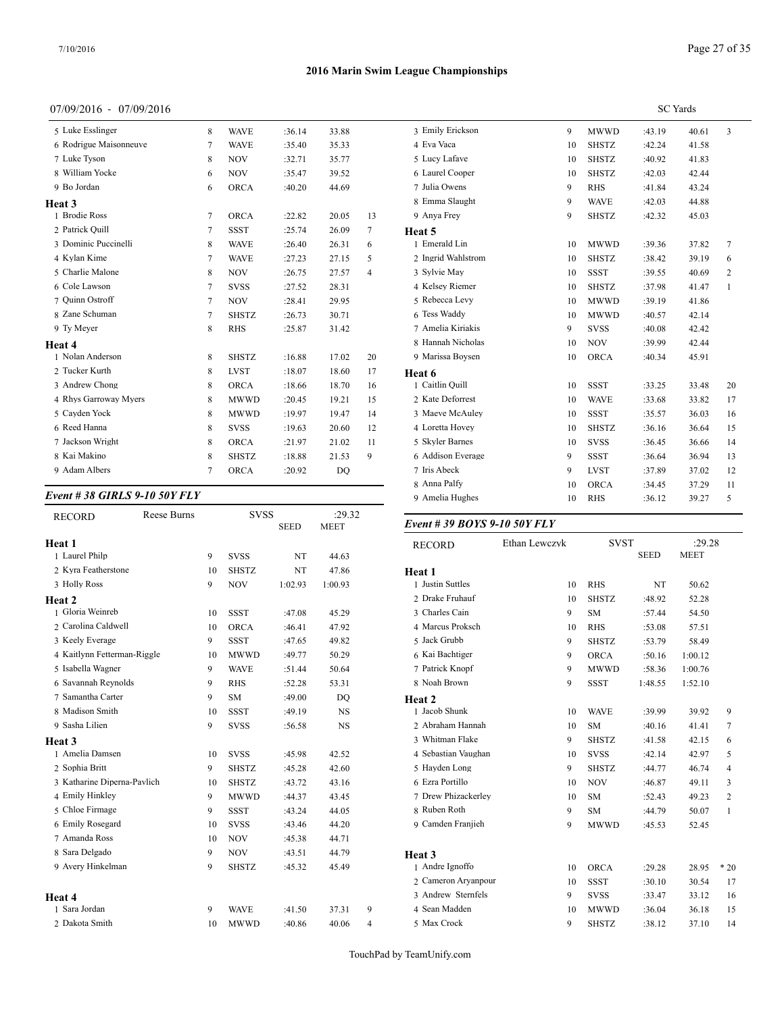## 07/09/2016 - 07/09/2016

| 5 Luke Esslinger       | 8              | <b>WAVE</b>  | :36.14 | 33.88 |                | 3 Emily Erickso  |
|------------------------|----------------|--------------|--------|-------|----------------|------------------|
| 6 Rodrigue Maisonneuve | 7              | <b>WAVE</b>  | :35.40 | 35.33 |                | 4 Eva Vaca       |
| 7 Luke Tyson           | 8              | <b>NOV</b>   | :32.71 | 35.77 |                | 5 Lucy Lafave    |
| 8 William Yocke        | 6              | <b>NOV</b>   | :35.47 | 39.52 |                | 6 Laurel Cooper  |
| 9 Bo Jordan            | 6              | <b>ORCA</b>  | :40.20 | 44.69 |                | 7 Julia Owens    |
| Heat 3                 |                |              |        |       |                | 8 Emma Slaugh    |
| 1 Brodie Ross          | $\overline{7}$ | <b>ORCA</b>  | :22.82 | 20.05 | 13             | 9 Anya Frey      |
| 2 Patrick Quill        | 7              | SSST         | :25.74 | 26.09 | 7              | Heat 5           |
| 3 Dominic Puccinelli   | 8              | <b>WAVE</b>  | :26.40 | 26.31 | 6              | 1 Emerald Lin    |
| 4 Kylan Kime           | 7              | <b>WAVE</b>  | :27.23 | 27.15 | 5              | 2 Ingrid Wahlstr |
| 5 Charlie Malone       | 8              | <b>NOV</b>   | :26.75 | 27.57 | $\overline{4}$ | 3 Sylvie May     |
| 6 Cole Lawson          | 7              | <b>SVSS</b>  | :27.52 | 28.31 |                | 4 Kelsey Rieme   |
| 7 Ouinn Ostroff        | 7              | <b>NOV</b>   | :28.41 | 29.95 |                | 5 Rebecca Levy   |
| 8 Zane Schuman         | 7              | <b>SHSTZ</b> | :26.73 | 30.71 |                | 6 Tess Waddy     |
| 9 Ty Meyer             | 8              | <b>RHS</b>   | :25.87 | 31.42 |                | 7 Amelia Kiriak  |
| Heat 4                 |                |              |        |       |                | 8 Hannah Nicho   |
| 1 Nolan Anderson       | 8              | <b>SHSTZ</b> | :16.88 | 17.02 | 20             | 9 Marissa Boyse  |
| 2 Tucker Kurth         | 8              | <b>LVST</b>  | :18.07 | 18.60 | 17             | Heat 6           |
| 3 Andrew Chong         | 8              | <b>ORCA</b>  | :18.66 | 18.70 | 16             | 1 Caitlin Quill  |
| 4 Rhys Garroway Myers  | 8              | <b>MWWD</b>  | :20.45 | 19.21 | 15             | 2 Kate Deforres  |
| 5 Cayden Yock          | 8              | <b>MWWD</b>  | :19.97 | 19.47 | 14             | 3 Maeve McAul    |
| 6 Reed Hanna           | 8              | <b>SVSS</b>  | :19.63 | 20.60 | 12             | 4 Loretta Hovey  |
| 7 Jackson Wright       | 8              | <b>ORCA</b>  | :21.97 | 21.02 | 11             | 5 Skyler Barnes  |
| 8 Kai Makino           | 8              | <b>SHSTZ</b> | :18.88 | 21.53 | 9              | 6 Addison Evera  |
| 9 Adam Albers          | 7              | <b>ORCA</b>  | :20.92 | DO    |                | 7 Iris Abeck     |

#### *Event # 38 GIRLS 9-10 50Y FLY*

| <b>RECORD</b>               | Reese Burns |    | <b>SVSS</b>  | <b>SEED</b> | :29.32<br><b>MEET</b> |   | Event # 39 BO    |
|-----------------------------|-------------|----|--------------|-------------|-----------------------|---|------------------|
|                             |             |    |              |             |                       |   |                  |
| Heat 1                      |             |    |              |             |                       |   | <b>RECORD</b>    |
| 1 Laurel Philp              |             | 9  | <b>SVSS</b>  | NT          | 44.63                 |   |                  |
| 2 Kyra Featherstone         |             | 10 | <b>SHSTZ</b> | NT          | 47.86                 |   | Heat 1           |
| 3 Holly Ross                |             | 9  | <b>NOV</b>   | 1:02.93     | 1:00.93               |   | 1 Justin Suttles |
| Heat 2                      |             |    |              |             |                       |   | 2 Drake Fruhaut  |
| 1 Gloria Weinreb            |             | 10 | <b>SSST</b>  | :47.08      | 45.29                 |   | 3 Charles Cain   |
| 2 Carolina Caldwell         |             | 10 | <b>ORCA</b>  | :46.41      | 47.92                 |   | 4 Marcus Prokso  |
| 3 Keely Everage             |             | 9  | <b>SSST</b>  | :47.65      | 49.82                 |   | 5 Jack Grubb     |
| 4 Kaitlynn Fetterman-Riggle |             | 10 | <b>MWWD</b>  | :49.77      | 50.29                 |   | 6 Kai Bachtiger  |
| 5 Isabella Wagner           |             | 9  | <b>WAVE</b>  | :51.44      | 50.64                 |   | 7 Patrick Knopf  |
| 6 Savannah Reynolds         |             | 9  | <b>RHS</b>   | :52.28      | 53.31                 |   | 8 Noah Brown     |
| 7 Samantha Carter           |             | 9  | <b>SM</b>    | :49.00      | DQ                    |   | Heat 2           |
| 8 Madison Smith             |             | 10 | <b>SSST</b>  | :49.19      | <b>NS</b>             |   | 1 Jacob Shunk    |
| 9 Sasha Lilien              |             | 9  | <b>SVSS</b>  | :56.58      | <b>NS</b>             |   | 2 Abraham Han    |
| <b>Heat 3</b>               |             |    |              |             |                       |   | 3 Whitman Flak   |
| 1 Amelia Damsen             |             | 10 | <b>SVSS</b>  | :45.98      | 42.52                 |   | 4 Sebastian Vau  |
| 2 Sophia Britt              |             | 9  | <b>SHSTZ</b> | :45.28      | 42.60                 |   | 5 Hayden Long    |
| 3 Katharine Diperna-Pavlich |             | 10 | <b>SHSTZ</b> | :43.72      | 43.16                 |   | 6 Ezra Portillo  |
| 4 Emily Hinkley             |             | 9  | <b>MWWD</b>  | :44.37      | 43.45                 |   | 7 Drew Phizack   |
| 5 Chloe Firmage             |             | 9  | <b>SSST</b>  | :43.24      | 44.05                 |   | 8 Ruben Roth     |
| 6 Emily Rosegard            |             | 10 | <b>SVSS</b>  | :43.46      | 44.20                 |   | 9 Camden Franj   |
| 7 Amanda Ross               |             | 10 | <b>NOV</b>   | :45.38      | 44.71                 |   |                  |
| 8 Sara Delgado              |             | 9  | <b>NOV</b>   | :43.51      | 44.79                 |   | Heat 3           |
| 9 Avery Hinkelman           |             | 9  | <b>SHSTZ</b> | :45.32      | 45.49                 |   | 1 Andre Ignoffo  |
|                             |             |    |              |             |                       |   | 2 Cameron Arya   |
|                             |             |    |              |             |                       |   | 3 Andrew Stern   |
| Heat 4<br>1 Sara Jordan     |             | 9  | <b>WAVE</b>  | :41.50      | 37.31                 | 9 | 4 Sean Madden    |
|                             |             |    |              |             |                       |   |                  |
| 2 Dakota Smith              |             | 10 | <b>MWWD</b>  | :40.86      | 40.06                 | 4 | 5 Max Crock      |

|                    | <b>SC</b> Yards |              |        |       |                |  |  |  |
|--------------------|-----------------|--------------|--------|-------|----------------|--|--|--|
| 3 Emily Erickson   | 9               | MWWD         | :43.19 | 40.61 | 3              |  |  |  |
| 4 Eva Vaca         | 10              | <b>SHSTZ</b> | :42.24 | 41.58 |                |  |  |  |
| 5 Lucy Lafave      | 10              | <b>SHSTZ</b> | :40.92 | 41.83 |                |  |  |  |
| 6 Laurel Cooper    | 10              | <b>SHSTZ</b> | :42.03 | 42.44 |                |  |  |  |
| 7 Julia Owens      | 9               | <b>RHS</b>   | :41.84 | 43.24 |                |  |  |  |
| 8 Emma Slaught     | 9               | <b>WAVE</b>  | :42.03 | 44.88 |                |  |  |  |
| 9 Anya Frey        | 9               | <b>SHSTZ</b> | :42.32 | 45.03 |                |  |  |  |
| Heat 5             |                 |              |        |       |                |  |  |  |
| 1 Emerald Lin      | 10              | <b>MWWD</b>  | :39.36 | 37.82 | $\overline{7}$ |  |  |  |
| 2 Ingrid Wahlstrom | 10              | <b>SHSTZ</b> | :38.42 | 39.19 | 6              |  |  |  |
| 3 Sylvie May       | 10              | <b>SSST</b>  | :39.55 | 40.69 | $\overline{c}$ |  |  |  |
| 4 Kelsev Riemer    | 10              | <b>SHSTZ</b> | :37.98 | 41.47 | $\mathbf{1}$   |  |  |  |
| 5 Rebecca Levy     | 10              | <b>MWWD</b>  | :39.19 | 41.86 |                |  |  |  |
| 6 Tess Waddy       | 10              | <b>MWWD</b>  | :40.57 | 42.14 |                |  |  |  |
| 7 Amelia Kiriakis  | 9               | <b>SVSS</b>  | :40.08 | 42.42 |                |  |  |  |
| 8 Hannah Nicholas  | 10              | <b>NOV</b>   | :39.99 | 42.44 |                |  |  |  |
| 9 Marissa Boysen   | 10              | <b>ORCA</b>  | :40.34 | 45.91 |                |  |  |  |
| Heat 6             |                 |              |        |       |                |  |  |  |
| 1 Caitlin Quill    | 10              | <b>SSST</b>  | :33.25 | 33.48 | 20             |  |  |  |
| 2 Kate Deforrest   | 10              | <b>WAVE</b>  | :33.68 | 33.82 | 17             |  |  |  |
| 3 Maeve McAulev    | 10              | <b>SSST</b>  | :35.57 | 36.03 | 16             |  |  |  |
| 4 Loretta Hovey    | 10              | <b>SHSTZ</b> | :36.16 | 36.64 | 15             |  |  |  |
| 5 Skyler Barnes    | 10              | <b>SVSS</b>  | :36.45 | 36.66 | 14             |  |  |  |
| 6 Addison Everage  | 9               | <b>SSST</b>  | :36.64 | 36.94 | 13             |  |  |  |
| 7 Iris Abeck       | 9               | <b>LVST</b>  | :37.89 | 37.02 | 12             |  |  |  |
| 8 Anna Palfy       | 10              | <b>ORCA</b>  | :34.45 | 37.29 | 11             |  |  |  |
| 9 Amelia Hughes    | 10              | <b>RHS</b>   | :36.12 | 39.27 | 5              |  |  |  |
|                    |                 |              |        |       |                |  |  |  |

#### SEED MEET *Event # 39 BOYS 9-10 50Y FLY*

| <b>RECORD</b>       | Ethan Lewczyk | <b>SVST</b>  |             | :29.28      |                |  |
|---------------------|---------------|--------------|-------------|-------------|----------------|--|
|                     |               |              | <b>SEED</b> | <b>MEET</b> |                |  |
| Heat 1              |               |              |             |             |                |  |
| 1 Justin Suttles    | 10            | <b>RHS</b>   | NT          | 50.62       |                |  |
| 2 Drake Fruhauf     | 10            | <b>SHSTZ</b> | :48.92      | 52.28       |                |  |
| 3 Charles Cain      | 9             | <b>SM</b>    | :57.44      | 54.50       |                |  |
| 4 Marcus Proksch    | 10            | <b>RHS</b>   | :53.08      | 57.51       |                |  |
| 5 Jack Grubb        | 9             | <b>SHSTZ</b> | :53.79      | 58.49       |                |  |
| 6 Kai Bachtiger     | 9             | <b>ORCA</b>  | :50.16      | 1:00.12     |                |  |
| 7 Patrick Knopf     | 9             | <b>MWWD</b>  | :58.36      | 1:00.76     |                |  |
| 8 Noah Brown        | 9             | <b>SSST</b>  | 1:48.55     | 1:52.10     |                |  |
| Heat 2              |               |              |             |             |                |  |
| 1 Jacob Shunk       | 10            | <b>WAVE</b>  | :39.99      | 39.92       | 9              |  |
| 2 Abraham Hannah    | 10            | <b>SM</b>    | :40.16      | 41.41       | 7              |  |
| 3 Whitman Flake     | 9             | <b>SHSTZ</b> | :41.58      | 42.15       | 6              |  |
| 4 Sebastian Vaughan | 10            | <b>SVSS</b>  | :42.14      | 42.97       | 5              |  |
| 5 Hayden Long       | 9             | <b>SHSTZ</b> | :44.77      | 46.74       | $\overline{4}$ |  |
| 6 Ezra Portillo     | 10            | <b>NOV</b>   | :46.87      | 49.11       | 3              |  |
| 7 Drew Phizackerley | 10            | <b>SM</b>    | :52.43      | 49.23       | 2              |  |
| 8 Ruben Roth        | 9             | <b>SM</b>    | :44.79      | 50.07       | $\mathbf{1}$   |  |
| 9 Camden Franjieh   | 9             | <b>MWWD</b>  | :45.53      | 52.45       |                |  |
|                     |               |              |             |             |                |  |
| Heat 3              |               |              |             |             |                |  |
| 1 Andre Ignoffo     | 10            | <b>ORCA</b>  | :29.28      | 28.95       | $*20$          |  |
| 2 Cameron Aryanpour | 10            | <b>SSST</b>  | :30.10      | 30.54       | 17             |  |
| 3 Andrew Sternfels  | 9             | <b>SVSS</b>  | :33.47      | 33.12       | 16             |  |
| 4 Sean Madden       | 10            | <b>MWWD</b>  | :36.04      | 36.18       | 15             |  |
| 5 Max Crock         | 9             | <b>SHSTZ</b> | :38.12      | 37.10       | 14             |  |
|                     |               |              |             |             |                |  |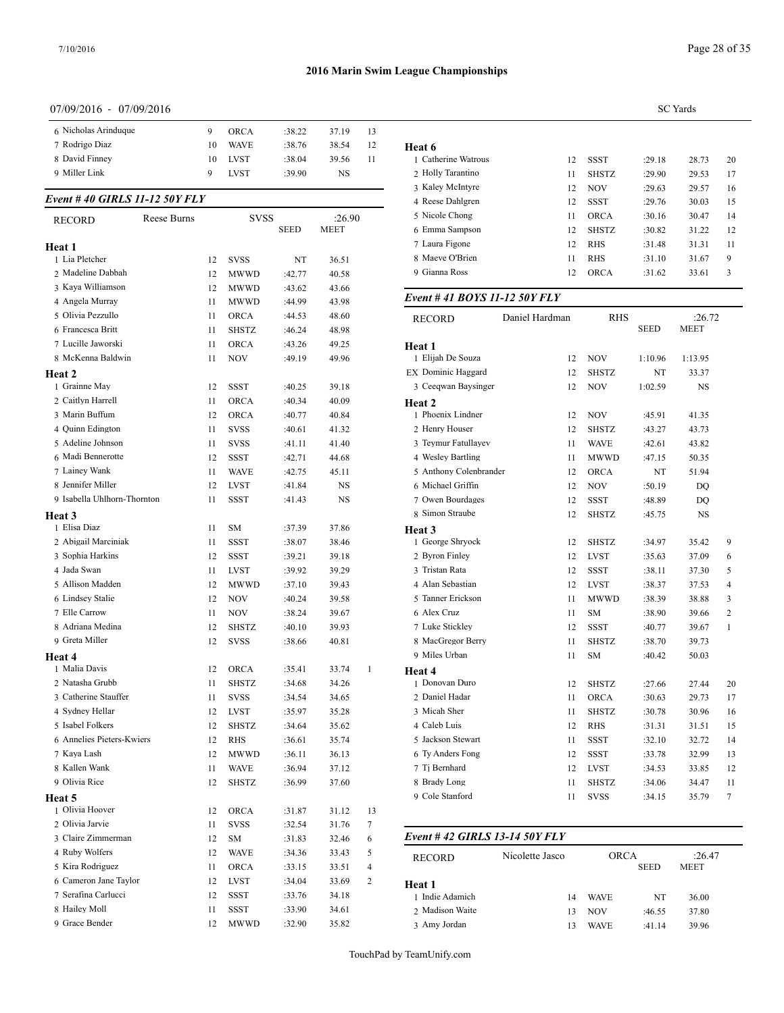## 07/09/2016 - 07/09/2016

| 6 Nicholas Arinduque |     | ORCA        | :38.22 | 37.19 | 13 |               |
|----------------------|-----|-------------|--------|-------|----|---------------|
| 7 Rodrigo Diaz       | 10  | <b>WAVE</b> | :38.76 | 38.54 | 12 | <b>Heat 6</b> |
| 8 David Finney       | 10. | <b>LVST</b> | :38.04 | 39.56 | 11 | 1 Catherine V |
| 9 Miller Link        |     | <b>LVST</b> | :39.90 | NS    |    | 2 Holly Tarai |
|                      |     |             |        |       |    |               |

#### *Event # 40 GIRLS 11-12 50Y FLY*

| <b>RECORD</b>               | Reese Burns |    | <b>SVSS</b>  |             | :26.90      |              | 5 Nicole Chong                | 11              | <b>ORCA</b>  | :30.16           | 30   |
|-----------------------------|-------------|----|--------------|-------------|-------------|--------------|-------------------------------|-----------------|--------------|------------------|------|
|                             |             |    |              | <b>SEED</b> | <b>MEET</b> |              | 6 Emma Sampson                | 12              | <b>SHSTZ</b> | :30.82           | 31   |
| Heat 1                      |             |    |              |             |             |              | 7 Laura Figone                | 12              | <b>RHS</b>   | :31.48           | 31   |
| 1 Lia Pletcher              |             | 12 | <b>SVSS</b>  | NT          | 36.51       |              | 8 Maeve O'Brien               | 11              | <b>RHS</b>   | :31.10           | 31   |
| 2 Madeline Dabbah           |             | 12 | <b>MWWD</b>  | :42.77      | 40.58       |              | 9 Gianna Ross                 | 12              | <b>ORCA</b>  | :31.62           | 33   |
| 3 Kaya Williamson           |             | 12 | <b>MWWD</b>  | :43.62      | 43.66       |              |                               |                 |              |                  |      |
| 4 Angela Murray             |             | 11 | <b>MWWD</b>  | :44.99      | 43.98       |              | Event #41 BOYS 11-12 50Y FLY  |                 |              |                  |      |
| 5 Olivia Pezzullo           |             | 11 | <b>ORCA</b>  | :44.53      | 48.60       |              | <b>RECORD</b>                 | Daniel Hardman  | <b>RHS</b>   |                  |      |
| 6 Francesca Britt           |             | 11 | <b>SHSTZ</b> | :46.24      | 48.98       |              |                               |                 |              | <b>SEED</b>      | MEI  |
| 7 Lucille Jaworski          |             | 11 | <b>ORCA</b>  | :43.26      | 49.25       |              | Heat 1                        |                 |              |                  |      |
| 8 McKenna Baldwin           |             | 11 | <b>NOV</b>   | :49.19      | 49.96       |              | 1 Elijah De Souza             | 12              | <b>NOV</b>   | 1:10.96          | 1:13 |
| <b>Heat 2</b>               |             |    |              |             |             |              | <b>EX Dominic Haggard</b>     | 12              | <b>SHSTZ</b> | NT               | 33   |
| 1 Grainne May               |             | 12 | <b>SSST</b>  | :40.25      | 39.18       |              | 3 Ceeqwan Baysinger           | 12              | <b>NOV</b>   | 1:02.59          |      |
| 2 Caitlyn Harrell           |             | 11 | <b>ORCA</b>  | :40.34      | 40.09       |              | Heat 2                        |                 |              |                  |      |
| 3 Marin Buffum              |             | 12 | <b>ORCA</b>  | :40.77      | 40.84       |              | 1 Phoenix Lindner             | 12              | <b>NOV</b>   | :45.91           | 41   |
| 4 Quinn Edington            |             | 11 | <b>SVSS</b>  | :40.61      | 41.32       |              | 2 Henry Houser                | 12              | <b>SHSTZ</b> | :43.27           | 43   |
| 5 Adeline Johnson           |             | 11 | <b>SVSS</b>  | :41.11      | 41.40       |              | 3 Teymur Fatullayev           | 11              | <b>WAVE</b>  | :42.61           | 43   |
| 6 Madi Bennerotte           |             | 12 | <b>SSST</b>  | :42.71      | 44.68       |              | 4 Wesley Bartling             | 11              | <b>MWWD</b>  | :47.15           | 50   |
| 7 Lainey Wank               |             | 11 | <b>WAVE</b>  | :42.75      | 45.11       |              | 5 Anthony Colenbrander        | 12              | <b>ORCA</b>  | NT               | 51   |
| 8 Jennifer Miller           |             | 12 | <b>LVST</b>  | :41.84      | <b>NS</b>   |              | 6 Michael Griffin             | 12              | <b>NOV</b>   | :50.19           |      |
| 9 Isabella Uhlhorn-Thornton |             | 11 | <b>SSST</b>  | :41.43      | NS          |              | 7 Owen Bourdages              | 12              | <b>SSST</b>  | :48.89           |      |
| <b>Heat 3</b>               |             |    |              |             |             |              | 8 Simon Straube               | 12              | <b>SHSTZ</b> | :45.75           |      |
| 1 Elisa Diaz                |             | 11 | SM           | :37.39      | 37.86       |              | Heat 3                        |                 |              |                  |      |
| 2 Abigail Marciniak         |             | 11 | <b>SSST</b>  | :38.07      | 38.46       |              | 1 George Shryock              | 12              | <b>SHSTZ</b> | :34.97           | 35   |
| 3 Sophia Harkins            |             | 12 | <b>SSST</b>  | :39.21      | 39.18       |              | 2 Byron Finley                | 12              | <b>LVST</b>  | :35.63           | 37   |
| 4 Jada Swan                 |             | 11 | <b>LVST</b>  | :39.92      | 39.29       |              | 3 Tristan Rata                | 12              | <b>SSST</b>  | :38.11           | 37   |
| 5 Allison Madden            |             | 12 | <b>MWWD</b>  | :37.10      | 39.43       |              | 4 Alan Sebastian              | 12              | <b>LVST</b>  | :38.37           | 37   |
| 6 Lindsey Stalie            |             | 12 | <b>NOV</b>   | :40.24      | 39.58       |              | 5 Tanner Erickson             | 11              | <b>MWWD</b>  | :38.39           | 38   |
| 7 Elle Carrow               |             | 11 | <b>NOV</b>   | :38.24      | 39.67       |              | 6 Alex Cruz                   | 11              | <b>SM</b>    | :38.90           | 39   |
| 8 Adriana Medina            |             | 12 | <b>SHSTZ</b> | :40.10      | 39.93       |              | 7 Luke Stickley               | 12              | <b>SSST</b>  | :40.77           | 39   |
| 9 Greta Miller              |             | 12 | <b>SVSS</b>  | :38.66      | 40.81       |              | 8 MacGregor Berry             | 11              | <b>SHSTZ</b> | :38.70           | 39   |
|                             |             |    |              |             |             |              | 9 Miles Urban                 | 11              | <b>SM</b>    | :40.42           | 50   |
| Heat 4<br>1 Malia Davis     |             | 12 | <b>ORCA</b>  | :35.41      | 33.74       | $\mathbf{1}$ |                               |                 |              |                  |      |
| 2 Natasha Grubb             |             | 11 | <b>SHSTZ</b> |             |             |              | Heat 4<br>1 Donovan Duro      | 12              | <b>SHSTZ</b> |                  | 27   |
| 3 Catherine Stauffer        |             | 11 | <b>SVSS</b>  | :34.68      | 34.26       |              | 2 Daniel Hadar                | 11              | <b>ORCA</b>  | :27.66<br>:30.63 | 29   |
| 4 Sydney Hellar             |             |    |              | :34.54      | 34.65       |              | 3 Micah Sher                  |                 |              |                  |      |
| 5 Isabel Folkers            |             | 12 | <b>LVST</b>  | :35.97      | 35.28       |              | 4 Caleb Luis                  | 11              | <b>SHSTZ</b> | :30.78           | 30   |
|                             |             | 12 | <b>SHSTZ</b> | :34.64      | 35.62       |              | 5 Jackson Stewart             | 12              | <b>RHS</b>   | :31.31           | 31   |
| 6 Annelies Pieters-Kwiers   |             | 12 | <b>RHS</b>   | :36.61      | 35.74       |              |                               | 11              | SSST         | :32.10           | 32   |
| 7 Kaya Lash                 |             | 12 | <b>MWWD</b>  | :36.11      | 36.13       |              | 6 Ty Anders Fong              | 12              | <b>SSST</b>  | :33.78           | 32   |
| 8 Kallen Wank               |             | 11 | <b>WAVE</b>  | :36.94      | 37.12       |              | 7 Tj Bernhard                 | 12              | <b>LVST</b>  | :34.53           | 33   |
| 9 Olivia Rice               |             | 12 | <b>SHSTZ</b> | :36.99      | 37.60       |              | 8 Brady Long                  | 11              | <b>SHSTZ</b> | :34.06           | 34   |
| Heat 5                      |             |    |              |             |             |              | 9 Cole Stanford               | 11              | <b>SVSS</b>  | :34.15           | 35   |
| 1 Olivia Hoover             |             | 12 | <b>ORCA</b>  | :31.87      | 31.12       | 13           |                               |                 |              |                  |      |
| 2 Olivia Jarvie             |             | 11 | <b>SVSS</b>  | :32.54      | 31.76       | 7            | Event #42 GIRLS 13-14 50Y FLY |                 |              |                  |      |
| 3 Claire Zimmerman          |             | 12 | SM           | :31.83      | 32.46       | 6            |                               |                 |              |                  |      |
| 4 Ruby Wolfers              |             | 12 | <b>WAVE</b>  | :34.36      | 33.43       | 5            | <b>RECORD</b>                 | Nicolette Jasco | <b>ORCA</b>  |                  |      |
| 5 Kira Rodriguez            |             | 11 | <b>ORCA</b>  | :33.15      | 33.51       | 4            |                               |                 |              | <b>SEED</b>      | MEE  |
| 6 Cameron Jane Taylor       |             | 12 | <b>LVST</b>  | :34.04      | 33.69       | 2            | Heat 1                        |                 |              |                  |      |
| 7 Serafina Carlucci         |             | 12 | SSST         | :33.76      | 34.18       |              | 1 Indie Adamich               | 14              | <b>WAVE</b>  | NT               | 36   |
| 8 Hailey Moll               |             | 11 | SSST         | :33.90      | 34.61       |              | 2 Madison Waite               | 13              | <b>NOV</b>   | :46.55           | 37   |
| 9 Grace Bender              |             | 12 | <b>MWWD</b>  | :32.90      | 35.82       |              | 3 Amy Jordan                  | 13              | <b>WAVE</b>  | :41.14           | 39   |

|                                     |                |        |              |         | <b>SC</b> Yards |    |
|-------------------------------------|----------------|--------|--------------|---------|-----------------|----|
| Heat 6                              |                |        |              |         |                 |    |
| 1 Catherine Watrous                 |                | 12     | <b>SSST</b>  | :29.18  | 28.73           | 20 |
| 2 Holly Tarantino                   |                | 11     | <b>SHSTZ</b> | :29.90  | 29.53           | 17 |
| 3 Kaley McIntyre                    |                | 12     | <b>NOV</b>   | :29.63  | 29.57           | 16 |
| 4 Reese Dahlgren                    |                | 12     | <b>SSST</b>  | :29.76  | 30.03           | 15 |
| 5 Nicole Chong                      |                | 11     | <b>ORCA</b>  | :30.16  | 30.47           | 14 |
| 6 Emma Sampson                      |                | 12     | <b>SHSTZ</b> | :30.82  | 31.22           | 12 |
| 7 Laura Figone                      |                | 12     | <b>RHS</b>   | :31.48  | 31.31           | 11 |
| 8 Maeve O'Brien                     |                | 11     | <b>RHS</b>   | :31.10  | 31.67           | 9  |
| 9 Gianna Ross                       |                | 12     | ORCA         | :31.62  | 33.61           | 3  |
| Event #41 BOYS 11-12 50Y FLY        |                |        |              |         |                 |    |
| <b>RECORD</b>                       | Daniel Hardman |        | <b>RHS</b>   | SEED    | :26.72<br>MEET  |    |
| Heat 1                              |                |        |              |         |                 |    |
| 1 Elijah De Souza                   |                | 12     | <b>NOV</b>   | 1:10.96 | 1:13.95         |    |
| <b>EX</b> Dominic Haggard           |                | 12     | <b>SHSTZ</b> | NT      | 33.37           |    |
| 3 Ceeqwan Baysinger                 |                | 12     | <b>NOV</b>   | 1:02.59 | <b>NS</b>       |    |
| Heat 2                              |                |        |              |         |                 |    |
| 1 Phoenix Lindner                   |                | 12     | <b>NOV</b>   | :45.91  | 41.35           |    |
| 2 Henry Houser                      |                | 12     | <b>SHSTZ</b> | :43.27  | 43.73           |    |
| 3 Teymur Fatullayev                 |                | 11     | <b>WAVE</b>  | :42.61  | 43.82           |    |
| 4 Wesley Bartling                   |                | 11     | <b>MWWD</b>  | :47.15  | 50.35           |    |
| 5 Anthony Colenbrander              |                | 12     | <b>ORCA</b>  | NT      | 51.94           |    |
| 6 Michael Griffin                   |                | 12     | <b>NOV</b>   | :50.19  | DQ              |    |
| 7 Owen Bourdages                    |                | 12     | <b>SSST</b>  | :48.89  | DQ              |    |
| 8 Simon Straube                     |                | 12     | <b>SHSTZ</b> | :45.75  | <b>NS</b>       |    |
| Heat <sub>3</sub>                   |                |        |              |         |                 |    |
| 1 George Shryock                    |                | 12     | <b>SHSTZ</b> | :34.97  | 35.42           | 9  |
| $\sim$ December $E^*$ of the $\sim$ |                | $\sim$ | T T20T       | $2 - 6$ | 27.00           |    |

| 8 Simon Straube   | 12 | <b>SHSTZ</b> | :45.75 | <b>NS</b> |                |  |
|-------------------|----|--------------|--------|-----------|----------------|--|
| Heat 3            |    |              |        |           |                |  |
| 1 George Shryock  | 12 | <b>SHSTZ</b> | :34.97 | 35.42     | 9              |  |
| 2 Byron Finley    | 12 | <b>LVST</b>  | :35.63 | 37.09     | 6              |  |
| 3 Tristan Rata    | 12 | <b>SSST</b>  | :38.11 | 37.30     | 5              |  |
| 4 Alan Sebastian  | 12 | <b>LVST</b>  | :38.37 | 37.53     | $\overline{4}$ |  |
| 5 Tanner Erickson | 11 | MWWD         | :38.39 | 38.88     | 3              |  |
| 6 Alex Cruz       | 11 | <b>SM</b>    | :38.90 | 39.66     | 2              |  |
| 7 Luke Stickley   | 12 | <b>SSST</b>  | :40.77 | 39.67     | 1              |  |
| 8 MacGregor Berry | 11 | <b>SHSTZ</b> | :38.70 | 39.73     |                |  |
| 9 Miles Urban     | 11 | <b>SM</b>    | :40.42 | 50.03     |                |  |
| Heat 4            |    |              |        |           |                |  |
| 1 Donovan Duro    | 12 | <b>SHSTZ</b> | :27.66 | 27.44     | 20             |  |
| 2 Daniel Hadar    | 11 | <b>ORCA</b>  | :30.63 | 29.73     | 17             |  |
| 3 Micah Sher      | 11 | <b>SHSTZ</b> | :30.78 | 30.96     | 16             |  |
| 4 Caleb Luis      | 12 | <b>RHS</b>   | :31.31 | 31.51     | 15             |  |
| 5 Jackson Stewart | 11 | <b>SSST</b>  | :32.10 | 32.72     | 14             |  |
| 6 Ty Anders Fong  | 12 | <b>SSST</b>  | :33.78 | 32.99     | 13             |  |
| 7 Tj Bernhard     | 12 | <b>LVST</b>  | :34.53 | 33.85     | 12             |  |
| 8 Brady Long      | 11 | <b>SHSTZ</b> | :34.06 | 34.47     | 11             |  |
| 9 Cole Stanford   | 11 | <b>SVSS</b>  | :34.15 | 35.79     | 7              |  |

| <b>RECORD</b>   | Nicolette Jasco | <b>ORCA</b> |             | :26.47      |  |
|-----------------|-----------------|-------------|-------------|-------------|--|
|                 |                 |             | <b>SEED</b> | <b>MEET</b> |  |
| Heat 1          |                 |             |             |             |  |
| 1 Indie Adamich | 14              | <b>WAVE</b> | NT          | 36.00       |  |
| 2 Madison Waite | 13              | <b>NOV</b>  | :46.55      | 37.80       |  |
| 3 Amy Jordan    | 13              | <b>WAVE</b> | : 41.14     | 39.96       |  |
|                 |                 |             |             |             |  |

Page 28 of 35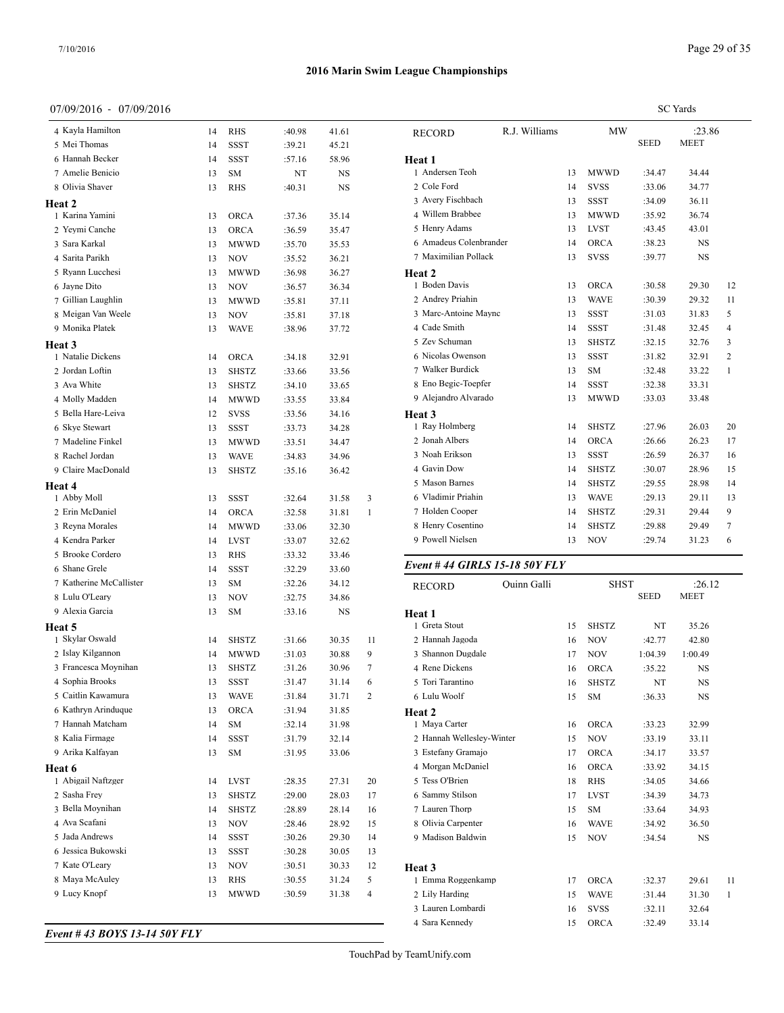**Heat 3**

**Heat 4**

**Heat 5**

**Heat 6**

#### **2016 Marin Swim League Championships**

#### 07/09/2016 - 07/09/2016

1 Abby Moll 13 SSST :32.64 31.58 3 Erin McDaniel 14 ORCA :32.58 31.81 1 Reyna Morales 14 MWWD :33.06 32.30 Kendra Parker 14 LVST :33.07 32.62 Brooke Cordero 13 RHS :33.32 33.46 Shane Grele 14 SSST :32.29 33.60 Katherine McCallister 13 SM :32.26 34.12 8 Lulu O'Leary 13 NOV :32.75 34.86 Alexia Garcia 13 SM :33.16 NS

| 7/09/2016 - 07/09/2016 |    |              |        |           |   |                        |               |    |              |             | <b>SC</b> Yards |                |
|------------------------|----|--------------|--------|-----------|---|------------------------|---------------|----|--------------|-------------|-----------------|----------------|
| 4 Kayla Hamilton       | 14 | <b>RHS</b>   | :40.98 | 41.61     |   | <b>RECORD</b>          | R.J. Williams |    | <b>MW</b>    |             | :23.86          |                |
| 5 Mei Thomas           | 14 | <b>SSST</b>  | :39.21 | 45.21     |   |                        |               |    |              | <b>SEED</b> | <b>MEET</b>     |                |
| 6 Hannah Becker        | 14 | <b>SSST</b>  | :57.16 | 58.96     |   | Heat 1                 |               |    |              |             |                 |                |
| 7 Amelie Benicio       | 13 | <b>SM</b>    | NT     | <b>NS</b> |   | 1 Andersen Teoh        |               | 13 | <b>MWWD</b>  | :34.47      | 34.44           |                |
| 8 Olivia Shaver        | 13 | <b>RHS</b>   | :40.31 | <b>NS</b> |   | 2 Cole Ford            |               | 14 | <b>SVSS</b>  | :33.06      | 34.77           |                |
| eat 2                  |    |              |        |           |   | 3 Avery Fischbach      |               | 13 | <b>SSST</b>  | :34.09      | 36.11           |                |
| 1 Karina Yamini        | 13 | <b>ORCA</b>  | :37.36 | 35.14     |   | 4 Willem Brabbee       |               | 13 | <b>MWWD</b>  | :35.92      | 36.74           |                |
| 2 Yeymi Canche         | 13 | <b>ORCA</b>  | :36.59 | 35.47     |   | 5 Henry Adams          |               | 13 | <b>LVST</b>  | :43.45      | 43.01           |                |
| 3 Sara Karkal          | 13 | <b>MWWD</b>  | :35.70 | 35.53     |   | 6 Amadeus Colenbrander |               | 14 | <b>ORCA</b>  | :38.23      | NS              |                |
| 4 Sarita Parikh        | 13 | NOV          | :35.52 | 36.21     |   | 7 Maximilian Pollack   |               | 13 | <b>SVSS</b>  | :39.77      | <b>NS</b>       |                |
| 5 Ryann Lucchesi       | 13 | <b>MWWD</b>  | :36.98 | 36.27     |   | Heat 2                 |               |    |              |             |                 |                |
| 6 Jayne Dito           | 13 | <b>NOV</b>   | :36.57 | 36.34     |   | 1 Boden Davis          |               | 13 | ORCA         | :30.58      | 29.30           | 12             |
| 7 Gillian Laughlin     | 13 | <b>MWWD</b>  | :35.81 | 37.11     |   | 2 Andrey Priahin       |               | 13 | <b>WAVE</b>  | :30.39      | 29.32           | 11             |
| 8 Meigan Van Weele     | 13 | <b>NOV</b>   | :35.81 | 37.18     |   | 3 Marc-Antoine Maync   |               | 13 | <b>SSST</b>  | :31.03      | 31.83           | 5              |
| 9 Monika Platek        | 13 | <b>WAVE</b>  | :38.96 | 37.72     |   | 4 Cade Smith           |               | 14 | SSST         | :31.48      | 32.45           | $\overline{4}$ |
| eat 3                  |    |              |        |           |   | 5 Zev Schuman          |               | 13 | <b>SHSTZ</b> | :32.15      | 32.76           | 3              |
| 1 Natalie Dickens      | 14 | <b>ORCA</b>  | :34.18 | 32.91     |   | 6 Nicolas Owenson      |               | 13 | <b>SSST</b>  | :31.82      | 32.91           | 2              |
| 2 Jordan Loftin        | 13 | <b>SHSTZ</b> | :33.66 | 33.56     |   | 7 Walker Burdick       |               | 13 | <b>SM</b>    | :32.48      | 33.22           | -1             |
| 3 Ava White            | 13 | <b>SHSTZ</b> | :34.10 | 33.65     |   | 8 Eno Begic-Toepfer    |               | 14 | SSST         | :32.38      | 33.31           |                |
| 4 Molly Madden         | 14 | <b>MWWD</b>  | :33.55 | 33.84     |   | 9 Alejandro Alvarado   |               | 13 | <b>MWWD</b>  | :33.03      | 33.48           |                |
| 5 Bella Hare-Leiva     | 12 | <b>SVSS</b>  | :33.56 | 34.16     |   | Heat 3                 |               |    |              |             |                 |                |
| 6 Skye Stewart         | 13 | <b>SSST</b>  | :33.73 | 34.28     |   | 1 Ray Holmberg         |               | 14 | <b>SHSTZ</b> | :27.96      | 26.03           | 20             |
| 7 Madeline Finkel      | 13 | <b>MWWD</b>  | :33.51 | 34.47     |   | 2 Jonah Albers         |               | 14 | <b>ORCA</b>  | :26.66      | 26.23           | 17             |
| 8 Rachel Jordan        | 13 | <b>WAVE</b>  | :34.83 | 34.96     |   | 3 Noah Erikson         |               | 13 | <b>SSST</b>  | :26.59      | 26.37           | 16             |
| 9 Claire MacDonald     | 13 | <b>SHSTZ</b> | :35.16 | 36.42     |   | 4 Gavin Dow            |               | 14 | SHSTZ        | :30.07      | 28.96           | 15             |
| eat 4                  |    |              |        |           |   | 5 Mason Barnes         |               | 14 | <b>SHSTZ</b> | :29.55      | 28.98           | 14             |
| 1 Abby Moll            | 13 | <b>SSST</b>  | :32.64 | 31.58     | 3 | 6 Vladimir Priahin     |               | 13 | <b>WAVE</b>  | :29.13      | 29.11           | 13             |
| 2 Erin McDaniel        | 14 | <b>ORCA</b>  | :32.58 | 31.81     |   | 7 Holden Cooper        |               | 14 | <b>SHSTZ</b> | :29.31      | 29.44           | 9              |
| 3 Reyna Morales        | 14 | <b>MWWD</b>  | :33.06 | 32.30     |   | 8 Henry Cosentino      |               | 14 | <b>SHSTZ</b> | :29.88      | 29.49           | 7              |
| 4 Kendra Parker        | 14 | <b>LVST</b>  | :33.07 | 32.62     |   | 9 Powell Nielsen       |               | 13 | <b>NOV</b>   | :29.74      | 31.23           | 6              |
|                        |    |              |        |           |   |                        |               |    |              |             |                 |                |

#### *Event # 44 GIRLS 15-18 50Y FLY*

| 7 Katherine McCallister | 13 | <b>SM</b>    | :32.26 | 34.12     |                | <b>RECORD</b>             | Quinn Galli |    | <b>SHST</b>  |             | :26.12      |     |
|-------------------------|----|--------------|--------|-----------|----------------|---------------------------|-------------|----|--------------|-------------|-------------|-----|
| 8 Lulu O'Leary          | 13 | <b>NOV</b>   | :32.75 | 34.86     |                |                           |             |    |              | <b>SEED</b> | <b>MEET</b> |     |
| 9 Alexia Garcia         | 13 | <b>SM</b>    | :33.16 | <b>NS</b> |                | Heat 1                    |             |    |              |             |             |     |
| eat 5                   |    |              |        |           |                | 1 Greta Stout             |             | 15 | <b>SHSTZ</b> | NT          | 35.26       |     |
| 1 Skylar Oswald         | 14 | <b>SHSTZ</b> | :31.66 | 30.35     | 11             | 2 Hannah Jagoda           |             | 16 | <b>NOV</b>   | :42.77      | 42.80       |     |
| 2 Islay Kilgannon       | 14 | <b>MWWD</b>  | :31.03 | 30.88     | 9              | 3 Shannon Dugdale         |             | 17 | <b>NOV</b>   | 1:04.39     | 1:00.49     |     |
| 3 Francesca Moynihan    | 13 | <b>SHSTZ</b> | :31.26 | 30.96     |                | 4 Rene Dickens            |             | 16 | <b>ORCA</b>  | :35.22      | NS          |     |
| 4 Sophia Brooks         | 13 | <b>SSST</b>  | :31.47 | 31.14     | 6              | 5 Tori Tarantino          |             | 16 | <b>SHSTZ</b> | NT          | <b>NS</b>   |     |
| 5 Caitlin Kawamura      | 13 | <b>WAVE</b>  | :31.84 | 31.71     | 2              | 6 Lulu Woolf              |             | 15 | <b>SM</b>    | :36.33      | <b>NS</b>   |     |
| 6 Kathryn Arinduque     | 13 | <b>ORCA</b>  | :31.94 | 31.85     |                | Heat 2                    |             |    |              |             |             |     |
| 7 Hannah Matcham        | 14 | <b>SM</b>    | :32.14 | 31.98     |                | 1 Maya Carter             |             | 16 | <b>ORCA</b>  | :33.23      | 32.99       |     |
| 8 Kalia Firmage         | 14 | <b>SSST</b>  | :31.79 | 32.14     |                | 2 Hannah Wellesley-Winter |             | 15 | <b>NOV</b>   | :33.19      | 33.11       |     |
| 9 Arika Kalfayan        | 13 | <b>SM</b>    | :31.95 | 33.06     |                | 3 Estefany Gramajo        |             | 17 | <b>ORCA</b>  | :34.17      | 33.57       |     |
| eat 6                   |    |              |        |           |                | 4 Morgan McDaniel         |             | 16 | <b>ORCA</b>  | :33.92      | 34.15       |     |
| 1 Abigail Naftzger      | 14 | <b>LVST</b>  | :28.35 | 27.31     | 20             | 5 Tess O'Brien            |             | 18 | <b>RHS</b>   | :34.05      | 34.66       |     |
| 2 Sasha Frey            | 13 | <b>SHSTZ</b> | :29.00 | 28.03     | 17             | 6 Sammy Stilson           |             | 17 | <b>LVST</b>  | :34.39      | 34.73       |     |
| 3 Bella Moynihan        | 14 | <b>SHSTZ</b> | :28.89 | 28.14     | 16             | 7 Lauren Thorp            |             | 15 | <b>SM</b>    | :33.64      | 34.93       |     |
| 4 Ava Scafani           | 13 | <b>NOV</b>   | :28.46 | 28.92     | 15             | 8 Olivia Carpenter        |             | 16 | <b>WAVE</b>  | :34.92      | 36.50       |     |
| 5 Jada Andrews          | 14 | <b>SSST</b>  | :30.26 | 29.30     | 14             | 9 Madison Baldwin         |             | 15 | <b>NOV</b>   | :34.54      | <b>NS</b>   |     |
| 6 Jessica Bukowski      | 13 | <b>SSST</b>  | :30.28 | 30.05     | 13             |                           |             |    |              |             |             |     |
| 7 Kate O'Leary          | 13 | <b>NOV</b>   | :30.51 | 30.33     | 12             | Heat 3                    |             |    |              |             |             |     |
| 8 Maya McAuley          | 13 | <b>RHS</b>   | :30.55 | 31.24     | 5              | 1 Emma Roggenkamp         |             | 17 | <b>ORCA</b>  | :32.37      | 29.61       | -11 |
| 9 Lucy Knopf            | 13 | <b>MWWD</b>  | :30.59 | 31.38     | $\overline{4}$ | 2 Lily Harding            |             | 15 | <b>WAVE</b>  | :31.44      | 31.30       |     |
|                         |    |              |        |           |                | 3 Lauren Lombardi         |             | 16 | <b>SVSS</b>  | :32.11      | 32.64       |     |
|                         |    |              |        |           |                | 4 Sara Kennedy            |             | 15 | <b>ORCA</b>  | :32.49      | 33.14       |     |
| 4 12 DOVG 12 11 EAV ELV |    |              |        |           |                |                           |             |    |              |             |             |     |

*Event # 43 BOYS 13-14 50Y FLY*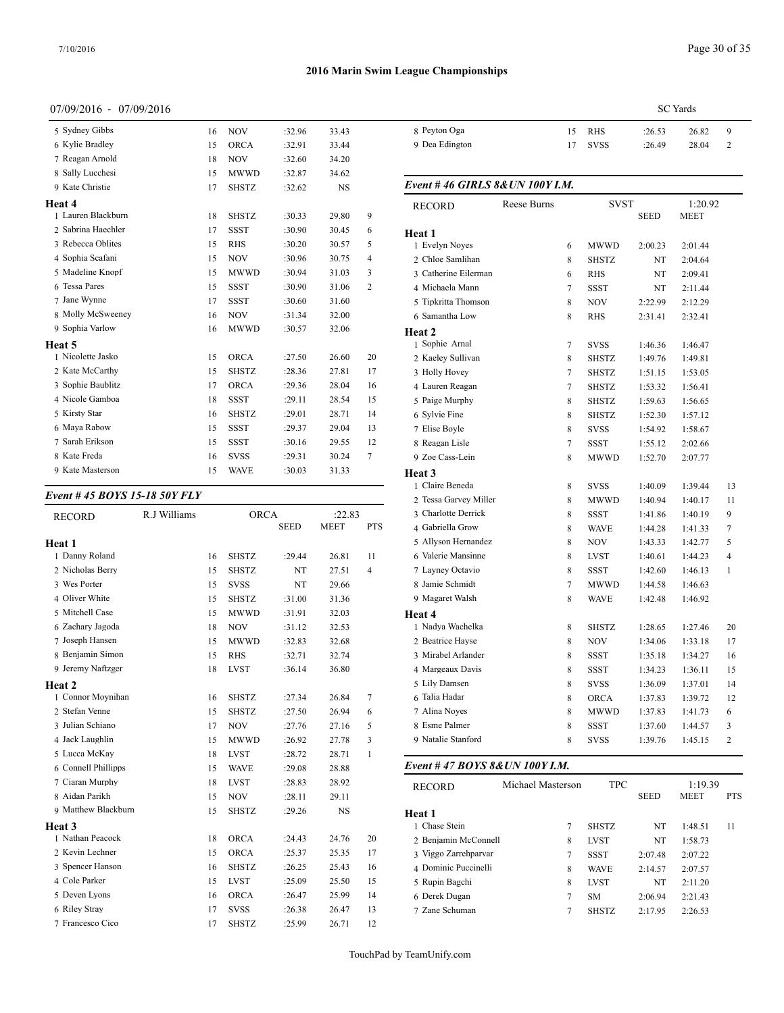#### 07/09/2016 - 07/09/2016

| 5 Sydney Gibbs     | 16 | <b>NOV</b>   | :32.96 | 33.43     |                | 8 Peyton O    |
|--------------------|----|--------------|--------|-----------|----------------|---------------|
| 6 Kylie Bradley    | 15 | <b>ORCA</b>  | :32.91 | 33.44     |                | 9 Dea Eding   |
| 7 Reagan Arnold    | 18 | <b>NOV</b>   | :32.60 | 34.20     |                |               |
| 8 Sally Lucchesi   | 15 | <b>MWWD</b>  | :32.87 | 34.62     |                |               |
| 9 Kate Christie    | 17 | <b>SHSTZ</b> | :32.62 | <b>NS</b> |                | Event #46     |
| Heat 4             |    |              |        |           |                | <b>RECORD</b> |
| 1 Lauren Blackburn | 18 | <b>SHSTZ</b> | :30.33 | 29.80     | 9              |               |
| 2 Sabrina Haechler | 17 | <b>SSST</b>  | :30.90 | 30.45     | 6              | Heat 1        |
| 3 Rebecca Oblites  | 15 | <b>RHS</b>   | :30.20 | 30.57     | 5              | 1 Evelyn N    |
| 4 Sophia Scafani   | 15 | <b>NOV</b>   | :30.96 | 30.75     | 4              | 2 Chloe Sar   |
| 5 Madeline Knopf   | 15 | <b>MWWD</b>  | :30.94 | 31.03     | 3              | 3 Catherine   |
| 6 Tessa Pares      | 15 | <b>SSST</b>  | :30.90 | 31.06     | $\overline{2}$ | 4 Michaela    |
| 7 Jane Wynne       | 17 | <b>SSST</b>  | :30.60 | 31.60     |                | 5 Tipkritta   |
| 8 Molly McSweeney  | 16 | <b>NOV</b>   | :31.34 | 32.00     |                | 6 Samantha    |
| 9 Sophia Varlow    | 16 | MWWD         | :30.57 | 32.06     |                | Heat 2        |
| Heat 5             |    |              |        |           |                | 1 Sophie A    |
| 1 Nicolette Jasko  | 15 | <b>ORCA</b>  | :27.50 | 26.60     | 20             | 2 Kaeley Su   |
| 2 Kate McCarthy    | 15 | <b>SHSTZ</b> | :28.36 | 27.81     | 17             | 3 Holly Ho    |
| 3 Sophie Baublitz  | 17 | <b>ORCA</b>  | :29.36 | 28.04     | 16             | 4 Lauren Ro   |
| 4 Nicole Gamboa    | 18 | <b>SSST</b>  | :29.11 | 28.54     | 15             | 5 Paige Mu    |
| 5 Kirsty Star      | 16 | <b>SHSTZ</b> | :29.01 | 28.71     | 14             | 6 Sylvie Fir  |
| 6 Maya Rabow       | 15 | <b>SSST</b>  | :29.37 | 29.04     | 13             | 7 Elise Boy   |
| 7 Sarah Erikson    | 15 | <b>SSST</b>  | :30.16 | 29.55     | 12             | 8 Reagan L    |
| 8 Kate Freda       | 16 | <b>SVSS</b>  | :29.31 | 30.24     | $\overline{7}$ | 9 Zoe Cass-   |
| 9 Kate Masterson   | 15 | <b>WAVE</b>  | :30.03 | 31.33     |                | $H$ eat 3     |

#### *Event # 45 BOYS 15-18 50Y FLY*

|              |                            |                                                            |                                                                 |                                                    | 3 Charlotte L      |
|--------------|----------------------------|------------------------------------------------------------|-----------------------------------------------------------------|----------------------------------------------------|--------------------|
|              |                            | <b>SEED</b>                                                | <b>MEET</b>                                                     | <b>PTS</b>                                         | 4 Gabriella C      |
|              |                            |                                                            |                                                                 |                                                    | 5 Allyson He       |
|              |                            |                                                            |                                                                 |                                                    | 6 Valerie Ma       |
|              |                            |                                                            |                                                                 |                                                    | 7 Layney Oc        |
|              |                            |                                                            |                                                                 |                                                    | 8 Jamie Schr       |
|              | <b>SHSTZ</b>               |                                                            |                                                                 |                                                    | 9 Magaret W        |
|              |                            |                                                            |                                                                 |                                                    | Heat 4             |
| 18           | <b>NOV</b>                 |                                                            |                                                                 |                                                    | 1 Nadya Wac        |
| 15           | <b>MWWD</b>                | :32.83                                                     | 32.68                                                           |                                                    | 2 Beatrice Ha      |
| 15           | <b>RHS</b>                 | :32.71                                                     | 32.74                                                           |                                                    | 3 Mirabel Ar       |
| 18           | <b>LVST</b>                | :36.14                                                     | 36.80                                                           |                                                    | 4 Margeaux         |
|              |                            |                                                            |                                                                 |                                                    | 5 Lily Dams        |
| 16           | <b>SHSTZ</b>               | :27.34                                                     | 26.84                                                           | $\tau$                                             | 6 Talia Hada       |
| 15           | <b>SHSTZ</b>               | :27.50                                                     | 26.94                                                           | 6                                                  | 7 Alina Noye       |
| 17           | <b>NOV</b>                 | :27.76                                                     | 27.16                                                           | 5                                                  | 8 Esme Palm        |
| 15           | <b>MWWD</b>                | :26.92                                                     | 27.78                                                           | 3                                                  | 9 Natalie Sta      |
| 18           | <b>LVST</b>                | :28.72                                                     | 28.71                                                           | $\mathbf{1}$                                       |                    |
| 15           | <b>WAVE</b>                | :29.08                                                     | 28.88                                                           |                                                    | Event #47 <b>E</b> |
| 18           | <b>LVST</b>                | :28.83                                                     | 28.92                                                           |                                                    | <b>RECORD</b>      |
| 15           | <b>NOV</b>                 | :28.11                                                     | 29.11                                                           |                                                    |                    |
| 15           | <b>SHSTZ</b>               | :29.26                                                     | <b>NS</b>                                                       |                                                    | Heat 1             |
|              |                            |                                                            |                                                                 |                                                    | 1 Chase Steir      |
| 18           | <b>ORCA</b>                | :24.43                                                     | 24.76                                                           | 20                                                 | 2 Benjamin N       |
| 15           | ORCA                       | :25.37                                                     | 25.35                                                           | 17                                                 | 3 Viggo Zarr       |
| 16           | <b>SHSTZ</b>               | :26.25                                                     | 25.43                                                           | 16                                                 | 4 Dominic P        |
| 15           | <b>LVST</b>                | :25.09                                                     | 25.50                                                           | 15                                                 | 5 Rupin Bag        |
| 16           | ORCA                       | :26.47                                                     | 25.99                                                           | 14                                                 | 6 Derek Dug        |
| 17           | <b>SVSS</b>                | :26.38                                                     | 26.47                                                           | 13                                                 | 7 Zane Schur       |
| 17           | <b>SHSTZ</b>               | :25.99                                                     | 26.71                                                           | 12                                                 |                    |
| R.J Williams | 16<br>15<br>15<br>15<br>15 | <b>SHSTZ</b><br><b>SHSTZ</b><br><b>SVSS</b><br><b>MWWD</b> | <b>ORCA</b><br>:29.44<br>NT<br>NT<br>:31.00<br>:31.91<br>:31.12 | 26.81<br>27.51<br>29.66<br>31.36<br>32.03<br>32.53 | :22.83<br>11<br>4  |

|                | SC Yards |             |        |       |   |  |  |  |
|----------------|----------|-------------|--------|-------|---|--|--|--|
| 8 Peyton Oga   | 15       | RHS         | :26.53 | 26.82 | 9 |  |  |  |
| 9 Dea Edington | 17       | <b>SVSS</b> | :26.49 | 28.04 |   |  |  |  |
|                |          |             |        |       |   |  |  |  |

## Rebecca Oblites 15 RHS :30.20 30.57 5 1 Evelyn Noyes 6 MWWD 2:00.23 2:01.44 Sophia Scafani 15 NOV :30.96 30.75 4 2 Chloe Samlihan 8 SHSTZ NT 2:04.64 Madeline Knopf 15 MWWD :30.94 31.03 3 3 Catherine Eilerman 6 RHS NT 2:09.41 Tessa Pares 15 SSST :30.90 31.06 2 4 Michaela Mann 7 SSST NT 2:11.44 Nicolette Jasko 15 ORCA :27.50 26.60 20 2 Kaeley Sullivan 8 SHSTZ 1:49.76 1:49.81 Kate McCarthy 15 SHSTZ :28.36 27.81 17 3 Holly Hovey 7 SHSTZ 1:51.15 1:53.05 Sophie Baublitz 17 ORCA :29.36 28.04 16 4 Lauren Reagan 7 SHSTZ 1:53.32 1:56.41 Nicole Gamboa 18 SSST :29.11 28.54 15 5 Paige Murphy 8 SHSTZ 1:59.63 1:56.65 Kirsty Star 16 SHSTZ :29.01 28.71 14 6 Sylvie Fine 8 SHSTZ 1:52.30 1:57.12 Maya Rabow 15 SSST :29.37 29.04 13 7 Elise Boyle 8 SVSS 1:54.92 1:58.67 Sarah Erikson 15 SSST :30.16 29.55 12 8 Reagan Lisle 7 SSST 1:55.12 2:02.66 8 Kate Freda 16 SVSS :29.31 30.24 7 9 Zoe Cass-Lein 8 MWWD 1:52.70 2:07.77 SEED MEET PTS 4 Gabriella Grow 8 WAVE 1:44.28 1:41.33 7 Danny Roland 16 SHSTZ :29.44 26.81 11 6 Valerie Mansinne 8 LVST 1:40.61 1:44.23 4 Nicholas Berry 15 SHSTZ NT 27.51 4 7 Layney Octavio 8 SSST 1:42.60 1:46.13 1 Connor Moynihan 16 SHSTZ :27.34 26.84 7 6 Talia Hadar 8 ORCA 1:37.83 1:39.72 12 Stefan Venne 15 SHSTZ :27.50 26.94 6 7 Alina Noyes 8 MWWD 1:37.83 1:41.73 6 Julian Schiano 17 NOV :27.76 27.16 5 8 Esme Palmer 8 SSST 1:37.60 1:44.57 3 Jack Laughlin 15 MWWD :26.92 27.78 3 9 Natalie Stanford 8 SVSS 1:39.76 1:45.15 2 *Event # 46 GIRLS 8&UN 100Y I.M.* RECORD Reese Burns SVST 1:20.92<br>SEED MEET **MEET Heat 1** Tipkritta Thomson 8 NOV 2:22.99 2:12.29 Samantha Low 8 RHS 2:31.41 2:32.41 **Heat 2** 1 Sophie Arnal 7 SVSS 1:46.36 1:46.47 **Heat 3** Claire Beneda 8 SVSS 1:40.09 1:39.44 13 Tessa Garvey Miller 8 MWWD 1:40.94 1:40.17 11 Charlotte Derrick 8 SSST 1:41.86 1:40.19 9 Allyson Hernandez 8 NOV 1:43.33 1:42.77 5 Jamie Schmidt 7 MWWD 1:44.58 1:46.63 Magaret Walsh 8 WAVE 1:42.48 1:46.92 **Heat 4** Nadya Wachelka 8 SHSTZ 1:28.65 1:27.46 20 2 Beatrice Hayse 8 NOV 1:34.06 1:33.18 17 Mirabel Arlander 8 SSST 1:35.18 1:34.27 16 Margeaux Davis 8 SSST 1:34.23 1:36.11 15 Lily Damsen 8 SVSS 1:36.09 1:37.01 14

#### *Event # 47 BOYS 8&UN 100Y I.M.*

| <b>RECORD</b>        | Michael Masterson | <b>TPC</b>   |             | 1:19.39     |            |
|----------------------|-------------------|--------------|-------------|-------------|------------|
|                      |                   |              | <b>SEED</b> | <b>MEET</b> | <b>PTS</b> |
| Heat 1               |                   |              |             |             |            |
| 1 Chase Stein        | 7                 | <b>SHSTZ</b> | NT          | 1:48.51     | 11         |
| 2 Benjamin McConnell | 8                 | <b>LVST</b>  | NT          | 1:58.73     |            |
| 3 Viggo Zarrehparvar | 7                 | SSST         | 2:07.48     | 2:07.22     |            |
| 4 Dominic Puccinelli | 8                 | <b>WAVE</b>  | 2:14.57     | 2:07.57     |            |
| 5 Rupin Bagchi       | 8                 | <b>LVST</b>  | NT          | 2:11.20     |            |
| 6 Derek Dugan        | 7                 | <b>SM</b>    | 2:06.94     | 2:21.43     |            |
| 7 Zane Schuman       | 7                 | <b>SHSTZ</b> | 2:17.95     | 2:26.53     |            |
|                      |                   |              |             |             |            |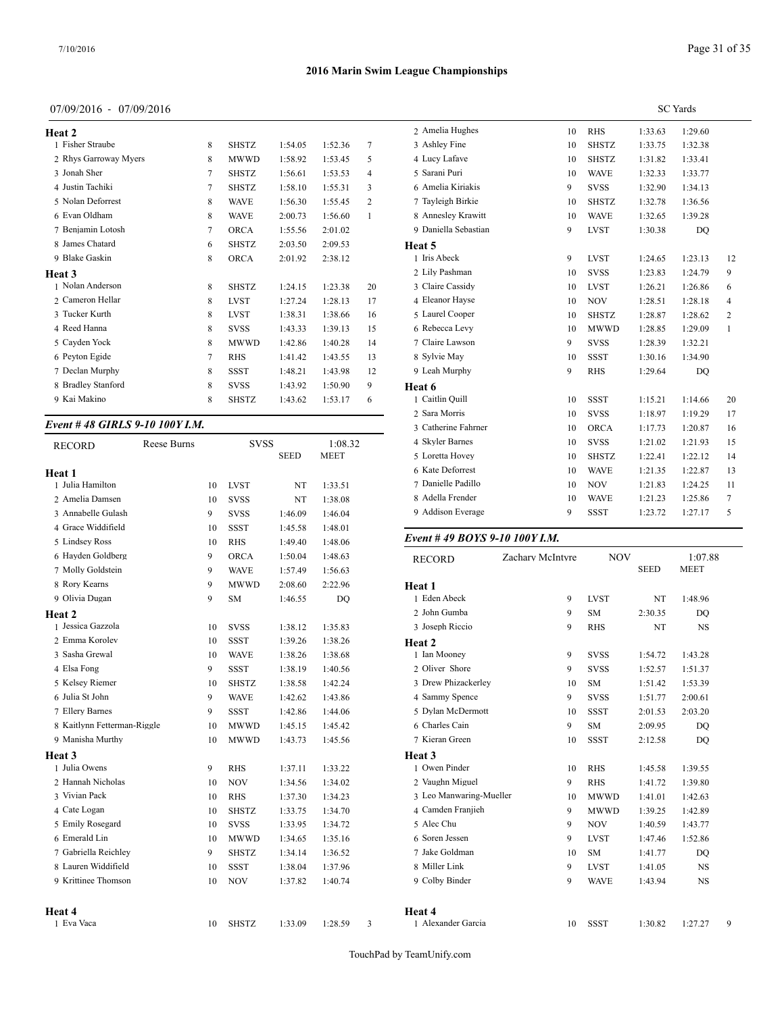## 07/09/2016 - 07/09/2016

| Heat 2                |                |              |         |         |    | 2 Amelia Hu   |
|-----------------------|----------------|--------------|---------|---------|----|---------------|
| 1 Fisher Straube      | 8              | <b>SHSTZ</b> | 1:54.05 | 1:52.36 | 7  | 3 Ashley Fin  |
| 2 Rhys Garroway Myers | 8              | <b>MWWD</b>  | 1:58.92 | 1:53.45 | 5  | 4 Lucy Lafay  |
| 3 Jonah Sher          | 7              | <b>SHSTZ</b> | 1:56.61 | 1:53.53 | 4  | 5 Sarani Puri |
| 4 Justin Tachiki      | 7              | <b>SHSTZ</b> | 1:58.10 | 1:55.31 | 3  | 6 Amelia Kir  |
| 5 Nolan Deforrest     | 8              | <b>WAVE</b>  | 1:56.30 | 1:55.45 | 2  | 7 Tayleigh B  |
| 6 Evan Oldham         | 8              | <b>WAVE</b>  | 2:00.73 | 1:56.60 | 1  | 8 Annesley K  |
| 7 Benjamin Lotosh     | $\overline{7}$ | <b>ORCA</b>  | 1:55.56 | 2:01.02 |    | 9 Daniella Se |
| 8 James Chatard       | 6              | <b>SHSTZ</b> | 2:03.50 | 2:09.53 |    | Heat 5        |
| 9 Blake Gaskin        | 8              | <b>ORCA</b>  | 2:01.92 | 2:38.12 |    | 1 Iris Abeck  |
| Heat 3                |                |              |         |         |    | 2 Lily Pashm  |
| 1 Nolan Anderson      | 8              | <b>SHSTZ</b> | 1:24.15 | 1:23.38 | 20 | 3 Claire Cass |
| 2 Cameron Hellar      | 8              | <b>LVST</b>  | 1:27.24 | 1:28.13 | 17 | 4 Eleanor Ha  |
| 3 Tucker Kurth        | 8              | <b>LVST</b>  | 1:38.31 | 1:38.66 | 16 | 5 Laurel Coc  |
| 4 Reed Hanna          | 8              | <b>SVSS</b>  | 1:43.33 | 1:39.13 | 15 | 6 Rebecca Lo  |
| 5 Cayden Yock         | 8              | <b>MWWD</b>  | 1:42.86 | 1:40.28 | 14 | 7 Claire Law  |
| 6 Peyton Egide        | 7              | <b>RHS</b>   | 1:41.42 | 1:43.55 | 13 | 8 Sylvie May  |
| 7 Declan Murphy       | 8              | <b>SSST</b>  | 1:48.21 | 1:43.98 | 12 | 9 Leah Murp   |
| 8 Bradley Stanford    | 8              | <b>SVSS</b>  | 1:43.92 | 1:50.90 | 9  | Heat 6        |
| 9 Kai Makino          | 8              | <b>SHSTZ</b> | 1:43.62 | 1:53.17 | 6  | 1 Caitlin Qui |
|                       |                |              |         |         |    |               |

#### *Event # 48 GIRLS 9-10 100Y I.M.*

| <b>RECORD</b>               | Reese Burns |    | <b>SVSS</b>  |             | 1:08.32     |   | 4 Skyler Barnes  |
|-----------------------------|-------------|----|--------------|-------------|-------------|---|------------------|
|                             |             |    |              | <b>SEED</b> | <b>MEET</b> |   | 5 Loretta Hovey  |
| Heat 1                      |             |    |              |             |             |   | 6 Kate Deforres  |
| 1 Julia Hamilton            |             | 10 | <b>LVST</b>  | NT          | 1:33.51     |   | 7 Danielle Padil |
| 2 Amelia Damsen             |             | 10 | <b>SVSS</b>  | NT          | 1:38.08     |   | 8 Adella Frende  |
| 3 Annabelle Gulash          |             | 9  | <b>SVSS</b>  | 1:46.09     | 1:46.04     |   | 9 Addison Evera  |
| 4 Grace Widdifield          |             | 10 | <b>SSST</b>  | 1:45.58     | 1:48.01     |   |                  |
| 5 Lindsey Ross              |             | 10 | <b>RHS</b>   | 1:49.40     | 1:48.06     |   | Event #49 $BO$   |
| 6 Hayden Goldberg           |             | 9  | <b>ORCA</b>  | 1:50.04     | 1:48.63     |   | <b>RECORD</b>    |
| 7 Molly Goldstein           |             | 9  | <b>WAVE</b>  | 1:57.49     | 1:56.63     |   |                  |
| 8 Rory Kearns               |             | 9  | <b>MWWD</b>  | 2:08.60     | 2:22.96     |   | Heat 1           |
| 9 Olivia Dugan              |             | 9  | SM           | 1:46.55     | DQ          |   | 1 Eden Abeck     |
| Heat 2                      |             |    |              |             |             |   | 2 John Gumba     |
| 1 Jessica Gazzola           |             | 10 | <b>SVSS</b>  | 1:38.12     | 1:35.83     |   | 3 Joseph Riccio  |
| 2 Emma Korolev              |             | 10 | <b>SSST</b>  | 1:39.26     | 1:38.26     |   | Heat 2           |
| 3 Sasha Grewal              |             | 10 | <b>WAVE</b>  | 1:38.26     | 1:38.68     |   | 1 Ian Mooney     |
| 4 Elsa Fong                 |             | 9  | <b>SSST</b>  | 1:38.19     | 1:40.56     |   | 2 Oliver Shore   |
| 5 Kelsey Riemer             |             | 10 | <b>SHSTZ</b> | 1:38.58     | 1:42.24     |   | 3 Drew Phizack   |
| 6 Julia St John             |             | 9  | <b>WAVE</b>  | 1:42.62     | 1:43.86     |   | 4 Sammy Spenc    |
| 7 Ellery Barnes             |             | 9  | <b>SSST</b>  | 1:42.86     | 1:44.06     |   | 5 Dylan McDeri   |
| 8 Kaitlynn Fetterman-Riggle |             | 10 | <b>MWWD</b>  | 1:45.15     | 1:45.42     |   | 6 Charles Cain   |
| 9 Manisha Murthy            |             | 10 | <b>MWWD</b>  | 1:43.73     | 1:45.56     |   | 7 Kieran Green   |
| Heat 3                      |             |    |              |             |             |   | Heat 3           |
| 1 Julia Owens               |             | 9  | <b>RHS</b>   | 1:37.11     | 1:33.22     |   | 1 Owen Pinder    |
| 2 Hannah Nicholas           |             | 10 | <b>NOV</b>   | 1:34.56     | 1:34.02     |   | 2 Vaughn Migue   |
| 3 Vivian Pack               |             | 10 | <b>RHS</b>   | 1:37.30     | 1:34.23     |   | 3 Leo Manwarin   |
| 4 Cate Logan                |             | 10 | <b>SHSTZ</b> | 1:33.75     | 1:34.70     |   | 4 Camden Franj   |
| 5 Emily Rosegard            |             | 10 | <b>SVSS</b>  | 1:33.95     | 1:34.72     |   | 5 Alec Chu       |
| 6 Emerald Lin               |             | 10 | <b>MWWD</b>  | 1:34.65     | 1:35.16     |   | 6 Soren Jessen   |
| 7 Gabriella Reichley        |             | 9  | <b>SHSTZ</b> | 1:34.14     | 1:36.52     |   | 7 Jake Goldman   |
| 8 Lauren Widdifield         |             | 10 | <b>SSST</b>  | 1:38.04     | 1:37.96     |   | 8 Miller Link    |
| 9 Krittinee Thomson         |             | 10 | <b>NOV</b>   | 1:37.82     | 1:40.74     |   | 9 Colby Binder   |
| Heat 4                      |             |    |              |             |             |   | Heat 4           |
| 1 Eva Vaca                  |             | 10 | <b>SHSTZ</b> | 1:33.09     | 1:28.59     | 3 | 1 Alexander Gar  |

|                               |                  |    |              |             | <b>SC</b> Yards        |              |  |
|-------------------------------|------------------|----|--------------|-------------|------------------------|--------------|--|
| 2 Amelia Hughes               |                  | 10 | <b>RHS</b>   | 1:33.63     | 1:29.60                |              |  |
| 3 Ashley Fine                 |                  | 10 | <b>SHSTZ</b> | 1:33.75     | 1:32.38                |              |  |
| 4 Lucy Lafave                 |                  | 10 | <b>SHSTZ</b> | 1:31.82     | 1:33.41                |              |  |
| 5 Sarani Puri                 |                  | 10 | <b>WAVE</b>  | 1:32.33     | 1:33.77                |              |  |
| 6 Amelia Kiriakis             | 9                |    | <b>SVSS</b>  | 1:32.90     | 1:34.13                |              |  |
| 7 Tayleigh Birkie             |                  | 10 | <b>SHSTZ</b> | 1:32.78     | 1:36.56                |              |  |
| 8 Annesley Krawitt            |                  | 10 | <b>WAVE</b>  | 1:32.65     | 1:39.28                |              |  |
| 9 Daniella Sebastian          | 9                |    | <b>LVST</b>  | 1:30.38     | DO                     |              |  |
| Heat 5                        |                  |    |              |             |                        |              |  |
| 1 Iris Abeck                  | 9                |    | <b>LVST</b>  | 1:24.65     | 1:23.13                | 12           |  |
| 2 Lily Pashman                |                  | 10 | <b>SVSS</b>  | 1:23.83     | 1:24.79                | 9            |  |
| 3 Claire Cassidy              |                  | 10 | <b>LVST</b>  | 1:26.21     | 1:26.86                | 6            |  |
| 4 Eleanor Hayse               |                  | 10 | <b>NOV</b>   | 1:28.51     | 1:28.18                | 4            |  |
| 5 Laurel Cooper               |                  | 10 | <b>SHSTZ</b> | 1:28.87     | 1:28.62                | 2            |  |
| 6 Rebecca Levy                |                  | 10 | <b>MWWD</b>  | 1:28.85     | 1:29.09                | $\mathbf{1}$ |  |
| 7 Claire Lawson               | 9                |    | <b>SVSS</b>  | 1:28.39     | 1:32.21                |              |  |
| 8 Sylvie May                  |                  | 10 | <b>SSST</b>  | 1:30.16     | 1:34.90                |              |  |
| 9 Leah Murphy                 | 9                |    | <b>RHS</b>   | 1:29.64     | DQ                     |              |  |
| Heat 6                        |                  |    |              |             |                        |              |  |
| 1 Caitlin Quill               |                  | 10 | <b>SSST</b>  | 1:15.21     | 1:14.66                | 20           |  |
| 2 Sara Morris                 |                  | 10 | <b>SVSS</b>  | 1:18.97     | 1:19.29                | 17           |  |
| 3 Catherine Fahrner           |                  | 10 | <b>ORCA</b>  | 1:17.73     | 1:20.87                | 16           |  |
| 4 Skyler Barnes               |                  | 10 | <b>SVSS</b>  | 1:21.02     | 1:21.93                | 15           |  |
| 5 Loretta Hovey               |                  | 10 | <b>SHSTZ</b> | 1:22.41     | 1:22.12                | 14           |  |
| 6 Kate Deforrest              |                  | 10 | <b>WAVE</b>  | 1:21.35     | 1:22.87                | 13           |  |
| 7 Danielle Padillo            |                  | 10 | <b>NOV</b>   | 1:21.83     | 1:24.25                | 11           |  |
| 8 Adella Frender              |                  | 10 | <b>WAVE</b>  | 1:21.23     | 1:25.86                | 7            |  |
| 9 Addison Everage             | 9                |    | <b>SSST</b>  | 1:23.72     | 1:27.17                | 5            |  |
| Event #49 BOYS 9-10 100Y I.M. |                  |    |              |             |                        |              |  |
| <b>RECORD</b>                 | Zachary McIntyre |    | <b>NOV</b>   | <b>SEED</b> | 1:07.88<br><b>MEET</b> |              |  |

|                         |    |             | SEED    | INLE L    |   |
|-------------------------|----|-------------|---------|-----------|---|
| Heat 1                  |    |             |         |           |   |
| 1 Eden Abeck            | 9  | <b>LVST</b> | NT      | 1:48.96   |   |
| 2 John Gumba            | 9  | <b>SM</b>   | 2:30.35 | DO        |   |
| 3 Joseph Riccio         | 9  | <b>RHS</b>  | NT      | NS        |   |
| Heat 2                  |    |             |         |           |   |
| 1 Ian Mooney            | 9  | <b>SVSS</b> | 1:54.72 | 1:43.28   |   |
| 2 Oliver Shore          | 9  | <b>SVSS</b> | 1:52.57 | 1:51.37   |   |
| 3 Drew Phizackerley     | 10 | <b>SM</b>   | 1:51.42 | 1:53.39   |   |
| 4 Sammy Spence          | 9  | <b>SVSS</b> | 1:51.77 | 2:00.61   |   |
| 5 Dylan McDermott       | 10 | <b>SSST</b> | 2:01.53 | 2:03.20   |   |
| 6 Charles Cain          | 9  | <b>SM</b>   | 2:09.95 | DO        |   |
| 7 Kieran Green          | 10 | <b>SSST</b> | 2:12.58 | DO        |   |
| Heat 3                  |    |             |         |           |   |
| 1 Owen Pinder           | 10 | <b>RHS</b>  | 1:45.58 | 1:39.55   |   |
| 2 Vaughn Miguel         | 9  | <b>RHS</b>  | 1:41.72 | 1:39.80   |   |
| 3 Leo Manwaring-Mueller | 10 | <b>MWWD</b> | 1:41.01 | 1:42.63   |   |
| 4 Camden Franjieh       | 9  | <b>MWWD</b> | 1:39.25 | 1:42.89   |   |
| 5 Alec Chu              | 9  | <b>NOV</b>  | 1:40.59 | 1:43.77   |   |
| 6 Soren Jessen          | 9  | <b>LVST</b> | 1:47.46 | 1:52.86   |   |
| 7 Jake Goldman          | 10 | <b>SM</b>   | 1:41.77 | DO        |   |
| 8 Miller Link           | 9  | <b>LVST</b> | 1:41.05 | <b>NS</b> |   |
| 9 Colby Binder          | 9  | <b>WAVE</b> | 1:43.94 | NS        |   |
|                         |    |             |         |           |   |
| Heat 4                  |    |             |         |           |   |
| 1 Alexander Garcia      | 10 | <b>SSST</b> | 1:30.82 | 1:27.27   | 9 |
|                         |    |             |         |           |   |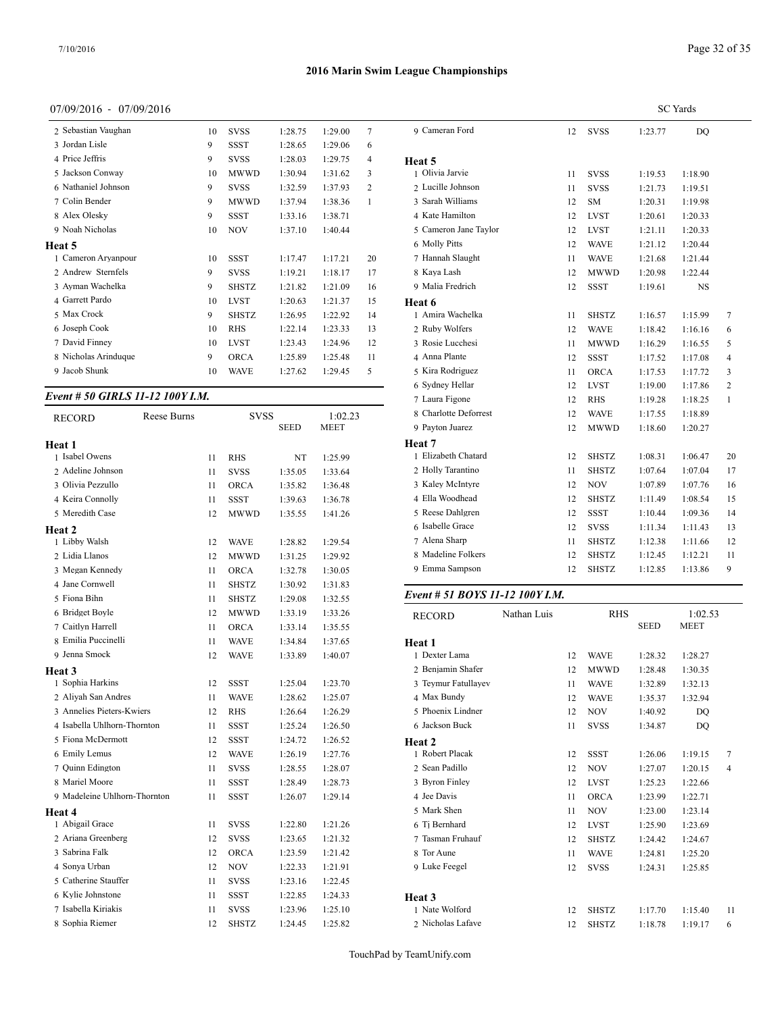## 07/09/2016 - 07/09/2016

| 2 Sebastian Vaughan  | 10 | <b>SVSS</b>  | 1:28.75 | 1:29.00 | 7  | 9 Cameran F   |
|----------------------|----|--------------|---------|---------|----|---------------|
| 3 Jordan Lisle       | 9  | <b>SSST</b>  | 1:28.65 | 1:29.06 | 6  |               |
| 4 Price Jeffris      | 9  | <b>SVSS</b>  | 1:28.03 | 1:29.75 | 4  | Heat 5        |
| 5 Jackson Conway     | 10 | <b>MWWD</b>  | 1:30.94 | 1:31.62 | 3  | 1 Olivia Jarv |
| 6 Nathaniel Johnson  | 9  | <b>SVSS</b>  | 1:32.59 | 1:37.93 | 2  | 2 Lucille Joh |
| 7 Colin Bender       | 9  | <b>MWWD</b>  | 1:37.94 | 1:38.36 | 1  | 3 Sarah Willi |
| 8 Alex Olesky        | 9  | SSST         | 1:33.16 | 1:38.71 |    | 4 Kate Hami   |
| 9 Noah Nicholas      | 10 | <b>NOV</b>   | 1:37.10 | 1:40.44 |    | 5 Cameron Ja  |
| Heat 5               |    |              |         |         |    | 6 Molly Pitts |
| 1 Cameron Aryanpour  | 10 | <b>SSST</b>  | 1:17.47 | 1:17.21 | 20 | 7 Hannah Sla  |
| 2 Andrew Sternfels   | 9  | <b>SVSS</b>  | 1:19.21 | 1:18.17 | 17 | 8 Kaya Lash   |
| 3 Ayman Wachelka     | 9  | SHSTZ        | 1:21.82 | 1:21.09 | 16 | 9 Malia Fred  |
| 4 Garrett Pardo      | 10 | <b>LVST</b>  | 1:20.63 | 1:21.37 | 15 | Heat 6        |
| 5 Max Crock          | 9  | <b>SHSTZ</b> | 1:26.95 | 1:22.92 | 14 | 1 Amira Wac   |
| 6 Joseph Cook        | 10 | <b>RHS</b>   | 1:22.14 | 1:23.33 | 13 | 2 Ruby Wolf   |
| 7 David Finney       | 10 | <b>LVST</b>  | 1:23.43 | 1:24.96 | 12 | 3 Rosie Lucc  |
| 8 Nicholas Arinduque | 9  | <b>ORCA</b>  | 1:25.89 | 1:25.48 | 11 | 4 Anna Plant  |
| 9 Jacob Shunk        | 10 | <b>WAVE</b>  | 1:27.62 | 1:29.45 | 5  | 5 Kira Rodri  |
|                      |    |              |         |         |    |               |

# *Event # 50 GIRLS 11-12 100Y I.M.*

| <b>RECORD</b>                | Reese Burns |    | <b>SVSS</b>  |             | 1:02.23     | 8 Charlotte   |
|------------------------------|-------------|----|--------------|-------------|-------------|---------------|
|                              |             |    |              | <b>SEED</b> | <b>MEET</b> | 9 Payton Ju   |
| Heat 1                       |             |    |              |             |             | Heat 7        |
| 1 Isabel Owens               |             | 11 | <b>RHS</b>   | NT          | 1:25.99     | 1 Elizabeth   |
| 2 Adeline Johnson            |             | 11 | <b>SVSS</b>  | 1:35.05     | 1:33.64     | 2 Holly Tar   |
| 3 Olivia Pezzullo            |             | 11 | ORCA         | 1:35.82     | 1:36.48     | 3 Kaley Mc    |
| 4 Keira Connolly             |             | 11 | <b>SSST</b>  | 1:39.63     | 1:36.78     | 4 Ella Woo    |
| 5 Meredith Case              |             | 12 | <b>MWWD</b>  | 1:35.55     | 1:41.26     | 5 Reese Da    |
| Heat 2                       |             |    |              |             |             | 6 Isabelle C  |
| 1 Libby Walsh                |             | 12 | <b>WAVE</b>  | 1:28.82     | 1:29.54     | 7 Alena Sha   |
| 2 Lidia Llanos               |             | 12 | <b>MWWD</b>  | 1:31.25     | 1:29.92     | 8 Madeline    |
| 3 Megan Kennedy              |             | 11 | <b>ORCA</b>  | 1:32.78     | 1:30.05     | 9 Emma Sa     |
| 4 Jane Cornwell              |             | 11 | <b>SHSTZ</b> | 1:30.92     | 1:31.83     |               |
| 5 Fiona Bihn                 |             | 11 | <b>SHSTZ</b> | 1:29.08     | 1:32.55     | Event $# 51$  |
| 6 Bridget Boyle              |             | 12 | <b>MWWD</b>  | 1:33.19     | 1:33.26     | <b>RECORD</b> |
| 7 Caitlyn Harrell            |             | 11 | <b>ORCA</b>  | 1:33.14     | 1:35.55     |               |
| 8 Emilia Puccinelli          |             | 11 | <b>WAVE</b>  | 1:34.84     | 1:37.65     | Heat 1        |
| 9 Jenna Smock                |             | 12 | <b>WAVE</b>  | 1:33.89     | 1:40.07     | 1 Dexter La   |
| <b>Heat 3</b>                |             |    |              |             |             | 2 Benjamin    |
| 1 Sophia Harkins             |             | 12 | <b>SSST</b>  | 1:25.04     | 1:23.70     | 3 Teymur F    |
| 2 Aliyah San Andres          |             | 11 | <b>WAVE</b>  | 1:28.62     | 1:25.07     | 4 Max Bun     |
| 3 Annelies Pieters-Kwiers    |             | 12 | <b>RHS</b>   | 1:26.64     | 1:26.29     | 5 Phoenix I   |
| 4 Isabella Uhlhorn-Thornton  |             | 11 | <b>SSST</b>  | 1:25.24     | 1:26.50     | 6 Jackson E   |
| 5 Fiona McDermott            |             | 12 | SSST         | 1:24.72     | 1:26.52     | Heat 2        |
| 6 Emily Lemus                |             | 12 | <b>WAVE</b>  | 1:26.19     | 1:27.76     | 1 Robert Pl   |
| 7 Ouinn Edington             |             | 11 | <b>SVSS</b>  | 1:28.55     | 1:28.07     | 2 Sean Padi   |
| 8 Mariel Moore               |             | 11 | <b>SSST</b>  | 1:28.49     | 1:28.73     | 3 Byron Fir   |
| 9 Madeleine Uhlhorn-Thornton |             | 11 | SSST         | 1:26.07     | 1:29.14     | 4 Jee Davis   |
| Heat 4                       |             |    |              |             |             | 5 Mark She    |
| 1 Abigail Grace              |             | 11 | <b>SVSS</b>  | 1:22.80     | 1:21.26     | 6 Tj Bernha   |
| 2 Ariana Greenberg           |             | 12 | <b>SVSS</b>  | 1:23.65     | 1:21.32     | 7 Tasman F    |
| 3 Sabrina Falk               |             | 12 | <b>ORCA</b>  | 1:23.59     | 1:21.42     | 8 Tor Aune    |
| 4 Sonya Urban                |             | 12 | <b>NOV</b>   | 1:22.33     | 1:21.91     | 9 Luke Fee    |
| 5 Catherine Stauffer         |             | 11 | <b>SVSS</b>  | 1:23.16     | 1:22.45     |               |
| 6 Kylie Johnstone            |             | 11 | <b>SSST</b>  | 1:22.85     | 1:24.33     | Heat 3        |
| 7 Isabella Kiriakis          |             | 11 | <b>SVSS</b>  | 1:23.96     | 1:25.10     | 1 Nate Wol    |
| 8 Sophia Riemer              |             | 12 | <b>SHSTZ</b> | 1:24.45     | 1:25.82     | 2 Nicholas    |

|                       |    |              |         | <b>SC</b> Yards |                |
|-----------------------|----|--------------|---------|-----------------|----------------|
| 9 Cameran Ford        | 12 | SVSS         | 1:23.77 | <b>DO</b>       |                |
| Heat 5                |    |              |         |                 |                |
| 1 Olivia Jarvie       | 11 | <b>SVSS</b>  | 1:19.53 | 1:18.90         |                |
| 2 Lucille Johnson     | 11 | <b>SVSS</b>  | 1:21.73 | 1:19.51         |                |
| 3 Sarah Williams      | 12 | <b>SM</b>    | 1:20.31 | 1:19.98         |                |
| 4 Kate Hamilton       | 12 | <b>LVST</b>  | 1:20.61 | 1:20.33         |                |
| 5 Cameron Jane Taylor | 12 | <b>LVST</b>  | 1:21.11 | 1:20.33         |                |
| 6 Molly Pitts         | 12 | <b>WAVE</b>  | 1:21.12 | 1:20.44         |                |
| 7 Hannah Slaught      | 11 | <b>WAVE</b>  | 1:21.68 | 1:21.44         |                |
| 8 Kaya Lash           | 12 | <b>MWWD</b>  | 1:20.98 | 1:22.44         |                |
| 9 Malia Fredrich      | 12 | <b>SSST</b>  | 1:19.61 | NS              |                |
| Heat 6                |    |              |         |                 |                |
| 1 Amira Wachelka      | 11 | <b>SHSTZ</b> | 1:16.57 | 1:15.99         | 7              |
| 2 Ruby Wolfers        | 12 | <b>WAVE</b>  | 1:18.42 | 1:16.16         | 6              |
| 3 Rosie Lucchesi      | 11 | <b>MWWD</b>  | 1:16.29 | 1:16.55         | 5              |
| 4 Anna Plante         | 12 | <b>SSST</b>  | 1:17.52 | 1:17.08         | 4              |
| 5 Kira Rodriguez      | 11 | <b>ORCA</b>  | 1:17.53 | 1:17.72         | 3              |
| 6 Sydney Hellar       | 12 | <b>LVST</b>  | 1:19.00 | 1:17.86         | $\overline{c}$ |
| 7 Laura Figone        | 12 | <b>RHS</b>   | 1:19.28 | 1:18.25         | 1              |
| 8 Charlotte Deforrest | 12 | <b>WAVE</b>  | 1:17.55 | 1:18.89         |                |
| 9 Payton Juarez       | 12 | <b>MWWD</b>  | 1:18.60 | 1:20.27         |                |
| Heat 7                |    |              |         |                 |                |
| 1 Elizabeth Chatard   | 12 | <b>SHSTZ</b> | 1:08.31 | 1:06.47         | 20             |
| 2 Holly Tarantino     | 11 | <b>SHSTZ</b> | 1:07.64 | 1:07.04         | 17             |
| 3 Kaley McIntyre      | 12 | <b>NOV</b>   | 1:07.89 | 1:07.76         | 16             |
| 4 Ella Woodhead       | 12 | <b>SHSTZ</b> | 1:11.49 | 1:08.54         | 15             |
| 5 Reese Dahlgren      | 12 | <b>SSST</b>  | 1:10.44 | 1:09.36         | 14             |
| 6 Isabelle Grace      | 12 | <b>SVSS</b>  | 1:11.34 | 1:11.43         | 13             |
| 7 Alena Sharp         | 11 | <b>SHSTZ</b> | 1:12.38 | 1:11.66         | 12             |
| 8 Madeline Folkers    | 12 | <b>SHSTZ</b> | 1:12.45 | 1:12.21         | 11             |
| 9 Emma Sampson        | 12 | <b>SHSTZ</b> | 1:12.85 | 1:13.86         | 9              |

## *Event # 51 BOYS 11-12 100Y I.M.*

| RECORD              | Nathan Luis |    | <b>RHS</b>   |             | 1:02.53     |                |
|---------------------|-------------|----|--------------|-------------|-------------|----------------|
|                     |             |    |              | <b>SEED</b> | <b>MEET</b> |                |
| Heat 1              |             |    |              |             |             |                |
| 1 Dexter Lama       |             | 12 | <b>WAVE</b>  | 1:28.32     | 1:28.27     |                |
| 2 Benjamin Shafer   |             | 12 | <b>MWWD</b>  | 1:28.48     | 1:30.35     |                |
| 3 Teymur Fatullayev |             | 11 | <b>WAVE</b>  | 1:32.89     | 1:32.13     |                |
| 4 Max Bundy         |             | 12 | <b>WAVE</b>  | 1:35.37     | 1:32.94     |                |
| 5 Phoenix Lindner   |             | 12 | <b>NOV</b>   | 1:40.92     | DQ          |                |
| 6 Jackson Buck      |             | 11 | <b>SVSS</b>  | 1:34.87     | DO          |                |
| Heat 2              |             |    |              |             |             |                |
| 1 Robert Placak     |             | 12 | <b>SSST</b>  | 1:26.06     | 1:19.15     | 7              |
| 2 Sean Padillo      |             | 12 | <b>NOV</b>   | 1:27.07     | 1:20.15     | $\overline{4}$ |
| 3 Byron Finley      |             | 12 | <b>LVST</b>  | 1:25.23     | 1:22.66     |                |
| 4 Jee Davis         |             | 11 | <b>ORCA</b>  | 1:23.99     | 1:22.71     |                |
| 5 Mark Shen         |             | 11 | <b>NOV</b>   | 1:23.00     | 1:23.14     |                |
| 6 Tj Bernhard       |             | 12 | <b>LVST</b>  | 1:25.90     | 1:23.69     |                |
| 7 Tasman Fruhauf    |             | 12 | <b>SHSTZ</b> | 1:24.42     | 1:24.67     |                |
| 8 Tor Aune          |             | 11 | <b>WAVE</b>  | 1:24.81     | 1:25.20     |                |
| 9 Luke Feegel       |             | 12 | <b>SVSS</b>  | 1:24.31     | 1:25.85     |                |
|                     |             |    |              |             |             |                |
| Heat 3              |             |    |              |             |             |                |
| 1 Nate Wolford      |             | 12 | <b>SHSTZ</b> | 1:17.70     | 1:15.40     | 11             |
| 2 Nicholas Lafave   |             | 12 | <b>SHSTZ</b> | 1:18.78     | 1:19.17     | 6              |
|                     |             |    |              |             |             |                |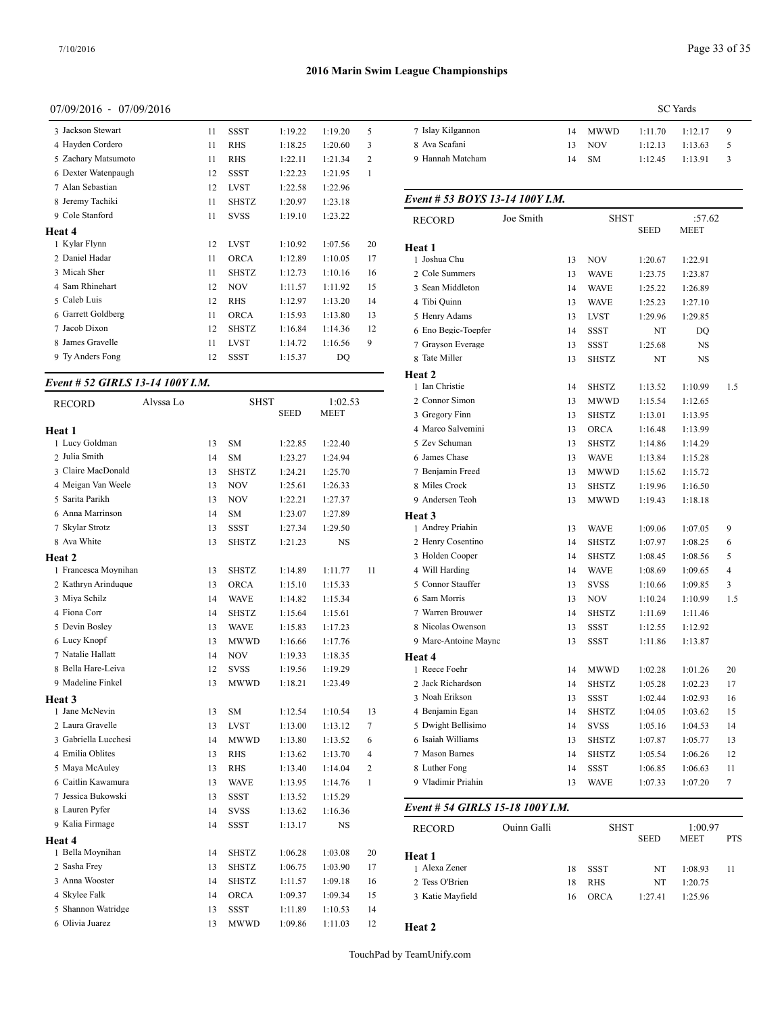## 07/09/2016 - 07/09/2016

| 3 Jackson Stewart   | 11 | <b>SSST</b>  | 1:19.22 | 1:19.20 | 5              | 7 Islay Kilganno |
|---------------------|----|--------------|---------|---------|----------------|------------------|
| 4 Hayden Cordero    | 11 | <b>RHS</b>   | 1:18.25 | 1:20.60 | 3              | 8 Ava Scafani    |
| 5 Zachary Matsumoto | 11 | <b>RHS</b>   | 1:22.11 | 1:21.34 | $\overline{2}$ | 9 Hannah Match   |
| 6 Dexter Watenpaugh | 12 | <b>SSST</b>  | 1:22.23 | 1:21.95 | $\mathbf{1}$   |                  |
| 7 Alan Sebastian    | 12 | <b>LVST</b>  | 1:22.58 | 1:22.96 |                |                  |
| 8 Jeremy Tachiki    | 11 | <b>SHSTZ</b> | 1:20.97 | 1:23.18 |                | Event # 53 $BO$  |
| 9 Cole Stanford     | 11 | <b>SVSS</b>  | 1:19.10 | 1:23.22 |                | <b>RECORD</b>    |
| Heat 4              |    |              |         |         |                |                  |
| 1 Kylar Flynn       | 12 | <b>LVST</b>  | 1:10.92 | 1:07.56 | 20             | Heat 1           |
| 2 Daniel Hadar      | 11 | <b>ORCA</b>  | 1:12.89 | 1:10.05 | 17             | 1 Joshua Chu     |
| 3 Micah Sher        | 11 | <b>SHSTZ</b> | 1:12.73 | 1:10.16 | 16             | 2 Cole Summers   |
| 4 Sam Rhinehart     | 12 | <b>NOV</b>   | 1:11.57 | 1:11.92 | 15             | 3 Sean Middleto  |
| 5 Caleb Luis        | 12 | <b>RHS</b>   | 1:12.97 | 1:13.20 | 14             | 4 Tibi Quinn     |
| 6 Garrett Goldberg  | 11 | <b>ORCA</b>  | 1:15.93 | 1:13.80 | 13             | 5 Henry Adams    |
| 7 Jacob Dixon       | 12 | <b>SHSTZ</b> | 1:16.84 | 1:14.36 | 12             | 6 Eno Begic-To   |
| 8 James Gravelle    | 11 | <b>LVST</b>  | 1:14.72 | 1:16.56 | 9              | 7 Grayson Evera  |
| 9 Ty Anders Fong    | 12 | <b>SSST</b>  | 1:15.37 | DO      |                | 8 Tate Miller    |
|                     |    |              |         |         |                |                  |

# *Event # 52 GIRLS 13-14 100Y I.M.*

| <b>RECORD</b>        | Alyssa Lo |    | SHST         |             | 1:02.53     |              | 2 Connor Sir        |
|----------------------|-----------|----|--------------|-------------|-------------|--------------|---------------------|
|                      |           |    |              | <b>SEED</b> | <b>MEET</b> |              | 3 Gregory Fi        |
| Heat 1               |           |    |              |             |             |              | 4 Marco Salv        |
| 1 Lucy Goldman       |           | 13 | SM           | 1:22.85     | 1:22.40     |              | 5 Zev Schum         |
| 2 Julia Smith        |           | 14 | <b>SM</b>    | 1:23.27     | 1:24.94     |              | 6 James Chas        |
| 3 Claire MacDonald   |           | 13 | <b>SHSTZ</b> | 1:24.21     | 1:25.70     |              | 7 Benjamin I        |
| 4 Meigan Van Weele   |           | 13 | <b>NOV</b>   | 1:25.61     | 1:26.33     |              | 8 Miles Croc        |
| 5 Sarita Parikh      |           | 13 | <b>NOV</b>   | 1:22.21     | 1:27.37     |              | 9 Andersen 7        |
| 6 Anna Marrinson     |           | 14 | SM           | 1:23.07     | 1:27.89     |              | Heat 3              |
| 7 Skylar Strotz      |           | 13 | <b>SSST</b>  | 1:27.34     | 1:29.50     |              | 1 Andrey Pri        |
| 8 Ava White          |           | 13 | SHSTZ        | 1:21.23     | NS          |              | 2 Henry Cos         |
| <b>Heat 2</b>        |           |    |              |             |             |              | 3 Holden Co         |
| 1 Francesca Moynihan |           | 13 | <b>SHSTZ</b> | 1:14.89     | 1:11.77     | 11           | 4 Will Hardi        |
| 2 Kathryn Arinduque  |           | 13 | ORCA         | 1:15.10     | 1:15.33     |              | 5 Connor Sta        |
| 3 Miya Schilz        |           | 14 | <b>WAVE</b>  | 1:14.82     | 1:15.34     |              | 6 Sam Morri         |
| 4 Fiona Corr         |           | 14 | <b>SHSTZ</b> | 1:15.64     | 1:15.61     |              | 7 Warren Bro        |
| 5 Devin Bosley       |           | 13 | <b>WAVE</b>  | 1:15.83     | 1:17.23     |              | 8 Nicolas Ov        |
| 6 Lucy Knopf         |           | 13 | MWWD         | 1:16.66     | 1:17.76     |              | 9 Marc-Anto         |
| 7 Natalie Hallatt    |           | 14 | <b>NOV</b>   | 1:19.33     | 1:18.35     |              | Heat 4              |
| 8 Bella Hare-Leiva   |           | 12 | <b>SVSS</b>  | 1:19.56     | 1:19.29     |              | 1 Reece Foel        |
| 9 Madeline Finkel    |           | 13 | <b>MWWD</b>  | 1:18.21     | 1:23.49     |              | 2 Jack Richa        |
| Heat 3               |           |    |              |             |             |              | 3 Noah Eriks        |
| 1 Jane McNevin       |           | 13 | SM           | 1:12.54     | 1:10.54     | 13           | 4 Benjamin I        |
| 2 Laura Gravelle     |           | 13 | <b>LVST</b>  | 1:13.00     | 1:13.12     | 7            | 5 Dwight Be         |
| 3 Gabriella Lucchesi |           | 14 | <b>MWWD</b>  | 1:13.80     | 1:13.52     | 6            | 6 Isaiah Will       |
| 4 Emilia Oblites     |           | 13 | RHS          | 1:13.62     | 1:13.70     | 4            | 7 Mason Bar         |
| 5 Maya McAuley       |           | 13 | RHS          | 1:13.40     | 1:14.04     | 2            | 8 Luther Fon        |
| 6 Caitlin Kawamura   |           | 13 | <b>WAVE</b>  | 1:13.95     | 1:14.76     | $\mathbf{1}$ | 9 Vladimir P        |
| 7 Jessica Bukowski   |           | 13 | <b>SSST</b>  | 1:13.52     | 1:15.29     |              |                     |
| 8 Lauren Pyfer       |           | 14 | <b>SVSS</b>  | 1:13.62     | 1:16.36     |              | Event # 54 <b>C</b> |
| 9 Kalia Firmage      |           | 14 | <b>SSST</b>  | 1:13.17     | NS          |              | <b>RECORD</b>       |
| Heat 4               |           |    |              |             |             |              |                     |
| 1 Bella Moynihan     |           | 14 | <b>SHSTZ</b> | 1:06.28     | 1:03.08     | 20           | Heat 1              |
| 2 Sasha Frey         |           | 13 | <b>SHSTZ</b> | 1:06.75     | 1:03.90     | 17           | 1 Alexa Zene        |
| 3 Anna Wooster       |           | 14 | <b>SHSTZ</b> | 1:11.57     | 1:09.18     | 16           | 2 Tess O'Brie       |
| 4 Skylee Falk        |           | 14 | ORCA         | 1:09.37     | 1:09.34     | 15           | 3 Katie May!        |
| 5 Shannon Watridge   |           | 13 | <b>SSST</b>  | 1:11.89     | 1:10.53     | 14           |                     |
| 6 Olivia Juarez      |           | 13 | <b>MWWD</b>  | 1:09.86     | 1:11.03     | 12           | Heat 2              |

|                   | <b>SC</b> Yards |         |         |         |               |  |  |
|-------------------|-----------------|---------|---------|---------|---------------|--|--|
| 7 Islay Kilgannon |                 | 14 MWWD | 1:11.70 | 1:12.17 | - 9           |  |  |
| 8 Ava Scafani     |                 | 13 NOV  | 1:12.13 | 1:13.63 | -5.           |  |  |
| 9 Hannah Matcham  |                 | 14 SM   | 1:12.45 | 1:13.91 | $\mathcal{R}$ |  |  |
|                   |                 |         |         |         |               |  |  |

#### *Event # 53 BOYS 13-14 100Y I.M.*

|                                  | Joe Smith          |    | SHST         |             | :57.62  |     |
|----------------------------------|--------------------|----|--------------|-------------|---------|-----|
| RECORD                           |                    |    |              | SEED        | MEET    |     |
| Heat 1                           |                    |    |              |             |         |     |
| 1 Joshua Chu                     |                    | 13 | <b>NOV</b>   | 1:20.67     | 1:22.91 |     |
| 2 Cole Summers                   |                    | 13 | WAVE         | 1:23.75     | 1:23.87 |     |
| 3 Sean Middleton                 |                    | 14 | <b>WAVE</b>  | 1:25.22     | 1:26.89 |     |
| 4 Tibi Quinn                     |                    | 13 | <b>WAVE</b>  | 1:25.23     | 1:27.10 |     |
| 5 Henry Adams                    |                    | 13 | <b>LVST</b>  | 1:29.96     | 1:29.85 |     |
| 6 Eno Begic-Toepfer              |                    | 14 | <b>SSST</b>  | NT          | DQ      |     |
| 7 Grayson Everage                |                    | 13 | <b>SSST</b>  | 1:25.68     | NS      |     |
| 8 Tate Miller                    |                    | 13 | <b>SHSTZ</b> | NT          | NS      |     |
| Heat 2                           |                    |    |              |             |         |     |
| 1 Ian Christie                   |                    | 14 | <b>SHSTZ</b> | 1:13.52     | 1:10.99 | 1.5 |
| 2 Connor Simon                   |                    | 13 | <b>MWWD</b>  | 1:15.54     | 1:12.65 |     |
| 3 Gregory Finn                   |                    | 13 | <b>SHSTZ</b> | 1:13.01     | 1:13.95 |     |
| 4 Marco Salvemini                |                    | 13 | ORCA         | 1:16.48     | 1:13.99 |     |
| 5 Zev Schuman                    |                    | 13 | <b>SHSTZ</b> | 1:14.86     | 1:14.29 |     |
| 6 James Chase                    |                    | 13 | <b>WAVE</b>  | 1:13.84     | 1:15.28 |     |
| 7 Benjamin Freed                 |                    | 13 | MWWD         | 1:15.62     | 1:15.72 |     |
| 8 Miles Crock                    |                    | 13 | <b>SHSTZ</b> | 1:19.96     | 1:16.50 |     |
| 9 Andersen Teoh                  |                    | 13 | <b>MWWD</b>  | 1:19.43     | 1:18.18 |     |
| Heat 3                           |                    |    |              |             |         |     |
| 1 Andrey Priahin                 |                    | 13 | <b>WAVE</b>  | 1:09.06     | 1:07.05 | 9   |
| 2 Henry Cosentino                |                    | 14 | SHSTZ        | 1:07.97     | 1:08.25 | 6   |
| 3 Holden Cooper                  |                    | 14 | <b>SHSTZ</b> | 1:08.45     | 1:08.56 | 5   |
| 4 Will Harding                   |                    | 14 | <b>WAVE</b>  | 1:08.69     | 1:09.65 | 4   |
| 5 Connor Stauffer                |                    | 13 | <b>SVSS</b>  | 1:10.66     | 1:09.85 | 3   |
| 6 Sam Morris                     |                    | 13 | NOV          | 1:10.24     | 1:10.99 | 1.5 |
| 7 Warren Brouwer                 |                    | 14 | <b>SHSTZ</b> | 1:11.69     | 1:11.46 |     |
| 8 Nicolas Owenson                |                    | 13 | SSST         | 1:12.55     | 1:12.92 |     |
| 9 Marc-Antoine Maync             |                    | 13 | SSST         | 1:11.86     | 1:13.87 |     |
| <b>Heat 4</b>                    |                    |    |              |             |         |     |
| 1 Reece Foehr                    |                    | 14 | <b>MWWD</b>  | 1:02.28     | 1:01.26 | 20  |
| 2 Jack Richardson                |                    | 14 | <b>SHSTZ</b> | 1:05.28     | 1:02.23 | 17  |
| 3 Noah Erikson                   |                    | 13 | SSST         | 1:02.44     | 1:02.93 | 16  |
| 4 Benjamin Egan                  |                    | 14 | <b>SHSTZ</b> | 1:04.05     | 1:03.62 | 15  |
| 5 Dwight Bellisimo               |                    | 14 | <b>SVSS</b>  | 1:05.16     | 1:04.53 | 14  |
| 6 Isaiah Williams                |                    | 13 | <b>SHSTZ</b> | 1:07.87     | 1:05.77 | 13  |
| 7 Mason Barnes                   |                    | 14 | <b>SHSTZ</b> | 1:05.54     | 1:06.26 | 12  |
| 8 Luther Fong                    |                    | 14 | <b>SSST</b>  | 1:06.85     | 1:06.63 | 11  |
| 9 Vladimir Priahin               |                    | 13 | WAVE         | 1:07.33     | 1:07.20 |     |
| Event # 54 GIRLS 15-18 100Y I.M. |                    |    |              |             |         |     |
| RECORD                           | <b>Ouinn Galli</b> |    | SHST         |             | 1:00.97 |     |
|                                  |                    |    |              | <b>SEED</b> | MEET    | PTS |
| Heat 1                           |                    |    |              |             |         |     |
| 1 Alexa Zener                    |                    | 18 | SSST         | NT          | 1:08.93 | 11  |
| 2 Tess O'Brien                   |                    | 18 | RHS          | NT          | 1:20.75 |     |
| 3 Katie Mayfield                 |                    | 16 | <b>ORCA</b>  | 1:27.41     | 1:25.96 |     |
|                                  |                    |    |              |             |         |     |

**Heat 2**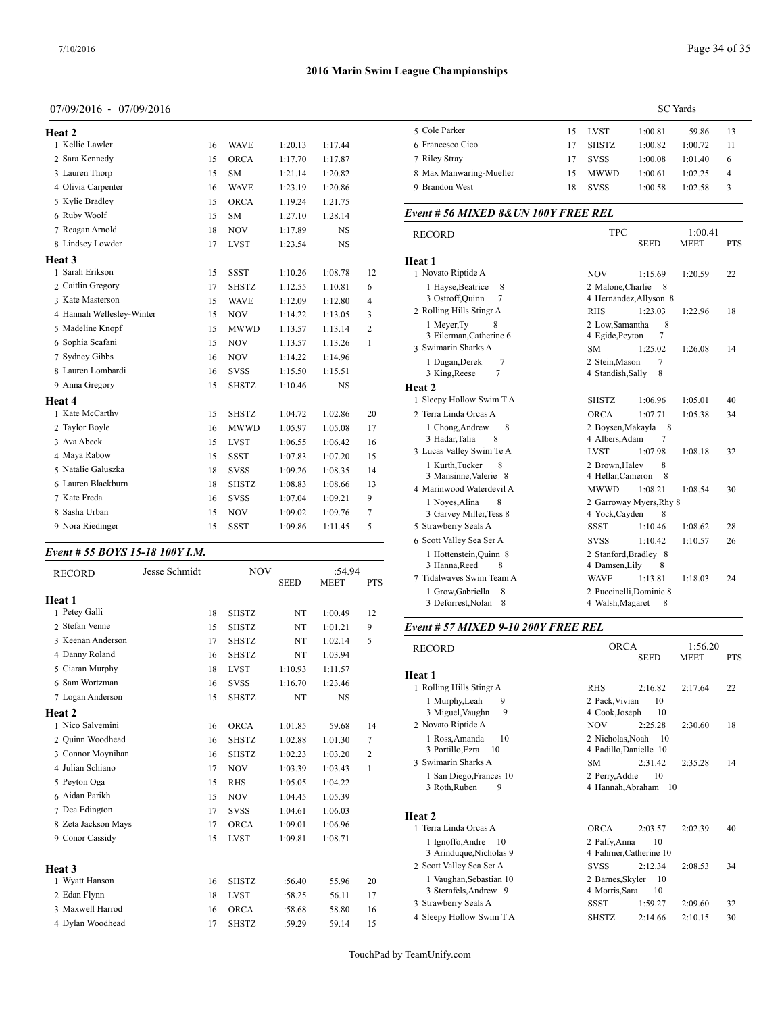## 07/09/2016 - 07/09/2016

| Heat 2                    |    |              |         |           |                | 5 Cole Parke           |
|---------------------------|----|--------------|---------|-----------|----------------|------------------------|
| 1 Kellie Lawler           | 16 | <b>WAVE</b>  | 1:20.13 | 1:17.44   |                | 6 Francesco            |
| 2 Sara Kennedy            | 15 | <b>ORCA</b>  | 1:17.70 | 1:17.87   |                | 7 Riley Stray          |
| 3 Lauren Thorp            | 15 | <b>SM</b>    | 1:21.14 | 1:20.82   |                | 8 Max Manw             |
| 4 Olivia Carpenter        | 16 | <b>WAVE</b>  | 1:23.19 | 1:20.86   |                | 9 Brandon W            |
| 5 Kylie Bradley           | 15 | <b>ORCA</b>  | 1:19.24 | 1:21.75   |                |                        |
| 6 Ruby Woolf              | 15 | <b>SM</b>    | 1:27.10 | 1:28.14   |                | Event # $56$ $\Lambda$ |
| 7 Reagan Arnold           | 18 | <b>NOV</b>   | 1:17.89 | <b>NS</b> |                | <b>RECORD</b>          |
| 8 Lindsey Lowder          | 17 | <b>LVST</b>  | 1:23.54 | <b>NS</b> |                |                        |
| Heat 3                    |    |              |         |           |                | Heat 1                 |
| 1 Sarah Erikson           | 15 | <b>SSST</b>  | 1:10.26 | 1:08.78   | 12             | 1 Novato Rip           |
| 2 Caitlin Gregory         | 17 | <b>SHSTZ</b> | 1:12.55 | 1:10.81   | 6              | 1 Hayse, E             |
| 3 Kate Masterson          | 15 | <b>WAVE</b>  | 1:12.09 | 1:12.80   | $\overline{4}$ | 3 Ostroff,             |
| 4 Hannah Wellesley-Winter | 15 | <b>NOV</b>   | 1:14.22 | 1:13.05   | 3              | 2 Rolling Hil          |
| 5 Madeline Knopf          | 15 | <b>MWWD</b>  | 1:13.57 | 1:13.14   | $\overline{c}$ | 1 Meyer,<br>3 Eilerma  |
| 6 Sophia Scafani          | 15 | <b>NOV</b>   | 1:13.57 | 1:13.26   | $\mathbf{1}$   | 3 Swimarin S           |
| 7 Sydney Gibbs            | 16 | <b>NOV</b>   | 1:14.22 | 1:14.96   |                | 1 Dugan,l              |
| 8 Lauren Lombardi         | 16 | <b>SVSS</b>  | 1:15.50 | 1:15.51   |                | 3 King, Ro             |
| 9 Anna Gregory            | 15 | <b>SHSTZ</b> | 1:10.46 | <b>NS</b> |                | Heat 2                 |
| Heat 4                    |    |              |         |           |                | 1 Sleepy Hol           |
| 1 Kate McCarthy           | 15 | <b>SHSTZ</b> | 1:04.72 | 1:02.86   | 20             | 2 Terra Linda          |
| 2 Taylor Boyle            | 16 | <b>MWWD</b>  | 1:05.97 | 1:05.08   | 17             | 1 Chong,               |
| 3 Ava Abeck               | 15 | <b>LVST</b>  | 1:06.55 | 1:06.42   | 16             | 3 Hadar, T             |
| 4 Maya Rabow              | 15 | <b>SSST</b>  | 1:07.83 | 1:07.20   | 15             | 3 Lucas Valle          |
| 5 Natalie Galuszka        | 18 | <b>SVSS</b>  | 1:09.26 | 1:08.35   | 14             | 1 Kurth, T<br>3 Mansin |
| 6 Lauren Blackburn        | 18 | <b>SHSTZ</b> | 1:08.83 | 1:08.66   | 13             | 4 Marinwood            |
| 7 Kate Freda              | 16 | <b>SVSS</b>  | 1:07.04 | 1:09.21   | 9              | 1 Noyes,               |
| 8 Sasha Urban             | 15 | <b>NOV</b>   | 1:09.02 | 1:09.76   | 7              | 3 Garvey               |
| 9 Nora Riedinger          | 15 | <b>SSST</b>  | 1:09.86 | 1:11.45   | 5              | 5 Strawberry           |
|                           |    |              |         |           |                |                        |

## *Event # 55 BOYS 15-18 100Y I.M.*

|                     |               |              |             |             |                | 1 HOUGHSIGHLOUHH 0                             | ∠ этаппопи, втачно у о                        |             |    |
|---------------------|---------------|--------------|-------------|-------------|----------------|------------------------------------------------|-----------------------------------------------|-------------|----|
| <b>RECORD</b>       | Jesse Schmidt | <b>NOV</b>   |             | :54.94      |                | 3 Hanna, Reed<br>8<br>7 Tidalwayes Swim Team A | 4 Damsen, Lily<br>8<br><b>WAVE</b><br>1:13.81 | 1:18.03     | 24 |
|                     |               |              | <b>SEED</b> | <b>MEET</b> | <b>PTS</b>     | 1 Grow, Gabriella<br>8                         | 2 Puccinelli, Dominic 8                       |             |    |
| Heat 1              |               |              |             |             |                | 3 Deforrest, Nolan 8                           | 4 Walsh, Magaret<br>8                         |             |    |
| 1 Petey Galli       | 18            | <b>SHSTZ</b> | NT          | 1:00.49     | 12             |                                                |                                               |             |    |
| 2 Stefan Venne      | 15            | <b>SHSTZ</b> | NT          | 1:01.21     | 9              | <b>Event # 57 MIXED 9-10 200Y FREE REL</b>     |                                               |             |    |
| 3 Keenan Anderson   | 17            | <b>SHSTZ</b> | NT          | 1:02.14     | 5              |                                                | <b>ORCA</b>                                   | 1:56.20     |    |
| 4 Danny Roland      | 16            | <b>SHSTZ</b> | NT          | 1:03.94     |                | <b>RECORD</b>                                  | <b>SEED</b>                                   | <b>MEET</b> | PT |
| 5 Ciaran Murphy     | 18            | <b>LVST</b>  | 1:10.93     | 1:11.57     |                | Heat 1                                         |                                               |             |    |
| 6 Sam Wortzman      | 16            | <b>SVSS</b>  | 1:16.70     | 1:23.46     |                | 1 Rolling Hills Stingr A                       | <b>RHS</b><br>2:16.82                         | 2:17.64     | 22 |
| 7 Logan Anderson    | 15            | <b>SHSTZ</b> | NT          | <b>NS</b>   |                | 9<br>1 Murphy, Leah                            | 2 Pack. Vivian<br>10                          |             |    |
| <b>Heat 2</b>       |               |              |             |             |                | 9<br>3 Miguel, Vaughn                          | 4 Cook, Joseph<br>10                          |             |    |
| 1 Nico Salvemini    | 16            | <b>ORCA</b>  | 1:01.85     | 59.68       | 14             | 2 Novato Riptide A                             | <b>NOV</b><br>2:25.28                         | 2:30.60     | 18 |
| 2 Ouinn Woodhead    | 16            | <b>SHSTZ</b> | 1:02.88     | 1:01.30     | $\tau$         | 1 Ross.Amanda<br>10                            | 2 Nicholas, Noah<br>- 10                      |             |    |
| 3 Connor Moynihan   | 16            | <b>SHSTZ</b> | 1:02.23     | 1:03.20     | $\overline{2}$ | 3 Portillo, Ezra<br>- 10                       | 4 Padillo, Danielle 10                        |             |    |
| 4 Julian Schiano    | 17            | <b>NOV</b>   | 1:03.39     | 1:03.43     |                | 3 Swimarin Sharks A                            | <b>SM</b><br>2:31.42                          | 2:35.28     | 14 |
| 5 Peyton Oga        | 15            | <b>RHS</b>   | 1:05.05     | 1:04.22     |                | 1 San Diego, Frances 10<br>9                   | 2 Perry, Addie<br>10                          |             |    |
| 6 Aidan Parikh      | 15            | <b>NOV</b>   | 1:04.45     | 1:05.39     |                | 3 Roth, Ruben                                  | 4 Hannah, Abraham 10                          |             |    |
| 7 Dea Edington      | 17            | <b>SVSS</b>  | 1:04.61     | 1:06.03     |                | Heat 2                                         |                                               |             |    |
| 8 Zeta Jackson Mays | 17            | <b>ORCA</b>  | 1:09.01     | 1:06.96     |                | 1 Terra Linda Orcas A                          | <b>ORCA</b><br>2:03.57                        | 2:02.39     | 40 |
| 9 Conor Cassidy     | 15            | <b>LVST</b>  | 1:09.81     | 1:08.71     |                | 1 Ignoffo.Andre<br>- 10                        | 10<br>2 Palfv.Anna                            |             |    |
|                     |               |              |             |             |                | 3 Arinduque, Nicholas 9                        | 4 Fahrner, Catherine 10                       |             |    |
| Heat 3              |               |              |             |             |                | 2 Scott Valley Sea Ser A                       | <b>SVSS</b><br>2:12.34                        | 2:08.53     | 34 |
| 1 Wyatt Hanson      | 16            | <b>SHSTZ</b> | :56.40      | 55.96       | 20             | 1 Vaughan, Sebastian 10                        | 2 Barnes, Skyler<br>- 10                      |             |    |
| 2 Edan Flynn        | 18            | <b>LVST</b>  | :58.25      | 56.11       | 17             | 3 Sternfels, Andrew 9                          | 10<br>4 Morris, Sara                          |             |    |
| 3 Maxwell Harrod    | 16            | <b>ORCA</b>  | :58.68      | 58.80       | 16             | 3 Strawberry Seals A                           | <b>SSST</b><br>1:59.27                        | 2:09.60     | 32 |
| 4 Dylan Woodhead    | 17            | <b>SHSTZ</b> | :59.29      | 59.14       | 15             | 4 Sleepy Hollow Swim T A                       | <b>SHSTZ</b><br>2:14.66                       | 2:10.15     | 30 |
|                     |               |              |             |             |                |                                                |                                               |             |    |

| 5 Cole Parker                              | 15 | <b>LVST</b>                         | 1:00.81                 | 59.86       | 13         |
|--------------------------------------------|----|-------------------------------------|-------------------------|-------------|------------|
| 6 Francesco Cico                           | 17 | <b>SHSTZ</b>                        | 1:00.82                 | 1:00.72     | 11         |
| 7 Riley Stray                              | 17 | <b>SVSS</b>                         | 1:00.08                 | 1:01.40     | 6          |
| 8 Max Manwaring-Mueller                    | 15 | MWWD                                | 1:00.61                 | 1:02.25     | 4          |
| 9 Brandon West                             | 18 | <b>SVSS</b>                         | 1:00.58                 | 1:02.58     | 3          |
| Event # 56 MIXED 8& UN 100Y FREE REL       |    |                                     |                         |             |            |
| <b>RECORD</b>                              |    | <b>TPC</b>                          |                         | 1:00.41     |            |
|                                            |    |                                     | <b>SEED</b>             | <b>MEET</b> | <b>PTS</b> |
| Heat 1                                     |    |                                     |                         |             |            |
| 1 Novato Riptide A                         |    | <b>NOV</b>                          | 1:15.69                 | 1:20.59     | 22         |
| 1 Hayse, Beatrice<br>8                     |    | 2 Malone, Charlie                   | 8                       |             |            |
| 3 Ostroff, Quinn<br>7                      |    |                                     | 4 Hernandez, Allyson 8  |             |            |
| 2 Rolling Hills Stingr A                   |    | <b>RHS</b>                          | 1:23.03                 | 1:22.96     | 18         |
| 1 Meyer, Ty<br>8                           |    | 2 Low, Samantha                     | 8                       |             |            |
| 3 Eilerman, Catherine 6                    |    | 4 Egide, Peyton                     | $\tau$                  |             |            |
| 3 Swimarin Sharks A                        |    | <b>SM</b>                           | 1:25.02                 | 1:26.08     | 14         |
| 1 Dugan, Derek<br>7                        |    | 2 Stein, Mason                      | 7                       |             |            |
| 3 King, Reese<br>7                         |    | 4 Standish, Sally                   | 8                       |             |            |
| Heat 2                                     |    |                                     |                         |             |            |
| 1 Sleepy Hollow Swim T A                   |    | <b>SHSTZ</b>                        | 1:06.96                 | 1:05.01     | 40         |
| 2 Terra Linda Orcas A                      |    | <b>ORCA</b>                         | 1:07.71                 | 1:05.38     | 34         |
| 1 Chong, Andrew<br>8<br>8                  |    | 2 Boysen, Makayla                   | 8                       |             |            |
| 3 Hadar, Talia<br>3 Lucas Valley Swim Te A |    | 4 Albers, Adam<br><b>LVST</b>       | 7                       |             |            |
| 1 Kurth, Tucker<br>8                       |    |                                     | 1:07.98                 | 1:08.18     | 32         |
| 3 Mansinne, Valerie 8                      |    | 2 Brown, Haley<br>4 Hellar, Cameron | 8<br>8                  |             |            |
| 4 Marinwood Waterdevil A                   |    | <b>MWWD</b>                         | 1:08.21                 | 1:08.54     | 30         |
| 8<br>1 Noyes, Alina                        |    |                                     | 2 Garroway Myers, Rhy 8 |             |            |
| 3 Garvey Miller, Tess 8                    |    | 4 Yock, Cayden                      | 8                       |             |            |
| 5 Strawberry Seals A                       |    | <b>SSST</b>                         | 1:10.46                 | 1:08.62     | 28         |
| 6 Scott Valley Sea Ser A                   |    | <b>SVSS</b>                         | 1:10.42                 | 1:10.57     | 26         |
| 1 Hottenstein, Quinn 8                     |    |                                     | 2 Stanford.Bradlev 8    |             |            |
| 3 Hanna, Reed<br>8                         |    | 4 Damsen, Lily                      | 8                       |             |            |
| 7 Tidalwaves Swim Team A                   |    | <b>WAVE</b>                         | 1:13.81                 | 1:18.03     | 24         |
| 1 Grow, Gabriella<br>8                     |    |                                     | 2 Puccinelli, Dominic 8 |             |            |
| 8<br>3 Deforrest, Nolan                    |    | 4 Walsh, Magaret                    | 8                       |             |            |

| <b>RECORD</b>                                   | <b>ORCA</b>                                |             | 1:56.20     |            |
|-------------------------------------------------|--------------------------------------------|-------------|-------------|------------|
|                                                 |                                            | <b>SEED</b> | <b>MEET</b> | <b>PTS</b> |
| Heat 1                                          |                                            |             |             |            |
| 1 Rolling Hills Stingr A                        | <b>RHS</b>                                 | 2:16.82     | 2:17.64     | 22         |
| 1 Murphy, Leah<br>9<br>9<br>3 Miguel, Vaughn    | 2 Pack, Vivian<br>4 Cook, Joseph           | 10<br>10    |             |            |
| 2 Novato Riptide A                              | <b>NOV</b>                                 | 2:25.28     | 2:30.60     | 18         |
| 1 Ross, Amanda<br>10<br>3 Portillo, Ezra<br>10  | 2 Nicholas, Noah<br>4 Padillo, Danielle 10 | - 10        |             |            |
| 3 Swimarin Sharks A                             | <b>SM</b>                                  | 2:31.42     | 2:35.28     | 14         |
| 1 San Diego, Frances 10                         | 2 Perry, Addie                             | 10          |             |            |
| 3 Roth, Ruben<br>9                              | 4 Hannah, Abraham                          | -10         |             |            |
|                                                 |                                            |             |             |            |
| Heat 2                                          |                                            |             |             |            |
| 1 Terra Linda Orcas A                           | <b>ORCA</b>                                | 2:03.57     | 2:02.39     | 40         |
| 1 Ignoffo, Andre<br>- 10                        | 2 Palfy, Anna                              | 10          |             |            |
| 3 Arinduque, Nicholas 9                         | 4 Fahrner, Catherine 10                    |             |             |            |
| 2 Scott Valley Sea Ser A                        | <b>SVSS</b>                                | 2:12.34     | 2:08.53     | 34         |
| 1 Vaughan Sebastian 10<br>3 Sternfels, Andrew 9 | 2 Barnes, Skyler<br>4 Morris, Sara         | 10<br>10    |             |            |
| 3 Strawberry Seals A                            | <b>SSST</b>                                | 1:59.27     | 2:09.60     | 32         |
| 4 Sleepy Hollow Swim T A                        | <b>SHSTZ</b>                               | 2:14.66     | 2:10.15     | 30         |
|                                                 |                                            |             |             |            |

Page 34 of 35

SC Yards